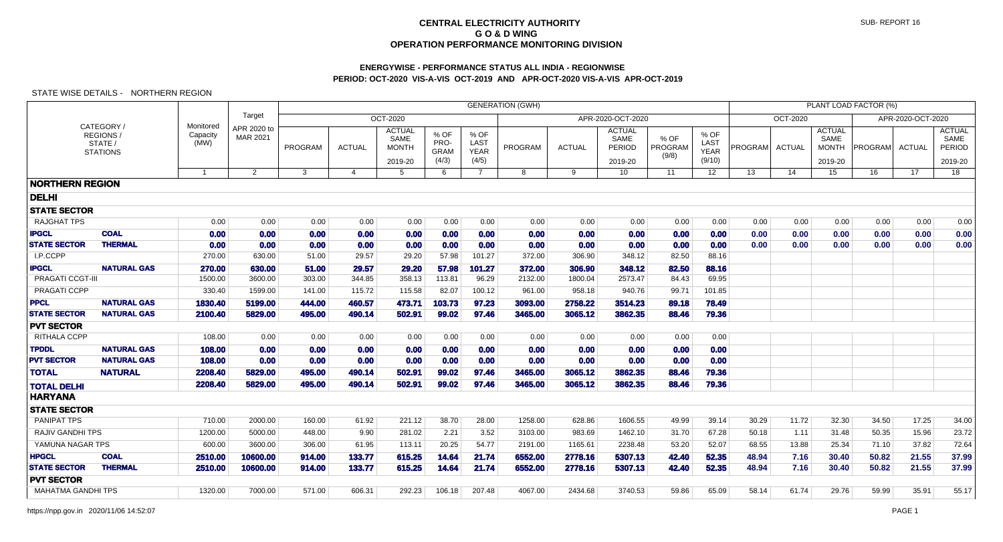# **ENERGYWISE - PERFORMANCE STATUS ALL INDIA - REGIONWISEPERIOD: OCT-2020 VIS-A-VIS OCT-2019 AND APR-OCT-2020 VIS-A-VIS APR-OCT-2019**

|                           |                                                      |                               |                         |                                                          |                       |                                                  |                                      |                                      |         | PLANT LOAD FACTOR (%) |                                            |                          |                                       |         |               |                                                  |                |                   |                                            |
|---------------------------|------------------------------------------------------|-------------------------------|-------------------------|----------------------------------------------------------|-----------------------|--------------------------------------------------|--------------------------------------|--------------------------------------|---------|-----------------------|--------------------------------------------|--------------------------|---------------------------------------|---------|---------------|--------------------------------------------------|----------------|-------------------|--------------------------------------------|
|                           |                                                      |                               | Target                  | <b>GENERATION (GWH)</b><br>OCT-2020<br>APR-2020-OCT-2020 |                       |                                                  |                                      |                                      |         |                       |                                            |                          |                                       |         | OCT-2020      |                                                  |                | APR-2020-OCT-2020 |                                            |
|                           | CATEGORY /<br>REGIONS/<br>STATE /<br><b>STATIONS</b> | Monitored<br>Capacity<br>(MW) | APR 2020 to<br>MAR 2021 | PROGRAM                                                  | <b>ACTUAL</b>         | <b>ACTUAL</b><br>SAME<br><b>MONTH</b><br>2019-20 | % OF<br>PRO-<br><b>GRAM</b><br>(4/3) | % OF<br>LAST<br><b>YEAR</b><br>(4/5) | PROGRAM | <b>ACTUAL</b>         | <b>ACTUAL</b><br>SAME<br>PERIOD<br>2019-20 | % OF<br>PROGRAM<br>(9/8) | % OF<br>LAST<br><b>YEAR</b><br>(9/10) | PROGRAM | <b>ACTUAL</b> | <b>ACTUAL</b><br>SAME<br><b>MONTH</b><br>2019-20 | <b>PROGRAM</b> | <b>ACTUAL</b>     | <b>ACTUAL</b><br>SAME<br>PERIOD<br>2019-20 |
|                           |                                                      |                               | $\overline{2}$          | 3                                                        | $\boldsymbol{\Delta}$ | 5                                                | 6                                    | $\overline{7}$                       | 8       | 9                     | 10                                         | 11                       | 12                                    | 13      | 14            | 15                                               | 16             | 17                | 18                                         |
| <b>NORTHERN REGION</b>    |                                                      |                               |                         |                                                          |                       |                                                  |                                      |                                      |         |                       |                                            |                          |                                       |         |               |                                                  |                |                   |                                            |
| <b>DELHI</b>              |                                                      |                               |                         |                                                          |                       |                                                  |                                      |                                      |         |                       |                                            |                          |                                       |         |               |                                                  |                |                   |                                            |
| <b>STATE SECTOR</b>       |                                                      |                               |                         |                                                          |                       |                                                  |                                      |                                      |         |                       |                                            |                          |                                       |         |               |                                                  |                |                   |                                            |
| <b>RAJGHAT TPS</b>        |                                                      | 0.00                          | 0.00                    | 0.00                                                     | 0.00                  | 0.00                                             | 0.00                                 | 0.00                                 | 0.00    | 0.00                  | 0.00                                       | 0.00                     | 0.00                                  | 0.00    | 0.00          | 0.00                                             | 0.00           | 0.00              | 0.00                                       |
| <b>IPGCL</b>              | <b>COAL</b>                                          | 0.00                          | 0.00                    | 0.00                                                     | 0.00                  | 0.00                                             | 0.00                                 | 0.00                                 | 0.00    | 0.00                  | 0.00                                       | 0.00                     | 0.00                                  | 0.00    | 0.00          | 0.00                                             | 0.00           | 0.00              | 0.00                                       |
| <b>STATE SECTOR</b>       | <b>THERMAL</b>                                       | 0.00                          | 0.00                    | 0.00                                                     | 0.00                  | 0.00                                             | 0.00                                 | 0.00                                 | 0.00    | 0.00                  | 0.00                                       | 0.00                     | 0.00                                  | 0.00    | 0.00          | 0.00                                             | 0.00           | 0.00              | 0.00                                       |
| I.P.CCPP                  |                                                      | 270.00                        | 630.00                  | 51.00                                                    | 29.57                 | 29.20                                            | 57.98                                | 101.27                               | 372.00  | 306.90                | 348.12                                     | 82.50                    | 88.16                                 |         |               |                                                  |                |                   |                                            |
| <b>IPGCL</b>              | <b>NATURAL GAS</b>                                   | 270.00                        | 630.00                  | 51.00                                                    | 29.57                 | 29.20                                            | 57.98                                | 101.27                               | 372.00  | 306.90                | 348.12                                     | 82.50                    | 88.16                                 |         |               |                                                  |                |                   |                                            |
| PRAGATI CCGT-III          |                                                      | 1500.00                       | 3600.00                 | 303.00                                                   | 344.85                | 358.13                                           | 113.81                               | 96.29                                | 2132.00 | 1800.04               | 2573.47                                    | 84.43                    | 69.95                                 |         |               |                                                  |                |                   |                                            |
| PRAGATI CCPP              |                                                      | 330.40                        | 1599.00                 | 141.00                                                   | 115.72                | 115.58                                           | 82.07                                | 100.12                               | 961.00  | 958.18                | 940.76                                     | 99.71                    | 101.85                                |         |               |                                                  |                |                   |                                            |
| <b>PPCL</b>               | <b>NATURAL GAS</b>                                   | 1830.40                       | 5199.00                 | 444.00                                                   | 460.57                | 473.71                                           | 103.73                               | 97.23                                | 3093.00 | 2758.22               | 3514.23                                    | 89.18                    | 78.49                                 |         |               |                                                  |                |                   |                                            |
| <b>STATE SECTOR</b>       | <b>NATURAL GAS</b>                                   | 2100.40                       | 5829.00                 | 495.00                                                   | 490.14                | 502.91                                           | 99.02                                | 97.46                                | 3465.00 | 3065.12               | 3862.35                                    | 88.46                    | 79.36                                 |         |               |                                                  |                |                   |                                            |
| <b>PVT SECTOR</b>         |                                                      |                               |                         |                                                          |                       |                                                  |                                      |                                      |         |                       |                                            |                          |                                       |         |               |                                                  |                |                   |                                            |
| RITHALA CCPP              |                                                      | 108.00                        | 0.00                    | 0.00                                                     | 0.00                  | 0.00                                             | 0.00                                 | 0.00                                 | 0.00    | 0.00                  | 0.00                                       | 0.00                     | 0.00                                  |         |               |                                                  |                |                   |                                            |
| <b>TPDDL</b>              | <b>NATURAL GAS</b>                                   | 108.00                        | 0.00                    | 0.00                                                     | 0.00                  | 0.00                                             | 0.00                                 | 0.00                                 | 0.00    | 0.00                  | 0.00                                       | 0.00                     | 0.00                                  |         |               |                                                  |                |                   |                                            |
| <b>PVT SECTOR</b>         | <b>NATURAL GAS</b>                                   | 108.00                        | 0.00                    | 0.00                                                     | 0.00                  | 0.00                                             | 0.00                                 | 0.00                                 | 0.00    | 0.00                  | 0.00                                       | 0.00                     | 0.00                                  |         |               |                                                  |                |                   |                                            |
| <b>TOTAL</b>              | <b>NATURAL</b>                                       | 2208.40                       | 5829.00                 | 495.00                                                   | 490.14                | 502.91                                           | 99.02                                | 97.46                                | 3465.00 | 3065.12               | 3862.35                                    | 88.46                    | 79.36                                 |         |               |                                                  |                |                   |                                            |
| <b>TOTAL DELHI</b>        |                                                      | 2208.40                       | 5829.00                 | 495.00                                                   | 490.14                | 502.91                                           | 99.02                                | 97.46                                | 3465.00 | 3065.12               | 3862.35                                    | 88.46                    | 79.36                                 |         |               |                                                  |                |                   |                                            |
| <b>HARYANA</b>            |                                                      |                               |                         |                                                          |                       |                                                  |                                      |                                      |         |                       |                                            |                          |                                       |         |               |                                                  |                |                   |                                            |
| <b>STATE SECTOR</b>       |                                                      |                               |                         |                                                          |                       |                                                  |                                      |                                      |         |                       |                                            |                          |                                       |         |               |                                                  |                |                   |                                            |
| <b>PANIPAT TPS</b>        |                                                      | 710.00                        | 2000.00                 | 160.00                                                   | 61.92                 | 221.12                                           | 38.70                                | 28.00                                | 1258.00 | 628.86                | 1606.55                                    | 49.99                    | 39.14                                 | 30.29   | 11.72         | 32.30                                            | 34.50          | 17.25             | 34.00                                      |
| <b>RAJIV GANDHI TPS</b>   |                                                      | 1200.00                       | 5000.00                 | 448.00                                                   | 9.90                  | 281.02                                           | 2.21                                 | 3.52                                 | 3103.00 | 983.69                | 1462.10                                    | 31.70                    | 67.28                                 | 50.18   | 1.11          | 31.48                                            | 50.35          | 15.96             | 23.72                                      |
| YAMUNA NAGAR TPS          |                                                      | 600.00                        | 3600.00                 | 306.00                                                   | 61.95                 | 113.11                                           | 20.25                                | 54.77                                | 2191.00 | 1165.61               | 2238.48                                    | 53.20                    | 52.07                                 | 68.55   | 13.88         | 25.34                                            | 71.10          | 37.82             | 72.64                                      |
| <b>HPGCL</b>              | <b>COAL</b>                                          | 2510.00                       | 10600.00                | 914.00                                                   | 133.77                | 615.25                                           | 14.64                                | 21.74                                | 6552.00 | 2778.16               | 5307.13                                    | 42.40                    | 52.35                                 | 48.94   | 7.16          | 30.40                                            | 50.82          | 21.55             | 37.99                                      |
| <b>STATE SECTOR</b>       | <b>THERMAL</b>                                       | 2510.00                       | 10600.00                | 914.00                                                   | 133.77                | 615.25                                           | 14.64                                | 21.74                                | 6552.00 | 2778.16               | 5307.13                                    | 42.40                    | 52.35                                 | 48.94   | 7.16          | 30.40                                            | 50.82          | 21.55             | 37.99                                      |
| <b>PVT SECTOR</b>         |                                                      |                               |                         |                                                          |                       |                                                  |                                      |                                      |         |                       |                                            |                          |                                       |         |               |                                                  |                |                   |                                            |
| <b>MAHATMA GANDHI TPS</b> |                                                      | 1320.00                       | 7000.00                 | 571.00                                                   | 606.31                | 292.23                                           | 106.18                               | 207.48                               | 4067.00 | 2434.68               | 3740.53                                    | 59.86                    | 65.09                                 | 58.14   | 61.74         | 29.76                                            | 59.99          | 35.91             | 55.17                                      |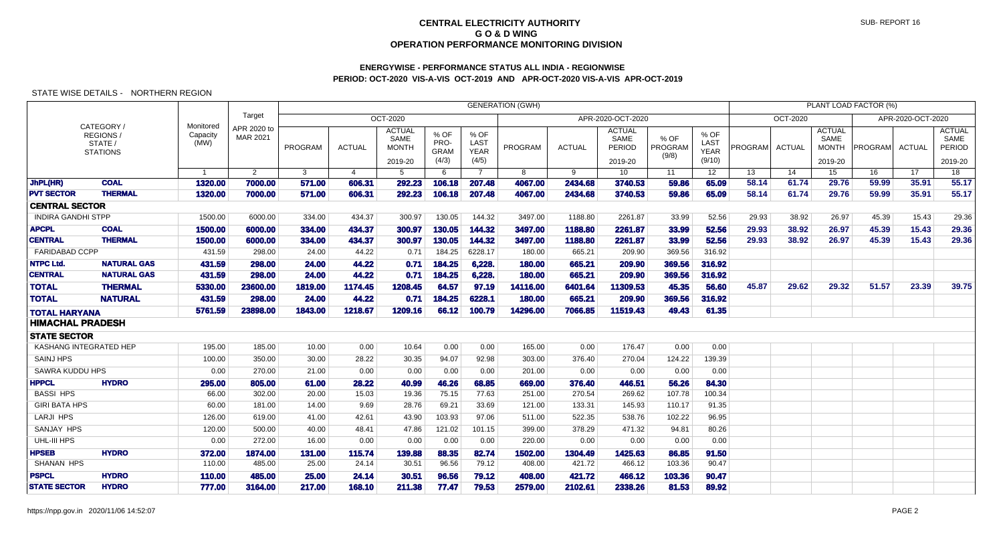# **ENERGYWISE - PERFORMANCE STATUS ALL INDIA - REGIONWISEPERIOD: OCT-2020 VIS-A-VIS OCT-2019 AND APR-OCT-2020 VIS-A-VIS APR-OCT-2019**

|                           |                                                      |                               |                         |                |                |                                                  |                                      |                                      | <b>GENERATION (GWH)</b> |               |                                            |                          |                                       |         |          |                                                  | PLANT LOAD FACTOR (%) |                   |                                            |
|---------------------------|------------------------------------------------------|-------------------------------|-------------------------|----------------|----------------|--------------------------------------------------|--------------------------------------|--------------------------------------|-------------------------|---------------|--------------------------------------------|--------------------------|---------------------------------------|---------|----------|--------------------------------------------------|-----------------------|-------------------|--------------------------------------------|
|                           |                                                      |                               | Target                  |                |                | <b>OCT-2020</b>                                  |                                      |                                      |                         |               | APR-2020-OCT-2020                          |                          |                                       |         | OCT-2020 |                                                  |                       | APR-2020-OCT-2020 |                                            |
|                           | CATEGORY /<br>REGIONS/<br>STATE /<br><b>STATIONS</b> | Monitored<br>Capacity<br>(MW) | APR 2020 to<br>MAR 2021 | <b>PROGRAM</b> | <b>ACTUAL</b>  | <b>ACTUAL</b><br>SAME<br><b>MONTH</b><br>2019-20 | % OF<br>PRO-<br><b>GRAM</b><br>(4/3) | % OF<br>LAST<br><b>YEAR</b><br>(4/5) | PROGRAM                 | <b>ACTUAL</b> | <b>ACTUAL</b><br>SAME<br>PERIOD<br>2019-20 | % OF<br>PROGRAM<br>(9/8) | % OF<br>LAST<br><b>YEAR</b><br>(9/10) | PROGRAM | ACTUAL   | <b>ACTUAL</b><br>SAME<br><b>MONTH</b><br>2019-20 | <b>PROGRAM</b>        | ACTUAL            | <b>ACTUAL</b><br>SAME<br>PERIOD<br>2019-20 |
|                           |                                                      | $\mathbf{1}$                  | $\overline{2}$          | $\mathbf{3}$   | $\overline{4}$ | 5                                                | 6                                    | $\overline{7}$                       | 8                       | 9             | 10 <sup>°</sup>                            | 11                       | 12 <sup>°</sup>                       | 13      | 14       | 15                                               | 16                    | 17                | 18                                         |
| JhPL(HR)                  | <b>COAL</b>                                          | 1320.00                       | 7000.00                 | 571.00         | 606.31         | 292.23                                           | 106.18                               | 207.48                               | 4067.00                 | 2434.68       | 3740.53                                    | 59.86                    | 65.09                                 | 58.14   | 61.74    | 29.76                                            | 59.99                 | 35.91             | 55.17                                      |
| <b>PVT SECTOR</b>         | <b>THERMAL</b>                                       | 1320.00                       | 7000.00                 | 571.00         | 606.31         | 292.23                                           | 106.18                               | 207.48                               | 4067.00                 | 2434.68       | 3740.53                                    | 59.86                    | 65.09                                 | 58.14   | 61.74    | 29.76                                            | 59.99                 | 35.91             | 55.17                                      |
| <b>CENTRAL SECTOR</b>     |                                                      |                               |                         |                |                |                                                  |                                      |                                      |                         |               |                                            |                          |                                       |         |          |                                                  |                       |                   |                                            |
| <b>INDIRA GANDHI STPP</b> |                                                      | 1500.00                       | 6000.00                 | 334.00         | 434.37         | 300.97                                           | 130.05                               | 144.32                               | 3497.00                 | 1188.80       | 2261.87                                    | 33.99                    | 52.56                                 | 29.93   | 38.92    | 26.97                                            | 45.39                 | 15.43             | 29.36                                      |
| <b>APCPL</b>              | <b>COAL</b>                                          | 1500.00                       | 6000.00                 | 334.00         | 434.37         | 300.97                                           | 130.05                               | 144.32                               | 3497.00                 | 1188.80       | 2261.87                                    | 33.99                    | 52.56                                 | 29.93   | 38.92    | 26.97                                            | 45.39                 | 15.43             | 29.36                                      |
| <b>CENTRAL</b>            | <b>THERMAL</b>                                       | 1500.00                       | 6000.00                 | 334.00         | 434.37         | 300.97                                           | 130.05                               | 144.32                               | 3497.00                 | 1188.80       | 2261.87                                    | 33.99                    | 52.56                                 | 29.93   | 38.92    | 26.97                                            | 45.39                 | 15.43             | 29.36                                      |
| <b>FARIDABAD CCPP</b>     |                                                      | 431.59                        | 298.00                  | 24.00          | 44.22          | 0.71                                             | 184.25                               | 6228.17                              | 180.00                  | 665.21        | 209.90                                     | 369.56                   | 316.92                                |         |          |                                                  |                       |                   |                                            |
| <b>NTPC Ltd.</b>          | <b>NATURAL GAS</b>                                   | 431.59                        | 298,00                  | 24.00          | 44.22          | 0.71                                             | 184.25                               | 6,228.                               | 180.00                  | 665.21        | 209,90                                     | 369.56                   | 316.92                                |         |          |                                                  |                       |                   |                                            |
| <b>CENTRAL</b>            | <b>NATURAL GAS</b>                                   | 431.59                        | 298.00                  | 24.00          | 44.22          | 0.71                                             | 184.25                               | 6,228.                               | 180.00                  | 665.21        | 209.90                                     | 369.56                   | 316.92                                |         |          |                                                  |                       |                   |                                            |
| <b>TOTAL</b>              | <b>THERMAL</b>                                       | 5330.00                       | 23600.00                | 1819.00        | 1174.45        | 1208.45                                          | 64.57                                | 97.19                                | 14116.00                | 6401.64       | 11309.53                                   | 45.35                    | 56.60                                 | 45.87   | 29.62    | 29.32                                            | 51.57                 | 23.39             | 39.75                                      |
| <b>TOTAL</b>              | <b>NATURAL</b>                                       | 431.59                        | 298.00                  | 24.00          | 44.22          | 0.71                                             | 184.25                               | 6228.1                               | 180.00                  | 665.21        | 209.90                                     | 369.56                   | 316.92                                |         |          |                                                  |                       |                   |                                            |
| <b>TOTAL HARYANA</b>      |                                                      | 5761.59                       | 23898.00                | 1843.00        | 1218.67        | 1209.16                                          | 66.12                                | 100.79                               | 14296.00                | 7066.85       | 11519.43                                   | 49.43                    | 61.35                                 |         |          |                                                  |                       |                   |                                            |
| <b>HIMACHAL PRADESH</b>   |                                                      |                               |                         |                |                |                                                  |                                      |                                      |                         |               |                                            |                          |                                       |         |          |                                                  |                       |                   |                                            |
| <b>STATE SECTOR</b>       |                                                      |                               |                         |                |                |                                                  |                                      |                                      |                         |               |                                            |                          |                                       |         |          |                                                  |                       |                   |                                            |
| KASHANG INTEGRATED HEP    |                                                      | 195.00                        | 185.00                  | 10.00          | 0.00           | 10.64                                            | 0.00                                 | 0.00                                 | 165.00                  | 0.00          | 176.47                                     | 0.00                     | 0.00                                  |         |          |                                                  |                       |                   |                                            |
| <b>SAINJ HPS</b>          |                                                      | 100.00                        | 350.00                  | 30.00          | 28.22          | 30.35                                            | 94.07                                | 92.98                                | 303.00                  | 376.40        | 270.04                                     | 124.22                   | 139.39                                |         |          |                                                  |                       |                   |                                            |
| SAWRA KUDDU HPS           |                                                      | 0.00                          | 270.00                  | 21.00          | 0.00           | 0.00                                             | 0.00                                 | 0.00                                 | 201.00                  | 0.00          | 0.00                                       | 0.00                     | 0.00                                  |         |          |                                                  |                       |                   |                                            |
| <b>HPPCL</b>              | <b>HYDRO</b>                                         | 295.00                        | 805.00                  | 61.00          | 28.22          | 40.99                                            | 46.26                                | 68.85                                | 669.00                  | 376.40        | 446.51                                     | 56.26                    | 84.30                                 |         |          |                                                  |                       |                   |                                            |
| <b>BASSI HPS</b>          |                                                      | 66.00                         | 302.00                  | 20.00          | 15.03          | 19.36                                            | 75.15                                | 77.63                                | 251.00                  | 270.54        | 269.62                                     | 107.78                   | 100.34                                |         |          |                                                  |                       |                   |                                            |
| <b>GIRI BATA HPS</b>      |                                                      | 60.00                         | 181.00                  | 14.00          | 9.69           | 28.76                                            | 69.21                                | 33.69                                | 121.00                  | 133.31        | 145.93                                     | 110.17                   | 91.35                                 |         |          |                                                  |                       |                   |                                            |
| <b>LARJI HPS</b>          |                                                      | 126.00                        | 619.00                  | 41.00          | 42.61          | 43.90                                            | 103.93                               | 97.06                                | 511.00                  | 522.35        | 538.76                                     | 102.22                   | 96.95                                 |         |          |                                                  |                       |                   |                                            |
| <b>SANJAY HPS</b>         |                                                      | 120.00                        | 500.00                  | 40.00          | 48.41          | 47.86                                            | 121.02                               | 101.15                               | 399.00                  | 378.29        | 471.32                                     | 94.81                    | 80.26                                 |         |          |                                                  |                       |                   |                                            |
| UHL-III HPS               |                                                      | 0.00                          | 272.00                  | 16.00          | 0.00           | 0.00                                             | 0.00                                 | 0.00                                 | 220.00                  | 0.00          | 0.00                                       | 0.00                     | 0.00                                  |         |          |                                                  |                       |                   |                                            |
| <b>HPSEB</b>              | <b>HYDRO</b>                                         | 372.00                        | 1874.00                 | 131.00         | 115.74         | 139.88                                           | 88.35                                | 82.74                                | 1502.00                 | 1304.49       | 1425.63                                    | 86.85                    | 91.50                                 |         |          |                                                  |                       |                   |                                            |
| <b>SHANAN HPS</b>         |                                                      | 110.00                        | 485.00                  | 25.00          | 24.14          | 30.51                                            | 96.56                                | 79.12                                | 408.00                  | 421.72        | 466.12                                     | 103.36                   | 90.47                                 |         |          |                                                  |                       |                   |                                            |
| <b>PSPCL</b>              | <b>HYDRO</b>                                         | 110.00                        | 485.00                  | 25.00          | 24.14          | 30.51                                            | 96.56                                | 79.12                                | 408.00                  | 421.72        | 466.12                                     | 103.36                   | 90.47                                 |         |          |                                                  |                       |                   |                                            |
| <b>STATE SECTOR</b>       | <b>HYDRO</b>                                         | 777.00                        | 3164.00                 | 217.00         | 168.10         | 211.38                                           | 77.47                                | 79.53                                | 2579.00                 | 2102.61       | 2338.26                                    | 81.53                    | 89.92                                 |         |          |                                                  |                       |                   |                                            |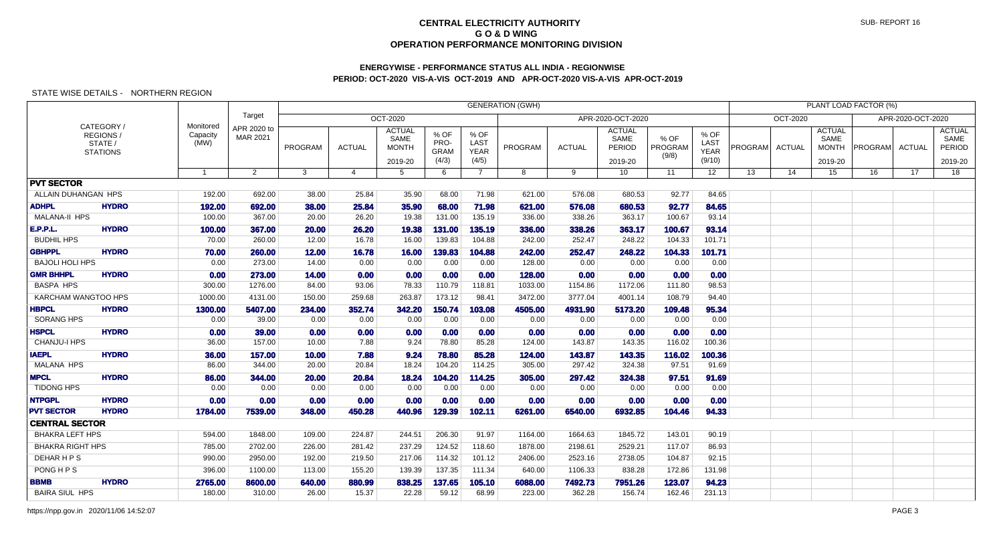## **ENERGYWISE - PERFORMANCE STATUS ALL INDIA - REGIONWISEPERIOD: OCT-2020 VIS-A-VIS OCT-2019 AND APR-OCT-2020 VIS-A-VIS APR-OCT-2019**

## STATE WISE DETAILS - NORTHERN REGION

|                                     |                                                      |                               |                         |                |               |                                                  |                                      |                                      | <b>GENERATION (GWH)</b> |                  |                                            |                          |                                       |         |               |                                                  | PLANT LOAD FACTOR (%) |                   |                                            |
|-------------------------------------|------------------------------------------------------|-------------------------------|-------------------------|----------------|---------------|--------------------------------------------------|--------------------------------------|--------------------------------------|-------------------------|------------------|--------------------------------------------|--------------------------|---------------------------------------|---------|---------------|--------------------------------------------------|-----------------------|-------------------|--------------------------------------------|
|                                     |                                                      |                               | Target                  |                |               | <b>OCT-2020</b>                                  |                                      |                                      |                         |                  | APR-2020-OCT-2020                          |                          |                                       |         | OCT-2020      |                                                  |                       | APR-2020-OCT-2020 |                                            |
|                                     | CATEGORY /<br>REGIONS/<br>STATE /<br><b>STATIONS</b> | Monitored<br>Capacity<br>(MW) | APR 2020 to<br>MAR 2021 | <b>PROGRAM</b> | <b>ACTUAL</b> | <b>ACTUAL</b><br>SAME<br><b>MONTH</b><br>2019-20 | % OF<br>PRO-<br><b>GRAM</b><br>(4/3) | % OF<br>LAST<br><b>YEAR</b><br>(4/5) | <b>PROGRAM</b>          | <b>ACTUAL</b>    | <b>ACTUAL</b><br>SAME<br>PERIOD<br>2019-20 | % OF<br>PROGRAM<br>(9/8) | % OF<br>LAST<br><b>YEAR</b><br>(9/10) | PROGRAM | <b>ACTUAL</b> | <b>ACTUAL</b><br>SAME<br><b>MONTH</b><br>2019-20 | <b>PROGRAMI</b>       | ACTUAL            | <b>ACTUAL</b><br>SAME<br>PERIOD<br>2019-20 |
|                                     |                                                      | $\mathbf{1}$                  | $\overline{2}$          | 3              | 4             | 5                                                | 6                                    | $\overline{7}$                       | 8                       | 9                | 10                                         | 11                       | 12 <sup>°</sup>                       | 13      | 14            | 15                                               | 16                    | 17                | 18                                         |
| <b>PVT SECTOR</b>                   |                                                      |                               |                         |                |               |                                                  |                                      |                                      |                         |                  |                                            |                          |                                       |         |               |                                                  |                       |                   |                                            |
| ALLAIN DUHANGAN HPS                 |                                                      | 192.00                        | 692.00                  | 38.00          | 25.84         | 35.90                                            | 68.00                                | 71.98                                | 621.00                  | 576.08           | 680.53                                     | 92.77                    | 84.65                                 |         |               |                                                  |                       |                   |                                            |
| <b>ADHPL</b>                        | <b>HYDRO</b>                                         | 192.00                        | 692.00                  | 38,00          | 25.84         | 35.90                                            | 68.00                                | 71.98                                | 621.00                  | 576.08           | 680.53                                     | 92.77                    | 84.65                                 |         |               |                                                  |                       |                   |                                            |
| MALANA-II HPS                       |                                                      | 100.00                        | 367.00                  | 20.00          | 26.20         | 19.38                                            | 131.00                               | 135.19                               | 336.00                  | 338.26           | 363.17                                     | 100.67                   | 93.14                                 |         |               |                                                  |                       |                   |                                            |
| <b>E.P.P.L.</b>                     | <b>HYDRO</b>                                         | 100.00                        | 367.00                  | 20.00          | 26.20         | 19.38                                            | 131.00                               | 135.19                               | 336.00                  | 338.26           | 363.17                                     | 100.67                   | 93.14                                 |         |               |                                                  |                       |                   |                                            |
| <b>BUDHIL HPS</b>                   |                                                      | 70.00                         | 260.00                  | 12.00          | 16.78         | 16.00                                            | 139.83                               | 104.88                               | 242.00                  | 252.47           | 248.22                                     | 104.33                   | 101.71                                |         |               |                                                  |                       |                   |                                            |
| <b>GBHPPL</b>                       | <b>HYDRO</b>                                         | 70.00                         | 260.00                  | 12.00          | 16.78         | 16.00                                            | 139.83                               | 104.88                               | 242.00                  | 252.47           | 248.22                                     | 104.33                   | 101.71                                |         |               |                                                  |                       |                   |                                            |
| <b>BAJOLI HOLI HPS</b>              |                                                      | 0.00                          | 273.00                  | 14.00          | 0.00          | 0.00                                             | 0.00                                 | 0.00                                 | 128.00                  | 0.00             | 0.00                                       | 0.00                     | 0.00                                  |         |               |                                                  |                       |                   |                                            |
| <b>GMR BHHPL</b>                    | <b>HYDRO</b>                                         | 0.00                          | 273.00                  | 14.00          | 0.00          | 0.00                                             | 0.00                                 | 0.00                                 | 128.00                  | 0.00             | 0.00                                       | 0.00                     | 0.00                                  |         |               |                                                  |                       |                   |                                            |
| <b>BASPA HPS</b>                    |                                                      | 300.00                        | 1276.00                 | 84.00          | 93.06         | 78.33                                            | 110.79                               | 118.81                               | 1033.00                 | 1154.86          | 1172.06                                    | 111.80                   | 98.53                                 |         |               |                                                  |                       |                   |                                            |
| <b>KARCHAM WANGTOO HPS</b>          |                                                      | 1000.00                       | 4131.00                 | 150.00         | 259.68        | 263.87                                           | 173.12                               | 98.41                                | 3472.00                 | 3777.04          | 4001.14                                    | 108.79                   | 94.40                                 |         |               |                                                  |                       |                   |                                            |
| <b>HBPCL</b>                        | <b>HYDRO</b>                                         | 1300.00                       | 5407.00                 | 234.00         | 352.74        | 342.20                                           | 150.74                               | 103.08                               | 4505.00                 | 4931.90          | 5173.20                                    | 109.48                   | 95.34                                 |         |               |                                                  |                       |                   |                                            |
| <b>SORANG HPS</b>                   |                                                      | 0.00                          | 39.00                   | 0.00           | 0.00          | 0.00                                             | 0.00                                 | 0.00                                 | 0.00                    | 0.00             | 0.00                                       | 0.00                     | 0.00                                  |         |               |                                                  |                       |                   |                                            |
| <b>HSPCL</b><br><b>CHANJU-I HPS</b> | <b>HYDRO</b>                                         | 0.00                          | 39,00                   | 0.00           | 0.00<br>7.88  | 0.00                                             | 0.00<br>78.80                        | 0.00<br>85.28                        | 0.00                    | 0.00<br>143.87   | 0.00                                       | 0.00<br>116.02           | 0.00                                  |         |               |                                                  |                       |                   |                                            |
|                                     |                                                      | 36.00                         | 157.00                  | 10.00          |               | 9.24                                             |                                      |                                      | 124.00                  |                  | 143.35                                     |                          | 100.36                                |         |               |                                                  |                       |                   |                                            |
| <b>IAEPL</b><br><b>MALANA HPS</b>   | <b>HYDRO</b>                                         | 36.00<br>86.00                | 157.00<br>344.00        | 10.00<br>20.00 | 7.88<br>20.84 | 9.24<br>18.24                                    | 78.80<br>104.20                      | 85.28<br>114.25                      | 124.00<br>305.00        | 143.87<br>297.42 | 143.35<br>324.38                           | 116.02<br>97.51          | 100.36<br>91.69                       |         |               |                                                  |                       |                   |                                            |
| <b>MPCL</b>                         | <b>HYDRO</b>                                         | 86.00                         | 344.00                  | 20.00          | 20.84         | 18.24                                            | 104.20                               | 114.25                               | 305.00                  | 297.42           | 324.38                                     | 97.51                    | 91.69                                 |         |               |                                                  |                       |                   |                                            |
| <b>TIDONG HPS</b>                   |                                                      | 0.00                          | 0.00                    | 0.00           | 0.00          | 0.00                                             | 0.00                                 | 0.00                                 | 0.00                    | 0.00             | 0.00                                       | 0.00                     | 0.00                                  |         |               |                                                  |                       |                   |                                            |
| <b>NTPGPL</b>                       | <b>HYDRO</b>                                         | 0.00                          | 0.00                    | 0.00           | 0.00          | 0.00                                             | 0.00                                 | 0.00                                 | 0.00                    | 0.00             | 0.00                                       | 0.00                     | 0.00                                  |         |               |                                                  |                       |                   |                                            |
| <b>PVT SECTOR</b>                   | <b>HYDRO</b>                                         | 1784.00                       | 7539.00                 | 348.00         | 450.28        | 440.96                                           | 129.39                               | 102.11                               | 6261.00                 | 6540.00          | 6932.85                                    | 104.46                   | 94.33                                 |         |               |                                                  |                       |                   |                                            |
| <b>CENTRAL SECTOR</b>               |                                                      |                               |                         |                |               |                                                  |                                      |                                      |                         |                  |                                            |                          |                                       |         |               |                                                  |                       |                   |                                            |
| <b>BHAKRA LEFT HPS</b>              |                                                      | 594.00                        | 1848.00                 | 109.00         | 224.87        | 244.51                                           | 206.30                               | 91.97                                | 1164.00                 | 1664.63          | 1845.72                                    | 143.01                   | 90.19                                 |         |               |                                                  |                       |                   |                                            |
| <b>BHAKRA RIGHT HPS</b>             |                                                      | 785.00                        | 2702.00                 | 226.00         | 281.42        | 237.29                                           | 124.52                               | 118.60                               | 1878.00                 | 2198.61          | 2529.21                                    | 117.07                   | 86.93                                 |         |               |                                                  |                       |                   |                                            |
| <b>DEHARHPS</b>                     |                                                      | 990.00                        | 2950.00                 | 192.00         | 219.50        | 217.06                                           | 114.32                               | 101.12                               | 2406.00                 | 2523.16          | 2738.05                                    | 104.87                   | 92.15                                 |         |               |                                                  |                       |                   |                                            |
| PONG H P S                          |                                                      | 396.00                        | 1100.00                 | 113.00         | 155.20        | 139.39                                           | 137.35                               | 111.34                               | 640.00                  | 1106.33          | 838.28                                     | 172.86                   | 131.98                                |         |               |                                                  |                       |                   |                                            |
| BBMB                                | <b>HYDRO</b>                                         | 2765.00                       | 8600.00                 | 640.00         | 880.99        | 838,25                                           | 137.65                               | 105.10                               | 6088.00                 | 7492.73          | 7951.26                                    | 123.07                   | 94.23                                 |         |               |                                                  |                       |                   |                                            |
| <b>BAIRA SIUL HPS</b>               |                                                      | 180.00                        | 310.00                  | 26.00          | 15.37         | 22.28                                            | 59.12                                | 68.99                                | 223.00                  | 362.28           | 156.74                                     | 162.46                   | 231.13                                |         |               |                                                  |                       |                   |                                            |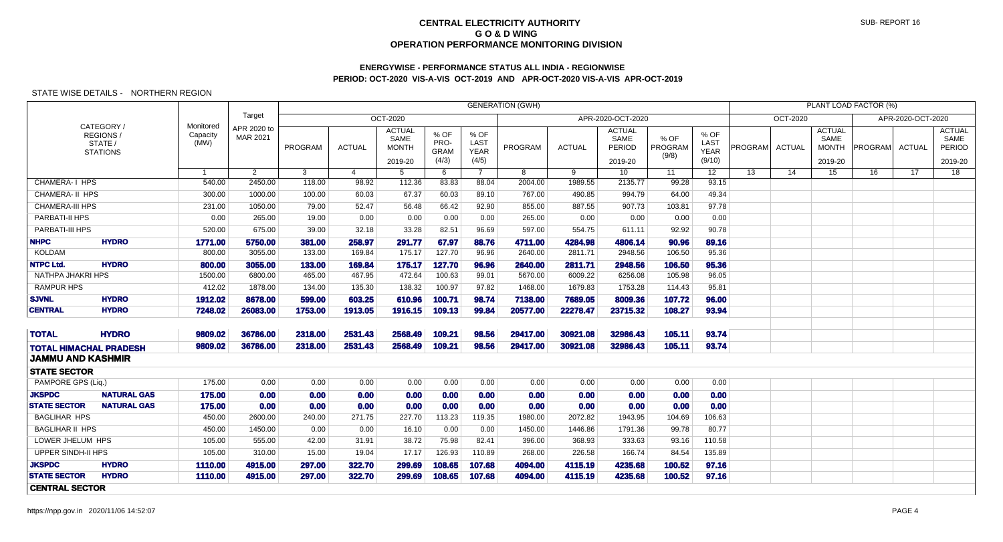# **ENERGYWISE - PERFORMANCE STATUS ALL INDIA - REGIONWISEPERIOD: OCT-2020 VIS-A-VIS OCT-2019 AND APR-OCT-2020 VIS-A-VIS APR-OCT-2019**

| <b>GENERATION (GWH)</b><br>PLANT LOAD FACTOR (%)<br>Target<br><b>OCT-2020</b><br>APR-2020-OCT-2020<br>APR-2020-OCT-2020<br><b>OCT-2020</b> |                                                      |                               |                         |         |               |                                                  |                                      |                                      |          |               |                                            |                          |                                       |         |               |                                                  |                |               |                                            |
|--------------------------------------------------------------------------------------------------------------------------------------------|------------------------------------------------------|-------------------------------|-------------------------|---------|---------------|--------------------------------------------------|--------------------------------------|--------------------------------------|----------|---------------|--------------------------------------------|--------------------------|---------------------------------------|---------|---------------|--------------------------------------------------|----------------|---------------|--------------------------------------------|
|                                                                                                                                            |                                                      |                               |                         |         |               |                                                  |                                      |                                      |          |               |                                            |                          |                                       |         |               |                                                  |                |               |                                            |
|                                                                                                                                            | CATEGORY /<br>REGIONS/<br>STATE /<br><b>STATIONS</b> | Monitored<br>Capacity<br>(MW) | APR 2020 to<br>MAR 2021 | PROGRAM | <b>ACTUAL</b> | <b>ACTUAL</b><br>SAME<br><b>MONTH</b><br>2019-20 | % OF<br>PRO-<br><b>GRAM</b><br>(4/3) | % OF<br>LAST<br><b>YEAR</b><br>(4/5) | PROGRAM  | <b>ACTUAL</b> | <b>ACTUAL</b><br>SAME<br>PERIOD<br>2019-20 | % OF<br>PROGRAM<br>(9/8) | % OF<br>LAST<br><b>YEAR</b><br>(9/10) | PROGRAM | <b>ACTUAL</b> | <b>ACTUAL</b><br>SAME<br><b>MONTH</b><br>2019-20 | <b>PROGRAM</b> | <b>ACTUAL</b> | <b>ACTUAL</b><br>SAME<br>PERIOD<br>2019-20 |
|                                                                                                                                            |                                                      | -1                            | $\overline{2}$          | 3       | 4             | $5\overline{)}$                                  | 6                                    | $\overline{7}$                       | 8        | 9             | 10 <sup>°</sup>                            | 11                       | 12 <sup>°</sup>                       | 13      | 14            | 15                                               | 16             | 17            | 18                                         |
| <b>CHAMERA-I HPS</b>                                                                                                                       |                                                      | 540.00                        | 2450.00                 | 118.00  | 98.92         | 112.36                                           | 83.83                                | 88.04                                | 2004.00  | 1989.55       | 2135.77                                    | 99.28                    | 93.15                                 |         |               |                                                  |                |               |                                            |
| CHAMERA- II HPS                                                                                                                            |                                                      | 300.00                        | 1000.00                 | 100.00  | 60.03         | 67.37                                            | 60.03                                | 89.10                                | 767.00   | 490.85        | 994.79                                     | 64.00                    | 49.34                                 |         |               |                                                  |                |               |                                            |
| <b>CHAMERA-III HPS</b>                                                                                                                     |                                                      | 231.00                        | 1050.00                 | 79.00   | 52.47         | 56.48                                            | 66.42                                | 92.90                                | 855.00   | 887.55        | 907.73                                     | 103.81                   | 97.78                                 |         |               |                                                  |                |               |                                            |
| <b>PARBATI-II HPS</b>                                                                                                                      |                                                      | 0.00                          | 265.00                  | 19.00   | 0.00          | 0.00                                             | 0.00                                 | 0.00                                 | 265.00   | 0.00          | 0.00                                       | 0.00                     | 0.00                                  |         |               |                                                  |                |               |                                            |
| PARBATI-III HPS                                                                                                                            |                                                      | 520.00                        | 675.00                  | 39.00   | 32.18         | 33.28                                            | 82.51                                | 96.69                                | 597.00   | 554.75        | 611.11                                     | 92.92                    | 90.78                                 |         |               |                                                  |                |               |                                            |
| <b>NHPC</b>                                                                                                                                | <b>HYDRO</b>                                         | 1771.00                       | 5750,00                 | 381,00  | 258,97        | 291.77                                           | 67.97                                | 88.76                                | 4711.00  | 4284.98       | 4806.14                                    | 90.96                    | 89.16                                 |         |               |                                                  |                |               |                                            |
| <b>KOLDAM</b>                                                                                                                              |                                                      | 800.00                        | 3055.00                 | 133.00  | 169.84        | 175.17                                           | 127.70                               | 96.96                                | 2640.00  | 2811.71       | 2948.56                                    | 106.50                   | 95.36                                 |         |               |                                                  |                |               |                                            |
| <b>NTPC Ltd.</b>                                                                                                                           | <b>HYDRO</b>                                         | 800.00                        | 3055.00                 | 133.00  | 169.84        | 175.17                                           | 127.70                               | 96.96                                | 2640.00  | 2811.71       | 2948.56                                    | 106.50                   | 95.36                                 |         |               |                                                  |                |               |                                            |
| NATHPA JHAKRI HPS                                                                                                                          |                                                      | 1500.00                       | 6800.00                 | 465.00  | 467.95        | 472.64                                           | 100.63                               | 99.01                                | 5670.00  | 6009.22       | 6256.08                                    | 105.98                   | 96.05                                 |         |               |                                                  |                |               |                                            |
| <b>RAMPUR HPS</b>                                                                                                                          |                                                      | 412.02                        | 1878.00                 | 134.00  | 135.30        | 138.32                                           | 100.97                               | 97.82                                | 1468.00  | 1679.83       | 1753.28                                    | 114.43                   | 95.81                                 |         |               |                                                  |                |               |                                            |
| <b>SJVNL</b>                                                                                                                               | <b>HYDRO</b>                                         | 1912.02                       | 8678,00                 | 599.00  | 603.25        | 610.96                                           | 100.71                               | 98.74                                | 7138.00  | 7689.05       | 8009,36                                    | 107.72                   | 96.00                                 |         |               |                                                  |                |               |                                            |
| <b>CENTRAL</b>                                                                                                                             | <b>HYDRO</b>                                         | 7248.02                       | 26083.00                | 1753.00 | 1913.05       | 1916.15                                          | 109.13                               | 99.84                                | 20577.00 | 22278.47      | 23715.32                                   | 108.27                   | 93.94                                 |         |               |                                                  |                |               |                                            |
| <b>TOTAL</b>                                                                                                                               | <b>HYDRO</b>                                         | 9809.02                       | 36786.00                | 2318.00 | 2531.43       | 2568.49                                          | 109.21                               | 98.56                                | 29417.00 | 30921.08      | 32986.43                                   | 105.11                   | 93.74                                 |         |               |                                                  |                |               |                                            |
| <b>TOTAL HIMACHAL PRADESH</b>                                                                                                              |                                                      | 9809.02                       | 36786.00                | 2318.00 | 2531.43       | 2568.49                                          | 109.21                               | 98,56                                | 29417.00 | 30921.08      | 32986.43                                   | 105.11                   | 93.74                                 |         |               |                                                  |                |               |                                            |
| <b>JAMMU AND KASHMIR</b>                                                                                                                   |                                                      |                               |                         |         |               |                                                  |                                      |                                      |          |               |                                            |                          |                                       |         |               |                                                  |                |               |                                            |
| <b>STATE SECTOR</b>                                                                                                                        |                                                      |                               |                         |         |               |                                                  |                                      |                                      |          |               |                                            |                          |                                       |         |               |                                                  |                |               |                                            |
| PAMPORE GPS (Liq.)                                                                                                                         |                                                      | 175.00                        | 0.00                    | 0.00    | 0.00          | 0.00                                             | 0.00                                 | 0.00                                 | 0.00     | 0.00          | 0.00                                       | 0.00                     | 0.00                                  |         |               |                                                  |                |               |                                            |
| <b>JKSPDC</b>                                                                                                                              | <b>NATURAL GAS</b>                                   | 175.00                        | 0.00                    | 0.00    | 0.00          | 0.00                                             | 0.00                                 | 0.00                                 | 0.00     | 0.00          | 0.00                                       | 0.00                     | 0.00                                  |         |               |                                                  |                |               |                                            |
| <b>STATE SECTOR</b>                                                                                                                        | <b>NATURAL GAS</b>                                   | 175.00                        | 0.00                    | 0.00    | 0.00          | 0.00                                             | 0.00                                 | 0.00                                 | 0.00     | 0.00          | 0.00                                       | 0.00                     | 0.00                                  |         |               |                                                  |                |               |                                            |
| <b>BAGLIHAR HPS</b>                                                                                                                        |                                                      | 450.00                        | 2600.00                 | 240.00  | 271.75        | 227.70                                           | 113.23                               | 119.35                               | 1980.00  | 2072.82       | 1943.95                                    | 104.69                   | 106.63                                |         |               |                                                  |                |               |                                            |
| <b>BAGLIHAR II HPS</b>                                                                                                                     |                                                      | 450.00                        | 1450.00                 | 0.00    | 0.00          | 16.10                                            | 0.00                                 | 0.00                                 | 1450.00  | 1446.86       | 1791.36                                    | 99.78                    | 80.77                                 |         |               |                                                  |                |               |                                            |
| LOWER JHELUM HPS                                                                                                                           |                                                      | 105.00                        | 555.00                  | 42.00   | 31.91         | 38.72                                            | 75.98                                | 82.41                                | 396.00   | 368.93        | 333.63                                     | 93.16                    | 110.58                                |         |               |                                                  |                |               |                                            |
| <b>UPPER SINDH-II HPS</b>                                                                                                                  |                                                      | 105.00                        | 310.00                  | 15.00   | 19.04         | 17.17                                            | 126.93                               | 110.89                               | 268.00   | 226.58        | 166.74                                     | 84.54                    | 135.89                                |         |               |                                                  |                |               |                                            |
| <b>JKSPDC</b>                                                                                                                              | <b>HYDRO</b>                                         | 1110.00                       | 4915.00                 | 297.00  | 322.70        | 299.69                                           | 108.65                               | 107.68                               | 4094.00  | 4115.19       | 4235.68                                    | 100.52                   | 97.16                                 |         |               |                                                  |                |               |                                            |
| <b>STATE SECTOR</b>                                                                                                                        | <b>HYDRO</b>                                         | 1110.00                       | 4915.00                 | 297.00  | 322.70        | 299.69                                           | 108.65                               | 107.68                               | 4094.00  | 4115.19       | 4235.68                                    | 100.52                   | 97.16                                 |         |               |                                                  |                |               |                                            |
| <b>CENTRAL SECTOR</b>                                                                                                                      |                                                      |                               |                         |         |               |                                                  |                                      |                                      |          |               |                                            |                          |                                       |         |               |                                                  |                |               |                                            |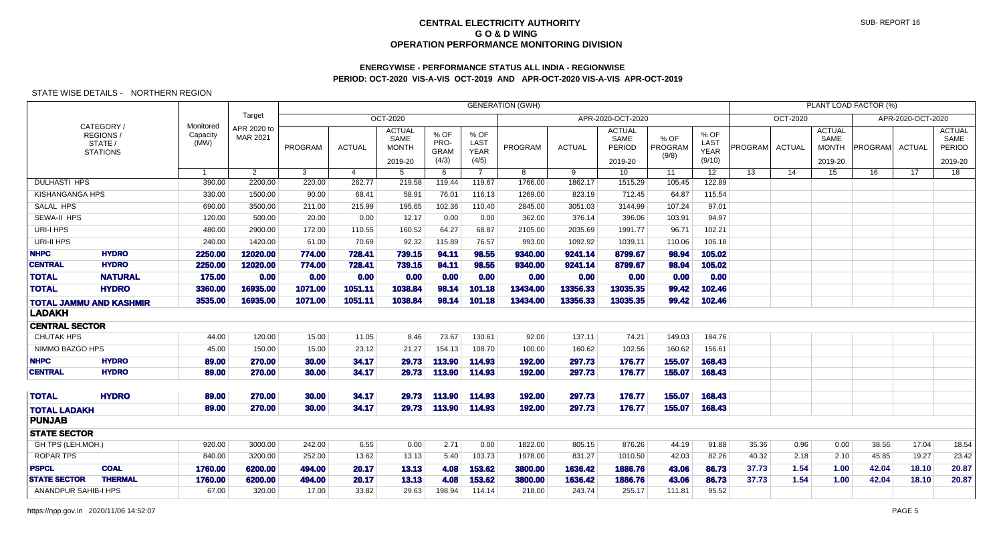# **ENERGYWISE - PERFORMANCE STATUS ALL INDIA - REGIONWISEPERIOD: OCT-2020 VIS-A-VIS OCT-2019 AND APR-OCT-2020 VIS-A-VIS APR-OCT-2019**

|                                      |                                                            |                               |                         |                  |                       |                                                  |                                      |                                      | <b>GENERATION (GWH)</b> |                    |                                            |                          |                                       |                |                 |                                                  | <b>PLANT LOAD FACTOR (%)</b> |                   |                                                   |
|--------------------------------------|------------------------------------------------------------|-------------------------------|-------------------------|------------------|-----------------------|--------------------------------------------------|--------------------------------------|--------------------------------------|-------------------------|--------------------|--------------------------------------------|--------------------------|---------------------------------------|----------------|-----------------|--------------------------------------------------|------------------------------|-------------------|---------------------------------------------------|
|                                      |                                                            |                               | Target                  |                  |                       | OCT-2020                                         |                                      |                                      |                         |                    | APR-2020-OCT-2020                          |                          |                                       |                | <b>OCT-2020</b> |                                                  |                              | APR-2020-OCT-2020 |                                                   |
|                                      | CATEGORY/<br><b>REGIONS/</b><br>STATE /<br><b>STATIONS</b> | Monitored<br>Capacity<br>(MW) | APR 2020 to<br>MAR 2021 | PROGRAM          | <b>ACTUAL</b>         | <b>ACTUAL</b><br>SAME<br><b>MONTH</b><br>2019-20 | % OF<br>PRO-<br><b>GRAM</b><br>(4/3) | % OF<br>LAST<br><b>YEAR</b><br>(4/5) | PROGRAM                 | <b>ACTUAL</b>      | <b>ACTUAL</b><br>SAME<br>PERIOD<br>2019-20 | % OF<br>PROGRAM<br>(9/8) | % OF<br>LAST<br><b>YEAR</b><br>(9/10) | PROGRAM        | <b>ACTUAL</b>   | <b>ACTUAL</b><br>SAME<br><b>MONTH</b><br>2019-20 | PROGRAM                      | <b>ACTUAL</b>     | <b>ACTUAL</b><br>SAME<br><b>PERIOD</b><br>2019-20 |
|                                      |                                                            | $\overline{1}$                | 2                       | $\mathbf{3}$     | $\boldsymbol{\Delta}$ | 5                                                | 6                                    | $\overline{7}$                       | 8                       | 9                  | 10 <sup>1</sup>                            | $\overline{11}$          | $\overline{12}$                       | 13             | 14              | 15                                               | 16                           | $\overline{17}$   | 18                                                |
| <b>DULHASTI HPS</b>                  |                                                            | 390.00                        | 2200.00                 | 220.00           | 262.77                | 219.58                                           | 119.44                               | 119.67                               | 1766.00                 | 1862.17            | 1515.29                                    | 105.45                   | 122.89                                |                |                 |                                                  |                              |                   |                                                   |
| <b>KISHANGANGA HPS</b>               |                                                            | 330.00                        | 1500.00                 | 90.00            | 68.41                 | 58.91                                            | 76.01                                | 116.13                               | 1269.00                 | 823.19             | 712.45                                     | 64.87                    | 115.54                                |                |                 |                                                  |                              |                   |                                                   |
| SALAL HPS                            |                                                            | 690.00                        | 3500.00                 | 211.00           | 215.99                | 195.65                                           | 102.36                               | 110.40                               | 2845.00                 | 3051.03            | 3144.99                                    | 107.24                   | 97.01                                 |                |                 |                                                  |                              |                   |                                                   |
| SEWA-II HPS                          |                                                            | 120.00                        | 500.00                  | 20.00            | 0.00                  | 12.17                                            | 0.00                                 | 0.00                                 | 362.00                  | 376.14             | 396.06                                     | 103.91                   | 94.97                                 |                |                 |                                                  |                              |                   |                                                   |
| URI-I HPS                            |                                                            | 480.00                        | 2900.00                 | 172.00           | 110.55                | 160.52                                           | 64.27                                | 68.87                                | 2105.00                 | 2035.69            | 1991.77                                    | 96.71                    | 102.21                                |                |                 |                                                  |                              |                   |                                                   |
| URI-II HPS                           |                                                            | 240.00                        | 1420.00                 | 61.00            | 70.69                 | 92.32                                            | 115.89                               | 76.57                                | 993.00                  | 1092.92            | 1039.11                                    | 110.06                   | 105.18                                |                |                 |                                                  |                              |                   |                                                   |
| <b>NHPC</b>                          | <b>HYDRO</b>                                               | 2250.00                       | 12020.00                | 774.00           | 728.41                | 739.15                                           | 94.11                                | 98.55                                | 9340.00                 | 9241.14            | 8799.67                                    | 98.94                    | 105.02                                |                |                 |                                                  |                              |                   |                                                   |
| <b>CENTRAL</b>                       | <b>HYDRO</b>                                               | 2250.00                       | 12020.00                | 774.00           | 728.41                | 739.15                                           | 94.11                                | 98.55                                | 9340.00                 | 9241.14            | 8799.67                                    | 98.94                    | 105.02                                |                |                 |                                                  |                              |                   |                                                   |
| <b>TOTAL</b>                         | <b>NATURAL</b>                                             | 175.00                        | 0.00                    | 0.00             | 0.00                  | 0.00                                             | 0.00                                 | 0.00                                 | 0.00                    | 0.00               | 0.00                                       | 0.00                     | 0.00                                  |                |                 |                                                  |                              |                   |                                                   |
| <b>TOTAL</b>                         | <b>HYDRO</b>                                               | 3360.00                       | 16935.00                | 1071.00          | 1051.11               | 1038.84                                          | 98.14                                | 101.18                               | 13434.00                | 13356.33           | 13035.35                                   | 99.42                    | 102.46                                |                |                 |                                                  |                              |                   |                                                   |
| <b>LADAKH</b>                        | <b>TOTAL JAMMU AND KASHMIR</b>                             | 3535.00                       | 16935.00                | 1071.00          | 1051.11               | 1038.84                                          | 98.14                                | 101.18                               | 13434.00                | 13356.33           | 13035.35                                   | 99.42                    | 102.46                                |                |                 |                                                  |                              |                   |                                                   |
| <b>CENTRAL SECTOR</b>                |                                                            |                               |                         |                  |                       |                                                  |                                      |                                      |                         |                    |                                            |                          |                                       |                |                 |                                                  |                              |                   |                                                   |
| <b>CHUTAK HPS</b>                    |                                                            | 44.00                         | 120.00                  | 15.00            | 11.05                 | 8.46                                             | 73.67                                | 130.61                               | 92.00                   | 137.11             | 74.21                                      | 149.03                   | 184.76                                |                |                 |                                                  |                              |                   |                                                   |
| NIMMO BAZGO HPS                      |                                                            | 45.00                         | 150.00                  | 15.00            | 23.12                 | 21.27                                            | 154.13                               | 108.70                               | 100.00                  | 160.62             | 102.56                                     | 160.62                   | 156.61                                |                |                 |                                                  |                              |                   |                                                   |
| <b>NHPC</b>                          | <b>HYDRO</b>                                               | 89.00                         | 270.00                  | 30.00            | 34.17                 | 29.73                                            | 113.90                               | 114.93                               | 192.00                  | 297.73             | 176.77                                     | 155.07                   | 168.43                                |                |                 |                                                  |                              |                   |                                                   |
| <b>CENTRAL</b>                       | <b>HYDRO</b>                                               | 89.00                         | 270.00                  | 30.00            | 34.17                 | 29.73                                            | 113.90                               | 114.93                               | 192.00                  | 297.73             | 176.77                                     | 155.07                   | 168.43                                |                |                 |                                                  |                              |                   |                                                   |
| <b>TOTAL</b>                         | <b>HYDRO</b>                                               | 89.00                         | 270.00                  | 30.00            | 34.17                 | 29.73                                            | 113.90                               | 114.93                               | 192.00                  | 297.73             | 176.77                                     | 155.07                   | 168.43                                |                |                 |                                                  |                              |                   |                                                   |
| <b>TOTAL LADAKH</b><br><b>PUNJAB</b> |                                                            | 89.00                         | 270.00                  | 30.00            | 34.17                 | 29.73                                            | 113.90                               | 114.93                               | 192.00                  | 297.73             | 176.77                                     | 155.07                   | 168.43                                |                |                 |                                                  |                              |                   |                                                   |
|                                      |                                                            |                               |                         |                  |                       |                                                  |                                      |                                      |                         |                    |                                            |                          |                                       |                |                 |                                                  |                              |                   |                                                   |
| <b>STATE SECTOR</b>                  |                                                            |                               |                         |                  |                       |                                                  |                                      |                                      |                         |                    |                                            |                          |                                       |                |                 |                                                  |                              |                   |                                                   |
| GH TPS (LEH.MOH.)                    |                                                            | 920.00                        | 3000.00                 | 242.00           | 6.55                  | 0.00                                             | 2.71                                 | 0.00                                 | 1822.00                 | 805.15             | 876.26                                     | 44.19                    | 91.88                                 | 35.36          | 0.96            | 0.00                                             | 38.56                        | 17.04             | 18.54                                             |
| <b>ROPAR TPS</b><br><b>PSPCL</b>     | <b>COAL</b>                                                | 840.00                        | 3200.00                 | 252.00           | 13.62                 | 13.13                                            | 5.40                                 | 103.73                               | 1978.00                 | 831.27             | 1010.50                                    | 42.03                    | 82.26                                 | 40.32          | 2.18            | 2.10                                             | 45.85                        | 19.27             | 23.42                                             |
| <b>STATE SECTOR</b>                  | <b>THERMAL</b>                                             | 1760.00<br>1760.00            | 6200.00<br>6200.00      | 494.00<br>494.00 | 20.17<br>20.17        | 13.13<br>13.13                                   | 4.08<br>4.08                         | 153.62<br>153.62                     | 3800.00<br>3800.00      | 1636.42<br>1636.42 | 1886.76<br>1886.76                         | 43.06<br>43.06           | 86.73<br>86.73                        | 37.73<br>37.73 | 1.54<br>1.54    | 1.00<br>1.00                                     | 42.04<br>42.04               | 18.10<br>18.10    | 20.87<br>20.87                                    |
| <b>ANANDPUR SAHIB-I HPS</b>          |                                                            | 67.00                         | 320.00                  | 17.00            | 33.82                 | 29.63                                            | 198.94                               | 114.14                               | 218.00                  | 243.74             | 255.17                                     | 111.81                   | 95.52                                 |                |                 |                                                  |                              |                   |                                                   |
|                                      |                                                            |                               |                         |                  |                       |                                                  |                                      |                                      |                         |                    |                                            |                          |                                       |                |                 |                                                  |                              |                   |                                                   |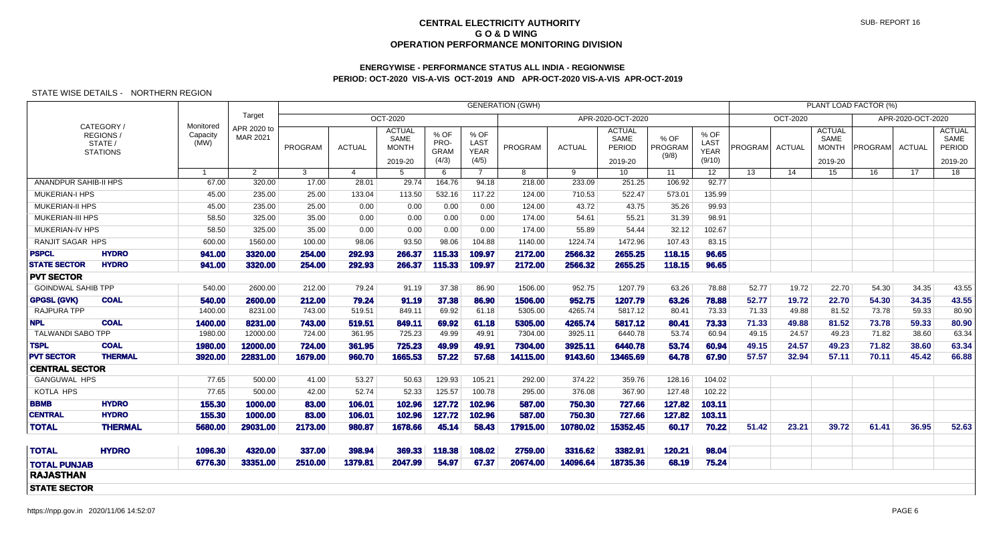# **ENERGYWISE - PERFORMANCE STATUS ALL INDIA - REGIONWISEPERIOD: OCT-2020 VIS-A-VIS OCT-2019 AND APR-OCT-2020 VIS-A-VIS APR-OCT-2019**

|                           |                                                     |                               |                         |         |                |                                                  |                                      |                                      | <b>GENERATION (GWH)</b> |               |                                            |                          |                                       |         |               |                                                  | PLANT LOAD FACTOR (%) |               |                                            |
|---------------------------|-----------------------------------------------------|-------------------------------|-------------------------|---------|----------------|--------------------------------------------------|--------------------------------------|--------------------------------------|-------------------------|---------------|--------------------------------------------|--------------------------|---------------------------------------|---------|---------------|--------------------------------------------------|-----------------------|---------------|--------------------------------------------|
|                           |                                                     |                               | Target                  |         |                | OCT-2020                                         |                                      |                                      | APR-2020-OCT-2020       |               |                                            |                          |                                       |         |               |                                                  |                       |               |                                            |
|                           | CATEGORY /<br>REGIONS<br>STATE /<br><b>STATIONS</b> | Monitored<br>Capacity<br>(MW) | APR 2020 to<br>MAR 2021 | PROGRAM | <b>ACTUAL</b>  | <b>ACTUAL</b><br>SAME<br><b>MONTH</b><br>2019-20 | % OF<br>PRO-<br><b>GRAM</b><br>(4/3) | % OF<br>LAST<br><b>YEAR</b><br>(4/5) | PROGRAM                 | <b>ACTUAL</b> | <b>ACTUAL</b><br>SAME<br>PERIOD<br>2019-20 | % OF<br>PROGRAM<br>(9/8) | % OF<br>LAST<br><b>YEAR</b><br>(9/10) | PROGRAM | <b>ACTUAL</b> | <b>ACTUAL</b><br>SAME<br><b>MONTH</b><br>2019-20 | <b>PROGRAM</b>        | <b>ACTUAL</b> | <b>ACTUAL</b><br>SAME<br>PERIOD<br>2019-20 |
|                           |                                                     | $\mathbf{1}$                  | $\overline{2}$          | 3       | $\overline{4}$ | 5                                                | 6                                    | $\overline{7}$                       | 8                       | 9             | 10                                         | 11                       | 12 <sup>°</sup>                       | 13      | 14            | 15                                               | 16                    | 17            | 18                                         |
| ANANDPUR SAHIB-II HPS     |                                                     | 67.00                         | 320.00                  | 17.00   | 28.01          | 29.74                                            | 164.76                               | 94.18                                | 218.00                  | 233.09        | 251.25                                     | 106.92                   | 92.77                                 |         |               |                                                  |                       |               |                                            |
| <b>MUKERIAN-I HPS</b>     |                                                     | 45.00                         | 235.00                  | 25.00   | 133.04         | 113.50                                           | 532.16                               | 117.22                               | 124.00                  | 710.53        | 522.47                                     | 573.01                   | 135.99                                |         |               |                                                  |                       |               |                                            |
| <b>MUKERIAN-II HPS</b>    |                                                     | 45.00                         | 235.00                  | 25.00   | 0.00           | 0.00                                             | 0.00                                 | 0.00                                 | 124.00                  | 43.72         | 43.75                                      | 35.26                    | 99.93                                 |         |               |                                                  |                       |               |                                            |
| <b>MUKERIAN-III HPS</b>   |                                                     | 58.50                         | 325.00                  | 35.00   | 0.00           | 0.00                                             | 0.00                                 | 0.00                                 | 174.00                  | 54.61         | 55.21                                      | 31.39                    | 98.91                                 |         |               |                                                  |                       |               |                                            |
| <b>MUKERIAN-IV HPS</b>    |                                                     | 58.50                         | 325.00                  | 35.00   | 0.00           | 0.00                                             | 0.00                                 | 0.00                                 | 174.00                  | 55.89         | 54.44                                      | 32.12                    | 102.67                                |         |               |                                                  |                       |               |                                            |
| RANJIT SAGAR HPS          |                                                     | 600.00                        | 1560.00                 | 100.00  | 98.06          | 93.50                                            | 98.06                                | 104.88                               | 1140.00                 | 1224.74       | 1472.96                                    | 107.43                   | 83.15                                 |         |               |                                                  |                       |               |                                            |
| <b>PSPCL</b>              | <b>HYDRO</b>                                        | 941.00                        | 3320.00                 | 254.00  | 292.93         | 266.37                                           | 115.33                               | 109.97                               | 2172.00                 | 2566.32       | 2655.25                                    | 118.15                   | 96.65                                 |         |               |                                                  |                       |               |                                            |
| <b>STATE SECTOR</b>       | <b>HYDRO</b>                                        | 941.00                        | 3320.00                 | 254.00  | 292.93         | 266.37                                           | 115.33                               | 109.97                               | 2172.00                 | 2566.32       | 2655.25                                    | 118.15                   | 96.65                                 |         |               |                                                  |                       |               |                                            |
| <b>PVT SECTOR</b>         |                                                     |                               |                         |         |                |                                                  |                                      |                                      |                         |               |                                            |                          |                                       |         |               |                                                  |                       |               |                                            |
| <b>GOINDWAL SAHIB TPP</b> |                                                     | 540.00                        | 2600.00                 | 212.00  | 79.24          | 91.19                                            | 37.38                                | 86.90                                | 1506.00                 | 952.75        | 1207.79                                    | 63.26                    | 78.88                                 | 52.77   | 19.72         | 22.70                                            | 54.30                 | 34.35         | 43.55                                      |
| <b>GPGSL (GVK)</b>        | <b>COAL</b>                                         | 540.00                        | 2600.00                 | 212.00  | 79.24          | 91.19                                            | 37.38                                | 86.90                                | 1506.00                 | 952.75        | 1207.79                                    | 63.26                    | 78.88                                 | 52.77   | 19.72         | 22.70                                            | 54.30                 | 34.35         | 43.55                                      |
| <b>RAJPURA TPP</b>        |                                                     | 1400.00                       | 8231.00                 | 743.00  | 519.51         | 849.11                                           | 69.92                                | 61.18                                | 5305.00                 | 4265.74       | 5817.12                                    | 80.41                    | 73.33                                 | 71.33   | 49.88         | 81.52                                            | 73.78                 | 59.33         | 80.90                                      |
| <b>NPL</b>                | <b>COAL</b>                                         | 1400.00                       | 8231.00                 | 743.00  | 519.51         | 849.11                                           | 69.92                                | 61.18                                | 5305.00                 | 4265.74       | 5817.12                                    | 80.41                    | 73.33                                 | 71.33   | 49.88         | 81.52                                            | 73.78                 | 59.33         | 80.90                                      |
| <b>TALWANDI SABO TPP</b>  |                                                     | 1980.00                       | 12000.00                | 724.00  | 361.95         | 725.23                                           | 49.99                                | 49.91                                | 7304.00                 | 3925.11       | 6440.78                                    | 53.74                    | 60.94                                 | 49.15   | 24.57         | 49.23                                            | 71.82                 | 38.60         | 63.34                                      |
| <b>TSPL</b>               | <b>COAL</b>                                         | 1980.00                       | 12000.00                | 724.00  | 361.95         | 725.23                                           | 49.99                                | 49.91                                | 7304.00                 | 3925.11       | 6440.78                                    | 53.74                    | 60.94                                 | 49.15   | 24.57         | 49.23                                            | 71.82                 | 38.60         | 63.34                                      |
| <b>PVT SECTOR</b>         | <b>THERMAL</b>                                      | 3920.00                       | 22831.00                | 1679.00 | 960.70         | 1665.53                                          | 57.22                                | 57.68                                | 14115.00                | 9143.60       | 13465.69                                   | 64.78                    | 67.90                                 | 57.57   | 32.94         | 57.11                                            | 70.11                 | 45.42         | 66.88                                      |
| <b>CENTRAL SECTOR</b>     |                                                     |                               |                         |         |                |                                                  |                                      |                                      |                         |               |                                            |                          |                                       |         |               |                                                  |                       |               |                                            |
| <b>GANGUWAL HPS</b>       |                                                     | 77.65                         | 500.00                  | 41.00   | 53.27          | 50.63                                            | 129.93                               | 105.21                               | 292.00                  | 374.22        | 359.76                                     | 128.16                   | 104.02                                |         |               |                                                  |                       |               |                                            |
| KOTLA HPS                 |                                                     | 77.65                         | 500.00                  | 42.00   | 52.74          | 52.33                                            | 125.57                               | 100.78                               | 295.00                  | 376.08        | 367.90                                     | 127.48                   | 102.22                                |         |               |                                                  |                       |               |                                            |
| <b>BBMB</b>               | <b>HYDRO</b>                                        | 155.30                        | 1000.00                 | 83.00   | 106.01         | 102.96                                           | 127.72                               | 102.96                               | 587.00                  | 750.30        | 727.66                                     | 127.82                   | 103.11                                |         |               |                                                  |                       |               |                                            |
| <b>CENTRAL</b>            | <b>HYDRO</b>                                        | 155.30                        | 1000.00                 | 83.00   | 106.01         | 102.96                                           | 127.72                               | 102.96                               | 587.00                  | 750.30        | 727.66                                     | 127.82                   | 103.11                                |         |               |                                                  |                       |               |                                            |
| <b>TOTAL</b>              | <b>THERMAL</b>                                      | 5680.00                       | 29031.00                | 2173.00 | 980.87         | 1678.66                                          | 45.14                                | 58.43                                | 17915.00                | 10780.02      | 15352.45                                   | 60.17                    | 70.22                                 | 51.42   | 23.21         | 39.72                                            | 61.41                 | 36.95         | 52.63                                      |
| <b>TOTAL</b>              | <b>HYDRO</b>                                        | 1096.30                       | 4320.00                 | 337.00  | 398.94         | 369.33                                           | 118.38                               | 108.02                               | 2759.00                 | 3316.62       | 3382.91                                    | 120.21                   | 98.04                                 |         |               |                                                  |                       |               |                                            |
| <b>TOTAL PUNJAB</b>       |                                                     | 6776.30                       | 33351.00                | 2510.00 | 1379.81        | 2047.99                                          | 54.97                                | 67.37                                | 20674.00                | 14096.64      | 18735.36                                   | 68.19                    | 75.24                                 |         |               |                                                  |                       |               |                                            |
| <b>RAJASTHAN</b>          |                                                     |                               |                         |         |                |                                                  |                                      |                                      |                         |               |                                            |                          |                                       |         |               |                                                  |                       |               |                                            |
| <b>STATE SECTOR</b>       |                                                     |                               |                         |         |                |                                                  |                                      |                                      |                         |               |                                            |                          |                                       |         |               |                                                  |                       |               |                                            |
|                           |                                                     |                               |                         |         |                |                                                  |                                      |                                      |                         |               |                                            |                          |                                       |         |               |                                                  |                       |               |                                            |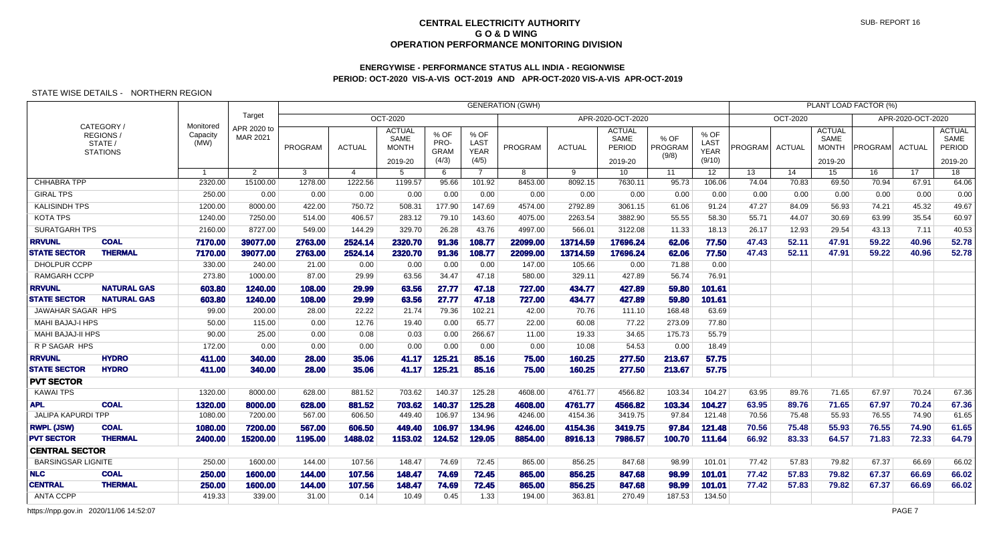## **ENERGYWISE - PERFORMANCE STATUS ALL INDIA - REGIONWISEPERIOD: OCT-2020 VIS-A-VIS OCT-2019 AND APR-OCT-2020 VIS-A-VIS APR-OCT-2019**

### STATE WISE DETAILS - NORTHERN REGION

|                           |                                                      |                               |                         |         |                |                                                  |                                      |                                      | <b>GENERATION (GWH)</b> |               |                                            |                          |                                       |         |                 |                                                  | PLANT LOAD FACTOR (%) |                   |                                                   |
|---------------------------|------------------------------------------------------|-------------------------------|-------------------------|---------|----------------|--------------------------------------------------|--------------------------------------|--------------------------------------|-------------------------|---------------|--------------------------------------------|--------------------------|---------------------------------------|---------|-----------------|--------------------------------------------------|-----------------------|-------------------|---------------------------------------------------|
|                           |                                                      |                               | Target                  |         |                | OCT-2020                                         |                                      |                                      |                         |               | APR-2020-OCT-2020                          |                          |                                       |         | <b>OCT-2020</b> |                                                  |                       | APR-2020-OCT-2020 |                                                   |
|                           | CATEGORY /<br>REGIONS/<br>STATE /<br><b>STATIONS</b> | Monitored<br>Capacity<br>(MW) | APR 2020 to<br>MAR 2021 | PROGRAM | <b>ACTUAL</b>  | <b>ACTUAL</b><br>SAME<br><b>MONTH</b><br>2019-20 | % OF<br>PRO-<br><b>GRAM</b><br>(4/3) | % OF<br>LAST<br><b>YEAR</b><br>(4/5) | PROGRAM                 | <b>ACTUAL</b> | <b>ACTUAL</b><br>SAME<br>PERIOD<br>2019-20 | % OF<br>PROGRAM<br>(9/8) | % OF<br>LAST<br><b>YEAR</b><br>(9/10) | PROGRAM | <b>ACTUAL</b>   | <b>ACTUAL</b><br>SAME<br><b>MONTH</b><br>2019-20 | PROGRAM               | <b>ACTUAL</b>     | <b>ACTUAL</b><br>SAME<br><b>PERIOD</b><br>2019-20 |
|                           |                                                      | $\overline{1}$                | $\overline{2}$          | 3       | $\overline{4}$ | 5                                                | 6                                    | $\overline{7}$                       | 8                       | 9             | 10 <sup>°</sup>                            | 11                       | 12 <sup>°</sup>                       | 13      | 14              | 15                                               | 16                    | 17 <sup>2</sup>   | $\overline{18}$                                   |
| <b>CHHABRA TPP</b>        |                                                      | 2320.00                       | 15100.00                | 1278.00 | 1222.56        | 1199.57                                          | 95.66                                | 101.92                               | 8453.00                 | 8092.15       | 7630.11                                    | 95.73                    | 106.06                                | 74.04   | 70.83           | 69.50                                            | 70.94                 | 67.91             | 64.06                                             |
| <b>GIRAL TPS</b>          |                                                      | 250.00                        | 0.00                    | 0.00    | 0.00           | 0.00                                             | 0.00                                 | 0.00                                 | 0.00                    | 0.00          | 0.00                                       | 0.00                     | 0.00                                  | 0.00    | 0.00            | 0.00                                             | 0.00                  | 0.00              | 0.00                                              |
| <b>KALISINDH TPS</b>      |                                                      | 1200.00                       | 8000.00                 | 422.00  | 750.72         | 508.31                                           | 177.90                               | 147.69                               | 4574.00                 | 2792.89       | 3061.15                                    | 61.06                    | 91.24                                 | 47.27   | 84.09           | 56.93                                            | 74.21                 | 45.32             | 49.67                                             |
| <b>KOTA TPS</b>           |                                                      | 1240.00                       | 7250.00                 | 514.00  | 406.57         | 283.12                                           | 79.10                                | 143.60                               | 4075.00                 | 2263.54       | 3882.90                                    | 55.55                    | 58.30                                 | 55.71   | 44.07           | 30.69                                            | 63.99                 | 35.54             | 60.97                                             |
| <b>SURATGARH TPS</b>      |                                                      | 2160.00                       | 8727.00                 | 549.00  | 144.29         | 329.70                                           | 26.28                                | 43.76                                | 4997.00                 | 566.01        | 3122.08                                    | 11.33                    | 18.13                                 | 26.17   | 12.93           | 29.54                                            | 43.13                 | 7.11              | 40.53                                             |
| <b>RRVUNL</b>             | <b>COAL</b>                                          | 7170.00                       | 39077.00                | 2763.00 | 2524.14        | 2320.70                                          | 91.36                                | 108.77                               | 22099.00                | 13714.59      | 17696.24                                   | 62.06                    | 77.50                                 | 47.43   | 52.11           | 47.91                                            | 59.22                 | 40.96             | 52.78                                             |
| <b>STATE SECTOR</b>       | <b>THERMAL</b>                                       | 7170.00                       | 39077.00                | 2763.00 | 2524.14        | 2320.70                                          | 91.36                                | 108.77                               | 22099.00                | 13714.59      | 17696.24                                   | 62.06                    | 77.50                                 | 47.43   | 52.11           | 47.91                                            | 59.22                 | 40.96             | 52.78                                             |
| DHOLPUR CCPP              |                                                      | 330.00                        | 240.00                  | 21.00   | 0.00           | 0.00                                             | 0.00                                 | 0.00                                 | 147.00                  | 105.66        | 0.00                                       | 71.88                    | 0.00                                  |         |                 |                                                  |                       |                   |                                                   |
| <b>RAMGARH CCPP</b>       |                                                      | 273.80                        | 1000.00                 | 87.00   | 29.99          | 63.56                                            | 34.47                                | 47.18                                | 580.00                  | 329.11        | 427.89                                     | 56.74                    | 76.91                                 |         |                 |                                                  |                       |                   |                                                   |
| <b>RRVUNL</b>             | <b>NATURAL GAS</b>                                   | 603.80                        | 1240.00                 | 108.00  | 29.99          | 63.56                                            | 27.77                                | 47.18                                | 727.00                  | 434.77        | 427.89                                     | 59.80                    | 101.61                                |         |                 |                                                  |                       |                   |                                                   |
| <b>STATE SECTOR</b>       | <b>NATURAL GAS</b>                                   | 603.80                        | 1240.00                 | 108.00  | 29.99          | 63.56                                            | 27.77                                | 47.18                                | 727.00                  | 434.77        | 427.89                                     | 59.80                    | 101.61                                |         |                 |                                                  |                       |                   |                                                   |
| JAWAHAR SAGAR HPS         |                                                      | 99.00                         | 200.00                  | 28.00   | 22.22          | 21.74                                            | 79.36                                | 102.21                               | 42.00                   | 70.76         | 111.10                                     | 168.48                   | 63.69                                 |         |                 |                                                  |                       |                   |                                                   |
| <b>MAHI BAJAJ-I HPS</b>   |                                                      | 50.00                         | 115.00                  | 0.00    | 12.76          | 19.40                                            | 0.00                                 | 65.77                                | 22.00                   | 60.08         | 77.22                                      | 273.09                   | 77.80                                 |         |                 |                                                  |                       |                   |                                                   |
| MAHI BAJAJ-II HPS         |                                                      | 90.00                         | 25.00                   | 0.00    | 0.08           | 0.03                                             | 0.00                                 | 266.67                               | 11.00                   | 19.33         | 34.65                                      | 175.73                   | 55.79                                 |         |                 |                                                  |                       |                   |                                                   |
| R P SAGAR HPS             |                                                      | 172.00                        | 0.00                    | 0.00    | 0.00           | 0.00                                             | 0.00                                 | 0.00                                 | 0.00                    | 10.08         | 54.53                                      | 0.00                     | 18.49                                 |         |                 |                                                  |                       |                   |                                                   |
| <b>RRVUNL</b>             | <b>HYDRO</b>                                         | 411.00                        | 340.00                  | 28.00   | 35.06          | 41.17                                            | 125.21                               | 85.16                                | 75.00                   | 160.25        | 277.50                                     | 213.67                   | 57.75                                 |         |                 |                                                  |                       |                   |                                                   |
| <b>STATE SECTOR</b>       | <b>HYDRO</b>                                         | 411.00                        | 340.00                  | 28.00   | 35.06          | 41.17                                            | 125.21                               | 85.16                                | 75.00                   | 160.25        | 277.50                                     | 213.67                   | 57.75                                 |         |                 |                                                  |                       |                   |                                                   |
| <b>PVT SECTOR</b>         |                                                      |                               |                         |         |                |                                                  |                                      |                                      |                         |               |                                            |                          |                                       |         |                 |                                                  |                       |                   |                                                   |
| <b>KAWAI TPS</b>          |                                                      | 1320.00                       | 8000.00                 | 628.00  | 881.52         | 703.62                                           | 140.37                               | 125.28                               | 4608.00                 | 4761.77       | 4566.82                                    | 103.34                   | 104.27                                | 63.95   | 89.76           | 71.65                                            | 67.97                 | 70.24             | 67.36                                             |
| <b>APL</b>                | <b>COAL</b>                                          | 1320.00                       | 8000.00                 | 628.00  | 881.52         | 703.62                                           | 140.37                               | 125.28                               | 4608.00                 | 4761.77       | 4566.82                                    | 103.34                   | 104.27                                | 63.95   | 89.76           | 71.65                                            | 67.97                 | 70.24             | 67.36                                             |
| <b>JALIPA KAPURDI TPP</b> |                                                      | 1080.00                       | 7200.00                 | 567.00  | 606.50         | 449.40                                           | 106.97                               | 134.96                               | 4246.00                 | 4154.36       | 3419.75                                    | 97.84                    | 121.48                                | 70.56   | 75.48           | 55.93                                            | 76.55                 | 74.90             | 61.65                                             |
| <b>RWPL (JSW)</b>         | <b>COAL</b>                                          | 1080.00                       | 7200.00                 | 567.00  | 606.50         | 449.40                                           | 106.97                               | 134.96                               | 4246.00                 | 4154.36       | 3419.75                                    | 97.84                    | 121.48                                | 70.56   | 75.48           | 55.93                                            | 76.55                 | 74.90             | 61.65                                             |
| <b>PVT SECTOR</b>         | <b>THERMAL</b>                                       | 2400.00                       | 15200.00                | 1195.00 | 1488.02        | 1153.02                                          | 124.52                               | 129.05                               | 8854.00                 | 8916.13       | 7986.57                                    | 100.70                   | 111.64                                | 66.92   | 83.33           | 64.57                                            | 71.83                 | 72.33             | 64.79                                             |
| <b>CENTRAL SECTOR</b>     |                                                      |                               |                         |         |                |                                                  |                                      |                                      |                         |               |                                            |                          |                                       |         |                 |                                                  |                       |                   |                                                   |
| <b>BARSINGSAR LIGNITE</b> |                                                      | 250.00                        | 1600.00                 | 144.00  | 107.56         | 148.47                                           | 74.69                                | 72.45                                | 865.00                  | 856.25        | 847.68                                     | 98.99                    | 101.01                                | 77.42   | 57.83           | 79.82                                            | 67.37                 | 66.69             | 66.02                                             |
| <b>NLC</b>                | <b>COAL</b>                                          | 250.00                        | 1600.00                 | 144.00  | 107.56         | 148.47                                           | 74.69                                | 72.45                                | 865.00                  | 856.25        | 847.68                                     | 98.99                    | 101.01                                | 77.42   | 57.83           | 79.82                                            | 67.37                 | 66.69             | 66.02                                             |
| <b>CENTRAL</b>            | <b>THERMAL</b>                                       | 250.00                        | 1600.00                 | 144.00  | 107.56         | 148.47                                           | 74.69                                | 72.45                                | 865.00                  | 856.25        | 847.68                                     | 98.99                    | 101.01                                | 77.42   | 57.83           | 79.82                                            | 67.37                 | 66.69             | 66.02                                             |
| <b>ANTA CCPP</b>          |                                                      | 419.33                        | 339.00                  | 31.00   | 0.14           | 10.49                                            | 0.45                                 | 1.33                                 | 194.00                  | 363.81        | 270.49                                     | 187.53                   | 134.50                                |         |                 |                                                  |                       |                   |                                                   |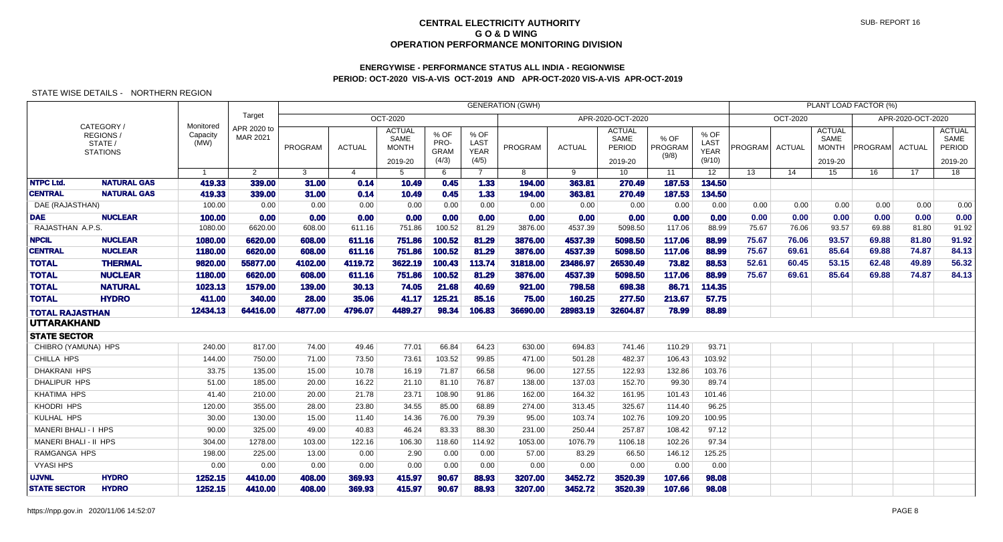# **ENERGYWISE - PERFORMANCE STATUS ALL INDIA - REGIONWISEPERIOD: OCT-2020 VIS-A-VIS OCT-2019 AND APR-OCT-2020 VIS-A-VIS APR-OCT-2019**

|                              |                                                    |                               |                         |         |                |                                                  |                                      |                                             | <b>GENERATION (GWH)</b> |               |                                                   |                          |                                       |         |               |                                                  | PLANT LOAD FACTOR (%) |                   |                                            |
|------------------------------|----------------------------------------------------|-------------------------------|-------------------------|---------|----------------|--------------------------------------------------|--------------------------------------|---------------------------------------------|-------------------------|---------------|---------------------------------------------------|--------------------------|---------------------------------------|---------|---------------|--------------------------------------------------|-----------------------|-------------------|--------------------------------------------|
|                              |                                                    |                               | Target                  |         |                | OCT-2020                                         |                                      |                                             |                         |               | APR-2020-OCT-2020                                 |                          |                                       |         | OCT-2020      |                                                  |                       | APR-2020-OCT-2020 |                                            |
|                              | CATEGORY/<br>REGIONS<br>STATE /<br><b>STATIONS</b> | Monitored<br>Capacity<br>(MW) | APR 2020 to<br>MAR 2021 | PROGRAM | <b>ACTUAL</b>  | <b>ACTUAL</b><br>SAME<br><b>MONTH</b><br>2019-20 | % OF<br>PRO-<br><b>GRAM</b><br>(4/3) | % OF<br><b>LAST</b><br><b>YEAR</b><br>(4/5) | PROGRAM                 | <b>ACTUAL</b> | <b>ACTUAL</b><br>SAME<br><b>PERIOD</b><br>2019-20 | % OF<br>PROGRAM<br>(9/8) | % OF<br>LAST<br><b>YEAR</b><br>(9/10) | PROGRAM | <b>ACTUAL</b> | <b>ACTUAL</b><br>SAME<br><b>MONTH</b><br>2019-20 | <b>PROGRAM</b>        | <b>ACTUAL</b>     | <b>ACTUAL</b><br>SAME<br>PERIOD<br>2019-20 |
|                              |                                                    | $\overline{1}$                | 2                       | 3       | $\overline{4}$ | 5                                                | 6                                    | $\overline{7}$                              | 8                       | 9             | 10 <sup>°</sup>                                   | 11                       | 12 <sup>2</sup>                       | 13      | 14            | 15                                               | 16                    | 17                | 18                                         |
| <b>NTPC Ltd.</b>             | <b>NATURAL GAS</b>                                 | 419.33                        | 339.00                  | 31.00   | 0.14           | 10.49                                            | 0.45                                 | 1.33                                        | 194.00                  | 363.81        | 270.49                                            | 187.53                   | 134.50                                |         |               |                                                  |                       |                   |                                            |
| <b>CENTRAL</b>               | <b>NATURAL GAS</b>                                 | 419.33                        | 339.00                  | 31.00   | 0.14           | 10.49                                            | 0.45                                 | 1.33                                        | 194.00                  | 363.81        | 270.49                                            | 187.53                   | 134.50                                |         |               |                                                  |                       |                   |                                            |
| DAE (RAJASTHAN)              |                                                    | 100.00                        | 0.00                    | 0.00    | 0.00           | 0.00                                             | 0.00                                 | 0.00                                        | 0.00                    | 0.00          | 0.00                                              | 0.00                     | 0.00                                  | 0.00    | 0.00          | 0.00                                             | 0.00                  | 0.00              | 0.00                                       |
| <b>DAE</b>                   | <b>NUCLEAR</b>                                     | 100.00                        | 0.00                    | 0.00    | 0.00           | 0.00                                             | 0.00                                 | 0.00                                        | 0.00                    | 0.00          | 0.00                                              | 0.00                     | 0.00                                  | 0.00    | 0.00          | 0.00                                             | 0.00                  | 0.00              | 0.00                                       |
| RAJASTHAN A.P.S.             |                                                    | 1080.00                       | 6620.00                 | 608.00  | 611.16         | 751.86                                           | 100.52                               | 81.29                                       | 3876.00                 | 4537.39       | 5098.50                                           | 117.06                   | 88.99                                 | 75.67   | 76.06         | 93.57                                            | 69.88                 | 81.80             | 91.92                                      |
| <b>NPCIL</b>                 | <b>NUCLEAR</b>                                     | 1080.00                       | 6620.00                 | 608.00  | 611.16         | 751.86                                           | 100.52                               | 81.29                                       | 3876.00                 | 4537.39       | 5098.50                                           | 117.06                   | 88.99                                 | 75.67   | 76.06         | 93.57                                            | 69.88                 | 81.80             | 91.92                                      |
| <b>CENTRAL</b>               | <b>NUCLEAR</b>                                     | 1180.00                       | 6620.00                 | 608.00  | 611.16         | 751.86                                           | 100.52                               | 81.29                                       | 3876.00                 | 4537.39       | 5098.50                                           | 117.06                   | 88.99                                 | 75.67   | 69.61         | 85.64                                            | 69.88                 | 74.87             | 84.13                                      |
| <b>TOTAL</b>                 | <b>THERMAL</b>                                     | 9820.00                       | 55877.00                | 4102.00 | 4119.72        | 3622.19                                          | 100.43                               | 113.74                                      | 31818,00                | 23486.97      | 26530.49                                          | 73.82                    | 88.53                                 | 52.61   | 60.45         | 53.15                                            | 62.48                 | 49.89             | 56.32                                      |
| <b>TOTAL</b>                 | <b>NUCLEAR</b>                                     | 1180.00                       | 6620.00                 | 608,00  | 611.16         | 751.86                                           | 100.52                               | 81.29                                       | 3876.00                 | 4537.39       | 5098,50                                           | 117.06                   | 88.99                                 | 75.67   | 69.61         | 85.64                                            | 69.88                 | 74.87             | 84.13                                      |
| <b>TOTAL</b>                 | <b>NATURAL</b>                                     | 1023.13                       | 1579.00                 | 139.00  | 30.13          | 74.05                                            | 21.68                                | 40.69                                       | 921.00                  | 798.58        | 698.38                                            | 86.71                    | 114.35                                |         |               |                                                  |                       |                   |                                            |
| <b>TOTAL</b>                 | <b>HYDRO</b>                                       | 411.00                        | 340.00                  | 28.00   | 35.06          | 41.17                                            | 125.21                               | 85.16                                       | 75.00                   | 160.25        | 277.50                                            | 213.67                   | 57.75                                 |         |               |                                                  |                       |                   |                                            |
| <b>TOTAL RAJASTHAN</b>       |                                                    | 12434.13                      | 64416.00                | 4877.00 | 4796.07        | 4489.27                                          | 98.34                                | 106.83                                      | 36690.00                | 28983.19      | 32604.87                                          | 78.99                    | 88.89                                 |         |               |                                                  |                       |                   |                                            |
| <b>UTTARAKHAND</b>           |                                                    |                               |                         |         |                |                                                  |                                      |                                             |                         |               |                                                   |                          |                                       |         |               |                                                  |                       |                   |                                            |
| <b>STATE SECTOR</b>          |                                                    |                               |                         |         |                |                                                  |                                      |                                             |                         |               |                                                   |                          |                                       |         |               |                                                  |                       |                   |                                            |
| CHIBRO (YAMUNA) HPS          |                                                    | 240.00                        | 817.00                  | 74.00   | 49.46          | 77.01                                            | 66.84                                | 64.23                                       | 630.00                  | 694.83        | 741.46                                            | 110.29                   | 93.71                                 |         |               |                                                  |                       |                   |                                            |
| CHILLA HPS                   |                                                    | 144.00                        | 750.00                  | 71.00   | 73.50          | 73.61                                            | 103.52                               | 99.85                                       | 471.00                  | 501.28        | 482.37                                            | 106.43                   | 103.92                                |         |               |                                                  |                       |                   |                                            |
| DHAKRANI HPS                 |                                                    | 33.75                         | 135.00                  | 15.00   | 10.78          | 16.19                                            | 71.87                                | 66.58                                       | 96.00                   | 127.55        | 122.93                                            | 132.86                   | 103.76                                |         |               |                                                  |                       |                   |                                            |
| <b>DHALIPUR HPS</b>          |                                                    | 51.00                         | 185.00                  | 20.00   | 16.22          | 21.10                                            | 81.10                                | 76.87                                       | 138.00                  | 137.03        | 152.70                                            | 99.30                    | 89.74                                 |         |               |                                                  |                       |                   |                                            |
| <b>KHATIMA HPS</b>           |                                                    | 41.40                         | 210.00                  | 20.00   | 21.78          | 23.71                                            | 108.90                               | 91.86                                       | 162.00                  | 164.32        | 161.95                                            | 101.43                   | 101.46                                |         |               |                                                  |                       |                   |                                            |
| KHODRI HPS                   |                                                    | 120.00                        | 355.00                  | 28.00   | 23.80          | 34.55                                            | 85.00                                | 68.89                                       | 274.00                  | 313.45        | 325.67                                            | 114.40                   | 96.25                                 |         |               |                                                  |                       |                   |                                            |
| KULHAL HPS                   |                                                    | 30.00                         | 130.00                  | 15.00   | 11.40          | 14.36                                            | 76.00                                | 79.39                                       | 95.00                   | 103.74        | 102.76                                            | 109.20                   | 100.95                                |         |               |                                                  |                       |                   |                                            |
| MANERI BHALI - I HPS         |                                                    | 90.00                         | 325.00                  | 49.00   | 40.83          | 46.24                                            | 83.33                                | 88.30                                       | 231.00                  | 250.44        | 257.87                                            | 108.42                   | 97.12                                 |         |               |                                                  |                       |                   |                                            |
| <b>MANERI BHALI - II HPS</b> |                                                    | 304.00                        | 1278.00                 | 103.00  | 122.16         | 106.30                                           | 118.60                               | 114.92                                      | 1053.00                 | 1076.79       | 1106.18                                           | 102.26                   | 97.34                                 |         |               |                                                  |                       |                   |                                            |
| <b>RAMGANGA HPS</b>          |                                                    | 198.00                        | 225.00                  | 13.00   | 0.00           | 2.90                                             | 0.00                                 | 0.00                                        | 57.00                   | 83.29         | 66.50                                             | 146.12                   | 125.25                                |         |               |                                                  |                       |                   |                                            |
| <b>VYASI HPS</b>             |                                                    | 0.00                          | 0.00                    | 0.00    | 0.00           | 0.00                                             | 0.00                                 | 0.00                                        | 0.00                    | 0.00          | 0.00                                              | 0.00                     | 0.00                                  |         |               |                                                  |                       |                   |                                            |
| <b>UJVNL</b>                 | <b>HYDRO</b>                                       | 1252.15                       | 4410.00                 | 408.00  | 369.93         | 415.97                                           | 90.67                                | 88.93                                       | 3207.00                 | 3452.72       | 3520.39                                           | 107.66                   | 98.08                                 |         |               |                                                  |                       |                   |                                            |
| <b>STATE SECTOR</b>          | <b>HYDRO</b>                                       | 1252.15                       | 4410.00                 | 408.00  | 369.93         | 415.97                                           | 90.67                                | 88.93                                       | 3207.00                 | 3452.72       | 3520.39                                           | 107.66                   | 98.08                                 |         |               |                                                  |                       |                   |                                            |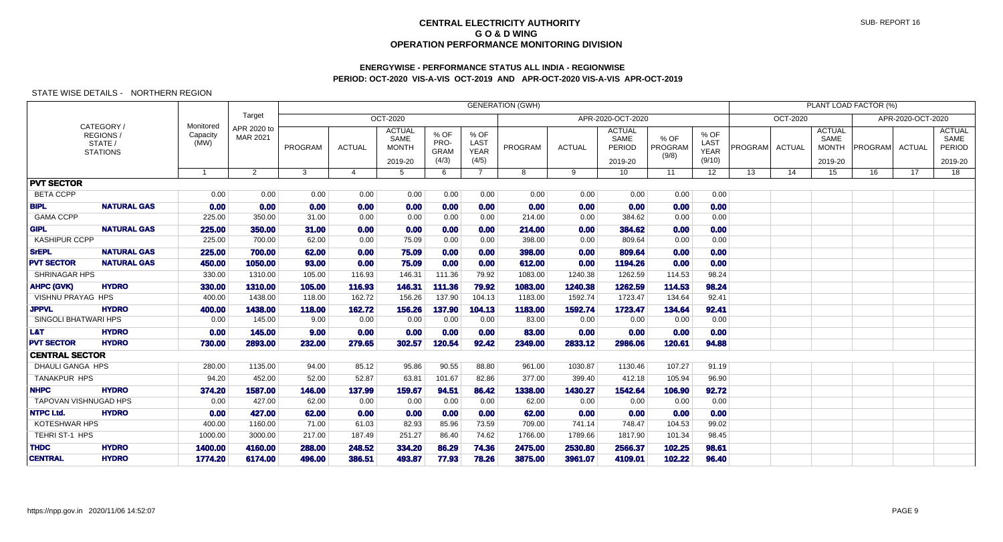## **ENERGYWISE - PERFORMANCE STATUS ALL INDIA - REGIONWISEPERIOD: OCT-2020 VIS-A-VIS OCT-2019 AND APR-OCT-2020 VIS-A-VIS APR-OCT-2019**

|                             |                                                      |                               |                         |                | <b>GENERATION (GWH)</b> |                                                  |                                      |                                      |         |               |                                            |                          |                                       |                |               |                                                  | PLANT LOAD FACTOR (%) |                   |                                            |
|-----------------------------|------------------------------------------------------|-------------------------------|-------------------------|----------------|-------------------------|--------------------------------------------------|--------------------------------------|--------------------------------------|---------|---------------|--------------------------------------------|--------------------------|---------------------------------------|----------------|---------------|--------------------------------------------------|-----------------------|-------------------|--------------------------------------------|
|                             |                                                      |                               | Target                  |                |                         | <b>OCT-2020</b>                                  |                                      |                                      |         |               | APR-2020-OCT-2020                          |                          |                                       |                | OCT-2020      |                                                  |                       | APR-2020-OCT-2020 |                                            |
|                             | CATEGORY /<br>REGIONS/<br>STATE /<br><b>STATIONS</b> | Monitored<br>Capacity<br>(MW) | APR 2020 to<br>MAR 2021 | PROGRAM        | <b>ACTUAL</b>           | <b>ACTUAL</b><br>SAME<br><b>MONTH</b><br>2019-20 | % OF<br>PRO-<br><b>GRAM</b><br>(4/3) | % OF<br>LAST<br><b>YEAR</b><br>(4/5) | PROGRAM | <b>ACTUAL</b> | <b>ACTUAL</b><br>SAME<br>PERIOD<br>2019-20 | % OF<br>PROGRAM<br>(9/8) | % OF<br>LAST<br><b>YEAR</b><br>(9/10) | <b>PROGRAM</b> | <b>ACTUAL</b> | <b>ACTUAL</b><br>SAME<br><b>MONTH</b><br>2019-20 | <b>PROGRAM</b>        | <b>ACTUAL</b>     | <b>ACTUAL</b><br>SAME<br>PERIOD<br>2019-20 |
|                             |                                                      | $\overline{1}$                | 2                       | 3 <sup>1</sup> | $\overline{4}$          | 5                                                | 6                                    | $7^{\circ}$                          | 8       | 9             | 10 <sup>°</sup>                            | 11                       | 12 <sup>2</sup>                       | 13             | 14            | 15                                               | 16                    | 17                | 18                                         |
| <b>PVT SECTOR</b>           |                                                      |                               |                         |                |                         |                                                  |                                      |                                      |         |               |                                            |                          |                                       |                |               |                                                  |                       |                   |                                            |
| <b>BETA CCPP</b>            |                                                      | 0.00                          | 0.00                    | 0.00           | 0.00                    | 0.00                                             | 0.00                                 | 0.00                                 | 0.00    | 0.00          | 0.00                                       | 0.00                     | 0.00                                  |                |               |                                                  |                       |                   |                                            |
| <b>BIPL</b>                 | <b>NATURAL GAS</b>                                   | 0.00                          | 0.00                    | 0.00           | 0.00                    | 0.00                                             | 0.00                                 | 0.00                                 | 0.00    | 0.00          | 0.00                                       | 0.00                     | 0.00                                  |                |               |                                                  |                       |                   |                                            |
| <b>GAMA CCPP</b>            |                                                      | 225.00                        | 350.00                  | 31.00          | 0.00                    | 0.00                                             | 0.00                                 | 0.00                                 | 214.00  | 0.00          | 384.62                                     | 0.00                     | 0.00                                  |                |               |                                                  |                       |                   |                                            |
| <b>GIPL</b>                 | <b>NATURAL GAS</b>                                   | 225.00                        | 350.00                  | 31.00          | 0.00                    | 0.00                                             | 0.00                                 | 0.00                                 | 214.00  | 0.00          | 384.62                                     | 0.00                     | 0.00                                  |                |               |                                                  |                       |                   |                                            |
| <b>KASHIPUR CCPP</b>        |                                                      | 225.00                        | 700.00                  | 62.00          | 0.00                    | 75.09                                            | 0.00                                 | 0.00                                 | 398.00  | 0.00          | 809.64                                     | 0.00                     | 0.00                                  |                |               |                                                  |                       |                   |                                            |
| <b>SrEPL</b>                | <b>NATURAL GAS</b>                                   | 225.00                        | 700.00                  | 62.00          | 0.00                    | 75.09                                            | 0.00                                 | 0.00                                 | 398.00  | 0.00          | 809.64                                     | 0.00                     | 0.00                                  |                |               |                                                  |                       |                   |                                            |
| <b>PVT SECTOR</b>           | <b>NATURAL GAS</b>                                   | 450.00                        | 1050.00                 | 93.00          | 0.00                    | 75.09                                            | 0.00                                 | 0.00                                 | 612.00  | 0.00          | 1194.26                                    | 0.00                     | 0.00                                  |                |               |                                                  |                       |                   |                                            |
| <b>SHRINAGAR HPS</b>        |                                                      | 330.00                        | 1310.00                 | 105.00         | 116.93                  | 146.31                                           | 111.36                               | 79.92                                | 1083.00 | 1240.38       | 1262.59                                    | 114.53                   | 98.24                                 |                |               |                                                  |                       |                   |                                            |
| <b>AHPC (GVK)</b>           | <b>HYDRO</b>                                         | 330.00                        | 1310.00                 | 105.00         | 116.93                  | 146.31                                           | 111.36                               | 79.92                                | 1083.00 | 1240.38       | 1262.59                                    | 114.53                   | 98.24                                 |                |               |                                                  |                       |                   |                                            |
| <b>VISHNU PRAYAG HPS</b>    |                                                      | 400.00                        | 1438.00                 | 118.00         | 162.72                  | 156.26                                           | 137.90                               | 104.13                               | 1183.00 | 1592.74       | 1723.47                                    | 134.64                   | 92.41                                 |                |               |                                                  |                       |                   |                                            |
| <b>JPPVL</b>                | <b>HYDRO</b>                                         | 400.00                        | 1438.00                 | 118.00         | 162.72                  | 156.26                                           | 137.90                               | 104.13                               | 1183.00 | 1592.74       | 1723.47                                    | 134.64                   | 92.41                                 |                |               |                                                  |                       |                   |                                            |
| <b>SINGOLI BHATWARI HPS</b> |                                                      | 0.00                          | 145.00                  | 9.00           | 0.00                    | 0.00                                             | 0.00                                 | 0.00                                 | 83.00   | 0.00          | 0.00                                       | 0.00                     | 0.00                                  |                |               |                                                  |                       |                   |                                            |
| L&T                         | <b>HYDRO</b>                                         | 0.00                          | 145.00                  | 9.00           | 0.00                    | 0.00                                             | 0.00                                 | 0.00                                 | 83.00   | 0.00          | 0.00                                       | 0.00                     | 0.00                                  |                |               |                                                  |                       |                   |                                            |
| <b>PVT SECTOR</b>           | <b>HYDRO</b>                                         | 730.00                        | 2893.00                 | 232.00         | 279.65                  | 302.57                                           | 120.54                               | 92.42                                | 2349.00 | 2833.12       | 2986.06                                    | 120.61                   | 94.88                                 |                |               |                                                  |                       |                   |                                            |
| <b>CENTRAL SECTOR</b>       |                                                      |                               |                         |                |                         |                                                  |                                      |                                      |         |               |                                            |                          |                                       |                |               |                                                  |                       |                   |                                            |
| <b>DHAULI GANGA HPS</b>     |                                                      | 280.00                        | 1135.00                 | 94.00          | 85.12                   | 95.86                                            | 90.55                                | 88.80                                | 961.00  | 1030.87       | 1130.46                                    | 107.27                   | 91.19                                 |                |               |                                                  |                       |                   |                                            |
| TANAKPUR HPS                |                                                      | 94.20                         | 452.00                  | 52.00          | 52.87                   | 63.81                                            | 101.67                               | 82.86                                | 377.00  | 399.40        | 412.18                                     | 105.94                   | 96.90                                 |                |               |                                                  |                       |                   |                                            |
| <b>NHPC</b>                 | <b>HYDRO</b>                                         | 374.20                        | 1587.00                 | 146.00         | 137.99                  | 159.67                                           | 94.51                                | 86.42                                | 1338.00 | 1430.27       | 1542.64                                    | 106.90                   | 92.72                                 |                |               |                                                  |                       |                   |                                            |
|                             | TAPOVAN VISHNUGAD HPS                                | 0.00                          | 427.00                  | 62.00          | 0.00                    | 0.00                                             | 0.00                                 | 0.00                                 | 62.00   | 0.00          | 0.00                                       | 0.00                     | 0.00                                  |                |               |                                                  |                       |                   |                                            |
| <b>NTPC Ltd.</b>            | <b>HYDRO</b>                                         | 0.00                          | 427.00                  | 62.00          | 0.00                    | 0.00                                             | 0.00                                 | 0.00                                 | 62.00   | 0.00          | 0.00                                       | 0.00                     | 0.00                                  |                |               |                                                  |                       |                   |                                            |
| <b>KOTESHWAR HPS</b>        |                                                      | 400.00                        | 1160.00                 | 71.00          | 61.03                   | 82.93                                            | 85.96                                | 73.59                                | 709.00  | 741.14        | 748.47                                     | 104.53                   | 99.02                                 |                |               |                                                  |                       |                   |                                            |
| TEHRIST-1 HPS               |                                                      | 1000.00                       | 3000.00                 | 217.00         | 187.49                  | 251.27                                           | 86.40                                | 74.62                                | 1766.00 | 1789.66       | 1817.90                                    | 101.34                   | 98.45                                 |                |               |                                                  |                       |                   |                                            |
| <b>THDC</b>                 | <b>HYDRO</b>                                         | 1400.00                       | 4160.00                 | 288.00         | 248.52                  | 334.20                                           | 86.29                                | 74.36                                | 2475.00 | 2530.80       | 2566.37                                    | 102.25                   | 98.61                                 |                |               |                                                  |                       |                   |                                            |
| <b>CENTRAL</b>              | <b>HYDRO</b>                                         | 1774.20                       | 6174.00                 | 496.00         | 386.51                  | 493.87                                           | 77.93                                | 78.26                                | 3875.00 | 3961.07       | 4109.01                                    | 102.22                   | 96.40                                 |                |               |                                                  |                       |                   |                                            |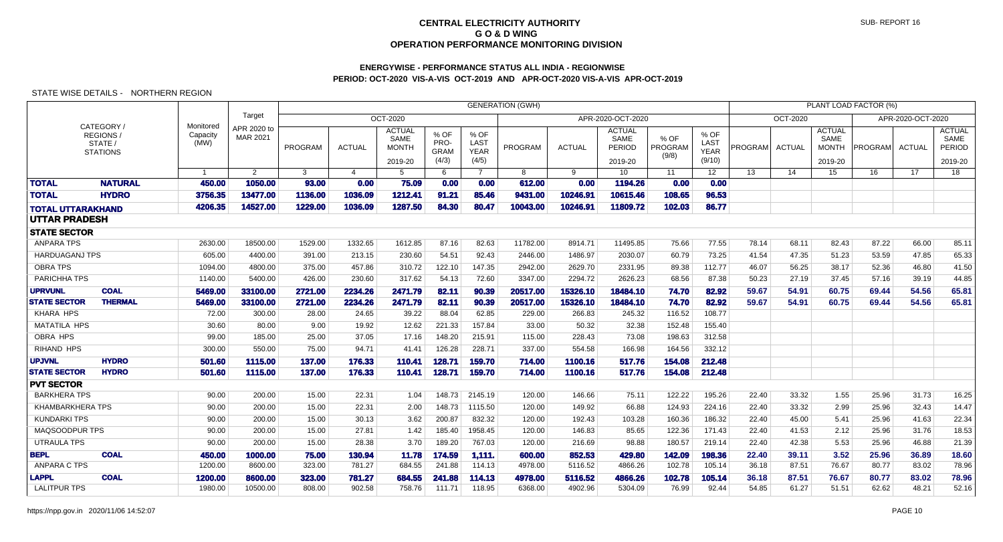# **ENERGYWISE - PERFORMANCE STATUS ALL INDIA - REGIONWISEPERIOD: OCT-2020 VIS-A-VIS OCT-2019 AND APR-OCT-2020 VIS-A-VIS APR-OCT-2019**

|                             |                                                     |                               |                         |                 |                  |                                                  |                                      |                                      | <b>GENERATION (GWH)</b> |                    |                                            |                          |                                       |                |                |                                                  | PLANT LOAD FACTOR (%) |                   |                                            |
|-----------------------------|-----------------------------------------------------|-------------------------------|-------------------------|-----------------|------------------|--------------------------------------------------|--------------------------------------|--------------------------------------|-------------------------|--------------------|--------------------------------------------|--------------------------|---------------------------------------|----------------|----------------|--------------------------------------------------|-----------------------|-------------------|--------------------------------------------|
|                             |                                                     |                               | Target                  |                 |                  | <b>OCT-2020</b>                                  |                                      |                                      |                         |                    | APR-2020-OCT-2020                          |                          |                                       |                | OCT-2020       |                                                  |                       | APR-2020-OCT-2020 |                                            |
|                             | CATEGORY/<br>REGIONS/<br>STATE /<br><b>STATIONS</b> | Monitored<br>Capacity<br>(MW) | APR 2020 to<br>MAR 2021 | PROGRAM         | <b>ACTUAL</b>    | <b>ACTUAL</b><br>SAME<br><b>MONTH</b><br>2019-20 | % OF<br>PRO-<br><b>GRAM</b><br>(4/3) | % OF<br>LAST<br><b>YEAR</b><br>(4/5) | PROGRAM                 | <b>ACTUAL</b>      | <b>ACTUAL</b><br>SAME<br>PERIOD<br>2019-20 | % OF<br>PROGRAM<br>(9/8) | % OF<br>LAST<br><b>YEAR</b><br>(9/10) | PROGRAM ACTUAL |                | <b>ACTUAL</b><br>SAME<br><b>MONTH</b><br>2019-20 | PROGRAM               | <b>ACTUAL</b>     | <b>ACTUAL</b><br>SAME<br>PERIOD<br>2019-20 |
|                             |                                                     |                               | $\overline{2}$          | 3               | $\Delta$         | 5                                                | 6                                    | $\overline{7}$                       | 8                       | 9                  | 10                                         | 11                       | 12                                    | 13             | 14             | 15                                               | 16                    | 17                | 18                                         |
| <b>TOTAL</b>                | <b>NATURAL</b>                                      | 450.00                        | 1050.00                 | 93.00           | 0.00             | 75.09                                            | 0.00                                 | 0.00                                 | 612.00                  | 0.00               | 1194.26                                    | 0.00                     | 0.00                                  |                |                |                                                  |                       |                   |                                            |
| <b>TOTAL</b>                | <b>HYDRO</b>                                        | 3756.35                       | 13477.00                | 1136.00         | 1036.09          | 1212.41                                          | 91.21                                | 85.46                                | 9431.00                 | 10246.91           | 10615.46                                   | 108.65                   | 96.53                                 |                |                |                                                  |                       |                   |                                            |
|                             | <b>TOTAL UTTARAKHAND</b>                            | 4206.35                       | 14527.00                | 1229.00         | 1036.09          | 1287.50                                          | 84.30                                | 80.47                                | 10043.00                | 10246.91           | 11809.72                                   | 102.03                   | 86.77                                 |                |                |                                                  |                       |                   |                                            |
| <b>UTTAR PRADESH</b>        |                                                     |                               |                         |                 |                  |                                                  |                                      |                                      |                         |                    |                                            |                          |                                       |                |                |                                                  |                       |                   |                                            |
| <b>STATE SECTOR</b>         |                                                     |                               |                         |                 |                  |                                                  |                                      |                                      |                         |                    |                                            |                          |                                       |                |                |                                                  |                       |                   |                                            |
| <b>ANPARA TPS</b>           |                                                     | 2630.00                       | 18500.00                | 1529.00         | 1332.65          | 1612.85                                          | 87.16                                | 82.63                                | 11782.00                | 8914.71            | 11495.85                                   | 75.66                    | 77.55                                 | 78.14          | 68.11          | 82.43                                            | 87.22                 | 66.00             | 85.11                                      |
| <b>HARDUAGANJ TPS</b>       |                                                     | 605.00                        | 4400.00                 | 391.00          | 213.15           | 230.60                                           | 54.51                                | 92.43                                | 2446.00                 | 1486.97            | 2030.07                                    | 60.79                    | 73.25                                 | 41.54          | 47.35          | 51.23                                            | 53.59                 | 47.85             | 65.33                                      |
| <b>OBRA TPS</b>             |                                                     | 1094.00                       | 4800.00                 | 375.00          | 457.86           | 310.72                                           | 122.10                               | 147.35                               | 2942.00                 | 2629.70            | 2331.95                                    | 89.38                    | 112.77                                | 46.07          | 56.25          | 38.17                                            | 52.36                 | 46.80             | 41.50                                      |
| PARICHHA TPS                |                                                     | 1140.00                       | 5400.00                 | 426.00          | 230.60           | 317.62                                           | 54.13                                | 72.60                                | 3347.00                 | 2294.72            | 2626.23                                    | 68.56                    | 87.38                                 | 50.23          | 27.19          | 37.45                                            | 57.16                 | 39.19             | 44.85                                      |
| <b>UPRVUNL</b>              | <b>COAL</b>                                         | 5469.00                       | 33100.00                | 2721.00         | 2234.26          | 2471.79                                          | 82.11                                | 90.39                                | 20517.00                | 15326.10           | 18484.10                                   | 74.70                    | 82.92                                 | 59.67          | 54.91          | 60.75                                            | 69.44                 | 54.56             | 65.81                                      |
| <b>STATE SECTOR</b>         | <b>THERMAL</b>                                      | 5469.00                       | 33100.00                | 2721.00         | 2234.26          | 2471.79                                          | 82.11                                | 90.39                                | 20517.00                | 15326.10           | 18484.10                                   | 74.70                    | 82.92                                 | 59.67          | 54.91          | 60.75                                            | 69.44                 | 54.56             | 65.81                                      |
| <b>KHARA HPS</b>            |                                                     | 72.00                         | 300.00                  | 28.00           | 24.65            | 39.22                                            | 88.04                                | 62.85                                | 229.00                  | 266.83             | 245.32                                     | 116.52                   | 108.77                                |                |                |                                                  |                       |                   |                                            |
| <b>MATATILA HPS</b>         |                                                     | 30.60                         | 80.00                   | 9.00            | 19.92            | 12.62                                            | 221.33                               | 157.84                               | 33.00                   | 50.32              | 32.38                                      | 152.48                   | 155.40                                |                |                |                                                  |                       |                   |                                            |
| OBRA HPS                    |                                                     | 99.00                         | 185.00                  | 25.00           | 37.05            | 17.16                                            | 148.20                               | 215.91                               | 115.00                  | 228.43             | 73.08                                      | 198.63                   | 312.58                                |                |                |                                                  |                       |                   |                                            |
| <b>RIHAND HPS</b>           |                                                     | 300.00                        | 550.00                  | 75.00           | 94.71            | 41.41                                            | 126.28                               | 228.71                               | 337.00                  | 554.58             | 166.98                                     | 164.56                   | 332.12                                |                |                |                                                  |                       |                   |                                            |
| <b>UPJVNL</b>               | <b>HYDRO</b>                                        | 501.60                        | 1115.00                 | 137.00          | 176.33           | 110.41                                           | 128.71                               | 159.70                               | 714.00                  | 1100.16            | 517.76                                     | 154.08                   | 212.48                                |                |                |                                                  |                       |                   |                                            |
| <b>STATE SECTOR</b>         | <b>HYDRO</b>                                        | 501.60                        | 1115.00                 | 137.00          | 176.33           | 110.41                                           | 128.71                               | 159.70                               | 714.00                  | 1100.16            | 517.76                                     | 154.08                   | 212.48                                |                |                |                                                  |                       |                   |                                            |
| <b>PVT SECTOR</b>           |                                                     |                               |                         |                 |                  |                                                  |                                      |                                      |                         |                    |                                            |                          |                                       |                |                |                                                  |                       |                   |                                            |
| <b>BARKHERA TPS</b>         |                                                     | 90.00                         | 200.00                  | 15.00           | 22.31            | 1.04                                             | 148.73                               | 2145.19                              | 120.00                  | 146.66             | 75.11                                      | 122.22                   | 195.26                                | 22.40          | 33.32          | 1.55                                             | 25.96                 | 31.73             | 16.25                                      |
| <b>KHAMBARKHERA TPS</b>     |                                                     | 90.00                         | 200.00                  | 15.00           | 22.31            | 2.00                                             | 148.73                               | 1115.50                              | 120.00                  | 149.92             | 66.88                                      | 124.93                   | 224.16                                | 22.40          | 33.32          | 2.99                                             | 25.96                 | 32.43             | 14.47                                      |
| <b>KUNDARKI TPS</b>         |                                                     | 90.00                         | 200.00                  | 15.00           | 30.13            | 3.62                                             | 200.87                               | 832.32                               | 120.00                  | 192.43             | 103.28                                     | 160.36                   | 186.32                                | 22.40          | 45.00          | 5.41                                             | 25.96                 | 41.63             | 22.34                                      |
| <b>MAQSOODPUR TPS</b>       |                                                     | 90.00                         | 200.00                  | 15.00           | 27.81            | 1.42                                             | 185.40                               | 1958.45                              | 120.00                  | 146.83             | 85.65                                      | 122.36                   | 171.43                                | 22.40          | 41.53          | 2.12                                             | 25.96                 | 31.76             | 18.53                                      |
| <b>UTRAULA TPS</b>          |                                                     | 90.00                         | 200.00                  | 15.00           | 28.38            | 3.70                                             | 189.20                               | 767.03                               | 120.00                  | 216.69             | 98.88                                      | 180.57                   | 219.14                                | 22.40          | 42.38          | 5.53                                             | 25.96                 | 46.88             | 21.39                                      |
| <b>BEPL</b><br>ANPARA C TPS | <b>COAL</b>                                         | 450.00<br>1200.00             | 1000.00<br>8600.00      | 75.00<br>323.00 | 130.94<br>781.27 | 11.78<br>684.55                                  | 174.59<br>241.88                     | 1,111.<br>114.13                     | 600.00<br>4978.00       | 852.53<br>5116.52  | 429.80<br>4866.26                          | 142.09<br>102.78         | 198.36<br>105.14                      | 22.40<br>36.18 | 39.11<br>87.51 | 3.52<br>76.67                                    | 25.96<br>80.77        | 36.89<br>83.02    | 18.60<br>78.96                             |
| <b>LAPPL</b>                | <b>COAL</b>                                         | 1200.00                       | 8600.00                 | 323.00          |                  | 684.55                                           | 241.88                               | 114.13                               | 4978.00                 |                    | 4866.26                                    | 102.78                   | 105.14                                | 36.18          | 87.51          | 76.67                                            | 80.77                 | 83.02             | 78.96                                      |
| <b>LALITPUR TPS</b>         |                                                     | 1980.00                       | 10500.00                | 808.00          | 781.27<br>902.58 | 758.76                                           | 111.71                               | 118.95                               | 6368.00                 | 5116.52<br>4902.96 | 5304.09                                    | 76.99                    | 92.44                                 | 54.85          | 61.27          | 51.51                                            | 62.62                 | 48.21             | 52.16                                      |
|                             |                                                     |                               |                         |                 |                  |                                                  |                                      |                                      |                         |                    |                                            |                          |                                       |                |                |                                                  |                       |                   |                                            |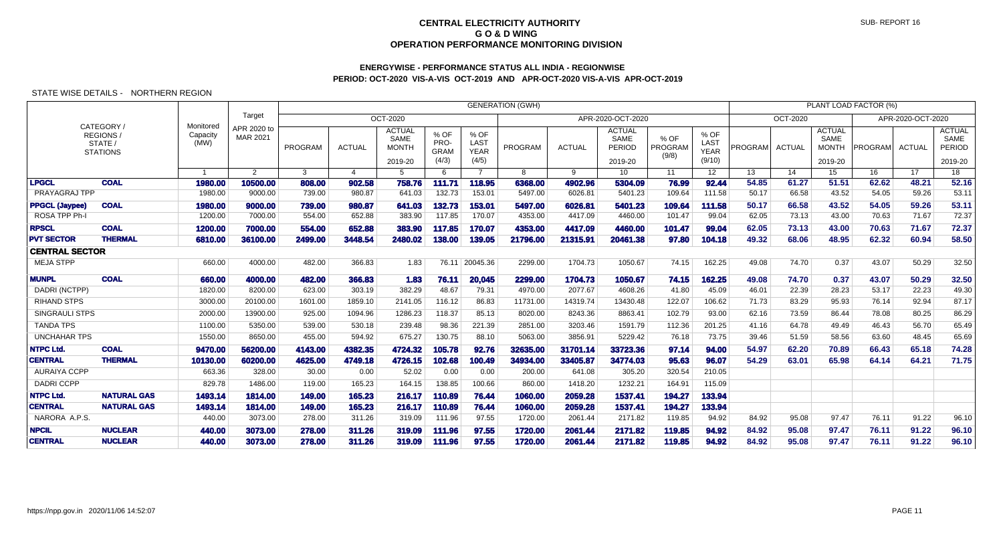## **ENERGYWISE - PERFORMANCE STATUS ALL INDIA - REGIONWISEPERIOD: OCT-2020 VIS-A-VIS OCT-2019 AND APR-OCT-2020 VIS-A-VIS APR-OCT-2019**

|                       |                                                     |                               |                         |         |               |                                                         |                                      |                                      | <b>GENERATION (GWH)</b> |               |                                            |                          |                                       |                |                 |                                                  | PLANT LOAD FACTOR (%) |                   |                                                   |
|-----------------------|-----------------------------------------------------|-------------------------------|-------------------------|---------|---------------|---------------------------------------------------------|--------------------------------------|--------------------------------------|-------------------------|---------------|--------------------------------------------|--------------------------|---------------------------------------|----------------|-----------------|--------------------------------------------------|-----------------------|-------------------|---------------------------------------------------|
|                       |                                                     |                               | Target                  |         |               | <b>OCT-2020</b>                                         |                                      |                                      |                         |               | APR-2020-OCT-2020                          |                          |                                       |                | <b>OCT-2020</b> |                                                  |                       | APR-2020-OCT-2020 |                                                   |
|                       | CATEGORY /<br>REGIONS<br>STATE /<br><b>STATIONS</b> | Monitored<br>Capacity<br>(MW) | APR 2020 to<br>MAR 2021 | PROGRAM | <b>ACTUAL</b> | <b>ACTUAL</b><br><b>SAME</b><br><b>MONTH</b><br>2019-20 | % OF<br>PRO-<br><b>GRAM</b><br>(4/3) | % OF<br>LAST<br><b>YEAR</b><br>(4/5) | PROGRAM                 | <b>ACTUAL</b> | <b>ACTUAL</b><br>SAME<br>PERIOD<br>2019-20 | % OF<br>PROGRAM<br>(9/8) | % OF<br>LAST<br><b>YEAR</b><br>(9/10) | <b>PROGRAM</b> | <b>ACTUAL</b>   | <b>ACTUAL</b><br>SAME<br><b>MONTH</b><br>2019-20 | PROGRAM               | ACTUAL            | <b>ACTUAL</b><br>SAME<br><b>PERIOD</b><br>2019-20 |
|                       |                                                     |                               | $\mathbf{2}^{\circ}$    | 3       | 4             | -5                                                      | 6                                    |                                      | 8                       | 9             | 10                                         | 11                       | 12 <sup>2</sup>                       | 13             | 14              | 15                                               | 16                    | 17                | 18                                                |
| <b>LPGCL</b>          | <b>COAL</b>                                         | 1980.00                       | 10500.00                | 808.00  | 902.58        | 758.76                                                  | 111.71                               | 118.95                               | 6368.00                 | 4902.96       | 5304.09                                    | 76.99                    | 92.44                                 | 54.85          | 61.27           | 51.51                                            | 62.62                 | 48.21             | 52.16                                             |
| PRAYAGRAJ TPP         |                                                     | 1980.00                       | 9000.00                 | 739.00  | 980.87        | 641.03                                                  | 132.73                               | 153.01                               | 5497.00                 | 6026.81       | 5401.23                                    | 109.64                   | 111.58                                | 50.17          | 66.58           | 43.52                                            | 54.05                 | 59.26             | 53.11                                             |
| <b>PPGCL (Jaypee)</b> | <b>COAL</b>                                         | 1980.00                       | 9000.00                 | 739.00  | 980.87        | 641.03                                                  | 132.73                               | 153.01                               | 5497.00                 | 6026.81       | 5401.23                                    | 109.64                   | 111.58                                | 50.17          | 66.58           | 43.52                                            | 54.05                 | 59.26             | 53.11                                             |
| ROSA TPP Ph-I         |                                                     | 1200.00                       | 7000.00                 | 554.00  | 652.88        | 383.90                                                  | 117.85                               | 170.07                               | 4353.00                 | 4417.09       | 4460.00                                    | 101.47                   | 99.04                                 | 62.05          | 73.13           | 43.00                                            | 70.63                 | 71.67             | 72.37                                             |
| <b>RPSCL</b>          | <b>COAL</b>                                         | 1200.00                       | 7000.00                 | 554.00  | 652.88        | 383.90                                                  | 117.85                               | 170.07                               | 4353.00                 | 4417.09       | 4460.00                                    | 101.47                   | 99.04                                 | 62.05          | 73.13           | 43.00                                            | 70.63                 | 71.67             | 72.37                                             |
| <b>PVT SECTOR</b>     | <b>THERMAL</b>                                      | 6810.00                       | 36100.00                | 2499.00 | 3448.54       | 2480.02                                                 | 138.00                               | 139.05                               | 21796.00                | 21315.91      | 20461.38                                   | 97.80                    | 104.18                                | 49.32          | 68.06           | 48.95                                            | 62.32                 | 60.94             | 58.50                                             |
| <b>CENTRAL SECTOR</b> |                                                     |                               |                         |         |               |                                                         |                                      |                                      |                         |               |                                            |                          |                                       |                |                 |                                                  |                       |                   |                                                   |
| <b>MEJA STPP</b>      |                                                     | 660.00                        | 4000.00                 | 482.00  | 366.83        | 1.83                                                    | 76.11                                | 20045.36                             | 2299.00                 | 1704.73       | 1050.67                                    | 74.15                    | 162.25                                | 49.08          | 74.70           | 0.37                                             | 43.07                 | 50.29             | 32.50                                             |
| <b>MUNPL</b>          | <b>COAL</b>                                         | 660.00                        | 4000.00                 | 482.00  | 366,83        | 1.83                                                    | 76.11                                | 20,045                               | 2299.00                 | 1704.73       | 1050.67                                    | 74.15                    | 162.25                                | 49.08          | 74.70           | 0.37                                             | 43.07                 | 50.29             | 32.50                                             |
| DADRI (NCTPP)         |                                                     | 1820.00                       | 8200.00                 | 623.00  | 303.19        | 382.29                                                  | 48.67                                | 79.31                                | 4970.00                 | 2077.67       | 4608.26                                    | 41.80                    | 45.09                                 | 46.01          | 22.39           | 28.23                                            | 53.17                 | 22.23             | 49.30                                             |
| <b>RIHAND STPS</b>    |                                                     | 3000.00                       | 20100.00                | 1601.00 | 1859.10       | 2141.05                                                 | 116.12                               | 86.83                                | 11731.00                | 14319.74      | 13430.48                                   | 122.07                   | 106.62                                | 71.73          | 83.29           | 95.93                                            | 76.14                 | 92.94             | 87.17                                             |
| <b>SINGRAULI STPS</b> |                                                     | 2000.00                       | 13900.00                | 925.00  | 1094.96       | 1286.23                                                 | 118.37                               | 85.13                                | 8020.00                 | 8243.36       | 8863.41                                    | 102.79                   | 93.00                                 | 62.16          | 73.59           | 86.44                                            | 78.08                 | 80.25             | 86.29                                             |
| <b>TANDA TPS</b>      |                                                     | 1100.00                       | 5350.00                 | 539.00  | 530.18        | 239.48                                                  | 98.36                                | 221.39                               | 2851.00                 | 3203.46       | 1591.79                                    | 112.36                   | 201.25                                | 41.16          | 64.78           | 49.49                                            | 46.43                 | 56.70             | 65.49                                             |
| <b>UNCHAHAR TPS</b>   |                                                     | 1550.00                       | 8650.00                 | 455.00  | 594.92        | 675.27                                                  | 130.75                               | 88.10                                | 5063.00                 | 3856.91       | 5229.42                                    | 76.18                    | 73.75                                 | 39.46          | 51.59           | 58.56                                            | 63.60                 | 48.45             | 65.69                                             |
| <b>NTPC Ltd.</b>      | <b>COAL</b>                                         | 9470.00                       | 56200.00                | 4143.00 | 4382.35       | 4724.32                                                 | 105.78                               | 92.76                                | 32635.00                | 31701.14      | 33723.36                                   | 97.14                    | 94.00                                 | 54.97          | 62.20           | 70.89                                            | 66.43                 | 65.18             | 74.28                                             |
| <b>CENTRAL</b>        | <b>THERMAL</b>                                      | 10130.00                      | 60200.00                | 4625.00 | 4749.18       | 4726.15                                                 | 102.68                               | 100.49                               | 34934.00                | 33405.87      | 34774.03                                   | 95.63                    | 96.07                                 | 54.29          | 63.01           | 65.98                                            | 64.14                 | 64.21             | 71.75                                             |
| <b>AURAIYA CCPP</b>   |                                                     | 663.36                        | 328.00                  | 30.00   | 0.00          | 52.02                                                   | 0.00                                 | 0.00                                 | 200.00                  | 641.08        | 305.20                                     | 320.54                   | 210.05                                |                |                 |                                                  |                       |                   |                                                   |
| <b>DADRI CCPP</b>     |                                                     | 829.78                        | 1486.00                 | 119.00  | 165.23        | 164.15                                                  | 138.85                               | 100.66                               | 860.00                  | 1418.20       | 1232.21                                    | 164.91                   | 115.09                                |                |                 |                                                  |                       |                   |                                                   |
| <b>NTPC Ltd.</b>      | <b>NATURAL GAS</b>                                  | 1493.14                       | 1814.00                 | 149.00  | 165.23        | 216.17                                                  | 110.89                               | 76.44                                | 1060.00                 | 2059.28       | 1537.41                                    | 194.27                   | 133.94                                |                |                 |                                                  |                       |                   |                                                   |
| <b>CENTRAL</b>        | <b>NATURAL GAS</b>                                  | 1493.14                       | 1814.00                 | 149.00  | 165.23        | 216.17                                                  | 110.89                               | 76.44                                | 1060.00                 | 2059.28       | 1537.41                                    | 194.27                   | 133.94                                |                |                 |                                                  |                       |                   |                                                   |
| NARORA A.P.S.         |                                                     | 440.00                        | 3073.00                 | 278.00  | 311.26        | 319.09                                                  | 111.96                               | 97.55                                | 1720.00                 | 2061.44       | 2171.82                                    | 119.85                   | 94.92                                 | 84.92          | 95.08           | 97.47                                            | 76.11                 | 91.22             | 96.10                                             |
| <b>NPCIL</b>          | <b>NUCLEAR</b>                                      | 440.00                        | 3073,00                 | 278,00  | 311.26        | 319.09                                                  | 111.96                               | 97.55                                | 1720.00                 | 2061.44       | 2171.82                                    | 119.85                   | 94.92                                 | 84.92          | 95.08           | 97.47                                            | 76.11                 | 91.22             | 96.10                                             |
| <b>CENTRAL</b>        | <b>NUCLEAR</b>                                      | 440.00                        | 3073.00                 | 278.00  | 311.26        | 319.09                                                  | 111.96                               | 97.55                                | 1720.00                 | 2061.44       | 2171.82                                    | 119.85                   | 94.92                                 | 84.92          | 95.08           | 97.47                                            | 76.11                 | 91.22             | 96.10                                             |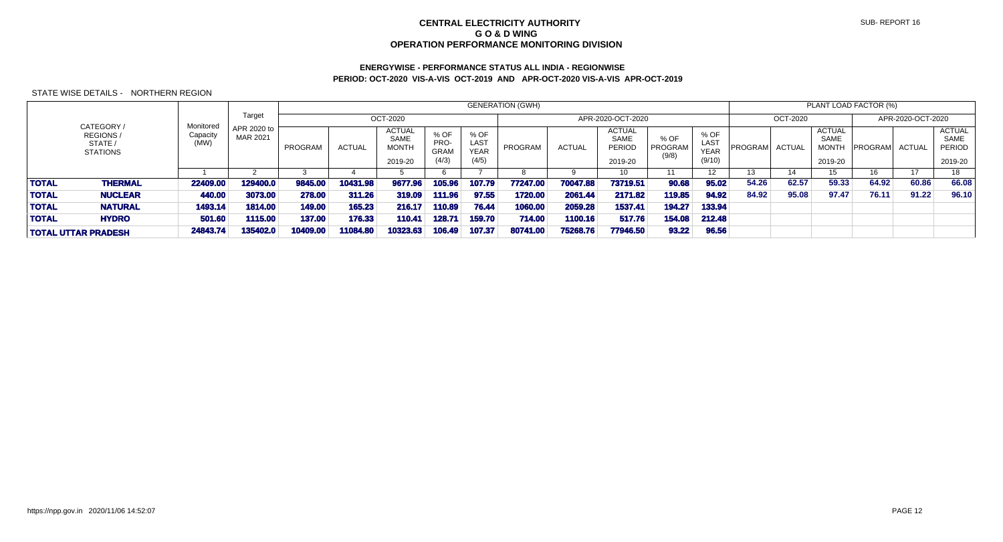# **ENERGYWISE - PERFORMANCE STATUS ALL INDIA - REGIONWISEPERIOD: OCT-2020 VIS-A-VIS OCT-2019 AND APR-OCT-2020 VIS-A-VIS APR-OCT-2019**

|              |                                                             |                               |                         |          |               |                                                         |                                      |                                             | <b>GENERATION (GWH)</b> |               |                                                          |                          |                                       |         |               | PLANT LOAD FACTOR (%)                                   |                |                   |                                                          |
|--------------|-------------------------------------------------------------|-------------------------------|-------------------------|----------|---------------|---------------------------------------------------------|--------------------------------------|---------------------------------------------|-------------------------|---------------|----------------------------------------------------------|--------------------------|---------------------------------------|---------|---------------|---------------------------------------------------------|----------------|-------------------|----------------------------------------------------------|
|              |                                                             |                               | Target                  |          |               | OCT-2020                                                |                                      |                                             |                         |               | APR-2020-OCT-2020                                        |                          |                                       |         | OCT-2020      |                                                         |                | APR-2020-OCT-2020 |                                                          |
|              | CATEGORY /<br><b>REGIONS/</b><br>STATE /<br><b>STATIONS</b> | Monitored<br>Capacity<br>(MW) | APR 2020 to<br>MAR 2021 | PROGRAM  | <b>ACTUAL</b> | <b>ACTUAL</b><br><b>SAME</b><br><b>MONTH</b><br>2019-20 | % OF<br>PRO-<br><b>GRAM</b><br>(4/3) | % OF<br><b>LAST</b><br><b>YEAR</b><br>(4/5) | PROGRAM                 | <b>ACTUAL</b> | <b>ACTUAL</b><br><b>SAME</b><br><b>PERIOD</b><br>2019-20 | % OF<br>PROGRAM<br>(9/8) | % OF<br>LAST<br><b>YEAR</b><br>(9/10) | PROGRAM | <b>ACTUAL</b> | <b>ACTUAL</b><br><b>SAME</b><br><b>MONTH</b><br>2019-20 | <b>PROGRAM</b> | ACTUAL            | <b>ACTUAL</b><br><b>SAME</b><br><b>PERIOD</b><br>2019-20 |
|              |                                                             |                               |                         |          |               |                                                         |                                      |                                             |                         |               | 10                                                       |                          | 12 <sup>2</sup>                       | 13      | 14            | 15.                                                     | 16             | 17                | 18                                                       |
| <b>TOTAL</b> | <b>THERMAL</b>                                              | 22409.00                      | 129400.0                | 9845.00  | 10431.98      | 9677.96                                                 | 105.96                               | 107.79                                      | 77247.00                | 70047.88      | 73719.51                                                 | 90.68                    | 95.02                                 | 54.26   | 62.57         | 59.33                                                   | 64.92          | 60.86             | 66.08                                                    |
| <b>TOTAL</b> | <b>NUCLEAR</b>                                              | 440.00                        | 3073.00                 | 278,00   | 311.26        | 319.09                                                  | 111.96                               | 97.55                                       | 1720.00                 | 2061.44       | 2171.82                                                  | 119.85                   | 94.92                                 | 84.92   | 95.08         | 97.47                                                   | 76.11          | 91.22             | 96.10                                                    |
| <b>TOTAL</b> | <b>NATURAL</b>                                              | 1493.14                       | 1814.00                 | 149.00   | 165.23        | 216.17                                                  | 110.89                               | 76.44                                       | 1060.00                 | 2059.28       | 1537.41                                                  | 194.27                   | 133.94                                |         |               |                                                         |                |                   |                                                          |
| <b>TOTAL</b> | <b>HYDRO</b>                                                | 501.60                        | 1115.00                 | 137.00   | 176.33        | 110.41                                                  | 128.71                               | 159.70                                      | 714.00                  | 1100.16       | 517.76                                                   | 154.08                   | 212.48                                |         |               |                                                         |                |                   |                                                          |
|              | <b>TOTAL UTTAR PRADESH</b>                                  | 24843.74                      | 135402.0                | 10409.00 | 11084.80      | 10323.63                                                | 106.49                               | 107.37                                      | 80741.00                | 75268.76      | 77946.50                                                 | 93.22                    | 96.56                                 |         |               |                                                         |                |                   |                                                          |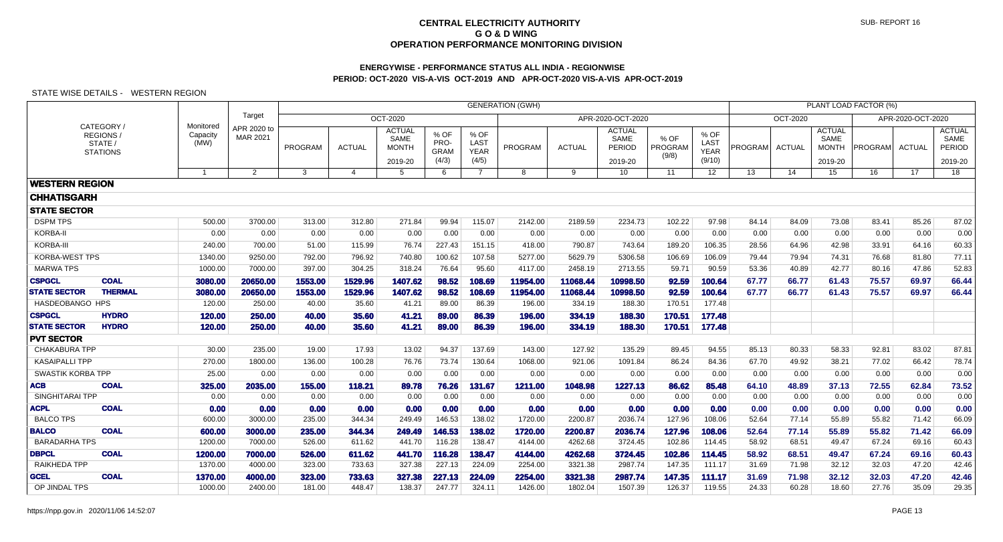# **ENERGYWISE - PERFORMANCE STATUS ALL INDIA - REGIONWISEPERIOD: OCT-2020 VIS-A-VIS OCT-2019 AND APR-OCT-2020 VIS-A-VIS APR-OCT-2019**

|                       |                                                     |                               |                         |                |                |                                                  |                                      |                                      | <b>GENERATION (GWH)</b> |               |                                                   |                                 |                                       |                |               |                                                  | PLANT LOAD FACTOR (%) |                   |                                            |
|-----------------------|-----------------------------------------------------|-------------------------------|-------------------------|----------------|----------------|--------------------------------------------------|--------------------------------------|--------------------------------------|-------------------------|---------------|---------------------------------------------------|---------------------------------|---------------------------------------|----------------|---------------|--------------------------------------------------|-----------------------|-------------------|--------------------------------------------|
|                       |                                                     |                               | Target                  |                |                | OCT-2020                                         |                                      |                                      |                         |               | APR-2020-OCT-2020                                 |                                 |                                       |                | OCT-2020      |                                                  |                       | APR-2020-OCT-2020 |                                            |
|                       | CATEGORY/<br>REGIONS/<br>STATE /<br><b>STATIONS</b> | Monitored<br>Capacity<br>(MW) | APR 2020 to<br>MAR 2021 | <b>PROGRAM</b> | <b>ACTUAL</b>  | <b>ACTUAL</b><br>SAME<br><b>MONTH</b><br>2019-20 | % OF<br>PRO-<br><b>GRAM</b><br>(4/3) | % OF<br>LAST<br><b>YEAR</b><br>(4/5) | PROGRAM                 | <b>ACTUAL</b> | <b>ACTUAL</b><br><b>SAME</b><br>PERIOD<br>2019-20 | % OF<br><b>PROGRAM</b><br>(9/8) | % OF<br>LAST<br><b>YEAR</b><br>(9/10) | <b>PROGRAM</b> | <b>ACTUAL</b> | <b>ACTUAL</b><br>SAME<br><b>MONTH</b><br>2019-20 | <b>PROGRAM</b>        | <b>ACTUAL</b>     | <b>ACTUAL</b><br>SAME<br>PERIOD<br>2019-20 |
|                       |                                                     | -1                            | $\overline{2}$          | 3              | $\overline{4}$ | 5                                                | 6                                    | $\overline{7}$                       | 8                       | 9             | 10                                                | 11                              | $12 \overline{ }$                     | 13             | 14            | 15                                               | 16                    | 17                | 18                                         |
| <b>WESTERN REGION</b> |                                                     |                               |                         |                |                |                                                  |                                      |                                      |                         |               |                                                   |                                 |                                       |                |               |                                                  |                       |                   |                                            |
| <b>CHHATISGARH</b>    |                                                     |                               |                         |                |                |                                                  |                                      |                                      |                         |               |                                                   |                                 |                                       |                |               |                                                  |                       |                   |                                            |
| <b>STATE SECTOR</b>   |                                                     |                               |                         |                |                |                                                  |                                      |                                      |                         |               |                                                   |                                 |                                       |                |               |                                                  |                       |                   |                                            |
| <b>DSPM TPS</b>       |                                                     | 500.00                        | 3700.00                 | 313.00         | 312.80         | 271.84                                           | 99.94                                | 115.07                               | 2142.00                 | 2189.59       | 2234.73                                           | 102.22                          | 97.98                                 | 84.14          | 84.09         | 73.08                                            | 83.41                 | 85.26             | 87.02                                      |
| KORBA-II              |                                                     | 0.00                          | 0.00                    | 0.00           | 0.00           | 0.00                                             | 0.00                                 | 0.00                                 | 0.00                    | 0.00          | 0.00                                              | 0.00                            | 0.00                                  | 0.00           | 0.00          | 0.00                                             | 0.00                  | 0.00              | 0.00                                       |
| KORBA-III             |                                                     | 240.00                        | 700.00                  | 51.00          | 115.99         | 76.74                                            | 227.43                               | 151.15                               | 418.00                  | 790.87        | 743.64                                            | 189.20                          | 106.35                                | 28.56          | 64.96         | 42.98                                            | 33.91                 | 64.16             | 60.33                                      |
| <b>KORBA-WEST TPS</b> |                                                     | 1340.00                       | 9250.00                 | 792.00         | 796.92         | 740.80                                           | 100.62                               | 107.58                               | 5277.00                 | 5629.79       | 5306.58                                           | 106.69                          | 106.09                                | 79.44          | 79.94         | 74.31                                            | 76.68                 | 81.80             | 77.11                                      |
| <b>MARWA TPS</b>      |                                                     | 1000.00                       | 7000.00                 | 397.00         | 304.25         | 318.24                                           | 76.64                                | 95.60                                | 4117.00                 | 2458.19       | 2713.55                                           | 59.71                           | 90.59                                 | 53.36          | 40.89         | 42.77                                            | 80.16                 | 47.86             | 52.83                                      |
| <b>CSPGCL</b>         | <b>COAL</b>                                         | 3080.00                       | 20650.00                | 1553.00        | 1529.96        | 1407.62                                          | 98.52                                | 108.69                               | 11954.00                | 11068.44      | 10998.50                                          | 92.59                           | 100.64                                | 67.77          | 66.77         | 61.43                                            | 75.57                 | 69.97             | 66.44                                      |
| <b>STATE SECTOR</b>   | <b>THERMAL</b>                                      | 3080.00                       | 20650.00                | 1553.00        | 1529.96        | 1407.62                                          | 98.52                                | 108.69                               | 11954.00                | 11068.44      | 10998.50                                          | 92.59                           | 100.64                                | 67.77          | 66.77         | 61.43                                            | 75.57                 | 69.97             | 66.44                                      |
| HASDEOBANGO HPS       |                                                     | 120.00                        | 250.00                  | 40.00          | 35.60          | 41.21                                            | 89.00                                | 86.39                                | 196.00                  | 334.19        | 188.30                                            | 170.51                          | 177.48                                |                |               |                                                  |                       |                   |                                            |
| <b>CSPGCL</b>         | <b>HYDRO</b>                                        | 120.00                        | 250.00                  | 40.00          | 35.60          | 41.21                                            | 89.00                                | 86.39                                | 196.00                  | 334.19        | 188.30                                            | 170.51                          | 177.48                                |                |               |                                                  |                       |                   |                                            |
| <b>STATE SECTOR</b>   | <b>HYDRO</b>                                        | 120.00                        | 250.00                  | 40.00          | 35.60          | 41.21                                            | 89.00                                | 86.39                                | 196.00                  | 334.19        | 188.30                                            | 170.51                          | 177.48                                |                |               |                                                  |                       |                   |                                            |
| <b>PVT SECTOR</b>     |                                                     |                               |                         |                |                |                                                  |                                      |                                      |                         |               |                                                   |                                 |                                       |                |               |                                                  |                       |                   |                                            |
| <b>CHAKABURA TPP</b>  |                                                     | 30.00                         | 235.00                  | 19.00          | 17.93          | 13.02                                            | 94.37                                | 137.69                               | 143.00                  | 127.92        | 135.29                                            | 89.45                           | 94.55                                 | 85.13          | 80.33         | 58.33                                            | 92.81                 | 83.02             | 87.81                                      |
| <b>KASAIPALLI TPP</b> |                                                     | 270.00                        | 1800.00                 | 136.00         | 100.28         | 76.76                                            | 73.74                                | 130.64                               | 1068.00                 | 921.06        | 1091.84                                           | 86.24                           | 84.36                                 | 67.70          | 49.92         | 38.21                                            | 77.02                 | 66.42             | 78.74                                      |
| SWASTIK KORBA TPP     |                                                     | 25.00                         | 0.00                    | 0.00           | 0.00           | 0.00                                             | 0.00                                 | 0.00                                 | 0.00                    | 0.00          | 0.00                                              | 0.00                            | 0.00                                  | 0.00           | 0.00          | 0.00                                             | 0.00                  | 0.00              | 0.00                                       |
| <b>ACB</b>            | <b>COAL</b>                                         | 325.00                        | 2035.00                 | 155.00         | 118.21         | 89.78                                            | 76.26                                | 131.67                               | 1211.00                 | 1048.98       | 1227.13                                           | 86.62                           | 85.48                                 | 64.10          | 48.89         | 37.13                                            | 72.55                 | 62.84             | 73.52                                      |
| SINGHITARAI TPP       |                                                     | 0.00                          | 0.00                    | 0.00           | 0.00           | 0.00                                             | 0.00                                 | 0.00                                 | 0.00                    | 0.00          | 0.00                                              | 0.00                            | 0.00                                  | 0.00           | 0.00          | 0.00                                             | 0.00                  | 0.00              | 0.00                                       |
| <b>ACPL</b>           | <b>COAL</b>                                         | 0.00                          | 0.00                    | 0.00           | 0.00           | 0.00                                             | 0.00                                 | 0.00                                 | 0.00                    | 0.00          | 0.00                                              | 0.00                            | 0.00                                  | 0.00           | 0.00          | 0.00                                             | 0.00                  | 0.00              | 0.00                                       |
| <b>BALCO TPS</b>      |                                                     | 600.00                        | 3000.00                 | 235.00         | 344.34         | 249.49                                           | 146.53                               | 138.02                               | 1720.00                 | 2200.87       | 2036.74                                           | 127.96                          | 108.06                                | 52.64          | 77.14         | 55.89                                            | 55.82                 | 71.42             | 66.09                                      |
| <b>BALCO</b>          | <b>COAL</b>                                         | 600.00                        | 3000.00                 | 235.00         | 344.34         | 249.49                                           | 146.53                               | 138.02                               | 1720.00                 | 2200.87       | 2036.74                                           | 127.96                          | 108.06                                | 52.64          | 77.14         | 55.89                                            | 55.82                 | 71.42             | 66.09                                      |
| <b>BARADARHA TPS</b>  |                                                     | 1200.00                       | 7000.00                 | 526.00         | 611.62         | 441.70                                           | 116.28                               | 138.47                               | 4144.00                 | 4262.68       | 3724.45                                           | 102.86                          | 114.45                                | 58.92          | 68.51         | 49.47                                            | 67.24                 | 69.16             | 60.43                                      |
| <b>DBPCL</b>          | <b>COAL</b>                                         | 1200.00                       | 7000.00                 | 526.00         | 611.62         | 441.70                                           | 116.28                               | 138.47                               | 4144.00                 | 4262.68       | 3724.45                                           | 102.86                          | 114.45                                | 58.92          | 68.51         | 49.47                                            | 67.24                 | 69.16             | 60.43                                      |
| RAIKHEDA TPP          |                                                     | 1370.00                       | 4000.00                 | 323.00         | 733.63         | 327.38                                           | 227.13                               | 224.09                               | 2254.00                 | 3321.38       | 2987.74                                           | 147.35                          | 111.17                                | 31.69          | 71.98         | 32.12                                            | 32.03                 | 47.20             | 42.46                                      |
| <b>GCEL</b>           | <b>COAL</b>                                         | 1370.00                       | 4000.00                 | 323.00         | 733.63         | 327.38                                           | 227.13                               | 224.09                               | 2254.00                 | 3321.38       | 2987.74                                           | 147.35                          | 111.17                                | 31.69          | 71.98         | 32.12                                            | 32.03                 | 47.20             | 42.46                                      |
| OP JINDAL TPS         |                                                     | 1000.00                       | 2400.00                 | 181.00         | 448.47         | 138.37                                           | 247.77                               | 324.11                               | 1426.00                 | 1802.04       | 1507.39                                           | 126.37                          | 119.55                                | 24.33          | 60.28         | 18.60                                            | 27.76                 | 35.09             | 29.35                                      |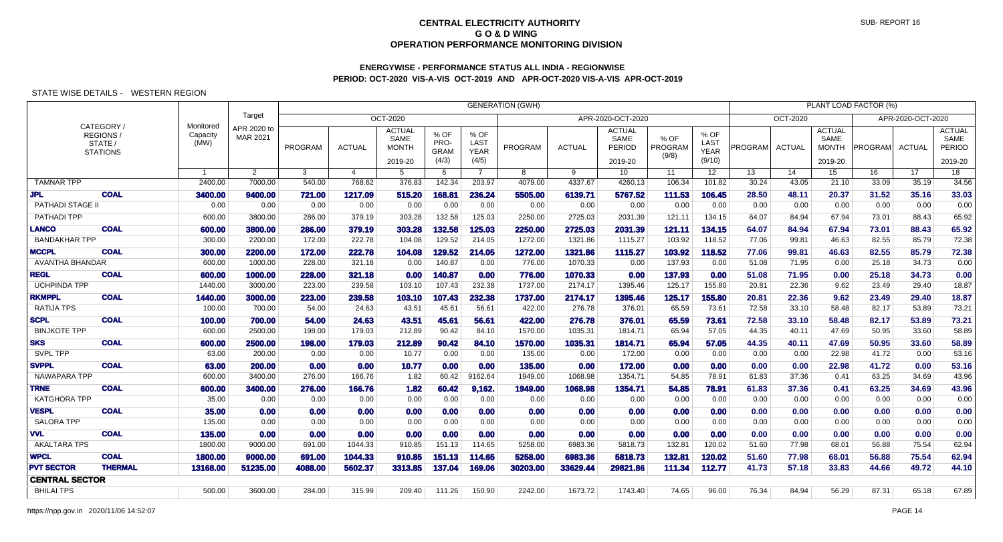# **ENERGYWISE - PERFORMANCE STATUS ALL INDIA - REGIONWISEPERIOD: OCT-2020 VIS-A-VIS OCT-2019 AND APR-OCT-2020 VIS-A-VIS APR-OCT-2019**

|                         |                                                     |                               |                         | <b>GENERATION (GWH)</b><br>PLANT LOAD FACTOR (%) |                |                                                  |                                      |                                      |          |               |                                                   |                          |                                       |         |                 |                                                  |                |                   |                                            |
|-------------------------|-----------------------------------------------------|-------------------------------|-------------------------|--------------------------------------------------|----------------|--------------------------------------------------|--------------------------------------|--------------------------------------|----------|---------------|---------------------------------------------------|--------------------------|---------------------------------------|---------|-----------------|--------------------------------------------------|----------------|-------------------|--------------------------------------------|
|                         |                                                     |                               | Target                  | <b>OCT-2020</b><br>APR-2020-OCT-2020             |                |                                                  |                                      |                                      |          |               |                                                   |                          |                                       |         | <b>OCT-2020</b> |                                                  |                | APR-2020-OCT-2020 |                                            |
|                         | CATEGORY /<br>REGIONS<br>STATE /<br><b>STATIONS</b> | Monitored<br>Capacity<br>(MW) | APR 2020 to<br>MAR 2021 | PROGRAM                                          | <b>ACTUAL</b>  | <b>ACTUAL</b><br>SAME<br><b>MONTH</b><br>2019-20 | % OF<br>PRO-<br><b>GRAM</b><br>(4/3) | % OF<br>LAST<br><b>YEAR</b><br>(4/5) | PROGRAM  | <b>ACTUAL</b> | <b>ACTUAL</b><br>SAME<br><b>PERIOD</b><br>2019-20 | % OF<br>PROGRAM<br>(9/8) | % OF<br>LAST<br><b>YEAR</b><br>(9/10) | PROGRAM | <b>ACTUAL</b>   | <b>ACTUAL</b><br>SAME<br><b>MONTH</b><br>2019-20 | <b>PROGRAM</b> | <b>ACTUAL</b>     | <b>ACTUAL</b><br>SAME<br>PERIOD<br>2019-20 |
|                         |                                                     | $\overline{1}$                | $\overline{2}$          | 3                                                | $\overline{4}$ | $5^{\circ}$                                      | 6                                    | $\overline{7}$                       | 8        | 9             | 10 <sup>°</sup>                                   | 11                       | 12 <sup>2</sup>                       | 13      | 14              | 15                                               | 16             | 17                | 18                                         |
| <b>TAMNAR TPP</b>       |                                                     | 2400.00                       | 7000.00                 | 540.00                                           | 768.62         | 376.83                                           | 142.34                               | 203.97                               | 4079.00  | 4337.67       | 4260.13                                           | 106.34                   | 101.82                                | 30.24   | 43.05           | 21.10                                            | 33.09          | 35.19             | 34.56                                      |
| <b>JPL</b>              | <b>COAL</b>                                         | 3400.00                       | 9400.00                 | 721.00                                           | 1217.09        | 515.20                                           | 168.81                               | 236.24                               | 5505.00  | 6139.71       | 5767.52                                           | 111.53                   | 106.45                                | 28.50   | 48.11           | 20.37                                            | 31.52          | 35.16             | 33.03                                      |
| <b>PATHADI STAGE II</b> |                                                     | 0.00                          | 0.00                    | 0.00                                             | 0.00           | 0.00                                             | 0.00                                 | 0.00                                 | 0.00     | 0.00          | 0.00                                              | 0.00                     | 0.00                                  | 0.00    | 0.00            | 0.00                                             | 0.00           | 0.00              | 0.00                                       |
| PATHADI TPP             |                                                     | 600.00                        | 3800.00                 | 286.00                                           | 379.19         | 303.28                                           | 132.58                               | 125.03                               | 2250.00  | 2725.03       | 2031.39                                           | 121.11                   | 134.15                                | 64.07   | 84.94           | 67.94                                            | 73.01          | 88.43             | 65.92                                      |
| <b>LANCO</b>            | <b>COAL</b>                                         | 600.00                        | 3800.00                 | 286.00                                           | 379.19         | 303.28                                           | 132.58                               | 125.03                               | 2250.00  | 2725.03       | 2031.39                                           | 121.11                   | 134.15                                | 64.07   | 84.94           | 67.94                                            | 73.01          | 88.43             | 65.92                                      |
| <b>BANDAKHAR TPP</b>    |                                                     | 300.00                        | 2200.00                 | 172.00                                           | 222.78         | 104.08                                           | 129.52                               | 214.05                               | 1272.00  | 1321.86       | 1115.27                                           | 103.92                   | 118.52                                | 77.06   | 99.81           | 46.63                                            | 82.55          | 85.79             | 72.38                                      |
| <b>MCCPL</b>            | <b>COAL</b>                                         | 300.00                        | 2200.00                 | 172.00                                           | 222.78         | 104.08                                           | 129.52                               | 214.05                               | 1272.00  | 1321.86       | 1115.27                                           | 103.92                   | 118.52                                | 77.06   | 99.81           | 46.63                                            | 82.55          | 85.79             | 72.38                                      |
| AVANTHA BHANDAR         |                                                     | 600.00                        | 1000.00                 | 228.00                                           | 321.18         | 0.00                                             | 140.87                               | 0.00                                 | 776.00   | 1070.33       | 0.00                                              | 137.93                   | 0.00                                  | 51.08   | 71.95           | 0.00                                             | 25.18          | 34.73             | 0.00                                       |
| <b>REGL</b>             | <b>COAL</b>                                         | 600.00                        | 1000.00                 | 228.00                                           | 321.18         | 0.00                                             | 140.87                               | 0.00                                 | 776.00   | 1070.33       | 0.00                                              | 137.93                   | 0.00                                  | 51.08   | 71.95           | 0.00                                             | 25.18          | 34.73             | 0.00                                       |
| <b>UCHPINDA TPP</b>     |                                                     | 1440.00                       | 3000.00                 | 223.00                                           | 239.58         | 103.10                                           | 107.43                               | 232.38                               | 1737.00  | 2174.17       | 1395.46                                           | 125.17                   | 155.80                                | 20.81   | 22.36           | 9.62                                             | 23.49          | 29.40             | 18.87                                      |
| <b>RKMPPL</b>           | <b>COAL</b>                                         | 1440.00                       | 3000.00                 | 223.00                                           | 239.58         | 103.10                                           | 107.43                               | 232.38                               | 1737.00  | 2174.17       | 1395.46                                           | 125.17                   | 155.80                                | 20.81   | 22.36           | 9.62                                             | 23.49          | 29.40             | 18.87                                      |
| <b>RATIJA TPS</b>       |                                                     | 100.00                        | 700.00                  | 54.00                                            | 24.63          | 43.51                                            | 45.61                                | 56.61                                | 422.00   | 276.78        | 376.01                                            | 65.59                    | 73.61                                 | 72.58   | 33.10           | 58.48                                            | 82.17          | 53.89             | 73.21                                      |
| <b>SCPL</b>             | <b>COAL</b>                                         | 100.00                        | 700.00                  | 54.00                                            | 24.63          | 43.51                                            | 45.61                                | 56.61                                | 422.00   | 276.78        | 376.01                                            | 65.59                    | 73.61                                 | 72.58   | 33.10           | 58.48                                            | 82.17          | 53.89             | 73.21                                      |
| <b>BINJKOTE TPP</b>     |                                                     | 600.00                        | 2500.00                 | 198.00                                           | 179.03         | 212.89                                           | 90.42                                | 84.10                                | 1570.00  | 1035.31       | 1814.71                                           | 65.94                    | 57.05                                 | 44.35   | 40.11           | 47.69                                            | 50.95          | 33.60             | 58.89                                      |
| <b>SKS</b>              | <b>COAL</b>                                         | 600.00                        | 2500.00                 | 198,00                                           | 179.03         | 212.89                                           | 90.42                                | 84.10                                | 1570.00  | 1035.31       | 1814.71                                           | 65.94                    | 57.05                                 | 44.35   | 40.11           | 47.69                                            | 50.95          | 33.60             | 58.89                                      |
| <b>SVPL TPP</b>         |                                                     | 63.00                         | 200.00                  | 0.00                                             | 0.00           | 10.77                                            | 0.00                                 | 0.00                                 | 135.00   | 0.00          | 172.00                                            | 0.00                     | 0.00                                  | 0.00    | 0.00            | 22.98                                            | 41.72          | 0.00              | 53.16                                      |
| <b>SVPPL</b>            | <b>COAL</b>                                         | 63.00                         | 200.00                  | 0.00                                             | 0.00           | 10.77                                            | 0.00                                 | 0.00                                 | 135.00   | 0.00          | 172.00                                            | 0.00                     | 0.00                                  | 0.00    | 0.00            | 22.98                                            | 41.72          | 0.00              | 53.16                                      |
| NAWAPARA TPP            |                                                     | 600.00                        | 3400.00                 | 276.00                                           | 166.76         | 1.82                                             | 60.42                                | 9162.64                              | 1949.00  | 1068.98       | 1354.71                                           | 54.85                    | 78.91                                 | 61.83   | 37.36           | 0.41                                             | 63.25          | 34.69             | 43.96                                      |
| <b>TRNE</b>             | <b>COAL</b>                                         | 600.00                        | 3400.00                 | 276.00                                           | 166.76         | 1.82                                             | 60.42                                | 9,162.                               | 1949.00  | 1068.98       | 1354.71                                           | 54.85                    | 78.91                                 | 61.83   | 37.36           | 0.41                                             | 63.25          | 34.69             | 43.96                                      |
| <b>KATGHORA TPP</b>     |                                                     | 35.00                         | 0.00                    | 0.00                                             | 0.00           | 0.00                                             | 0.00                                 | 0.00                                 | 0.00     | 0.00          | 0.00                                              | 0.00                     | 0.00                                  | 0.00    | 0.00            | 0.00                                             | 0.00           | 0.00              | 0.00                                       |
| <b>VESPL</b>            | <b>COAL</b>                                         | 35.00                         | 0.00                    | 0.00                                             | 0.00           | 0.00                                             | 0.00                                 | 0.00                                 | 0.00     | 0.00          | 0.00                                              | 0.00                     | 0.00                                  | 0.00    | 0.00            | 0.00                                             | 0.00           | 0.00              | 0.00                                       |
| <b>SALORA TPP</b>       |                                                     | 135.00                        | 0.00                    | 0.00                                             | 0.00           | 0.00                                             | 0.00                                 | 0.00                                 | 0.00     | 0.00          | 0.00                                              | 0.00                     | 0.00                                  | 0.00    | 0.00            | 0.00                                             | 0.00           | 0.00              | 0.00                                       |
| <b>VVL</b>              | <b>COAL</b>                                         | 135.00                        | 0.00                    | 0.00                                             | 0.00           | 0.00                                             | 0.00                                 | 0.00                                 | 0.00     | 0.00          | 0.00                                              | 0.00                     | 0.00                                  | 0.00    | 0.00            | 0.00                                             | 0.00           | 0.00              | 0.00                                       |
| <b>AKALTARA TPS</b>     |                                                     | 1800.00                       | 9000.00                 | 691.00                                           | 1044.33        | 910.85                                           | 151.13                               | 114.65                               | 5258.00  | 6983.36       | 5818.73                                           | 132.81                   | 120.02                                | 51.60   | 77.98           | 68.01                                            | 56.88          | 75.54             | 62.94                                      |
| <b>WPCL</b>             | <b>COAL</b>                                         | 1800.00                       | 9000.00                 | 691.00                                           | 1044.33        | 910.85                                           | 151.13                               | 114.65                               | 5258.00  | 6983.36       | 5818.73                                           | 132.81                   | 120.02                                | 51.60   | 77.98           | 68.01                                            | 56.88          | 75.54             | 62.94                                      |
| <b>PVT SECTOR</b>       | <b>THERMAL</b>                                      | 13168.00                      | 51235.00                | 4088.00                                          | 5602.37        | 3313.85                                          | 137.04                               | 169.06                               | 30203.00 | 33629.44      | 29821.86                                          | 111.34                   | 112.77                                | 41.73   | 57.18           | 33.83                                            | 44.66          | 49.72             | 44.10                                      |
| <b>CENTRAL SECTOR</b>   |                                                     |                               |                         |                                                  |                |                                                  |                                      |                                      |          |               |                                                   |                          |                                       |         |                 |                                                  |                |                   |                                            |
| <b>BHILAI TPS</b>       |                                                     | 500.00                        | 3600.00                 | 284.00                                           | 315.99         | 209.40                                           | 111.26                               | 150.90                               | 2242.00  | 1673.72       | 1743.40                                           | 74.65                    | 96.00                                 | 76.34   | 84.94           | 56.29                                            | 87.31          | 65.18             | 67.89                                      |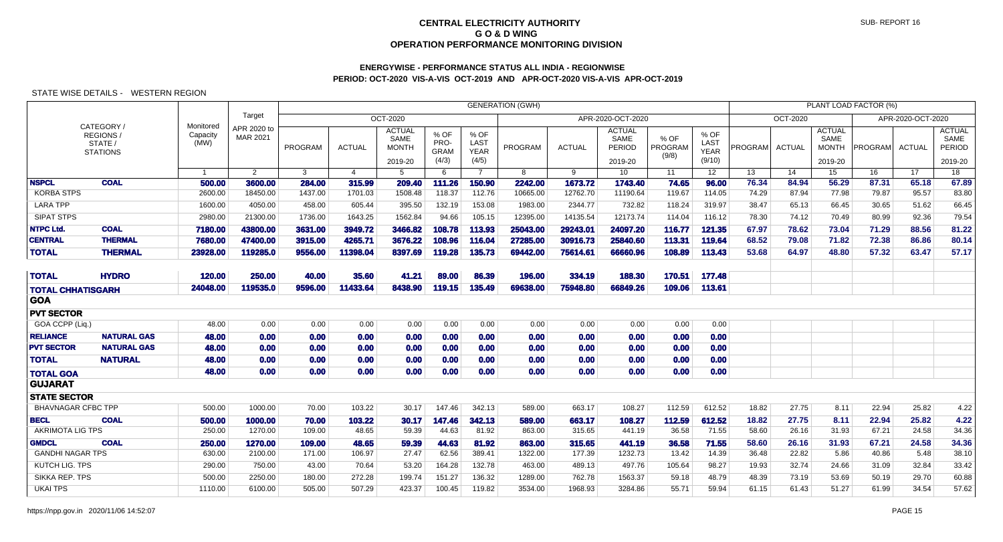# **ENERGYWISE - PERFORMANCE STATUS ALL INDIA - REGIONWISEPERIOD: OCT-2020 VIS-A-VIS OCT-2019 AND APR-OCT-2020 VIS-A-VIS APR-OCT-2019**

|                           |                                                     |                               |                         |         |                |                                                  |                                      |                                      | <b>GENERATION (GWH)</b> |               |                                            |                          |                                       |         |               |                                                  | PLANT LOAD FACTOR (%) |                   |                                                   |
|---------------------------|-----------------------------------------------------|-------------------------------|-------------------------|---------|----------------|--------------------------------------------------|--------------------------------------|--------------------------------------|-------------------------|---------------|--------------------------------------------|--------------------------|---------------------------------------|---------|---------------|--------------------------------------------------|-----------------------|-------------------|---------------------------------------------------|
|                           |                                                     |                               | Target                  |         |                | OCT-2020                                         |                                      |                                      |                         |               | APR-2020-OCT-2020                          |                          |                                       |         | OCT-2020      |                                                  |                       | APR-2020-OCT-2020 |                                                   |
|                           | CATEGORY /<br>REGIONS<br>STATE /<br><b>STATIONS</b> | Monitored<br>Capacity<br>(MW) | APR 2020 to<br>MAR 2021 | PROGRAM | <b>ACTUAL</b>  | <b>ACTUAL</b><br>SAME<br><b>MONTH</b><br>2019-20 | % OF<br>PRO-<br><b>GRAM</b><br>(4/3) | % OF<br>LAST<br><b>YEAR</b><br>(4/5) | PROGRAM                 | <b>ACTUAL</b> | <b>ACTUAL</b><br>SAME<br>PERIOD<br>2019-20 | % OF<br>PROGRAM<br>(9/8) | % OF<br>LAST<br><b>YEAR</b><br>(9/10) | PROGRAM | <b>ACTUAL</b> | <b>ACTUAL</b><br>SAME<br><b>MONTH</b><br>2019-20 | <b>PROGRAM</b>        | ACTUAL            | <b>ACTUAL</b><br>SAME<br><b>PERIOD</b><br>2019-20 |
|                           |                                                     | $\overline{1}$                | $\overline{2}$          | 3       | $\overline{4}$ | -5                                               | 6                                    | $\overline{7}$                       | 8                       | 9             | 10 <sup>°</sup>                            | 11                       | 12 <sup>2</sup>                       | 13      | 14            | 15                                               | 16                    | 17                | 18                                                |
| <b>NSPCL</b>              | <b>COAL</b>                                         | 500.00                        | 3600.00                 | 284.00  | 315.99         | 209.40                                           | 111.26                               | 150.90                               | 2242.00                 | 1673.72       | 1743.40                                    | 74.65                    | 96.00                                 | 76.34   | 84.94         | 56.29                                            | 87.31                 | 65.18             | 67.89                                             |
| <b>KORBA STPS</b>         |                                                     | 2600.00                       | 18450.00                | 1437.00 | 1701.03        | 1508.48                                          | 118.37                               | 112.76                               | 10665.00                | 12762.70      | 11190.64                                   | 119.67                   | 114.05                                | 74.29   | 87.94         | 77.98                                            | 79.87                 | 95.57             | 83.80                                             |
| <b>LARA TPP</b>           |                                                     | 1600.00                       | 4050.00                 | 458.00  | 605.44         | 395.50                                           | 132.19                               | 153.08                               | 1983.00                 | 2344.77       | 732.82                                     | 118.24                   | 319.97                                | 38.47   | 65.13         | 66.45                                            | 30.65                 | 51.62             | 66.45                                             |
| <b>SIPAT STPS</b>         |                                                     | 2980.00                       | 21300.00                | 1736.00 | 1643.25        | 1562.84                                          | 94.66                                | 105.15                               | 12395.00                | 14135.54      | 12173.74                                   | 114.04                   | 116.12                                | 78.30   | 74.12         | 70.49                                            | 80.99                 | 92.36             | 79.54                                             |
| <b>NTPC Ltd.</b>          | <b>COAL</b>                                         | 7180.00                       | 43800.00                | 3631.00 | 3949.72        | 3466.82                                          | 108.78                               | 113.93                               | 25043.00                | 29243.01      | 24097.20                                   | 116.77                   | 121.35                                | 67.97   | 78.62         | 73.04                                            | 71.29                 | 88.56             | 81.22                                             |
| <b>CENTRAL</b>            | <b>THERMAL</b>                                      | 7680.00                       | 47400.00                | 3915.00 | 4265.71        | 3676.22                                          | 108.96                               | 116.04                               | 27285.00                | 30916.73      | 25840.60                                   | 113.31                   | 119.64                                | 68.52   | 79.08         | 71.82                                            | 72.38                 | 86.86             | 80.14                                             |
| <b>TOTAL</b>              | <b>THERMAL</b>                                      | 23928.00                      | 119285.0                | 9556.00 | 11398.04       | 8397.69                                          | 119.28                               | 135.73                               | 69442.00                | 75614.61      | 66660.96                                   | 108.89                   | 113.43                                | 53.68   | 64.97         | 48.80                                            | 57.32                 | 63.47             | 57.17                                             |
| <b>TOTAL</b>              | <b>HYDRO</b>                                        | 120.00                        | 250.00                  | 40.00   | 35.60          | 41.21                                            | 89.00                                | 86.39                                | 196.00                  | 334.19        | 188.30                                     | 170.51                   | 177.48                                |         |               |                                                  |                       |                   |                                                   |
| <b>TOTAL CHHATISGARH</b>  |                                                     | 24048.00                      | 119535.0                | 9596.00 | 11433.64       | 8438.90                                          | 119.15                               | 135.49                               | 69638.00                | 75948.80      | 66849.26                                   | 109.06                   | 113.61                                |         |               |                                                  |                       |                   |                                                   |
| <b>GOA</b>                |                                                     |                               |                         |         |                |                                                  |                                      |                                      |                         |               |                                            |                          |                                       |         |               |                                                  |                       |                   |                                                   |
| <b>PVT SECTOR</b>         |                                                     |                               |                         |         |                |                                                  |                                      |                                      |                         |               |                                            |                          |                                       |         |               |                                                  |                       |                   |                                                   |
| GOA CCPP (Liq.)           |                                                     | 48.00                         | 0.00                    | 0.00    | 0.00           | 0.00                                             | 0.00                                 | 0.00                                 | 0.00                    | 0.00          | 0.00                                       | 0.00                     | 0.00                                  |         |               |                                                  |                       |                   |                                                   |
| <b>RELIANCE</b>           | <b>NATURAL GAS</b>                                  | 48.00                         | 0.00                    | 0.00    | 0.00           | 0.00                                             | 0.00                                 | 0.00                                 | 0.00                    | 0.00          | 0.00                                       | 0.00                     | 0.00                                  |         |               |                                                  |                       |                   |                                                   |
| <b>PVT SECTOR</b>         | <b>NATURAL GAS</b>                                  | 48.00                         | 0.00                    | 0.00    | 0.00           | 0.00                                             | 0.00                                 | 0.00                                 | 0.00                    | 0.00          | 0.00                                       | 0.00                     | 0.00                                  |         |               |                                                  |                       |                   |                                                   |
| <b>TOTAL</b>              | <b>NATURAL</b>                                      | 48.00                         | 0.00                    | 0.00    | 0.00           | 0.00                                             | 0.00                                 | 0.00                                 | 0.00                    | 0.00          | 0.00                                       | 0.00                     | 0.00                                  |         |               |                                                  |                       |                   |                                                   |
| <b>TOTAL GOA</b>          |                                                     | 48.00                         | 0.00                    | 0.00    | 0.00           | 0.00                                             | 0.00                                 | 0.00                                 | 0.00                    | 0.00          | 0.00                                       | 0.00                     | 0.00                                  |         |               |                                                  |                       |                   |                                                   |
| <b>GUJARAT</b>            |                                                     |                               |                         |         |                |                                                  |                                      |                                      |                         |               |                                            |                          |                                       |         |               |                                                  |                       |                   |                                                   |
| <b>STATE SECTOR</b>       |                                                     |                               |                         |         |                |                                                  |                                      |                                      |                         |               |                                            |                          |                                       |         |               |                                                  |                       |                   |                                                   |
| <b>BHAVNAGAR CFBC TPP</b> |                                                     | 500.00                        | 1000.00                 | 70.00   | 103.22         | 30.17                                            | 147.46                               | 342.13                               | 589.00                  | 663.17        | 108.27                                     | 112.59                   | 612.52                                | 18.82   | 27.75         | 8.11                                             | 22.94                 | 25.82             | 4.22                                              |
| <b>BECL</b>               | <b>COAL</b>                                         | 500.00                        | 1000.00                 | 70.00   | 103.22         | 30.17                                            | 147.46                               | 342.13                               | 589.00                  | 663.17        | 108.27                                     | 112.59                   | 612.52                                | 18.82   | 27.75         | 8.11                                             | 22.94                 | 25.82             | 4.22                                              |
| <b>AKRIMOTA LIG TPS</b>   |                                                     | 250.00                        | 1270.00                 | 109.00  | 48.65          | 59.39                                            | 44.63                                | 81.92                                | 863.00                  | 315.65        | 441.19                                     | 36.58                    | 71.55                                 | 58.60   | 26.16         | 31.93                                            | 67.21                 | 24.58             | 34.36                                             |
| <b>GMDCL</b>              | <b>COAL</b>                                         | 250.00                        | 1270.00                 | 109.00  | 48.65          | 59.39                                            | 44.63                                | 81.92                                | 863.00                  | 315.65        | 441.19                                     | 36.58                    | 71.55                                 | 58.60   | 26.16         | 31.93                                            | 67.21                 | 24.58             | 34.36                                             |
| <b>GANDHI NAGAR TPS</b>   |                                                     | 630.00                        | 2100.00                 | 171.00  | 106.97         | 27.47                                            | 62.56                                | 389.41                               | 1322.00                 | 177.39        | 1232.73                                    | 13.42                    | 14.39                                 | 36.48   | 22.82         | 5.86                                             | 40.86                 | 5.48              | 38.10                                             |
| KUTCH LIG. TPS            |                                                     | 290.00                        | 750.00                  | 43.00   | 70.64          | 53.20                                            | 164.28                               | 132.78                               | 463.00                  | 489.13        | 497.76                                     | 105.64                   | 98.27                                 | 19.93   | 32.74         | 24.66                                            | 31.09                 | 32.84             | 33.42                                             |
| <b>SIKKA REP. TPS</b>     |                                                     | 500.00                        | 2250.00                 | 180.00  | 272.28         | 199.74                                           | 151.27                               | 136.32                               | 1289.00                 | 762.78        | 1563.37                                    | 59.18                    | 48.79                                 | 48.39   | 73.19         | 53.69                                            | 50.19                 | 29.70             | 60.88                                             |
| <b>UKAI TPS</b>           |                                                     | 1110.00                       | 6100.00                 | 505.00  | 507.29         | 423.37                                           | 100.45                               | 119.82                               | 3534.00                 | 1968.93       | 3284.86                                    | 55.71                    | 59.94                                 | 61.15   | 61.43         | 51.27                                            | 61.99                 | 34.54             | 57.62                                             |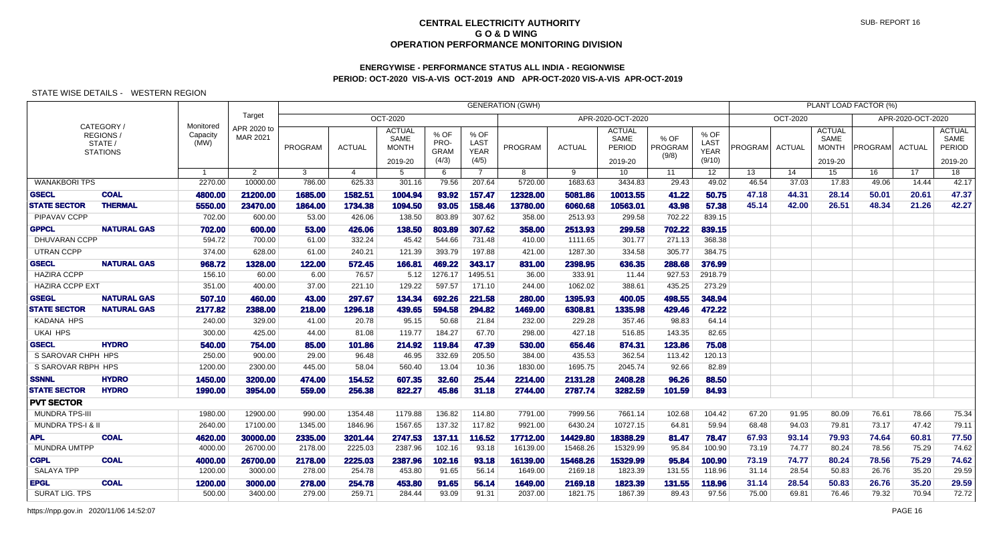# **ENERGYWISE - PERFORMANCE STATUS ALL INDIA - REGIONWISEPERIOD: OCT-2020 VIS-A-VIS OCT-2019 AND APR-OCT-2020 VIS-A-VIS APR-OCT-2019**

## STATE WISE DETAILS - WESTERN REGION

|                              |                                                            |                               |                         |         |               |                                                  |                                      |                                      | <b>GENERATION (GWH)</b> |               |                                            |                          |                                       |                |               |                                                  | PLANT LOAD FACTOR (%) |                   |                                            |
|------------------------------|------------------------------------------------------------|-------------------------------|-------------------------|---------|---------------|--------------------------------------------------|--------------------------------------|--------------------------------------|-------------------------|---------------|--------------------------------------------|--------------------------|---------------------------------------|----------------|---------------|--------------------------------------------------|-----------------------|-------------------|--------------------------------------------|
|                              |                                                            |                               | Target                  |         |               | OCT-2020                                         |                                      |                                      |                         |               | APR-2020-OCT-2020                          |                          |                                       |                | OCT-2020      |                                                  |                       | APR-2020-OCT-2020 |                                            |
|                              | CATEGORY /<br><b>REGIONS</b><br>STATE /<br><b>STATIONS</b> | Monitored<br>Capacity<br>(MW) | APR 2020 to<br>MAR 2021 | PROGRAM | <b>ACTUAL</b> | <b>ACTUAL</b><br>SAME<br><b>MONTH</b><br>2019-20 | % OF<br>PRO-<br><b>GRAM</b><br>(4/3) | % OF<br>LAST<br><b>YEAR</b><br>(4/5) | PROGRAM                 | <b>ACTUAL</b> | <b>ACTUAL</b><br>SAME<br>PERIOD<br>2019-20 | % OF<br>PROGRAM<br>(9/8) | % OF<br>LAST<br><b>YEAR</b><br>(9/10) | <b>PROGRAM</b> | <b>ACTUAL</b> | <b>ACTUAL</b><br>SAME<br><b>MONTH</b><br>2019-20 | <b>PROGRAM</b>        | <b>ACTUAL</b>     | <b>ACTUAL</b><br>SAME<br>PERIOD<br>2019-20 |
|                              |                                                            | $\overline{1}$                | $\overline{2}$          | 3       | 4             | -5                                               | 6                                    | $\overline{7}$                       | 8                       | 9             | 10 <sup>°</sup>                            | 11                       | 12 <sup>2</sup>                       | 13             | 14            | 15                                               | 16                    | 17                | 18                                         |
| <b>WANAKBORI TPS</b>         |                                                            | 2270.00                       | 10000.00                | 786.00  | 625.33        | 301.16                                           | 79.56                                | 207.64                               | 5720.00                 | 1683.63       | 3434.83                                    | 29.43                    | 49.02                                 | 46.54          | 37.03         | 17.83                                            | 49.06                 | 14.44             | 42.17                                      |
| <b>GSECL</b>                 | <b>COAL</b>                                                | 4800.00                       | 21200.00                | 1685.00 | 1582.51       | 1004.94                                          | 93.92                                | 157.47                               | 12328.00                | 5081.86       | 10013.55                                   | 41.22                    | 50.75                                 | 47.18          | 44.31         | 28.14                                            | 50.01                 | 20.61             | 47.37                                      |
| <b>STATE SECTOR</b>          | <b>THERMAL</b>                                             | 5550.00                       | 23470.00                | 1864.00 | 1734.38       | 1094.50                                          | 93.05                                | 158.46                               | 13780.00                | 6060.68       | 10563.01                                   | 43.98                    | 57.38                                 | 45.14          | 42.00         | 26.51                                            | 48.34                 | 21.26             | 42.27                                      |
| PIPAVAV CCPP                 |                                                            | 702.00                        | 600.00                  | 53.00   | 426.06        | 138.50                                           | 803.89                               | 307.62                               | 358.00                  | 2513.93       | 299.58                                     | 702.22                   | 839.15                                |                |               |                                                  |                       |                   |                                            |
| <b>GPPCL</b>                 | <b>NATURAL GAS</b>                                         | 702.00                        | 600.00                  | 53.00   | 426.06        | 138.50                                           | 803.89                               | 307.62                               | 358.00                  | 2513.93       | 299.58                                     | 702.22                   | 839.15                                |                |               |                                                  |                       |                   |                                            |
| DHUVARAN CCPP                |                                                            | 594.72                        | 700.00                  | 61.00   | 332.24        | 45.42                                            | 544.66                               | 731.48                               | 410.00                  | 1111.65       | 301.77                                     | 271.13                   | 368.38                                |                |               |                                                  |                       |                   |                                            |
| <b>UTRAN CCPP</b>            |                                                            | 374.00                        | 628.00                  | 61.00   | 240.21        | 121.39                                           | 393.79                               | 197.88                               | 421.00                  | 1287.30       | 334.58                                     | 305.77                   | 384.75                                |                |               |                                                  |                       |                   |                                            |
| <b>GSECL</b>                 | <b>NATURAL GAS</b>                                         | 968.72                        | 1328,00                 | 122.00  | 572.45        | 166.81                                           | 469.22                               | 343.17                               | 831.00                  | 2398.95       | 636.35                                     | 288.68                   | 376.99                                |                |               |                                                  |                       |                   |                                            |
| <b>HAZIRA CCPP</b>           |                                                            | 156.10                        | 60.00                   | 6.00    | 76.57         | 5.12                                             | 1276.17                              | 1495.51                              | 36.00                   | 333.91        | 11.44                                      | 927.53                   | 2918.79                               |                |               |                                                  |                       |                   |                                            |
| <b>HAZIRA CCPP EXT</b>       |                                                            | 351.00                        | 400.00                  | 37.00   | 221.10        | 129.22                                           | 597.57                               | 171.10                               | 244.00                  | 1062.02       | 388.61                                     | 435.25                   | 273.29                                |                |               |                                                  |                       |                   |                                            |
| <b>GSEGL</b>                 | <b>NATURAL GAS</b>                                         | 507.10                        | 460.00                  | 43.00   | 297.67        | 134.34                                           | 692.26                               | 221.58                               | 280.00                  | 1395.93       | 400.05                                     | 498.55                   | 348.94                                |                |               |                                                  |                       |                   |                                            |
| <b>STATE SECTOR</b>          | <b>NATURAL GAS</b>                                         | 2177.82                       | 2388.00                 | 218.00  | 1296.18       | 439.65                                           | 594.58                               | 294.82                               | 1469.00                 | 6308.81       | 1335.98                                    | 429.46                   | 472.22                                |                |               |                                                  |                       |                   |                                            |
| <b>KADANA HPS</b>            |                                                            | 240.00                        | 329.00                  | 41.00   | 20.78         | 95.15                                            | 50.68                                | 21.84                                | 232.00                  | 229.28        | 357.46                                     | 98.83                    | 64.14                                 |                |               |                                                  |                       |                   |                                            |
| <b>UKAI HPS</b>              |                                                            | 300.00                        | 425.00                  | 44.00   | 81.08         | 119.77                                           | 184.27                               | 67.70                                | 298.00                  | 427.18        | 516.85                                     | 143.35                   | 82.65                                 |                |               |                                                  |                       |                   |                                            |
| <b>GSECL</b>                 | <b>HYDRO</b>                                               | 540.00                        | 754.00                  | 85.00   | 101.86        | 214.92                                           | 119.84                               | 47.39                                | 530.00                  | 656.46        | 874.31                                     | 123.86                   | 75.08                                 |                |               |                                                  |                       |                   |                                            |
| S SAROVAR CHPH HPS           |                                                            | 250.00                        | 900.00                  | 29.00   | 96.48         | 46.95                                            | 332.69                               | 205.50                               | 384.00                  | 435.53        | 362.54                                     | 113.42                   | 120.13                                |                |               |                                                  |                       |                   |                                            |
| S SAROVAR RBPH HPS           |                                                            | 1200.00                       | 2300.00                 | 445.00  | 58.04         | 560.40                                           | 13.04                                | 10.36                                | 1830.00                 | 1695.75       | 2045.74                                    | 92.66                    | 82.89                                 |                |               |                                                  |                       |                   |                                            |
| <b>SSNNL</b>                 | <b>HYDRO</b>                                               | 1450.00                       | 3200.00                 | 474.00  | 154.52        | 607.35                                           | 32.60                                | 25.44                                | 2214.00                 | 2131.28       | 2408.28                                    | 96.26                    | 88.50                                 |                |               |                                                  |                       |                   |                                            |
| <b>STATE SECTOR</b>          | <b>HYDRO</b>                                               | 1990.00                       | 3954.00                 | 559.00  | 256.38        | 822.27                                           | 45.86                                | 31.18                                | 2744.00                 | 2787.74       | 3282.59                                    | 101.59                   | 84.93                                 |                |               |                                                  |                       |                   |                                            |
| <b>PVT SECTOR</b>            |                                                            |                               |                         |         |               |                                                  |                                      |                                      |                         |               |                                            |                          |                                       |                |               |                                                  |                       |                   |                                            |
| <b>MUNDRA TPS-III</b>        |                                                            | 1980.00                       | 12900.00                | 990.00  | 1354.48       | 1179.88                                          | 136.82                               | 114.80                               | 7791.00                 | 7999.56       | 7661.14                                    | 102.68                   | 104.42                                | 67.20          | 91.95         | 80.09                                            | 76.61                 | 78.66             | 75.34                                      |
| <b>MUNDRA TPS-I &amp; II</b> |                                                            | 2640.00                       | 17100.00                | 1345.00 | 1846.96       | 1567.65                                          | 137.32                               | 117.82                               | 9921.00                 | 6430.24       | 10727.15                                   | 64.81                    | 59.94                                 | 68.48          | 94.03         | 79.81                                            | 73.17                 | 47.42             | 79.11                                      |
| <b>APL</b>                   | <b>COAL</b>                                                | 4620.00                       | 30000.00                | 2335.00 | 3201.44       | 2747.53                                          | 137.11                               | 116.52                               | 17712.00                | 14429.80      | 18388.29                                   | 81.47                    | 78.47                                 | 67.93          | 93.14         | 79.93                                            | 74.64                 | 60.81             | 77.50                                      |
| <b>MUNDRA UMTPP</b>          |                                                            | 4000.00                       | 26700.00                | 2178.00 | 2225.03       | 2387.96                                          | 102.16                               | 93.18                                | 16139.00                | 15468.26      | 15329.99                                   | 95.84                    | 100.90                                | 73.19          | 74.77         | 80.24                                            | 78.56                 | 75.29             | 74.62                                      |
| <b>CGPL</b>                  | <b>COAL</b>                                                | 4000.00                       | 26700.00                | 2178.00 | 2225.03       | 2387.96                                          | 102.16                               | 93.18                                | 16139.00                | 15468.26      | 15329.99                                   | 95.84                    | 100.90                                | 73.19          | 74.77         | 80.24                                            | 78.56                 | 75.29             | 74.62                                      |
| <b>SALAYA TPP</b>            |                                                            | 1200.00                       | 3000.00                 | 278.00  | 254.78        | 453.80                                           | 91.65                                | 56.14                                | 1649.00                 | 2169.18       | 1823.39                                    | 131.55                   | 118.96                                | 31.14          | 28.54         | 50.83                                            | 26.76                 | 35.20             | 29.59                                      |
| <b>EPGL</b>                  | <b>COAL</b>                                                | 1200.00                       | 3000.00                 | 278.00  | 254.78        | 453.80                                           | 91.65                                | 56.14                                | 1649.00                 | 2169.18       | 1823.39                                    | 131.55                   | 118.96                                | 31.14          | 28.54         | 50.83                                            | 26.76                 | 35.20             | 29.59                                      |
| <b>SURAT LIG. TPS</b>        |                                                            | 500.00                        | 3400.00                 | 279.00  | 259.71        | 284.44                                           | 93.09                                | 91.31                                | 2037.00                 | 1821.75       | 1867.39                                    | 89.43                    | 97.56                                 | 75.00          | 69.81         | 76.46                                            | 79.32                 | 70.94             | 72.72                                      |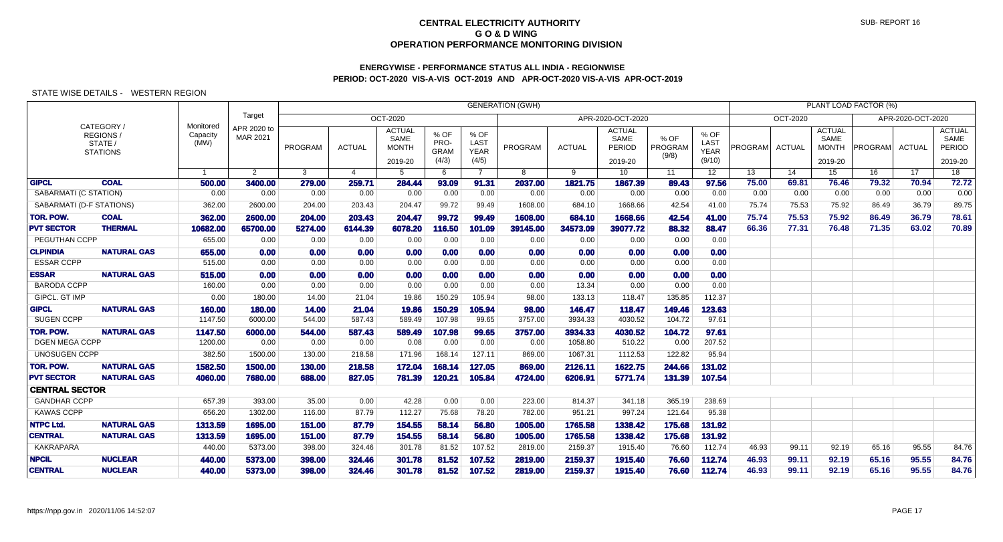# **ENERGYWISE - PERFORMANCE STATUS ALL INDIA - REGIONWISEPERIOD: OCT-2020 VIS-A-VIS OCT-2019 AND APR-OCT-2020 VIS-A-VIS APR-OCT-2019**

|                          |                            |                               |                         |              |                       |                                                  |                                      |                                      | <b>GENERATION (GWH)</b> |               |                                            |                          |                                       |         |               |                                                  | PLANT LOAD FACTOR (%) |                   |                                            |
|--------------------------|----------------------------|-------------------------------|-------------------------|--------------|-----------------------|--------------------------------------------------|--------------------------------------|--------------------------------------|-------------------------|---------------|--------------------------------------------|--------------------------|---------------------------------------|---------|---------------|--------------------------------------------------|-----------------------|-------------------|--------------------------------------------|
| CATEGORY /<br>REGIONS/   |                            |                               | Target                  |              |                       | <b>OCT-2020</b>                                  |                                      |                                      |                         |               | APR-2020-OCT-2020                          |                          |                                       |         | OCT-2020      |                                                  |                       | APR-2020-OCT-2020 |                                            |
|                          | STATE /<br><b>STATIONS</b> | Monitored<br>Capacity<br>(MW) | APR 2020 to<br>MAR 2021 | PROGRAM      | <b>ACTUAL</b>         | <b>ACTUAL</b><br>SAME<br><b>MONTH</b><br>2019-20 | % OF<br>PRO-<br><b>GRAM</b><br>(4/3) | % OF<br>LAST<br><b>YEAR</b><br>(4/5) | PROGRAM                 | <b>ACTUAL</b> | <b>ACTUAL</b><br>SAME<br>PERIOD<br>2019-20 | % OF<br>PROGRAM<br>(9/8) | % OF<br>LAST<br><b>YEAR</b><br>(9/10) | PROGRAM | <b>ACTUAL</b> | <b>ACTUAL</b><br>SAME<br><b>MONTH</b><br>2019-20 | <b>PROGRAM</b>        | ACTUAL            | <b>ACTUAL</b><br>SAME<br>PERIOD<br>2019-20 |
|                          |                            | $\overline{\mathbf{1}}$       | $\overline{2}$          | $\mathbf{3}$ | $\boldsymbol{\Delta}$ | 5                                                | 6                                    | $\overline{7}$                       | 8                       | 9             | 10                                         | 11                       | 12 <sup>°</sup>                       | 13      | 14            | 15                                               | 16                    | 17                | 18                                         |
| <b>GIPCL</b>             | <b>COAL</b>                | 500.00                        | 3400.00                 | 279.00       | 259.71                | 284.44                                           | 93.09                                | 91.31                                | 2037.00                 | 1821.75       | 1867.39                                    | 89.43                    | 97.56                                 | 75.00   | 69.81         | 76.46                                            | 79.32                 | 70.94             | 72.72                                      |
| SABARMATI (C STATION)    |                            | 0.00                          | 0.00                    | 0.00         | 0.00                  | 0.00                                             | 0.00                                 | 0.00                                 | 0.00                    | 0.00          | 0.00                                       | 0.00                     | 0.00                                  | 0.00    | 0.00          | 0.00                                             | 0.00                  | 0.00              | 0.00                                       |
| SABARMATI (D-F STATIONS) |                            | 362.00                        | 2600.00                 | 204.00       | 203.43                | 204.47                                           | 99.72                                | 99.49                                | 1608.00                 | 684.10        | 1668.66                                    | 42.54                    | 41.00                                 | 75.74   | 75.53         | 75.92                                            | 86.49                 | 36.79             | 89.75                                      |
| <b>TOR. POW.</b>         | <b>COAL</b>                | 362.00                        | 2600.00                 | 204.00       | 203.43                | 204.47                                           | 99.72                                | 99.49                                | 1608.00                 | 684.10        | 1668.66                                    | 42.54                    | 41.00                                 | 75.74   | 75.53         | 75.92                                            | 86.49                 | 36.79             | 78.61                                      |
| <b>PVT SECTOR</b>        | <b>THERMAL</b>             | 10682.00                      | 65700.00                | 5274.00      | 6144.39               | 6078.20                                          | 116.50                               | 101.09                               | 39145.00                | 34573.09      | 39077.72                                   | 88.32                    | 88.47                                 | 66.36   | 77.31         | 76.48                                            | 71.35                 | 63.02             | 70.89                                      |
| PEGUTHAN CCPP            |                            | 655.00                        | 0.00                    | 0.00         | 0.00                  | 0.00                                             | 0.00                                 | 0.00                                 | 0.00                    | 0.00          | 0.00                                       | 0.00                     | 0.00                                  |         |               |                                                  |                       |                   |                                            |
| <b>CLPINDIA</b>          | <b>NATURAL GAS</b>         | 655.00                        | 0.00                    | 0.00         | 0.00                  | 0.00                                             | 0.00                                 | 0.00                                 | 0.00                    | 0.00          | 0.00                                       | 0.00                     | 0.00                                  |         |               |                                                  |                       |                   |                                            |
| <b>ESSAR CCPP</b>        |                            | 515.00                        | 0.00                    | 0.00         | 0.00                  | 0.00                                             | 0.00                                 | 0.00                                 | 0.00                    | 0.00          | 0.00                                       | 0.00                     | 0.00                                  |         |               |                                                  |                       |                   |                                            |
| <b>ESSAR</b>             | <b>NATURAL GAS</b>         | 515.00                        | 0.00                    | 0.00         | 0.00                  | 0.00                                             | 0.00                                 | 0.00                                 | 0.00                    | 0.00          | 0.00                                       | 0.00                     | 0.00                                  |         |               |                                                  |                       |                   |                                            |
| <b>BARODA CCPP</b>       |                            | 160.00                        | 0.00                    | 0.00         | 0.00                  | 0.00                                             | 0.00                                 | 0.00                                 | 0.00                    | 13.34         | 0.00                                       | 0.00                     | 0.00                                  |         |               |                                                  |                       |                   |                                            |
| GIPCL. GT IMP            |                            | 0.00                          | 180.00                  | 14.00        | 21.04                 | 19.86                                            | 150.29                               | 105.94                               | 98.00                   | 133.13        | 118.47                                     | 135.85                   | 112.37                                |         |               |                                                  |                       |                   |                                            |
| <b>GIPCL</b>             | <b>NATURAL GAS</b>         | 160.00                        | 180.00                  | 14.00        | 21.04                 | 19.86                                            | 150.29                               | 105.94                               | 98.00                   | 146.47        | 118.47                                     | 149.46                   | 123.63                                |         |               |                                                  |                       |                   |                                            |
| <b>SUGEN CCPP</b>        |                            | 1147.50                       | 6000.00                 | 544.00       | 587.43                | 589.49                                           | 107.98                               | 99.65                                | 3757.00                 | 3934.33       | 4030.52                                    | 104.72                   | 97.61                                 |         |               |                                                  |                       |                   |                                            |
| <b>TOR. POW.</b>         | <b>NATURAL GAS</b>         | 1147.50                       | 6000.00                 | 544.00       | 587.43                | 589.49                                           | 107.98                               | 99.65                                | 3757.00                 | 3934.33       | 4030.52                                    | 104.72                   | 97.61                                 |         |               |                                                  |                       |                   |                                            |
| <b>DGEN MEGA CCPP</b>    |                            | 1200.00                       | 0.00                    | 0.00         | 0.00                  | 0.08                                             | 0.00                                 | 0.00                                 | 0.00                    | 1058.80       | 510.22                                     | 0.00                     | 207.52                                |         |               |                                                  |                       |                   |                                            |
| <b>UNOSUGEN CCPP</b>     |                            | 382.50                        | 1500.00                 | 130.00       | 218.58                | 171.96                                           | 168.14                               | 127.11                               | 869.00                  | 1067.31       | 1112.53                                    | 122.82                   | 95.94                                 |         |               |                                                  |                       |                   |                                            |
| <b>TOR. POW.</b>         | <b>NATURAL GAS</b>         | 1582.50                       | 1500.00                 | 130.00       | 218.58                | 172.04                                           | 168.14                               | 127.05                               | 869.00                  | 2126.11       | 1622.75                                    | 244.66                   | 131.02                                |         |               |                                                  |                       |                   |                                            |
| <b>PVT SECTOR</b>        | <b>NATURAL GAS</b>         | 4060.00                       | 7680.00                 | 688.00       | 827.05                | 781.39                                           | 120.21                               | 105.84                               | 4724.00                 | 6206.91       | 5771.74                                    | 131.39                   | 107.54                                |         |               |                                                  |                       |                   |                                            |
| <b>CENTRAL SECTOR</b>    |                            |                               |                         |              |                       |                                                  |                                      |                                      |                         |               |                                            |                          |                                       |         |               |                                                  |                       |                   |                                            |
| <b>GANDHAR CCPP</b>      |                            | 657.39                        | 393.00                  | 35.00        | 0.00                  | 42.28                                            | 0.00                                 | 0.00                                 | 223.00                  | 814.37        | 341.18                                     | 365.19                   | 238.69                                |         |               |                                                  |                       |                   |                                            |
| <b>KAWAS CCPP</b>        |                            | 656.20                        | 1302.00                 | 116.00       | 87.79                 | 112.27                                           | 75.68                                | 78.20                                | 782.00                  | 951.21        | 997.24                                     | 121.64                   | 95.38                                 |         |               |                                                  |                       |                   |                                            |
| <b>NTPC Ltd.</b>         | <b>NATURAL GAS</b>         | 1313.59                       | 1695.00                 | 151.00       | 87.79                 | 154.55                                           | 58.14                                | 56,80                                | 1005.00                 | 1765.58       | 1338.42                                    | 175.68                   | 131.92                                |         |               |                                                  |                       |                   |                                            |
| <b>CENTRAL</b>           | <b>NATURAL GAS</b>         | 1313.59                       | 1695.00                 | 151.00       | 87.79                 | 154.55                                           | 58.14                                | 56.80                                | 1005.00                 | 1765.58       | 1338.42                                    | 175.68                   | 131.92                                |         |               |                                                  |                       |                   |                                            |
| <b>KAKRAPARA</b>         |                            | 440.00                        | 5373.00                 | 398.00       | 324.46                | 301.78                                           | 81.52                                | 107.52                               | 2819.00                 | 2159.37       | 1915.40                                    | 76.60                    | 112.74                                | 46.93   | 99.11         | 92.19                                            | 65.16                 | 95.55             | 84.76                                      |
| <b>NPCIL</b>             | <b>NUCLEAR</b>             | 440.00                        | 5373.00                 | 398.00       | 324.46                | 301.78                                           | 81.52                                | 107.52                               | 2819.00                 | 2159.37       | 1915.40                                    | 76.60                    | 112.74                                | 46.93   | 99.11         | 92.19                                            | 65.16                 | 95.55             | 84.76                                      |
| <b>CENTRAL</b>           | <b>NUCLEAR</b>             | 440.00                        | 5373.00                 | 398.00       | 324.46                | 301.78                                           | 81.52                                | 107.52                               | 2819.00                 | 2159.37       | 1915.40                                    | 76.60                    | 112.74                                | 46.93   | 99.11         | 92.19                                            | 65.16                 | 95.55             | 84.76                                      |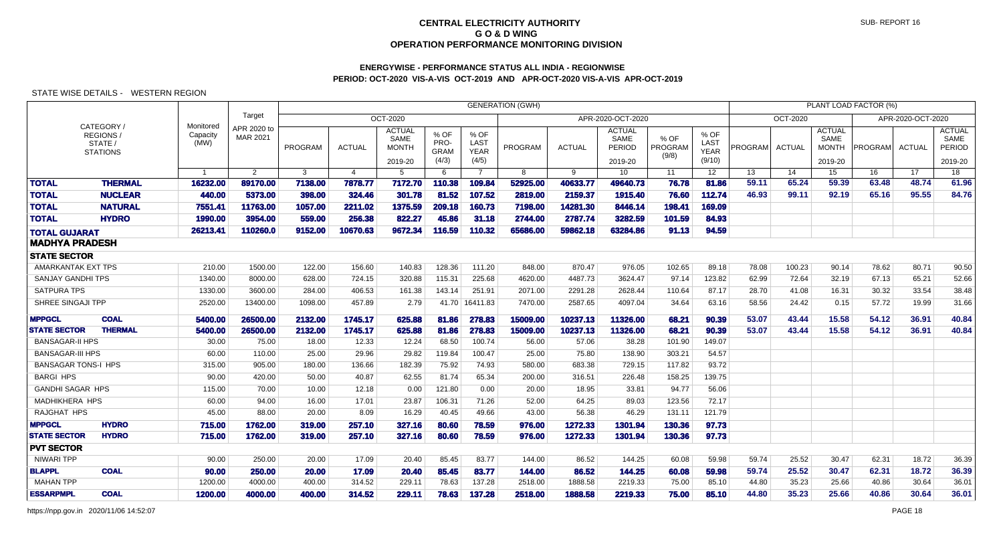# **ENERGYWISE - PERFORMANCE STATUS ALL INDIA - REGIONWISEPERIOD: OCT-2020 VIS-A-VIS OCT-2019 AND APR-OCT-2020 VIS-A-VIS APR-OCT-2019**

|                                   | <b>GENERATION (GWH)</b>                             |                               |                         |                 |                 |                                                  |                                      |                                      |                   |                  |                                            |                          |                                       | PLANT LOAD FACTOR (%) |                |                                                  |                |                   |                                            |
|-----------------------------------|-----------------------------------------------------|-------------------------------|-------------------------|-----------------|-----------------|--------------------------------------------------|--------------------------------------|--------------------------------------|-------------------|------------------|--------------------------------------------|--------------------------|---------------------------------------|-----------------------|----------------|--------------------------------------------------|----------------|-------------------|--------------------------------------------|
|                                   |                                                     |                               | Target                  |                 |                 | OCT-2020                                         |                                      |                                      |                   |                  | APR-2020-OCT-2020                          |                          |                                       |                       | OCT-2020       |                                                  |                | APR-2020-OCT-2020 |                                            |
|                                   | CATEGORY /<br>REGIONS<br>STATE /<br><b>STATIONS</b> | Monitored<br>Capacity<br>(MW) | APR 2020 to<br>MAR 2021 | PROGRAM         | <b>ACTUAL</b>   | <b>ACTUAL</b><br>SAME<br><b>MONTH</b><br>2019-20 | % OF<br>PRO-<br><b>GRAM</b><br>(4/3) | % OF<br>LAST<br><b>YEAR</b><br>(4/5) | PROGRAM           | <b>ACTUAL</b>    | <b>ACTUAL</b><br>SAME<br>PERIOD<br>2019-20 | % OF<br>PROGRAM<br>(9/8) | % OF<br>LAST<br><b>YEAR</b><br>(9/10) | PROGRAM               | <b>ACTUAL</b>  | <b>ACTUAL</b><br>SAME<br><b>MONTH</b><br>2019-20 | PROGRAM        | <b>ACTUAL</b>     | <b>ACTUAL</b><br>SAME<br>PERIOD<br>2019-20 |
|                                   |                                                     | $\mathbf{1}$                  | $\overline{2}$          | 3               | $\overline{4}$  | 5                                                | 6                                    | $\overline{7}$                       | 8                 | 9                | 10                                         | 11                       | 12 <sup>2</sup>                       | 13                    | 14             | 15                                               | 16             | 17                | 18                                         |
| <b>TOTAL</b>                      | <b>THERMAL</b>                                      | 16232.00                      | 89170.00                | 7138.00         | 7878.77         | 7172.70                                          | 110.38                               | 109.84                               | 52925.00          | 40633.77         | 49640.73                                   | 76.78                    | 81.86                                 | 59.11                 | 65.24          | 59.39                                            | 63.48          | 48.74             | 61.96                                      |
| <b>TOTAL</b>                      | <b>NUCLEAR</b>                                      | 440.00                        | 5373.00                 | 398.00          | 324.46          | 301.78                                           | 81.52                                | 107.52                               | 2819.00           | 2159.37          | 1915.40                                    | 76.60                    | 112.74                                | 46.93                 | 99.11          | 92.19                                            | 65.16          | 95.55             | 84.76                                      |
| <b>TOTAL</b>                      | <b>NATURAL</b>                                      | 7551.41                       | 11763.00                | 1057.00         | 2211.02         | 1375.59                                          | 209.18                               | 160.73                               | 7198.00           | 14281.30         | 8446.14                                    | 198.41                   | 169.09                                |                       |                |                                                  |                |                   |                                            |
| <b>TOTAL</b>                      | <b>HYDRO</b>                                        | 1990.00                       | 3954.00                 | 559.00          | 256.38          | 822.27                                           | 45.86                                | 31.18                                | 2744.00           | 2787.74          | 3282.59                                    | 101.59                   | 84.93                                 |                       |                |                                                  |                |                   |                                            |
| <b>TOTAL GUJARAT</b>              |                                                     | 26213.41                      | 110260.0                | 9152.00         | 10670.63        | 9672.34                                          | 116.59                               | 110.32                               | 65686.00          | 59862.18         | 63284.86                                   | 91.13                    | 94.59                                 |                       |                |                                                  |                |                   |                                            |
| MADHYA PRADESH                    |                                                     |                               |                         |                 |                 |                                                  |                                      |                                      |                   |                  |                                            |                          |                                       |                       |                |                                                  |                |                   |                                            |
| <b>STATE SECTOR</b>               |                                                     |                               |                         |                 |                 |                                                  |                                      |                                      |                   |                  |                                            |                          |                                       |                       |                |                                                  |                |                   |                                            |
| AMARKANTAK EXT TPS                |                                                     | 210.00                        | 1500.00                 | 122.00          | 156.60          | 140.83                                           | 128.36                               | 111.20                               | 848.00            | 870.47           | 976.05                                     | 102.65                   | 89.18                                 | 78.08                 | 100.23         | 90.14                                            | 78.62          | 80.71             | 90.50                                      |
| <b>SANJAY GANDHI TPS</b>          |                                                     | 1340.00                       | 8000.00                 | 628.00          | 724.15          | 320.88                                           | 115.31                               | 225.68                               | 4620.00           | 4487.73          | 3624.47                                    | 97.14                    | 123.82                                | 62.99                 | 72.64          | 32.19                                            | 67.13          | 65.21             | 52.66                                      |
| <b>SATPURA TPS</b>                |                                                     | 1330.00                       | 3600.00                 | 284.00          | 406.53          | 161.38                                           | 143.14                               | 251.91                               | 2071.00           | 2291.28          | 2628.44                                    | 110.64                   | 87.17                                 | 28.70                 | 41.08          | 16.31                                            | 30.32          | 33.54             | 38.48                                      |
| SHREE SINGAJI TPP                 |                                                     | 2520.00                       | 13400.00                | 1098.00         | 457.89          | 2.79                                             | 41.70                                | 16411.83                             | 7470.00           | 2587.65          | 4097.04                                    | 34.64                    | 63.16                                 | 58.56                 | 24.42          | 0.15                                             | 57.72          | 19.99             | 31.66                                      |
| <b>MPPGCL</b>                     | <b>COAL</b>                                         | 5400.00                       | 26500.00                | 2132.00         | 1745.17         | 625.88                                           | 81.86                                | 278.83                               | 15009.00          | 10237.13         | 11326.00                                   | 68.21                    | 90.39                                 | 53.07                 | 43.44          | 15.58                                            | 54.12          | 36.91             | 40.84                                      |
| <b>STATE SECTOR</b>               | <b>THERMAL</b>                                      | 5400.00                       | 26500.00                | 2132.00         | 1745.17         | 625.88                                           | 81.86                                | 278.83                               | 15009.00          | 10237.13         | 11326.00                                   | 68.21                    | 90.39                                 | 53.07                 | 43.44          | 15.58                                            | 54.12          | 36.91             | 40.84                                      |
| <b>BANSAGAR-II HPS</b>            |                                                     | 30.00                         | 75.00                   | 18.00           | 12.33           | 12.24                                            | 68.50                                | 100.74                               | 56.00             | 57.06            | 38.28                                      | 101.90                   | 149.07                                |                       |                |                                                  |                |                   |                                            |
| <b>BANSAGAR-III HPS</b>           |                                                     | 60.00                         | 110.00                  | 25.00           | 29.96           | 29.82                                            | 119.84                               | 100.47                               | 25.00             | 75.80            | 138.90                                     | 303.21                   | 54.57                                 |                       |                |                                                  |                |                   |                                            |
| <b>BANSAGAR TONS-I HPS</b>        |                                                     | 315.00                        | 905.00                  | 180.00          | 136.66          | 182.39                                           | 75.92                                | 74.93                                | 580.00            | 683.38           | 729.15                                     | 117.82                   | 93.72                                 |                       |                |                                                  |                |                   |                                            |
| <b>BARGI HPS</b>                  |                                                     | 90.00                         | 420.00                  | 50.00           | 40.87           | 62.55                                            | 81.74                                | 65.34                                | 200.00            | 316.51           | 226.48                                     | 158.25                   | 139.75                                |                       |                |                                                  |                |                   |                                            |
| <b>GANDHI SAGAR HPS</b>           |                                                     | 115.00                        | 70.00                   | 10.00           | 12.18           | 0.00                                             | 121.80                               | 0.00                                 | 20.00             | 18.95            | 33.81                                      | 94.77                    | 56.06                                 |                       |                |                                                  |                |                   |                                            |
| <b>MADHIKHERA HPS</b>             |                                                     | 60.00                         | 94.00                   | 16.00           | 17.01           | 23.87                                            | 106.31                               | 71.26                                | 52.00             | 64.25            | 89.03                                      | 123.56                   | 72.17                                 |                       |                |                                                  |                |                   |                                            |
| RAJGHAT HPS                       |                                                     | 45.00                         | 88.00                   | 20.00           | 8.09            | 16.29                                            | 40.45                                | 49.66                                | 43.00             | 56.38            | 46.29                                      | 131.11                   | 121.79                                |                       |                |                                                  |                |                   |                                            |
| <b>MPPGCL</b>                     | <b>HYDRO</b>                                        | 715.00                        | 1762.00                 | 319.00          | 257.10          | 327.16                                           | 80.60                                | 78.59                                | 976.00            | 1272.33          | 1301.94                                    | 130.36                   | 97.73                                 |                       |                |                                                  |                |                   |                                            |
| <b>STATE SECTOR</b>               | <b>HYDRO</b>                                        | 715.00                        | 1762.00                 | 319.00          | 257.10          | 327.16                                           | 80.60                                | 78.59                                | 976.00            | 1272.33          | 1301.94                                    | 130.36                   | 97.73                                 |                       |                |                                                  |                |                   |                                            |
| <b>PVT SECTOR</b>                 |                                                     |                               |                         |                 |                 |                                                  |                                      |                                      |                   |                  |                                            |                          |                                       |                       |                |                                                  |                |                   |                                            |
| <b>NIWARI TPP</b>                 |                                                     | 90.00                         | 250.00                  | 20.00           | 17.09           | 20.40                                            | 85.45                                | 83.77                                | 144.00            | 86.52            | 144.25                                     | 60.08                    | 59.98                                 | 59.74                 | 25.52          | 30.47                                            | 62.31          | 18.72             | 36.39                                      |
| <b>BLAPPL</b><br><b>MAHAN TPP</b> | <b>COAL</b>                                         | 90.00<br>1200.00              | 250.00<br>4000.00       | 20.00<br>400.00 | 17.09<br>314.52 | 20.40<br>229.11                                  | 85.45<br>78.63                       | 83.77<br>137.28                      | 144.00<br>2518.00 | 86.52<br>1888.58 | 144.25<br>2219.33                          | 60.08<br>75.00           | 59.98<br>85.10                        | 59.74<br>44.80        | 25.52<br>35.23 | 30.47<br>25.66                                   | 62.31<br>40.86 | 18.72<br>30.64    | 36.39<br>36.01                             |
| <b>ESSARPMPL</b>                  | <b>COAL</b>                                         | 1200.00                       | 4000.00                 | 400.00          | 314.52          | 229.11                                           | 78.63                                | 137.28                               | 2518.00           | 1888.58          | 2219.33                                    | 75.00                    | 85.10                                 | 44.80                 | 35.23          | 25.66                                            | 40.86          | 30.64             | 36.01                                      |
|                                   |                                                     |                               |                         |                 |                 |                                                  |                                      |                                      |                   |                  |                                            |                          |                                       |                       |                |                                                  |                |                   |                                            |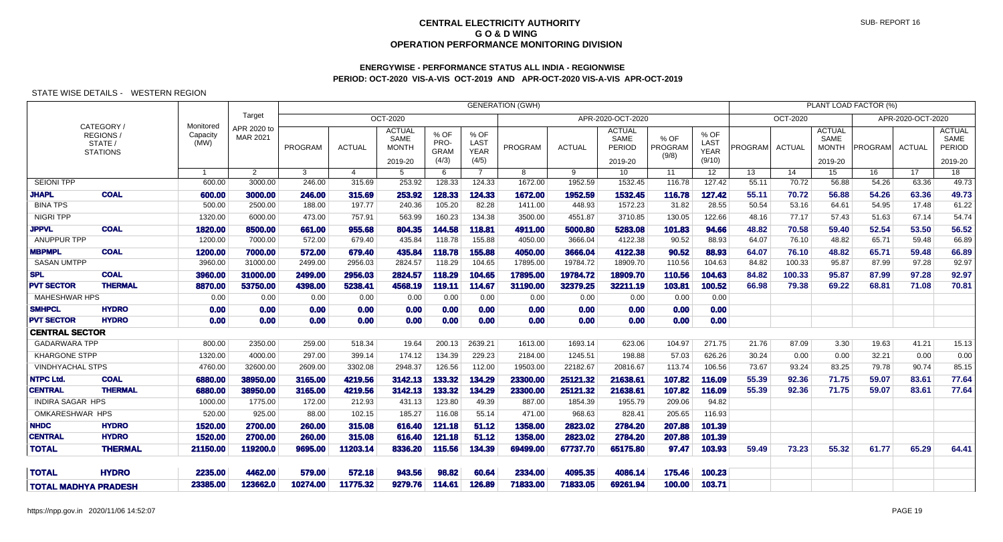# **ENERGYWISE - PERFORMANCE STATUS ALL INDIA - REGIONWISEPERIOD: OCT-2020 VIS-A-VIS OCT-2019 AND APR-OCT-2020 VIS-A-VIS APR-OCT-2019**

|                             |                                                     |                               |                         |          |               |                                                  |                                      |                                             | <b>GENERATION (GWH)</b> |               |                                                   |                          |                                       |         |               |                                                  | PLANT LOAD FACTOR (%) |                   |                                                   |
|-----------------------------|-----------------------------------------------------|-------------------------------|-------------------------|----------|---------------|--------------------------------------------------|--------------------------------------|---------------------------------------------|-------------------------|---------------|---------------------------------------------------|--------------------------|---------------------------------------|---------|---------------|--------------------------------------------------|-----------------------|-------------------|---------------------------------------------------|
|                             |                                                     |                               | Target                  |          |               | OCT-2020                                         |                                      |                                             |                         |               | APR-2020-OCT-2020                                 |                          |                                       |         | OCT-2020      |                                                  |                       | APR-2020-OCT-2020 |                                                   |
|                             | CATEGORY /<br>REGIONS<br>STATE /<br><b>STATIONS</b> | Monitored<br>Capacity<br>(MW) | APR 2020 to<br>MAR 2021 | PROGRAM  | <b>ACTUAL</b> | <b>ACTUAL</b><br>SAME<br><b>MONTH</b><br>2019-20 | % OF<br>PRO-<br><b>GRAM</b><br>(4/3) | % OF<br><b>LAST</b><br><b>YEAR</b><br>(4/5) | PROGRAM                 | <b>ACTUAL</b> | <b>ACTUAL</b><br>SAME<br><b>PERIOD</b><br>2019-20 | % OF<br>PROGRAM<br>(9/8) | % OF<br>LAST<br><b>YEAR</b><br>(9/10) | PROGRAM | <b>ACTUAL</b> | <b>ACTUAL</b><br>SAME<br><b>MONTH</b><br>2019-20 | PROGRAM               | ACTUAL            | <b>ACTUAL</b><br>SAME<br><b>PERIOD</b><br>2019-20 |
|                             |                                                     | $\mathbf{1}$                  | $\overline{2}$          | 3        | 4             | 5                                                | 6                                    | $\overline{7}$                              | 8                       | 9             | 10 <sup>1</sup>                                   | 11                       | 12                                    | 13      | 14            | 15                                               | 16                    | $\overline{17}$   | 18                                                |
| <b>SEIONI TPP</b>           |                                                     | 600.00                        | 3000.00                 | 246.00   | 315.69        | 253.92                                           | 128.33                               | 124.33                                      | 1672.00                 | 1952.59       | 1532.45                                           | 116.78                   | 127.42                                | 55.11   | 70.72         | 56.88                                            | 54.26                 | 63.36             | 49.73                                             |
| <b>JHAPL</b>                | <b>COAL</b>                                         | 600.00                        | 3000.00                 | 246.00   | 315.69        | 253.92                                           | 128.33                               | 124.33                                      | 1672.00                 | 1952.59       | 1532.45                                           | 116.78                   | 127.42                                | 55.11   | 70.72         | 56.88                                            | 54.26                 | 63.36             | 49.73                                             |
| <b>BINA TPS</b>             |                                                     | 500.00                        | 2500.00                 | 188.00   | 197.77        | 240.36                                           | 105.20                               | 82.28                                       | 1411.00                 | 448.93        | 1572.23                                           | 31.82                    | 28.55                                 | 50.54   | 53.16         | 64.61                                            | 54.95                 | 17.48             | 61.22                                             |
| <b>NIGRI TPP</b>            |                                                     | 1320.00                       | 6000.00                 | 473.00   | 757.91        | 563.99                                           | 160.23                               | 134.38                                      | 3500.00                 | 4551.87       | 3710.85                                           | 130.05                   | 122.66                                | 48.16   | 77.17         | 57.43                                            | 51.63                 | 67.14             | 54.74                                             |
| <b>JPPVL</b>                | <b>COAL</b>                                         | 1820.00                       | 8500.00                 | 661.00   | 955.68        | 804.35                                           | 144.58                               | 118.81                                      | 4911.00                 | 5000.80       | 5283.08                                           | 101.83                   | 94.66                                 | 48.82   | 70.58         | 59.40                                            | 52.54                 | 53.50             | 56.52                                             |
| ANUPPUR TPP                 |                                                     | 1200.00                       | 7000.00                 | 572.00   | 679.40        | 435.84                                           | 118.78                               | 155.88                                      | 4050.00                 | 3666.04       | 4122.38                                           | 90.52                    | 88.93                                 | 64.07   | 76.10         | 48.82                                            | 65.71                 | 59.48             | 66.89                                             |
| <b>MBPMPL</b>               | <b>COAL</b>                                         | 1200.00                       | 7000.00                 | 572.00   | 679.40        | 435.84                                           | 118.78                               | 155.88                                      | 4050.00                 | 3666.04       | 4122.38                                           | 90.52                    | 88.93                                 | 64.07   | 76.10         | 48.82                                            | 65.71                 | 59.48             | 66.89                                             |
| <b>SASAN UMTPP</b>          |                                                     | 3960.00                       | 31000.00                | 2499.00  | 2956.03       | 2824.57                                          | 118.29                               | 104.65                                      | 17895.00                | 19784.72      | 18909.70                                          | 110.56                   | 104.63                                | 84.82   | 100.33        | 95.87                                            | 87.99                 | 97.28             | 92.97                                             |
| <b>SPL</b>                  | <b>COAL</b>                                         | 3960.00                       | 31000.00                | 2499.00  | 2956.03       | 2824.57                                          | 118.29                               | 104.65                                      | 17895.00                | 19784.72      | 18909.70                                          | 110.56                   | 104.63                                | 84.82   | 100.33        | 95.87                                            | 87.99                 | 97.28             | 92.97                                             |
| <b>PVT SECTOR</b>           | <b>THERMAL</b>                                      | 8870.00                       | 53750.00                | 4398.00  | 5238.41       | 4568.19                                          | 119.11                               | 114.67                                      | 31190.00                | 32379.25      | 32211.19                                          | 103.81                   | 100.52                                | 66.98   | 79.38         | 69.22                                            | 68.81                 | 71.08             | 70.81                                             |
| <b>MAHESHWAR HPS</b>        |                                                     | 0.00                          | 0.00                    | 0.00     | 0.00          | 0.00                                             | 0.00                                 | 0.00                                        | 0.00                    | 0.00          | 0.00                                              | 0.00                     | 0.00                                  |         |               |                                                  |                       |                   |                                                   |
| <b>SMHPCL</b>               | <b>HYDRO</b>                                        | 0.00                          | 0.00                    | 0.00     | 0.00          | 0.00                                             | 0.00                                 | 0.00                                        | 0.00                    | 0.00          | 0.00                                              | 0.00                     | 0.00                                  |         |               |                                                  |                       |                   |                                                   |
| <b>PVT SECTOR</b>           | <b>HYDRO</b>                                        | 0.00                          | 0.00                    | 0.00     | 0.00          | 0.00                                             | 0.00                                 | 0.00                                        | 0.00                    | 0.00          | 0.00                                              | 0.00                     | 0.00                                  |         |               |                                                  |                       |                   |                                                   |
| <b>CENTRAL SECTOR</b>       |                                                     |                               |                         |          |               |                                                  |                                      |                                             |                         |               |                                                   |                          |                                       |         |               |                                                  |                       |                   |                                                   |
| <b>GADARWARA TPP</b>        |                                                     | 800.00                        | 2350.00                 | 259.00   | 518.34        | 19.64                                            | 200.13                               | 2639.21                                     | 1613.00                 | 1693.14       | 623.06                                            | 104.97                   | 271.75                                | 21.76   | 87.09         | 3.30                                             | 19.63                 | 41.21             | 15.13                                             |
| <b>KHARGONE STPP</b>        |                                                     | 1320.00                       | 4000.00                 | 297.00   | 399.14        | 174.12                                           | 134.39                               | 229.23                                      | 2184.00                 | 1245.51       | 198.88                                            | 57.03                    | 626.26                                | 30.24   | 0.00          | 0.00                                             | 32.21                 | 0.00              | 0.00                                              |
| <b>VINDHYACHAL STPS</b>     |                                                     | 4760.00                       | 32600.00                | 2609.00  | 3302.08       | 2948.37                                          | 126.56                               | 112.00                                      | 19503.00                | 22182.67      | 20816.67                                          | 113.74                   | 106.56                                | 73.67   | 93.24         | 83.25                                            | 79.78                 | 90.74             | 85.15                                             |
| <b>NTPC Ltd.</b>            | <b>COAL</b>                                         | 6880.00                       | 38950.00                | 3165.00  | 4219.56       | 3142.13                                          | 133.32                               | 134.29                                      | 23300.00                | 25121.32      | 21638.61                                          | 107.82                   | 116.09                                | 55.39   | 92.36         | 71.75                                            | 59.07                 | 83.61             | 77.64                                             |
| <b>CENTRAL</b>              | <b>THERMAL</b>                                      | 6880.00                       | 38950.00                | 3165.00  | 4219.56       | 3142.13                                          | 133.32                               | 134.29                                      | 23300.00                | 25121.32      | 21638.61                                          | 107.82                   | 116.09                                | 55.39   | 92.36         | 71.75                                            | 59.07                 | 83.61             | 77.64                                             |
| <b>INDIRA SAGAR HPS</b>     |                                                     | 1000.00                       | 1775.00                 | 172.00   | 212.93        | 431.13                                           | 123.80                               | 49.39                                       | 887.00                  | 1854.39       | 1955.79                                           | 209.06                   | 94.82                                 |         |               |                                                  |                       |                   |                                                   |
| <b>OMKARESHWAR HPS</b>      |                                                     | 520.00                        | 925.00                  | 88.00    | 102.15        | 185.27                                           | 116.08                               | 55.14                                       | 471.00                  | 968.63        | 828.41                                            | 205.65                   | 116.93                                |         |               |                                                  |                       |                   |                                                   |
| <b>NHDC</b>                 | <b>HYDRO</b>                                        | 1520.00                       | 2700.00                 | 260.00   | 315.08        | 616.40                                           | 121.18                               | 51.12                                       | 1358.00                 | 2823.02       | 2784.20                                           | 207.88                   | 101.39                                |         |               |                                                  |                       |                   |                                                   |
| <b>CENTRAL</b>              | <b>HYDRO</b>                                        | 1520.00                       | 2700.00                 | 260.00   | 315.08        | 616.40                                           | 121.18                               | 51.12                                       | 1358.00                 | 2823.02       | 2784.20                                           | 207.88                   | 101.39                                |         |               |                                                  |                       |                   |                                                   |
| <b>TOTAL</b>                | <b>THERMAL</b>                                      | 21150.00                      | 119200.0                | 9695.00  | 11203.14      | 8336.20                                          | 115.56                               | 134.39                                      | 69499.00                | 67737.70      | 65175.80                                          | 97.47                    | 103.93                                | 59.49   | 73.23         | 55.32                                            | 61.77                 | 65.29             | 64.41                                             |
| <b>TOTAL</b>                | <b>HYDRO</b>                                        | 2235.00                       | 4462.00                 | 579.00   | 572.18        | 943.56                                           | 98.82                                | 60.64                                       | 2334.00                 | 4095.35       | 4086.14                                           | 175.46                   | 100.23                                |         |               |                                                  |                       |                   |                                                   |
| <b>TOTAL MADHYA PRADESH</b> |                                                     | 23385.00                      | 123662.0                | 10274.00 | 11775.32      | 9279.76                                          | 114.61                               | 126.89                                      | 71833.00                | 71833.05      | 69261.94                                          | 100.00                   | 103.71                                |         |               |                                                  |                       |                   |                                                   |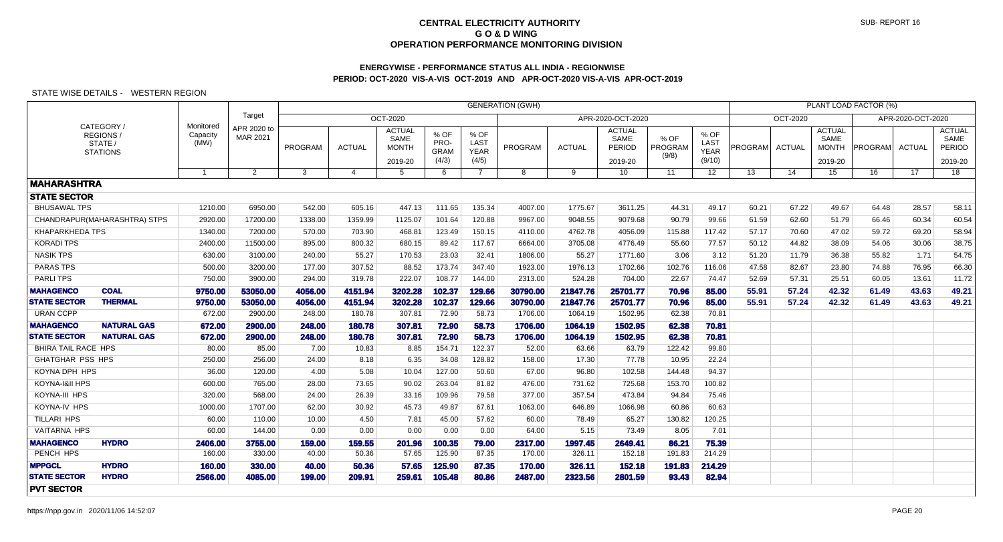## **ENERGYWISE - PERFORMANCE STATUS ALL INDIA - REGIONWISEPERIOD: OCT-2020 VIS-A-VIS OCT-2019 AND APR-OCT-2020 VIS-A-VIS APR-OCT-2019**

|                            |                                                      |                               |                                |         |                       |                                                         |                                      |                                      | <b>GENERATION (GWH)</b> |               |                                            |                          |                                       |                |               |                                                  | PLANT LOAD FACTOR (%) |                   |                                            |
|----------------------------|------------------------------------------------------|-------------------------------|--------------------------------|---------|-----------------------|---------------------------------------------------------|--------------------------------------|--------------------------------------|-------------------------|---------------|--------------------------------------------|--------------------------|---------------------------------------|----------------|---------------|--------------------------------------------------|-----------------------|-------------------|--------------------------------------------|
|                            |                                                      |                               | Target                         |         |                       | OCT-2020                                                |                                      |                                      |                         |               | APR-2020-OCT-2020                          |                          |                                       |                | OCT-2020      |                                                  |                       | APR-2020-OCT-2020 |                                            |
|                            | CATEGORY /<br>REGIONS/<br>STATE /<br><b>STATIONS</b> | Monitored<br>Capacity<br>(MW) | APR 2020 to<br><b>MAR 2021</b> | PROGRAM | <b>ACTUAL</b>         | <b>ACTUAL</b><br><b>SAME</b><br><b>MONTH</b><br>2019-20 | % OF<br>PRO-<br><b>GRAM</b><br>(4/3) | % OF<br>LAST<br><b>YEAR</b><br>(4/5) | PROGRAM                 | <b>ACTUAL</b> | <b>ACTUAL</b><br>SAME<br>PERIOD<br>2019-20 | % OF<br>PROGRAM<br>(9/8) | % OF<br>LAST<br><b>YEAR</b><br>(9/10) | <b>PROGRAM</b> | <b>ACTUAL</b> | <b>ACTUAL</b><br>SAME<br><b>MONTH</b><br>2019-20 | <b>PROGRAM</b>        | <b>ACTUAL</b>     | <b>ACTUAL</b><br>SAME<br>PERIOD<br>2019-20 |
|                            |                                                      |                               | $\overline{2}$                 | 3       | $\boldsymbol{\Delta}$ | 5                                                       | 6                                    | $\overline{7}$                       | 8                       | 9             | 10                                         | 11                       | 12 <sup>°</sup>                       | 13             | 14            | 15                                               | 16                    | 17                | 18                                         |
| <b>MAHARASHTRA</b>         |                                                      |                               |                                |         |                       |                                                         |                                      |                                      |                         |               |                                            |                          |                                       |                |               |                                                  |                       |                   |                                            |
| <b>STATE SECTOR</b>        |                                                      |                               |                                |         |                       |                                                         |                                      |                                      |                         |               |                                            |                          |                                       |                |               |                                                  |                       |                   |                                            |
| <b>BHUSAWAL TPS</b>        |                                                      | 1210.00                       | 6950.00                        | 542.00  | 605.16                | 447.13                                                  | 111.65                               | 135.34                               | 4007.00                 | 1775.67       | 3611.25                                    | 44.31                    | 49.17                                 | 60.21          | 67.22         | 49.67                                            | 64.48                 | 28.57             | 58.11                                      |
|                            | CHANDRAPUR (MAHARASHTRA) STPS                        | 2920.00                       | 17200.00                       | 1338.00 | 1359.99               | 1125.07                                                 | 101.64                               | 120.88                               | 9967.00                 | 9048.55       | 9079.68                                    | 90.79                    | 99.66                                 | 61.59          | 62.60         | 51.79                                            | 66.46                 | 60.34             | 60.54                                      |
| KHAPARKHEDA TPS            |                                                      | 1340.00                       | 7200.00                        | 570.00  | 703.90                | 468.81                                                  | 123.49                               | 150.15                               | 4110.00                 | 4762.78       | 4056.09                                    | 115.88                   | 117.42                                | 57.17          | 70.60         | 47.02                                            | 59.72                 | 69.20             | 58.94                                      |
| <b>KORADI TPS</b>          |                                                      | 2400.00                       | 11500.00                       | 895.00  | 800.32                | 680.15                                                  | 89.42                                | 117.67                               | 6664.00                 | 3705.08       | 4776.49                                    | 55.60                    | 77.57                                 | 50.12          | 44.82         | 38.09                                            | 54.06                 | 30.06             | 38.75                                      |
| <b>NASIK TPS</b>           |                                                      | 630.00                        | 3100.00                        | 240.00  | 55.27                 | 170.53                                                  | 23.03                                | 32.41                                | 1806.00                 | 55.27         | 1771.60                                    | 3.06                     | 3.12                                  | 51.20          | 11.79         | 36.38                                            | 55.82                 | 1.71              | 54.75                                      |
| PARAS TPS                  |                                                      | 500.00                        | 3200.00                        | 177.00  | 307.52                | 88.52                                                   | 173.74                               | 347.40                               | 1923.00                 | 1976.13       | 1702.66                                    | 102.76                   | 116.06                                | 47.58          | 82.67         | 23.80                                            | 74.88                 | 76.95             | 66.30                                      |
| <b>PARLITPS</b>            |                                                      | 750.00                        | 3900.00                        | 294.00  | 319.78                | 222.07                                                  | 108.77                               | 144.00                               | 2313.00                 | 524.28        | 704.00                                     | 22.67                    | 74.47                                 | 52.69          | 57.31         | 25.51                                            | 60.05                 | 13.61             | 11.72                                      |
| <b>MAHAGENCO</b>           | <b>COAL</b>                                          | 9750.00                       | 53050.00                       | 4056.00 | 4151.94               | 3202.28                                                 | 102.37                               | 129.66                               | 30790.00                | 21847.76      | 25701.77                                   | 70.96                    | 85,00                                 | 55.91          | 57.24         | 42.32                                            | 61.49                 | 43.63             | 49.21                                      |
| <b>STATE SECTOR</b>        | <b>THERMAL</b>                                       | 9750.00                       | 53050.00                       | 4056,00 | 4151.94               | 3202.28                                                 | 102.37                               | 129.66                               | 30790.00                | 21847.76      | 25701.77                                   | 70.96                    | 85,00                                 | 55.91          | 57.24         | 42.32                                            | 61.49                 | 43.63             | 49.21                                      |
| <b>URAN CCPP</b>           |                                                      | 672.00                        | 2900.00                        | 248.00  | 180.78                | 307.81                                                  | 72.90                                | 58.73                                | 1706.00                 | 1064.19       | 1502.95                                    | 62.38                    | 70.81                                 |                |               |                                                  |                       |                   |                                            |
| <b>MAHAGENCO</b>           | <b>NATURAL GAS</b>                                   | 672.00                        | 2900.00                        | 248.00  | 180.78                | 307.81                                                  | 72.90                                | 58.73                                | 1706.00                 | 1064.19       | 1502.95                                    | 62.38                    | 70.81                                 |                |               |                                                  |                       |                   |                                            |
| <b>STATE SECTOR</b>        | <b>NATURAL GAS</b>                                   | 672.00                        | 2900.00                        | 248.00  | 180.78                | 307.81                                                  | 72.90                                | 58.73                                | 1706.00                 | 1064.19       | 1502.95                                    | 62.38                    | 70.81                                 |                |               |                                                  |                       |                   |                                            |
| <b>BHIRA TAIL RACE HPS</b> |                                                      | 80.00                         | 85.00                          | 7.00    | 10.83                 | 8.85                                                    | 154.71                               | 122.37                               | 52.00                   | 63.66         | 63.79                                      | 122.42                   | 99.80                                 |                |               |                                                  |                       |                   |                                            |
| <b>GHATGHAR PSS HPS</b>    |                                                      | 250.00                        | 256.00                         | 24.00   | 8.18                  | 6.35                                                    | 34.08                                | 128.82                               | 158.00                  | 17.30         | 77.78                                      | 10.95                    | 22.24                                 |                |               |                                                  |                       |                   |                                            |
| KOYNA DPH HPS              |                                                      | 36.00                         | 120.00                         | 4.00    | 5.08                  | 10.04                                                   | 127.00                               | 50.60                                | 67.00                   | 96.80         | 102.58                                     | 144.48                   | 94.37                                 |                |               |                                                  |                       |                   |                                            |
| KOYNA-I&II HPS             |                                                      | 600.00                        | 765.00                         | 28.00   | 73.65                 | 90.02                                                   | 263.04                               | 81.82                                | 476.00                  | 731.62        | 725.68                                     | 153.70                   | 100.82                                |                |               |                                                  |                       |                   |                                            |
| KOYNA-III HPS              |                                                      | 320.00                        | 568.00                         | 24.00   | 26.39                 | 33.16                                                   | 109.96                               | 79.58                                | 377.00                  | 357.54        | 473.84                                     | 94.84                    | 75.46                                 |                |               |                                                  |                       |                   |                                            |
| KOYNA-IV HPS               |                                                      | 1000.00                       | 1707.00                        | 62.00   | 30.92                 | 45.73                                                   | 49.87                                | 67.61                                | 1063.00                 | 646.89        | 1066.98                                    | 60.86                    | 60.63                                 |                |               |                                                  |                       |                   |                                            |
| <b>TILLARI HPS</b>         |                                                      | 60.00                         | 110.00                         | 10.00   | 4.50                  | 7.81                                                    | 45.00                                | 57.62                                | 60.00                   | 78.49         | 65.27                                      | 130.82                   | 120.25                                |                |               |                                                  |                       |                   |                                            |
| <b>VAITARNA HPS</b>        |                                                      | 60.00                         | 144.00                         | 0.00    | 0.00                  | 0.00                                                    | 0.00                                 | 0.00                                 | 64.00                   | 5.15          | 73.49                                      | 8.05                     | 7.01                                  |                |               |                                                  |                       |                   |                                            |
| <b>MAHAGENCO</b>           | <b>HYDRO</b>                                         | 2406.00                       | 3755.00                        | 159.00  | 159.55                | 201.96                                                  | 100.35                               | 79.00                                | 2317.00                 | 1997.45       | 2649.41                                    | 86.21                    | 75.39                                 |                |               |                                                  |                       |                   |                                            |
| PENCH HPS                  |                                                      | 160.00                        | 330.00                         | 40.00   | 50.36                 | 57.65                                                   | 125.90                               | 87.35                                | 170.00                  | 326.11        | 152.18                                     | 191.83                   | 214.29                                |                |               |                                                  |                       |                   |                                            |
| <b>MPPGCL</b>              | <b>HYDRO</b>                                         | 160.00                        | 330.00                         | 40.00   | 50.36                 | 57.65                                                   | 125.90                               | 87.35                                | 170.00                  | 326.11        | 152.18                                     | 191.83                   | 214.29                                |                |               |                                                  |                       |                   |                                            |
| <b>STATE SECTOR</b>        | <b>HYDRO</b>                                         | 2566.00                       | 4085.00                        | 199.00  | 209.91                | 259.61                                                  | 105.48                               | 80.86                                | 2487.00                 | 2323.56       | 2801.59                                    | 93.43                    | 82.94                                 |                |               |                                                  |                       |                   |                                            |
| <b>PVT SECTOR</b>          |                                                      |                               |                                |         |                       |                                                         |                                      |                                      |                         |               |                                            |                          |                                       |                |               |                                                  |                       |                   |                                            |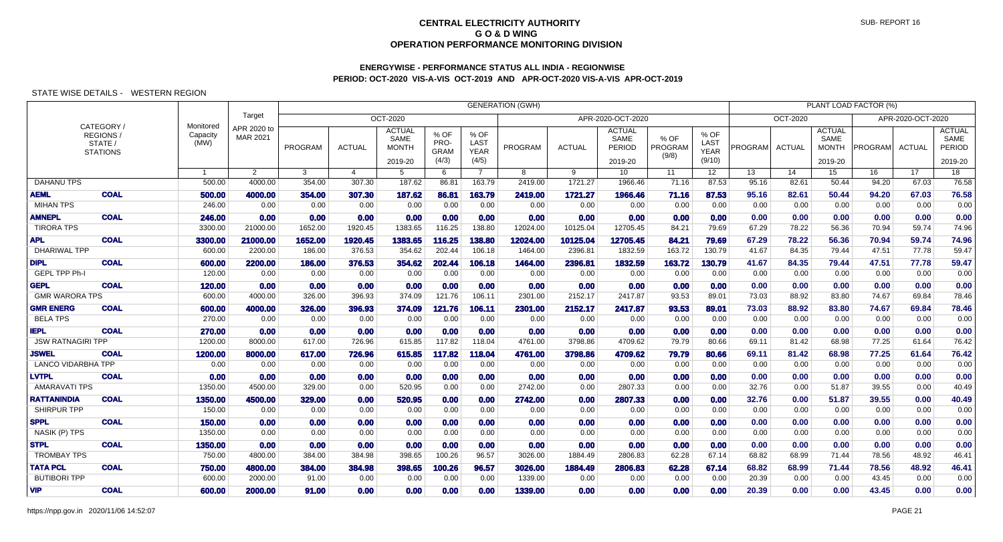## **ENERGYWISE - PERFORMANCE STATUS ALL INDIA - REGIONWISEPERIOD: OCT-2020 VIS-A-VIS OCT-2019 AND APR-OCT-2020 VIS-A-VIS APR-OCT-2019**

|                           |                                                     |                               |                         | PLANT LOAD FACTOR (%)<br><b>GENERATION (GWH)</b> |                                      |                                                  |                                      |                                      |          |               |                                            |                          |                                       |                |                 |                                                  |                |                   |                                                   |
|---------------------------|-----------------------------------------------------|-------------------------------|-------------------------|--------------------------------------------------|--------------------------------------|--------------------------------------------------|--------------------------------------|--------------------------------------|----------|---------------|--------------------------------------------|--------------------------|---------------------------------------|----------------|-----------------|--------------------------------------------------|----------------|-------------------|---------------------------------------------------|
|                           |                                                     |                               | Target                  |                                                  | <b>OCT-2020</b><br>APR-2020-OCT-2020 |                                                  |                                      |                                      |          |               |                                            |                          |                                       |                | <b>OCT-2020</b> |                                                  |                | APR-2020-OCT-2020 |                                                   |
|                           | CATEGORY/<br>REGIONS/<br>STATE /<br><b>STATIONS</b> | Monitored<br>Capacity<br>(MW) | APR 2020 to<br>MAR 2021 | PROGRAM                                          | <b>ACTUAL</b>                        | <b>ACTUAL</b><br>SAME<br><b>MONTH</b><br>2019-20 | % OF<br>PRO-<br><b>GRAM</b><br>(4/3) | % OF<br>LAST<br><b>YEAR</b><br>(4/5) | PROGRAM  | <b>ACTUAL</b> | <b>ACTUAL</b><br>SAME<br>PERIOD<br>2019-20 | % OF<br>PROGRAM<br>(9/8) | % OF<br>LAST<br><b>YEAR</b><br>(9/10) | <b>PROGRAM</b> | <b>ACTUAL</b>   | <b>ACTUAL</b><br>SAME<br><b>MONTH</b><br>2019-20 | <b>PROGRAM</b> | <b>ACTUAL</b>     | <b>ACTUAL</b><br>SAME<br><b>PERIOD</b><br>2019-20 |
|                           |                                                     | $\mathbf{1}$                  | $\overline{2}$          | 3                                                | 4                                    | 5                                                | 6                                    | $\overline{7}$                       | 8        | 9             | 10                                         | 11                       | 12 <sup>°</sup>                       | 13             | 14              | 15 <sup>15</sup>                                 | 16             | 17                | 18                                                |
| <b>DAHANU TPS</b>         |                                                     | 500.00                        | 4000.00                 | 354.00                                           | 307.30                               | 187.62                                           | 86.81                                | 163.79                               | 2419.00  | 1721.27       | 1966.46                                    | 71.16                    | 87.53                                 | 95.16          | 82.61           | 50.44                                            | 94.20          | 67.03             | 76.58                                             |
| <b>AEML</b>               | <b>COAL</b>                                         | 500.00                        | 4000.00                 | 354.00                                           | 307.30                               | 187.62                                           | 86.81                                | 163.79                               | 2419.00  | 1721.27       | 1966.46                                    | 71.16                    | 87.53                                 | 95.16          | 82.61           | 50.44                                            | 94.20          | 67.03             | 76.58                                             |
| <b>MIHAN TPS</b>          |                                                     | 246.00                        | 0.00                    | 0.00                                             | 0.00                                 | 0.00                                             | 0.00                                 | 0.00                                 | 0.00     | 0.00          | 0.00                                       | 0.00                     | 0.00                                  | 0.00           | 0.00            | 0.00                                             | 0.00           | 0.00              | 0.00                                              |
| <b>AMNEPL</b>             | <b>COAL</b>                                         | 246.00                        | 0.00                    | 0.00                                             | 0.00                                 | 0.00                                             | 0.00                                 | 0.00                                 | 0.00     | 0.00          | 0.00                                       | 0.00                     | 0.00                                  | 0.00           | 0.00            | 0.00                                             | 0.00           | 0.00              | 0.00                                              |
| <b>TIRORA TPS</b>         |                                                     | 3300.00                       | 21000.00                | 1652.00                                          | 1920.45                              | 1383.65                                          | 116.25                               | 138.80                               | 12024.00 | 10125.04      | 12705.45                                   | 84.21                    | 79.69                                 | 67.29          | 78.22           | 56.36                                            | 70.94          | 59.74             | 74.96                                             |
| <b>APL</b>                | <b>COAL</b>                                         | 3300.00                       | 21000.00                | 1652.00                                          | 1920.45                              | 1383.65                                          | 116.25                               | 138.80                               | 12024.00 | 10125.04      | 12705.45                                   | 84.21                    | 79.69                                 | 67.29          | 78.22           | 56.36                                            | 70.94          | 59.74             | 74.96                                             |
| <b>DHARIWAL TPP</b>       |                                                     | 600.00                        | 2200.00                 | 186.00                                           | 376.53                               | 354.62                                           | 202.44                               | 106.18                               | 1464.00  | 2396.81       | 1832.59                                    | 163.72                   | 130.79                                | 41.67          | 84.35           | 79.44                                            | 47.51          | 77.78             | 59.47                                             |
| <b>DIPL</b>               | <b>COAL</b>                                         | 600.00                        | 2200.00                 | 186.00                                           | 376.53                               | 354.62                                           | 202.44                               | 106.18                               | 1464.00  | 2396.81       | 1832.59                                    | 163.72                   | 130.79                                | 41.67          | 84.35           | 79.44                                            | 47.51          | 77.78             | 59.47                                             |
| <b>GEPL TPP Ph-I</b>      |                                                     | 120.00                        | 0.00                    | 0.00                                             | 0.00                                 | 0.00                                             | 0.00                                 | 0.00                                 | 0.00     | 0.00          | 0.00                                       | 0.00                     | 0.00                                  | 0.00           | 0.00            | 0.00                                             | 0.00           | 0.00              | 0.00                                              |
| <b>GEPL</b>               | <b>COAL</b>                                         | 120.00                        | 0.00                    | 0.00                                             | 0.00                                 | 0.00                                             | 0.00                                 | 0.00                                 | 0.00     | 0.00          | 0.00                                       | 0.00                     | 0.00                                  | 0.00           | 0.00            | 0.00                                             | 0.00           | 0.00              | 0.00                                              |
| <b>GMR WARORA TPS</b>     |                                                     | 600.00                        | 4000.00                 | 326.00                                           | 396.93                               | 374.09                                           | 121.76                               | 106.11                               | 2301.00  | 2152.17       | 2417.87                                    | 93.53                    | 89.01                                 | 73.03          | 88.92           | 83.80                                            | 74.67          | 69.84             | 78.46                                             |
| <b>GMR ENERG</b>          | <b>COAL</b>                                         | 600.00                        | 4000.00                 | 326.00                                           | 396.93                               | 374.09                                           | 121.76                               | 106.11                               | 2301.00  | 2152.17       | 2417.87                                    | 93.53                    | 89.01                                 | 73.03          | 88.92           | 83.80                                            | 74.67          | 69.84             | 78.46                                             |
| <b>BELA TPS</b>           |                                                     | 270.00                        | 0.00                    | 0.00                                             | 0.00                                 | 0.00                                             | 0.00                                 | 0.00                                 | 0.00     | 0.00          | 0.00                                       | 0.00                     | 0.00                                  | 0.00           | 0.00            | 0.00                                             | 0.00           | 0.00              | 0.00                                              |
| <b>IEPL</b>               | <b>COAL</b>                                         | 270.00                        | 0.00                    | 0.00                                             | 0.00                                 | 0.00                                             | 0.00                                 | 0.00                                 | 0.00     | 0.00          | 0.00                                       | 0.00                     | 0.00                                  | 0.00           | 0.00            | 0.00                                             | 0.00           | 0.00              | 0.00                                              |
| <b>JSW RATNAGIRI TPP</b>  |                                                     | 1200.00                       | 8000.00                 | 617.00                                           | 726.96                               | 615.85                                           | 117.82                               | 118.04                               | 4761.00  | 3798.86       | 4709.62                                    | 79.79                    | 80.66                                 | 69.11          | 81.42           | 68.98                                            | 77.25          | 61.64             | 76.42                                             |
| <b>JSWEL</b>              | <b>COAL</b>                                         | 1200.00                       | 8000.00                 | 617.00                                           | 726.96                               | 615.85                                           | 117.82                               | 118.04                               | 4761.00  | 3798.86       | 4709.62                                    | 79.79                    | 80.66                                 | 69.11          | 81.42           | 68.98                                            | 77.25          | 61.64             | 76.42                                             |
| <b>LANCO VIDARBHA TPP</b> |                                                     | 0.00                          | 0.00                    | 0.00                                             | 0.00                                 | 0.00                                             | 0.00                                 | 0.00                                 | 0.00     | 0.00          | 0.00                                       | 0.00                     | 0.00                                  | 0.00           | 0.00            | 0.00                                             | 0.00           | 0.00              | 0.00                                              |
| <b>LVTPL</b>              | <b>COAL</b>                                         | 0.00                          | 0.00                    | 0.00                                             | 0.00                                 | 0.00                                             | 0.00                                 | 0.00                                 | 0.00     | 0.00          | 0.00                                       | 0.00                     | 0.00                                  | 0.00           | 0.00            | 0.00                                             | 0.00           | 0.00              | 0.00                                              |
| <b>AMARAVATI TPS</b>      |                                                     | 1350.00                       | 4500.00                 | 329.00                                           | 0.00                                 | 520.95                                           | 0.00                                 | 0.00                                 | 2742.00  | 0.00          | 2807.33                                    | 0.00                     | 0.00                                  | 32.76          | 0.00            | 51.87                                            | 39.55          | 0.00              | 40.49                                             |
| <b>RATTANINDIA</b>        | <b>COAL</b>                                         | 1350.00                       | 4500.00                 | 329.00                                           | 0.00                                 | 520.95                                           | 0.00                                 | 0.00                                 | 2742.00  | 0.00          | 2807.33                                    | 0.00                     | 0.00                                  | 32.76          | 0.00            | 51.87                                            | 39.55          | 0.00              | 40.49                                             |
| <b>SHIRPUR TPP</b>        |                                                     | 150.00                        | 0.00                    | 0.00                                             | 0.00                                 | 0.00                                             | 0.00                                 | 0.00                                 | 0.00     | 0.00          | 0.00                                       | 0.00                     | 0.00                                  | 0.00           | 0.00            | 0.00                                             | 0.00           | 0.00              | 0.00                                              |
| <b>SPPL</b>               | <b>COAL</b>                                         | 150.00                        | 0.00                    | 0.00                                             | 0.00                                 | 0.00                                             | 0.00                                 | 0.00                                 | 0.00     | 0.00          | 0.00                                       | 0.00                     | 0.00                                  | 0.00           | 0.00            | 0.00                                             | 0.00           | 0.00              | 0.00                                              |
| NASIK (P) TPS             |                                                     | 1350.00                       | 0.00                    | 0.00                                             | 0.00                                 | 0.00                                             | 0.00                                 | 0.00                                 | 0.00     | 0.00          | 0.00                                       | 0.00                     | 0.00                                  | 0.00           | 0.00            | 0.00                                             | 0.00           | 0.00              | 0.00                                              |
| <b>STPL</b>               | <b>COAL</b>                                         | 1350.00                       | 0.00                    | 0.00                                             | 0.00                                 | 0.00                                             | 0.00                                 | 0.00                                 | 0.00     | 0.00          | 0.00                                       | 0.00                     | 0.00                                  | 0.00           | 0.00            | 0.00                                             | 0.00           | 0.00              | 0.00                                              |
| <b>TROMBAY TPS</b>        |                                                     | 750.00                        | 4800.00                 | 384.00                                           | 384.98                               | 398.65                                           | 100.26                               | 96.57                                | 3026.00  | 1884.49       | 2806.83                                    | 62.28                    | 67.14                                 | 68.82          | 68.99           | 71.44                                            | 78.56          | 48.92             | 46.41                                             |
| <b>TATA PCL</b>           | <b>COAL</b>                                         | 750.00                        | 4800.00                 | 384.00                                           | 384.98                               | 398.65                                           | 100.26                               | 96.57                                | 3026.00  | 1884.49       | 2806.83                                    | 62.28                    | 67.14                                 | 68.82          | 68.99           | 71.44                                            | 78.56          | 48.92             | 46.41                                             |
| <b>BUTIBORI TPP</b>       |                                                     | 600.00                        | 2000.00                 | 91.00                                            | 0.00                                 | 0.00                                             | 0.00                                 | 0.00                                 | 1339.00  | 0.00          | 0.00                                       | 0.00                     | 0.00                                  | 20.39          | 0.00            | 0.00                                             | 43.45          | 0.00              | 0.00                                              |
| <b>VIP</b>                | <b>COAL</b>                                         | 600.00                        | 2000.00                 | 91.00                                            | 0.00                                 | 0.00                                             | 0.00                                 | 0.00                                 | 1339.00  | 0.00          | 0.00                                       | 0.00                     | 0.00                                  | 20.39          | 0.00            | 0.00                                             | 43.45          | 0.00              | 0.00                                              |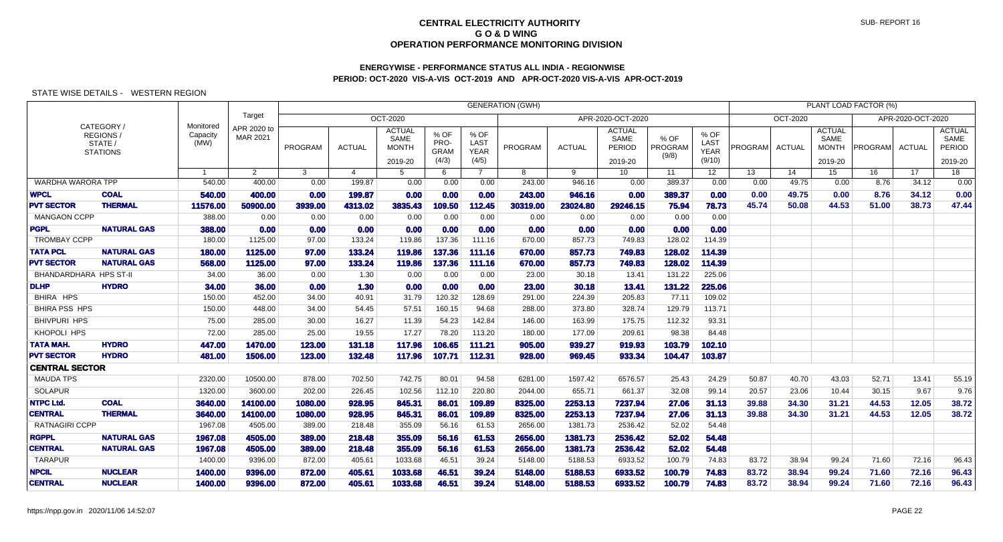# **ENERGYWISE - PERFORMANCE STATUS ALL INDIA - REGIONWISEPERIOD: OCT-2020 VIS-A-VIS OCT-2019 AND APR-OCT-2020 VIS-A-VIS APR-OCT-2019**

|                          |                                                      |                               |                         |         |                |                                                  |                                      |                                             | <b>GENERATION (GWH)</b> |               |                                            |                          |                                       |         |               |                                                  | PLANT LOAD FACTOR (%) |                   |                                            |
|--------------------------|------------------------------------------------------|-------------------------------|-------------------------|---------|----------------|--------------------------------------------------|--------------------------------------|---------------------------------------------|-------------------------|---------------|--------------------------------------------|--------------------------|---------------------------------------|---------|---------------|--------------------------------------------------|-----------------------|-------------------|--------------------------------------------|
|                          |                                                      |                               | Target                  |         |                | OCT-2020                                         |                                      |                                             |                         |               | APR-2020-OCT-2020                          |                          |                                       |         | OCT-2020      |                                                  |                       | APR-2020-OCT-2020 |                                            |
|                          | CATEGORY /<br>REGIONS/<br>STATE /<br><b>STATIONS</b> | Monitored<br>Capacity<br>(MW) | APR 2020 to<br>MAR 2021 | PROGRAM | <b>ACTUAL</b>  | <b>ACTUAL</b><br>SAME<br><b>MONTH</b><br>2019-20 | % OF<br>PRO-<br><b>GRAM</b><br>(4/3) | % OF<br><b>LAST</b><br><b>YEAR</b><br>(4/5) | PROGRAM                 | <b>ACTUAL</b> | <b>ACTUAL</b><br>SAME<br>PERIOD<br>2019-20 | % OF<br>PROGRAM<br>(9/8) | % OF<br>LAST<br><b>YEAR</b><br>(9/10) | PROGRAM | <b>ACTUAL</b> | <b>ACTUAL</b><br>SAME<br><b>MONTH</b><br>2019-20 | <b>PROGRAM</b>        | <b>ACTUAL</b>     | <b>ACTUAL</b><br>SAME<br>PERIOD<br>2019-20 |
|                          |                                                      | 1                             | $\overline{2}$          | 3       | $\overline{4}$ | 5                                                | 6                                    | $\overline{7}$                              | 8                       | 9             | 10                                         | 11                       | 12 <sup>°</sup>                       | 13      | 14            | 15                                               | 16                    | 17                | 18                                         |
| <b>WARDHA WARORA TPP</b> |                                                      | 540.00                        | 400.00                  | 0.00    | 199.87         | 0.00                                             | 0.00                                 | 0.00                                        | 243.00                  | 946.16        | 0.00                                       | 389.37                   | 0.00                                  | 0.00    | 49.75         | 0.00                                             | 8.76                  | 34.12             | 0.00                                       |
| <b>WPCL</b>              | <b>COAL</b>                                          | 540.00                        | 400.00                  | 0.00    | 199.87         | 0.00                                             | 0.00                                 | 0.00                                        | 243.00                  | 946.16        | 0.00                                       | 389.37                   | 0.00                                  | 0.00    | 49.75         | 0.00                                             | 8.76                  | 34.12             | 0.00                                       |
| <b>PVT SECTOR</b>        | <b>THERMAL</b>                                       | 11576.00                      | 50900.00                | 3939.00 | 4313.02        | 3835.43                                          | 109.50                               | 112.45                                      | 30319.00                | 23024.80      | 29246.15                                   | 75.94                    | 78.73                                 | 45.74   | 50.08         | 44.53                                            | 51.00                 | 38.73             | 47.44                                      |
| <b>MANGAON CCPP</b>      |                                                      | 388.00                        | 0.00                    | 0.00    | 0.00           | 0.00                                             | 0.00                                 | 0.00                                        | 0.00                    | 0.00          | 0.00                                       | 0.00                     | 0.00                                  |         |               |                                                  |                       |                   |                                            |
| <b>PGPL</b>              | <b>NATURAL GAS</b>                                   | 388.00                        | 0.00                    | 0.00    | 0.00           | 0.00                                             | 0.00                                 | 0.00                                        | 0.00                    | 0.00          | 0.00                                       | 0.00                     | 0.00                                  |         |               |                                                  |                       |                   |                                            |
| <b>TROMBAY CCPP</b>      |                                                      | 180.00                        | 1125.00                 | 97.00   | 133.24         | 119.86                                           | 137.36                               | 111.16                                      | 670.00                  | 857.73        | 749.83                                     | 128.02                   | 114.39                                |         |               |                                                  |                       |                   |                                            |
| <b>TATA PCL</b>          | <b>NATURAL GAS</b>                                   | 180.00                        | 1125.00                 | 97.00   | 133.24         | 119.86                                           | 137.36                               | 111.16                                      | 670.00                  | 857.73        | 749.83                                     | 128.02                   | 114.39                                |         |               |                                                  |                       |                   |                                            |
| <b>PVT SECTOR</b>        | <b>NATURAL GAS</b>                                   | 568,00                        | 1125.00                 | 97.00   | 133.24         | 119.86                                           | 137.36                               | 111.16                                      | 670.00                  | 857.73        | 749.83                                     | 128.02                   | 114.39                                |         |               |                                                  |                       |                   |                                            |
| BHANDARDHARA HPS ST-II   |                                                      | 34.00                         | 36.00                   | 0.00    | 1.30           | 0.00                                             | 0.00                                 | 0.00                                        | 23.00                   | 30.18         | 13.41                                      | 131.22                   | 225.06                                |         |               |                                                  |                       |                   |                                            |
| <b>DLHP</b>              | <b>HYDRO</b>                                         | 34.00                         | 36.00                   | 0.00    | 1.30           | 0.00                                             | 0.00                                 | 0.00                                        | 23.00                   | 30.18         | 13.41                                      | 131.22                   | 225.06                                |         |               |                                                  |                       |                   |                                            |
| BHIRA HPS                |                                                      | 150.00                        | 452.00                  | 34.00   | 40.91          | 31.79                                            | 120.32                               | 128.69                                      | 291.00                  | 224.39        | 205.83                                     | 77.11                    | 109.02                                |         |               |                                                  |                       |                   |                                            |
| <b>BHIRA PSS HPS</b>     |                                                      | 150.00                        | 448.00                  | 34.00   | 54.45          | 57.51                                            | 160.15                               | 94.68                                       | 288.00                  | 373.80        | 328.74                                     | 129.79                   | 113.71                                |         |               |                                                  |                       |                   |                                            |
| <b>BHIVPURI HPS</b>      |                                                      | 75.00                         | 285.00                  | 30.00   | 16.27          | 11.39                                            | 54.23                                | 142.84                                      | 146.00                  | 163.99        | 175.75                                     | 112.32                   | 93.31                                 |         |               |                                                  |                       |                   |                                            |
| <b>KHOPOLI HPS</b>       |                                                      | 72.00                         | 285.00                  | 25.00   | 19.55          | 17.27                                            | 78.20                                | 113.20                                      | 180.00                  | 177.09        | 209.61                                     | 98.38                    | 84.48                                 |         |               |                                                  |                       |                   |                                            |
| TATA MAH.                | <b>HYDRO</b>                                         | 447.00                        | 1470.00                 | 123.00  | 131.18         | 117.96                                           | 106.65                               | 111.21                                      | 905.00                  | 939.27        | 919.93                                     | 103.79                   | 102.10                                |         |               |                                                  |                       |                   |                                            |
| <b>PVT SECTOR</b>        | <b>HYDRO</b>                                         | 481.00                        | 1506.00                 | 123.00  | 132.48         | 117.96                                           | 107.71                               | 112.31                                      | 928.00                  | 969.45        | 933.34                                     | 104.47                   | 103.87                                |         |               |                                                  |                       |                   |                                            |
| <b>CENTRAL SECTOR</b>    |                                                      |                               |                         |         |                |                                                  |                                      |                                             |                         |               |                                            |                          |                                       |         |               |                                                  |                       |                   |                                            |
| <b>MAUDA TPS</b>         |                                                      | 2320.00                       | 10500.00                | 878.00  | 702.50         | 742.75                                           | 80.01                                | 94.58                                       | 6281.00                 | 1597.42       | 6576.57                                    | 25.43                    | 24.29                                 | 50.87   | 40.70         | 43.03                                            | 52.71                 | 13.41             | 55.19                                      |
| <b>SOLAPUR</b>           |                                                      | 1320.00                       | 3600.00                 | 202.00  | 226.45         | 102.56                                           | 112.10                               | 220.80                                      | 2044.00                 | 655.71        | 661.37                                     | 32.08                    | 99.14                                 | 20.57   | 23.06         | 10.44                                            | 30.15                 | 9.67              | 9.76                                       |
| <b>NTPC Ltd.</b>         | <b>COAL</b>                                          | 3640.00                       | 14100.00                | 1080.00 | 928.95         | 845.31                                           | 86.01                                | 109.89                                      | 8325.00                 | 2253.13       | 7237.94                                    | 27.06                    | 31.13                                 | 39.88   | 34.30         | 31.21                                            | 44.53                 | 12.05             | 38.72                                      |
| <b>CENTRAL</b>           | <b>THERMAL</b>                                       | 3640.00                       | 14100.00                | 1080.00 | 928.95         | 845.31                                           | 86.01                                | 109.89                                      | 8325.00                 | 2253.13       | 7237.94                                    | 27.06                    | 31.13                                 | 39.88   | 34.30         | 31.21                                            | 44.53                 | 12.05             | 38.72                                      |
| <b>RATNAGIRI CCPP</b>    |                                                      | 1967.08                       | 4505.00                 | 389.00  | 218.48         | 355.09                                           | 56.16                                | 61.53                                       | 2656.00                 | 1381.73       | 2536.42                                    | 52.02                    | 54.48                                 |         |               |                                                  |                       |                   |                                            |
| <b>RGPPL</b>             | <b>NATURAL GAS</b>                                   | 1967.08                       | 4505.00                 | 389.00  | 218.48         | 355.09                                           | 56.16                                | 61.53                                       | 2656.00                 | 1381.73       | 2536.42                                    | 52.02                    | 54.48                                 |         |               |                                                  |                       |                   |                                            |
| <b>CENTRAL</b>           | <b>NATURAL GAS</b>                                   | 1967.08                       | 4505.00                 | 389.00  | 218.48         | 355.09                                           | 56.16                                | 61.53                                       | 2656.00                 | 1381.73       | 2536.42                                    | 52.02                    | 54.48                                 |         |               |                                                  |                       |                   |                                            |
| <b>TARAPUR</b>           |                                                      | 1400.00                       | 9396.00                 | 872.00  | 405.61         | 1033.68                                          | 46.51                                | 39.24                                       | 5148.00                 | 5188.53       | 6933.52                                    | 100.79                   | 74.83                                 | 83.72   | 38.94         | 99.24                                            | 71.60                 | 72.16             | 96.43                                      |
| <b>NPCIL</b>             | <b>NUCLEAR</b>                                       | 1400.00                       | 9396.00                 | 872.00  | 405.61         | 1033.68                                          | 46.51                                | 39.24                                       | 5148.00                 | 5188.53       | 6933.52                                    | 100.79                   | 74.83                                 | 83.72   | 38.94         | 99.24                                            | 71.60                 | 72.16             | 96.43                                      |
| <b>CENTRAL</b>           | <b>NUCLEAR</b>                                       | 1400.00                       | 9396.00                 | 872.00  | 405.61         | 1033.68                                          | 46.51                                | 39.24                                       | 5148.00                 | 5188.53       | 6933.52                                    | 100.79                   | 74.83                                 | 83.72   | 38.94         | 99.24                                            | 71.60                 | 72.16             | 96.43                                      |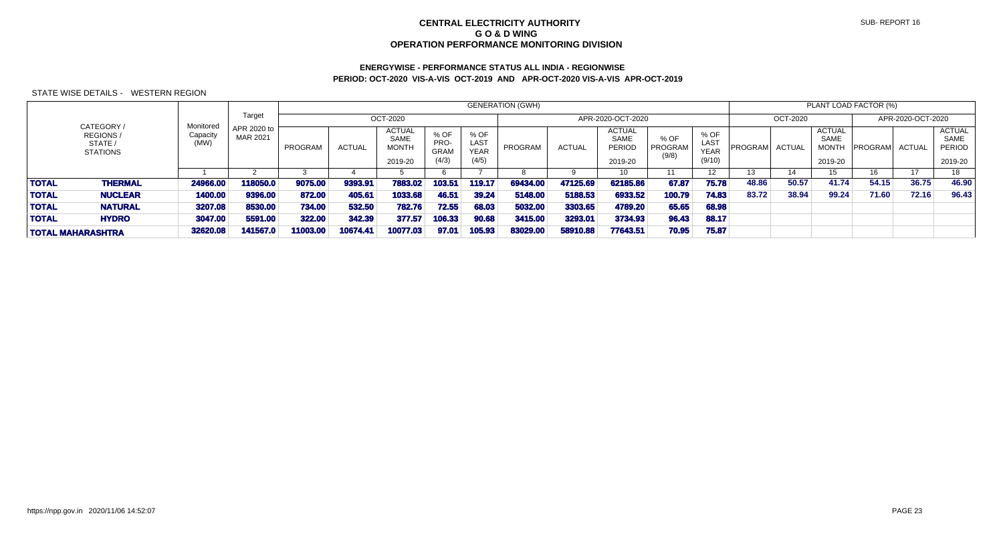# **ENERGYWISE - PERFORMANCE STATUS ALL INDIA - REGIONWISEPERIOD: OCT-2020 VIS-A-VIS OCT-2019 AND APR-OCT-2020 VIS-A-VIS APR-OCT-2019**

|                                                             |                               |                         |          |               |                                                         |                                      |                                             | <b>GENERATION (GWH)</b> |               |                                     |                          |                                              |         |                 |                                                         | PLANT LOAD FACTOR (%) |                   |                                                          |
|-------------------------------------------------------------|-------------------------------|-------------------------|----------|---------------|---------------------------------------------------------|--------------------------------------|---------------------------------------------|-------------------------|---------------|-------------------------------------|--------------------------|----------------------------------------------|---------|-----------------|---------------------------------------------------------|-----------------------|-------------------|----------------------------------------------------------|
|                                                             |                               | Target                  |          |               | OCT-2020                                                |                                      |                                             |                         |               | APR-2020-OCT-2020                   |                          |                                              |         | <b>OCT-2020</b> |                                                         |                       | APR-2020-OCT-2020 |                                                          |
| CATEGORY /<br><b>REGIONS/</b><br>STATE /<br><b>STATIONS</b> | Monitored<br>Capacity<br>(MW) | APR 2020 to<br>MAR 2021 | PROGRAM  | <b>ACTUAL</b> | <b>ACTUAL</b><br><b>SAME</b><br><b>MONTH</b><br>2019-20 | % OF<br>PRO-<br><b>GRAM</b><br>(4/3) | % OF<br><b>LAST</b><br><b>YEAR</b><br>(4/5) | PROGRAM                 | <b>ACTUAL</b> | ACTUAL<br>SAME<br>PERIOD<br>2019-20 | % OF<br>PROGRAM<br>(9/8) | % OF<br><b>LAST</b><br><b>YEAR</b><br>(9/10) | PROGRAM | <b>ACTUAL</b>   | <b>ACTUAL</b><br><b>SAME</b><br><b>MONTH</b><br>2019-20 | <b>PROGRAM</b>        | <b>ACTUAL</b>     | <b>ACTUAL</b><br><b>SAME</b><br><b>PERIOD</b><br>2019-20 |
|                                                             |                               |                         |          |               |                                                         |                                      |                                             |                         |               | 10                                  |                          | 12                                           | 13      | 14              |                                                         | 16                    | 17                | 18                                                       |
| <b>TOTAL</b><br><b>THERMAL</b>                              | 24966.00                      | 118050.0                | 9075.00  | 9393.91       | 7883.02                                                 | 103.5                                | 119.17                                      | 69434.00                | 47125.69      | 62185.86                            | 67.87                    | 75.78                                        | 48.86   | 50.57           | 41.74                                                   | 54.15                 | 36.75             | 46.90                                                    |
| <b>TOTAL</b><br><b>NUCLEAR</b>                              | 1400.00                       | 9396.00                 | 872.00   | 405.61        | 1033.68                                                 | 46.51                                | 39.24                                       | 5148,00                 | 5188.53       | 6933.52                             | 100.79                   | 74.83                                        | 83.72   | 38.94           | 99.24                                                   | 71.60                 | 72.16             | 96.43                                                    |
| <b>TOTAL</b><br><b>NATURAL</b>                              | 3207.08                       | 8530.00                 | 734.00   | 532.50        | 782.76                                                  | 72.55                                | 68.03                                       | 5032.00                 | 3303.65       | 4789.20                             | 65.65                    | 68.98                                        |         |                 |                                                         |                       |                   |                                                          |
| <b>TOTAL</b><br><b>HYDRO</b>                                | 3047.00                       | 5591.00                 | 322.00   | 342.39        | 377.57                                                  | 106.33                               | 90.68                                       | 3415.00                 | 3293.01       | 3734.93                             | 96.43                    | 88.17                                        |         |                 |                                                         |                       |                   |                                                          |
| TOTAL MAHARASHTRA                                           | 32620.08                      | 141567.0                | 11003.00 | 10674.41      | 10077.03                                                | 97.01                                | 105.93                                      | 83029.00                | 58910.88      | 77643.51                            | 70.95                    | 75.87                                        |         |                 |                                                         |                       |                   |                                                          |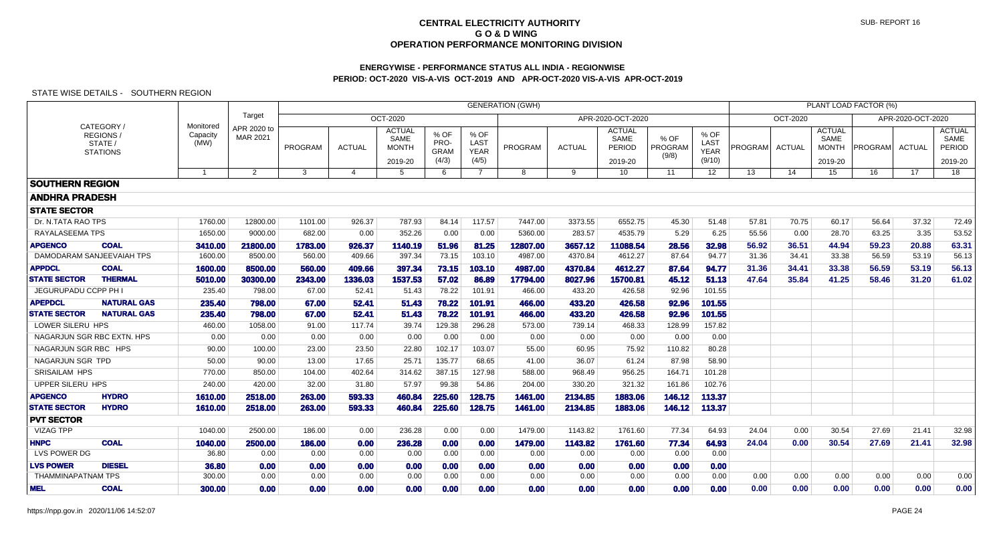## **ENERGYWISE - PERFORMANCE STATUS ALL INDIA - REGIONWISEPERIOD: OCT-2020 VIS-A-VIS OCT-2019 AND APR-OCT-2020 VIS-A-VIS APR-OCT-2019**

|                        |                                               |                  |                         |                | <b>GENERATION (GWH)</b> |                                                  |                                      |                                      |          |               |                                            |                          |                                       |         |               |                                                  | PLANT LOAD FACTOR (%) |                   |                                            |
|------------------------|-----------------------------------------------|------------------|-------------------------|----------------|-------------------------|--------------------------------------------------|--------------------------------------|--------------------------------------|----------|---------------|--------------------------------------------|--------------------------|---------------------------------------|---------|---------------|--------------------------------------------------|-----------------------|-------------------|--------------------------------------------|
|                        | Target<br>OCT-2020<br>Monitored<br>CATEGORY / |                  |                         |                |                         |                                                  |                                      |                                      |          |               | APR-2020-OCT-2020                          |                          |                                       |         | OCT-2020      |                                                  |                       | APR-2020-OCT-2020 |                                            |
|                        | REGIONS/<br>STATE /<br><b>STATIONS</b>        | Capacity<br>(MW) | APR 2020 to<br>MAR 2021 | <b>PROGRAM</b> | <b>ACTUAL</b>           | <b>ACTUAL</b><br>SAME<br><b>MONTH</b><br>2019-20 | % OF<br>PRO-<br><b>GRAM</b><br>(4/3) | % OF<br>LAST<br><b>YEAR</b><br>(4/5) | PROGRAM  | <b>ACTUAL</b> | <b>ACTUAL</b><br>SAME<br>PERIOD<br>2019-20 | % OF<br>PROGRAM<br>(9/8) | % OF<br>LAST<br><b>YEAR</b><br>(9/10) | PROGRAM | <b>ACTUAL</b> | <b>ACTUAL</b><br>SAME<br><b>MONTH</b><br>2019-20 | PROGRAM               | <b>ACTUAL</b>     | <b>ACTUAL</b><br>SAME<br>PERIOD<br>2019-20 |
|                        |                                               | $\overline{1}$   | $\overline{2}$          | 3              | 4                       | 5                                                | 6                                    | 7                                    | 8        | 9             | 10                                         | 11                       | 12 <sup>°</sup>                       | 13      | 14            | 15                                               | 16                    | 17                | $\overline{18}$                            |
| <b>SOUTHERN REGION</b> |                                               |                  |                         |                |                         |                                                  |                                      |                                      |          |               |                                            |                          |                                       |         |               |                                                  |                       |                   |                                            |
| <b>ANDHRA PRADESH</b>  |                                               |                  |                         |                |                         |                                                  |                                      |                                      |          |               |                                            |                          |                                       |         |               |                                                  |                       |                   |                                            |
| <b>STATE SECTOR</b>    |                                               |                  |                         |                |                         |                                                  |                                      |                                      |          |               |                                            |                          |                                       |         |               |                                                  |                       |                   |                                            |
| Dr. N.TATA RAO TPS     |                                               | 1760.00          | 12800.00                | 1101.00        | 926.37                  | 787.93                                           | 84.14                                | 117.57                               | 7447.00  | 3373.55       | 6552.75                                    | 45.30                    | 51.48                                 | 57.81   | 70.75         | 60.17                                            | 56.64                 | 37.32             | 72.49                                      |
| <b>RAYALASEEMA TPS</b> |                                               | 1650.00          | 9000.00                 | 682.00         | 0.00                    | 352.26                                           | 0.00                                 | 0.00                                 | 5360.00  | 283.57        | 4535.79                                    | 5.29                     | 6.25                                  | 55.56   | 0.00          | 28.70                                            | 63.25                 | 3.35              | 53.52                                      |
| <b>APGENCO</b>         | <b>COAL</b>                                   | 3410.00          | 21800.00                | 1783.00        | 926.37                  | 1140.19                                          | 51.96                                | 81.25                                | 12807.00 | 3657.12       | 11088.54                                   | 28.56                    | 32.98                                 | 56.92   | 36.51         | 44.94                                            | 59.23                 | 20.88             | 63.31                                      |
|                        | DAMODARAM SANJEEVAIAH TPS                     | 1600.00          | 8500.00                 | 560.00         | 409.66                  | 397.34                                           | 73.15                                | 103.10                               | 4987.00  | 4370.84       | 4612.27                                    | 87.64                    | 94.77                                 | 31.36   | 34.41         | 33.38                                            | 56.59                 | 53.19             | 56.13                                      |
| <b>APPDCL</b>          | <b>COAL</b>                                   | 1600.00          | 8500.00                 | 560.00         | 409.66                  | 397.34                                           | 73.15                                | 103.10                               | 4987.00  | 4370.84       | 4612.27                                    | 87.64                    | 94.77                                 | 31.36   | 34.41         | 33.38                                            | 56.59                 | 53.19             | 56.13                                      |
| <b>STATE SECTOR</b>    | <b>THERMAL</b>                                | 5010.00          | 30300.00                | 2343.00        | 1336.03                 | 1537.53                                          | 57.02                                | 86.89                                | 17794.00 | 8027.96       | 15700.81                                   | 45.12                    | 51.13                                 | 47.64   | 35.84         | 41.25                                            | 58.46                 | 31.20             | 61.02                                      |
| JEGURUPADU CCPP PH     |                                               | 235.40           | 798.00                  | 67.00          | 52.41                   | 51.43                                            | 78.22                                | 101.91                               | 466.00   | 433.20        | 426.58                                     | 92.96                    | 101.55                                |         |               |                                                  |                       |                   |                                            |
| <b>APEPDCL</b>         | <b>NATURAL GAS</b>                            | 235.40           | 798.00                  | 67.00          | 52.41                   | 51.43                                            | 78.22                                | 101.91                               | 466.00   | 433.20        | 426.58                                     | 92.96                    | 101.55                                |         |               |                                                  |                       |                   |                                            |
| <b>STATE SECTOR</b>    | <b>NATURAL GAS</b>                            | 235.40           | 798.00                  | 67.00          | 52.41                   | 51.43                                            | 78.22                                | 101.91                               | 466.00   | 433.20        | 426.58                                     | 92.96                    | 101.55                                |         |               |                                                  |                       |                   |                                            |
| LOWER SILERU HPS       |                                               | 460.00           | 1058.00                 | 91.00          | 117.74                  | 39.74                                            | 129.38                               | 296.28                               | 573.00   | 739.14        | 468.33                                     | 128.99                   | 157.82                                |         |               |                                                  |                       |                   |                                            |
|                        | NAGARJUN SGR RBC EXTN, HPS                    | 0.00             | 0.00                    | 0.00           | 0.00                    | 0.00                                             | 0.00                                 | 0.00                                 | 0.00     | 0.00          | 0.00                                       | 0.00                     | 0.00                                  |         |               |                                                  |                       |                   |                                            |
| NAGARJUN SGR RBC HPS   |                                               | 90.00            | 100.00                  | 23.00          | 23.50                   | 22.80                                            | 102.17                               | 103.07                               | 55.00    | 60.95         | 75.92                                      | 110.82                   | 80.28                                 |         |               |                                                  |                       |                   |                                            |
| NAGARJUN SGR TPD       |                                               | 50.00            | 90.00                   | 13.00          | 17.65                   | 25.71                                            | 135.77                               | 68.65                                | 41.00    | 36.07         | 61.24                                      | 87.98                    | 58.90                                 |         |               |                                                  |                       |                   |                                            |
| <b>SRISAILAM HPS</b>   |                                               | 770.00           | 850.00                  | 104.00         | 402.64                  | 314.62                                           | 387.15                               | 127.98                               | 588.00   | 968.49        | 956.25                                     | 164.71                   | 101.28                                |         |               |                                                  |                       |                   |                                            |
| UPPER SILERU HPS       |                                               | 240.00           | 420.00                  | 32.00          | 31.80                   | 57.97                                            | 99.38                                | 54.86                                | 204.00   | 330.20        | 321.32                                     | 161.86                   | 102.76                                |         |               |                                                  |                       |                   |                                            |
| <b>APGENCO</b>         | <b>HYDRO</b>                                  | 1610.00          | 2518.00                 | 263.00         | 593.33                  | 460.84                                           | 225.60                               | 128.75                               | 1461.00  | 2134.85       | 1883.06                                    | 146.12                   | 113.37                                |         |               |                                                  |                       |                   |                                            |
| <b>STATE SECTOR</b>    | <b>HYDRO</b>                                  | 1610.00          | 2518.00                 | 263.00         | 593.33                  | 460.84                                           | 225.60                               | 128.75                               | 1461.00  | 2134.85       | 1883.06                                    | 146.12                   | 113.37                                |         |               |                                                  |                       |                   |                                            |
| <b>PVT SECTOR</b>      |                                               |                  |                         |                |                         |                                                  |                                      |                                      |          |               |                                            |                          |                                       |         |               |                                                  |                       |                   |                                            |
| <b>VIZAG TPP</b>       |                                               | 1040.00          | 2500.00                 | 186.00         | 0.00                    | 236.28                                           | 0.00                                 | 0.00                                 | 1479.00  | 1143.82       | 1761.60                                    | 77.34                    | 64.93                                 | 24.04   | 0.00          | 30.54                                            | 27.69                 | 21.41             | 32.98                                      |
| <b>HNPC</b>            | <b>COAL</b>                                   | 1040.00          | 2500.00                 | 186.00         | 0.00                    | 236.28                                           | 0.00                                 | 0.00                                 | 1479.00  | 1143.82       | 1761.60                                    | 77.34                    | 64.93                                 | 24.04   | 0.00          | 30.54                                            | 27.69                 | 21.41             | 32.98                                      |
| LVS POWER DG           |                                               | 36.80            | 0.00                    | 0.00           | 0.00                    | 0.00                                             | 0.00                                 | 0.00                                 | 0.00     | 0.00          | 0.00                                       | 0.00                     | 0.00                                  |         |               |                                                  |                       |                   |                                            |
| <b>LVS POWER</b>       | <b>DIESEL</b>                                 | 36.80            | 0.00                    | 0.00           | 0.00                    | 0.00                                             | 0.00                                 | 0.00                                 | 0.00     | 0.00          | 0.00                                       | 0.00                     | 0.00                                  |         |               |                                                  |                       |                   |                                            |
| THAMMINAPATNAM TPS     |                                               | 300.00           | 0.00                    | 0.00           | 0.00                    | 0.00                                             | 0.00                                 | 0.00                                 | 0.00     | 0.00          | 0.00                                       | 0.00                     | 0.00                                  | 0.00    | 0.00          | 0.00                                             | 0.00                  | 0.00              | 0.00                                       |
| MEL                    | <b>COAL</b>                                   | 300.00           | 0.00                    | 0.00           | 0.00                    | 0.00                                             | 0.00                                 | 0.00                                 | 0.00     | 0.00          | 0.00                                       | 0.00                     | 0.00                                  | 0.00    | 0.00          | 0.00                                             | 0.00                  | 0.00              | 0.00                                       |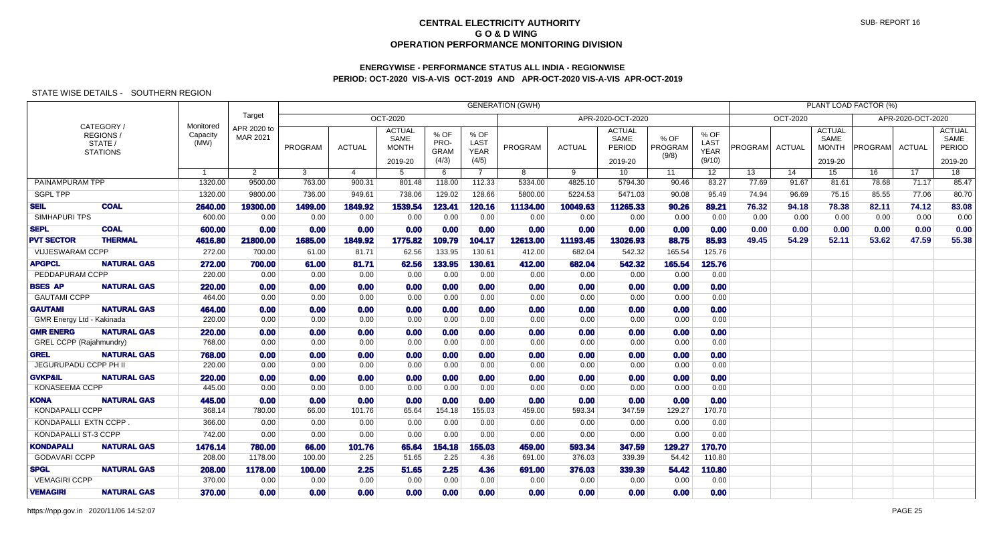## **ENERGYWISE - PERFORMANCE STATUS ALL INDIA - REGIONWISEPERIOD: OCT-2020 VIS-A-VIS OCT-2019 AND APR-OCT-2020 VIS-A-VIS APR-OCT-2019**

|                           |                                        |                               | <b>GENERATION (GWH)</b> |         |                |                                                  |                                      |                                      |                |               |                                            |                          |                                              |                |                 |                                                  | PLANT LOAD FACTOR (%) |                   |                                            |
|---------------------------|----------------------------------------|-------------------------------|-------------------------|---------|----------------|--------------------------------------------------|--------------------------------------|--------------------------------------|----------------|---------------|--------------------------------------------|--------------------------|----------------------------------------------|----------------|-----------------|--------------------------------------------------|-----------------------|-------------------|--------------------------------------------|
|                           | CATEGORY/                              |                               | Target                  |         |                | <b>OCT-2020</b>                                  |                                      |                                      |                |               | APR-2020-OCT-2020                          |                          |                                              |                | <b>OCT-2020</b> |                                                  |                       | APR-2020-OCT-2020 |                                            |
|                           | REGIONS/<br>STATE /<br><b>STATIONS</b> | Monitored<br>Capacity<br>(MW) | APR 2020 to<br>MAR 2021 | PROGRAM | <b>ACTUAL</b>  | <b>ACTUAL</b><br>SAME<br><b>MONTH</b><br>2019-20 | % OF<br>PRO-<br><b>GRAM</b><br>(4/3) | % OF<br>LAST<br><b>YEAR</b><br>(4/5) | <b>PROGRAM</b> | <b>ACTUAL</b> | <b>ACTUAL</b><br>SAME<br>PERIOD<br>2019-20 | % OF<br>PROGRAM<br>(9/8) | % OF<br><b>LAST</b><br><b>YEAR</b><br>(9/10) | <b>PROGRAM</b> | <b>ACTUAL</b>   | <b>ACTUAL</b><br>SAME<br><b>MONTH</b><br>2019-20 | <b>PROGRAMI</b>       | ACTUAL            | <b>ACTUAL</b><br>SAME<br>PERIOD<br>2019-20 |
|                           |                                        | $\overline{1}$                | $\overline{2}$          | 3       | $\overline{4}$ | -5                                               | 6                                    | $\overline{7}$                       | 8              | 9             | 10 <sup>°</sup>                            | 11                       | 12 <sup>7</sup>                              | 13             | 14              | 15                                               | 16                    | 17                | 18                                         |
| PAINAMPURAM TPP           |                                        | 1320.00                       | 9500.00                 | 763.00  | 900.31         | 801.48                                           | 118.00                               | 112.33                               | 5334.00        | 4825.10       | 5794.30                                    | 90.46                    | 83.27                                        | 77.69          | 91.67           | 81.61                                            | 78.68                 | 71.17             | 85.47                                      |
| <b>SGPL TPP</b>           |                                        | 1320.00                       | 9800.00                 | 736.00  | 949.61         | 738.06                                           | 129.02                               | 128.66                               | 5800.00        | 5224.53       | 5471.03                                    | 90.08                    | 95.49                                        | 74.94          | 96.69           | 75.15                                            | 85.55                 | 77.06             | 80.70                                      |
| <b>SEIL</b>               | <b>COAL</b>                            | 2640.00                       | 19300.00                | 1499.00 | 1849.92        | 1539.54                                          | 123.41                               | 120.16                               | 11134.00       | 10049.63      | 11265.33                                   | 90.26                    | 89.21                                        | 76.32          | 94.18           | 78.38                                            | 82.11                 | 74.12             | 83.08                                      |
| <b>SIMHAPURI TPS</b>      |                                        | 600.00                        | 0.00                    | 0.00    | 0.00           | 0.00                                             | 0.00                                 | 0.00                                 | 0.00           | 0.00          | 0.00                                       | 0.00                     | 0.00                                         | 0.00           | 0.00            | 0.00                                             | 0.00                  | 0.00              | 0.00                                       |
| <b>SEPL</b>               | <b>COAL</b>                            | 600.00                        | 0.00                    | 0.00    | 0.00           | 0.00                                             | 0.00                                 | 0.00                                 | 0.00           | 0.00          | 0.00                                       | 0.00                     | 0.00                                         | 0.00           | 0.00            | 0.00                                             | 0.00                  | 0.00              | 0.00                                       |
| <b>PVT SECTOR</b>         | <b>THERMAL</b>                         | 4616.80                       | 21800.00                | 1685.00 | 1849.92        | 1775.82                                          | 109.79                               | 104.17                               | 12613.00       | 11193.45      | 13026.93                                   | 88.75                    | 85.93                                        | 49.45          | 54.29           | 52.11                                            | 53.62                 | 47.59             | 55.38                                      |
| VIJJESWARAM CCPP          |                                        | 272.00                        | 700.00                  | 61.00   | 81.71          | 62.56                                            | 133.95                               | 130.61                               | 412.00         | 682.04        | 542.32                                     | 165.54                   | 125.76                                       |                |                 |                                                  |                       |                   |                                            |
| <b>APGPCL</b>             | <b>NATURAL GAS</b>                     | 272.00                        | 700.00                  | 61.00   | 81.71          | 62.56                                            | 133.95                               | 130.61                               | 412.00         | 682.04        | 542.32                                     | 165.54                   | 125.76                                       |                |                 |                                                  |                       |                   |                                            |
| PEDDAPURAM CCPP           |                                        | 220.00                        | 0.00                    | 0.00    | 0.00           | 0.00                                             | 0.00                                 | 0.00                                 | 0.00           | 0.00          | 0.00                                       | 0.00                     | 0.00                                         |                |                 |                                                  |                       |                   |                                            |
| <b>BSES AP</b>            | <b>NATURAL GAS</b>                     | 220.00                        | 0.00                    | 0.00    | 0.00           | 0.00                                             | 0.00                                 | 0.00                                 | 0.00           | 0.00          | 0.00                                       | 0.00                     | 0.00                                         |                |                 |                                                  |                       |                   |                                            |
| <b>GAUTAMI CCPP</b>       |                                        | 464.00                        | 0.00                    | 0.00    | 0.00           | 0.00                                             | 0.00                                 | 0.00                                 | 0.00           | 0.00          | 0.00                                       | 0.00                     | 0.00                                         |                |                 |                                                  |                       |                   |                                            |
| <b>GAUTAMI</b>            | <b>NATURAL GAS</b>                     | 464.00                        | 0.00                    | 0.00    | 0.00           | 0.00                                             | 0.00                                 | 0.00                                 | 0.00           | 0.00          | 0.00                                       | 0.00                     | 0.00                                         |                |                 |                                                  |                       |                   |                                            |
| GMR Energy Ltd - Kakinada |                                        | 220.00                        | 0.00                    | 0.00    | 0.00           | 0.00                                             | 0.00                                 | 0.00                                 | 0.00           | 0.00          | 0.00                                       | 0.00                     | 0.00                                         |                |                 |                                                  |                       |                   |                                            |
| <b>GMR ENERG</b>          | <b>NATURAL GAS</b>                     | 220.00                        | 0.00                    | 0.00    | 0.00           | 0.00                                             | 0.00                                 | 0.00                                 | 0.00           | 0.00          | 0.00                                       | 0.00                     | 0.00                                         |                |                 |                                                  |                       |                   |                                            |
| GREL CCPP (Rajahmundry)   |                                        | 768.00                        | 0.00                    | 0.00    | 0.00           | 0.00                                             | 0.00                                 | 0.00                                 | 0.00           | 0.00          | 0.00                                       | 0.00                     | 0.00                                         |                |                 |                                                  |                       |                   |                                            |
| <b>GREL</b>               | <b>NATURAL GAS</b>                     | 768.00                        | 0.00                    | 0.00    | 0.00           | 0.00                                             | 0.00                                 | 0.00                                 | 0.00           | 0.00          | 0.00                                       | 0.00                     | 0.00                                         |                |                 |                                                  |                       |                   |                                            |
| JEGURUPADU CCPP PH II     |                                        | 220.00                        | 0.00                    | 0.00    | 0.00           | 0.00                                             | 0.00                                 | 0.00                                 | 0.00           | 0.00          | 0.00                                       | 0.00                     | 0.00                                         |                |                 |                                                  |                       |                   |                                            |
| <b>GVKP&amp;IL</b>        | <b>NATURAL GAS</b>                     | 220.00                        | 0.00                    | 0.00    | 0.00           | 0.00                                             | 0.00                                 | 0.00                                 | 0.00           | 0.00          | 0.00                                       | 0.00                     | 0.00                                         |                |                 |                                                  |                       |                   |                                            |
| <b>KONASEEMA CCPP</b>     |                                        | 445.00                        | 0.00                    | 0.00    | 0.00           | 0.00                                             | 0.00                                 | 0.00                                 | 0.00           | 0.00          | 0.00                                       | 0.00                     | 0.00                                         |                |                 |                                                  |                       |                   |                                            |
| <b>KONA</b>               | <b>NATURAL GAS</b>                     | 445.00                        | 0.00                    | 0.00    | 0.00           | 0.00                                             | 0.00                                 | 0.00                                 | 0.00           | 0.00          | 0.00                                       | 0.00                     | 0.00                                         |                |                 |                                                  |                       |                   |                                            |
| KONDAPALLI CCPP           |                                        | 368.14                        | 780.00                  | 66.00   | 101.76         | 65.64                                            | 154.18                               | 155.03                               | 459.00         | 593.34        | 347.59                                     | 129.27                   | 170.70                                       |                |                 |                                                  |                       |                   |                                            |
| KONDAPALLI EXTN CCPP      |                                        | 366.00                        | 0.00                    | 0.00    | 0.00           | 0.00                                             | 0.00                                 | 0.00                                 | 0.00           | 0.00          | 0.00                                       | 0.00                     | 0.00                                         |                |                 |                                                  |                       |                   |                                            |
| KONDAPALLI ST-3 CCPP      |                                        | 742.00                        | 0.00                    | 0.00    | 0.00           | 0.00                                             | 0.00                                 | 0.00                                 | 0.00           | 0.00          | 0.00                                       | 0.00                     | 0.00                                         |                |                 |                                                  |                       |                   |                                            |
| <b>KONDAPALI</b>          | <b>NATURAL GAS</b>                     | 1476.14                       | 780.00                  | 66.00   | 101.76         | 65.64                                            | 154.18                               | 155.03                               | 459.00         | 593.34        | 347.59                                     | 129.27                   | 170.70                                       |                |                 |                                                  |                       |                   |                                            |
| <b>GODAVARI CCPP</b>      |                                        | 208.00                        | 1178.00                 | 100.00  | 2.25           | 51.65                                            | 2.25                                 | 4.36                                 | 691.00         | 376.03        | 339.39                                     | 54.42                    | 110.80                                       |                |                 |                                                  |                       |                   |                                            |
| <b>SPGL</b>               | <b>NATURAL GAS</b>                     | 208.00                        | 1178.00                 | 100.00  | 2.25           | 51.65                                            | 2.25                                 | 4.36                                 | 691.00         | 376.03        | 339.39                                     | 54.42                    | 110.80                                       |                |                 |                                                  |                       |                   |                                            |
| <b>VEMAGIRI CCPP</b>      |                                        | 370.00                        | 0.00                    | 0.00    | 0.00           | 0.00                                             | 0.00                                 | 0.00                                 | 0.00           | 0.00          | 0.00                                       | 0.00                     | 0.00                                         |                |                 |                                                  |                       |                   |                                            |
| <b>VEMAGIRI</b>           | <b>NATURAL GAS</b>                     | 370.00                        | 0.00                    | 0.00    | 0.00           | 0.00                                             | 0.00                                 | 0.00                                 | 0.00           | 0.00          | 0.00                                       | 0.00                     | 0.00                                         |                |                 |                                                  |                       |                   |                                            |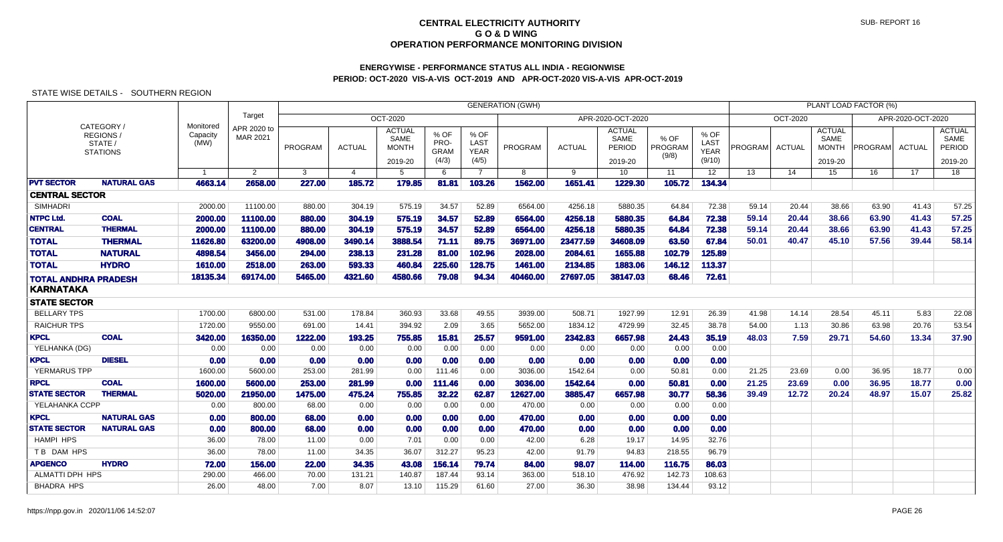# **ENERGYWISE - PERFORMANCE STATUS ALL INDIA - REGIONWISEPERIOD: OCT-2020 VIS-A-VIS OCT-2019 AND APR-OCT-2020 VIS-A-VIS APR-OCT-2019**

| Target<br>OCT-2020<br>APR-2020-OCT-2020<br>OCT-2020<br>APR-2020-OCT-2020<br>Monitored<br>CATEGORY/<br>APR 2020 to<br><b>ACTUAL</b><br><b>ACTUAL</b><br><b>ACTUAL</b><br><b>ACTUAL</b><br>% OF<br>% OF<br>% OF<br><b>REGIONS</b><br>Capacity<br>MAR 2021<br>% OF<br>SAME<br>SAME<br>SAME<br>SAME<br><b>LAST</b><br>PRO-<br>(MW)<br>LAST<br>STATE /<br>PROGRAM<br>PROGRAM<br>PROGRAM<br>PROGRAM<br><b>ACTUAL</b><br><b>MONTH</b><br><b>ACTUAL</b><br><b>ACTUAL</b><br>PROGRAM<br><b>ACTUAL</b><br>PERIOD<br><b>PERIOD</b><br><b>MONTH</b><br><b>GRAM</b><br><b>YEAR</b><br><b>YEAR</b><br><b>STATIONS</b><br>(9/8)<br>(4/5)<br>(9/10)<br>(4/3)<br>2019-20<br>2019-20<br>2019-20<br>2019-20<br>9<br>17<br>18<br>$\overline{2}$<br>$\mathbf{3}$<br>$\overline{4}$<br>$5\overline{5}$<br>6<br>$\overline{7}$<br>8<br>10<br>11<br>12 <sup>2</sup><br>13<br>14<br>15<br>16<br>$\overline{1}$<br><b>NATURAL GAS</b><br>1651.41<br>105.72<br>134.34<br>4663.14<br>2658.00<br>227.00<br>185.72<br>179.85<br>81.81<br>103.26<br>1562.00<br>1229.30<br><b>CENTRAL SECTOR</b><br>SIMHADRI<br>2000.00<br>11100.00<br>880.00<br>304.19<br>575.19<br>34.57<br>52.89<br>6564.00<br>4256.18<br>5880.35<br>64.84<br>72.38<br>59.14<br>38.66<br>63.90<br>41.43<br>57.25<br>20.44<br><b>NTPC Ltd.</b><br><b>COAL</b><br>575.19<br>34.57<br>4256.18<br>57.25<br>2000.00<br>11100.00<br>880.00<br>304.19<br>52.89<br>6564.00<br>5880.35<br>64.84<br>72.38<br>59.14<br>20.44<br>38.66<br>63.90<br>41.43<br><b>THERMAL</b><br>57.25<br>2000.00<br>11100.00<br>304.19<br>575.19<br>34.57<br>6564.00<br>4256.18<br>5880.35<br>64.84<br>72.38<br>59.14<br>63.90<br>41.43<br>880.00<br>52.89<br>20.44<br>38.66<br><b>TOTAL</b><br><b>THERMAL</b><br>67.84<br>11626.80<br>63200.00<br>3490.14<br>3888.54<br>71.11<br>89.75<br>36971.00<br>23477.59<br>34608.09<br>63.50<br>50.01<br>39.44<br>58.14<br>4908.00<br>40.47<br>45.10<br>57.56<br><b>TOTAL</b><br>125.89<br><b>NATURAL</b><br>3456.00<br>231.28<br>81.00<br>102.79<br>4898.54<br>294.00<br>238.13<br>102.96<br>2028,00<br>2084.61<br>1655,88<br><b>HYDRO</b><br><b>TOTAL</b><br>1610.00<br>2518.00<br>263.00<br>593.33<br>460.84<br>225.60<br>128.75<br>1461.00<br>2134.85<br>1883.06<br>146.12<br>113.37<br>18135.34<br>69174.00<br>5465.00<br>4580.66<br>79.08<br>94.34<br>40460.00<br>27697.05<br>38147.03<br>68.46<br>72.61<br>4321.60<br><b>TOTAL ANDHRA PRADESH</b><br><b>KARNATAKA</b><br><b>STATE SECTOR</b><br>33.68<br>41.98<br><b>BELLARY TPS</b><br>1700.00<br>6800.00<br>531.00<br>178.84<br>360.93<br>49.55<br>3939.00<br>508.71<br>1927.99<br>12.91<br>26.39<br>14.14<br>28.54<br>45.11<br>5.83<br>22.08<br><b>RAICHUR TPS</b><br>2.09<br>53.54<br>1720.00<br>9550.00<br>394.92<br>3.65<br>5652.00<br>1834.12<br>4729.99<br>32.45<br>38.78<br>54.00<br>30.86<br>63.98<br>20.76<br>691.00<br>14.41<br>1.13<br><b>KPCL</b><br><b>COAL</b><br>3420.00<br>16350.00<br>755.85<br>15.81<br>25.57<br>2342.83<br>6657.98<br>24.43<br>35.19<br>48.03<br>7.59<br>29.71<br>54.60<br>13.34<br>37.90<br>1222.00<br>193.25<br>9591.00<br>YELHANKA (DG)<br>0.00<br>0.00<br>0.00<br>0.00<br>0.00<br>0.00<br>0.00<br>0.00<br>0.00<br>0.00<br>0.00<br>0.00<br><b>KPCL</b><br><b>DIESEL</b><br>0.00<br>0.00<br>0.00<br>0.00<br>0.00<br>0.00<br>0.00<br>0.00<br>0.00<br>0.00<br>0.00<br>0.00<br>YERMARUS TPP<br>5600.00<br>253.00<br>0.00<br>111.46<br>0.00<br>3036.00<br>1542.64<br>0.00<br>50.81<br>0.00<br>21.25<br>23.69<br>0.00<br>36.95<br>18.77<br>1600.00<br>281.99<br>0.00<br><b>RPCL</b><br><b>COAL</b><br>1600.00<br>5600.00<br>281.99<br>0.00<br>111.46<br>0.00<br>3036.00<br>1542.64<br>0.00<br>50.81<br>0.00<br>21.25<br>0.00<br>36.95<br>18.77<br>0.00<br>253.00<br>23.69<br><b>THERMAL</b><br><b>STATE SECTOR</b><br>21950.00<br>475.24<br>755.85<br>32.22<br>12627.00<br>3885.47<br>30.77<br>58.36<br>39.49<br>20.24<br>48.97<br>15.07<br>25.82<br>5020.00<br>1475.00<br>62.87<br>6657.98<br>12.72<br>YELAHANKA CCPP<br>0.00<br>0.00<br>0.00<br>800.00<br>68.00<br>0.00<br>0.00<br>0.00<br>470.00<br>0.00<br>0.00<br>0.00<br><b>KPCL</b><br><b>NATURAL GAS</b><br>0.00<br>0.00<br>0.00<br>0.00<br>800.00<br>68.00<br>0.00<br>0.00<br>0.00<br>470.00<br>0.00<br>0.00<br><b>STATE SECTOR</b><br><b>NATURAL GAS</b><br>0.00<br>68.00<br>0.00<br>0.00<br>0.00<br>470.00<br>0.00<br>0.00<br>0.00<br>0.00<br>800.00<br>0.00<br><b>HAMPI HPS</b><br>0.00<br>6.28<br>14.95<br>32.76<br>36.00<br>78.00<br>11.00<br>0.00<br>7.01<br>0.00<br>42.00<br>19.17<br>T B DAM HPS<br>94.83<br>218.55<br>96.79<br>36.00<br>78.00<br>34.35<br>36.07<br>312.27<br>95.23<br>42.00<br>91.79<br>11.00<br><b>APGENCO</b><br><b>HYDRO</b><br>156.14<br>116.75<br>86.03<br>72.00<br>156.00<br>22.00<br>34.35<br>43.08<br>79.74<br>84.00<br>98.07<br>114.00<br>108.63<br>ALMATTI DPH HPS<br>290.00<br>140.87<br>187.44<br>93.14<br>363.00<br>518.10<br>476.92<br>142.73<br>466.00<br>70.00<br>131.21<br><b>BHADRA HPS</b><br>38.98<br>26.00<br>48.00<br>7.00<br>8.07<br>13.10<br>115.29<br>61.60<br>27.00<br>36.30<br>134.44<br>93.12 |                   |  |  |  |  | <b>GENERATION (GWH)</b> |  |  |  | PLANT LOAD FACTOR (%) |  |
|---------------------------------------------------------------------------------------------------------------------------------------------------------------------------------------------------------------------------------------------------------------------------------------------------------------------------------------------------------------------------------------------------------------------------------------------------------------------------------------------------------------------------------------------------------------------------------------------------------------------------------------------------------------------------------------------------------------------------------------------------------------------------------------------------------------------------------------------------------------------------------------------------------------------------------------------------------------------------------------------------------------------------------------------------------------------------------------------------------------------------------------------------------------------------------------------------------------------------------------------------------------------------------------------------------------------------------------------------------------------------------------------------------------------------------------------------------------------------------------------------------------------------------------------------------------------------------------------------------------------------------------------------------------------------------------------------------------------------------------------------------------------------------------------------------------------------------------------------------------------------------------------------------------------------------------------------------------------------------------------------------------------------------------------------------------------------------------------------------------------------------------------------------------------------------------------------------------------------------------------------------------------------------------------------------------------------------------------------------------------------------------------------------------------------------------------------------------------------------------------------------------------------------------------------------------------------------------------------------------------------------------------------------------------------------------------------------------------------------------------------------------------------------------------------------------------------------------------------------------------------------------------------------------------------------------------------------------------------------------------------------------------------------------------------------------------------------------------------------------------------------------------------------------------------------------------------------------------------------------------------------------------------------------------------------------------------------------------------------------------------------------------------------------------------------------------------------------------------------------------------------------------------------------------------------------------------------------------------------------------------------------------------------------------------------------------------------------------------------------------------------------------------------------------------------------------------------------------------------------------------------------------------------------------------------------------------------------------------------------------------------------------------------------------------------------------------------------------------------------------------------------------------------------------------------------------------------------------------------------------------------------------------------------------------------------------------------------------------------------------------------------------------------------------------------------------------------------------------------------------------------------------------------------------------------------------------------------------------------------------------------------------------------------------------------------------------------------------------------------------------------------------------------------------------------------------------------------------------------------------------------------------------------------------------------------------------------------------------------------------------------------------------------------------------|-------------------|--|--|--|--|-------------------------|--|--|--|-----------------------|--|
|                                                                                                                                                                                                                                                                                                                                                                                                                                                                                                                                                                                                                                                                                                                                                                                                                                                                                                                                                                                                                                                                                                                                                                                                                                                                                                                                                                                                                                                                                                                                                                                                                                                                                                                                                                                                                                                                                                                                                                                                                                                                                                                                                                                                                                                                                                                                                                                                                                                                                                                                                                                                                                                                                                                                                                                                                                                                                                                                                                                                                                                                                                                                                                                                                                                                                                                                                                                                                                                                                                                                                                                                                                                                                                                                                                                                                                                                                                                                                                                                                                                                                                                                                                                                                                                                                                                                                                                                                                                                                                                                                                                                                                                                                                                                                                                                                                                                                                                                                                                                                                                   |                   |  |  |  |  |                         |  |  |  |                       |  |
|                                                                                                                                                                                                                                                                                                                                                                                                                                                                                                                                                                                                                                                                                                                                                                                                                                                                                                                                                                                                                                                                                                                                                                                                                                                                                                                                                                                                                                                                                                                                                                                                                                                                                                                                                                                                                                                                                                                                                                                                                                                                                                                                                                                                                                                                                                                                                                                                                                                                                                                                                                                                                                                                                                                                                                                                                                                                                                                                                                                                                                                                                                                                                                                                                                                                                                                                                                                                                                                                                                                                                                                                                                                                                                                                                                                                                                                                                                                                                                                                                                                                                                                                                                                                                                                                                                                                                                                                                                                                                                                                                                                                                                                                                                                                                                                                                                                                                                                                                                                                                                                   |                   |  |  |  |  |                         |  |  |  |                       |  |
|                                                                                                                                                                                                                                                                                                                                                                                                                                                                                                                                                                                                                                                                                                                                                                                                                                                                                                                                                                                                                                                                                                                                                                                                                                                                                                                                                                                                                                                                                                                                                                                                                                                                                                                                                                                                                                                                                                                                                                                                                                                                                                                                                                                                                                                                                                                                                                                                                                                                                                                                                                                                                                                                                                                                                                                                                                                                                                                                                                                                                                                                                                                                                                                                                                                                                                                                                                                                                                                                                                                                                                                                                                                                                                                                                                                                                                                                                                                                                                                                                                                                                                                                                                                                                                                                                                                                                                                                                                                                                                                                                                                                                                                                                                                                                                                                                                                                                                                                                                                                                                                   |                   |  |  |  |  |                         |  |  |  |                       |  |
|                                                                                                                                                                                                                                                                                                                                                                                                                                                                                                                                                                                                                                                                                                                                                                                                                                                                                                                                                                                                                                                                                                                                                                                                                                                                                                                                                                                                                                                                                                                                                                                                                                                                                                                                                                                                                                                                                                                                                                                                                                                                                                                                                                                                                                                                                                                                                                                                                                                                                                                                                                                                                                                                                                                                                                                                                                                                                                                                                                                                                                                                                                                                                                                                                                                                                                                                                                                                                                                                                                                                                                                                                                                                                                                                                                                                                                                                                                                                                                                                                                                                                                                                                                                                                                                                                                                                                                                                                                                                                                                                                                                                                                                                                                                                                                                                                                                                                                                                                                                                                                                   | <b>PVT SECTOR</b> |  |  |  |  |                         |  |  |  |                       |  |
|                                                                                                                                                                                                                                                                                                                                                                                                                                                                                                                                                                                                                                                                                                                                                                                                                                                                                                                                                                                                                                                                                                                                                                                                                                                                                                                                                                                                                                                                                                                                                                                                                                                                                                                                                                                                                                                                                                                                                                                                                                                                                                                                                                                                                                                                                                                                                                                                                                                                                                                                                                                                                                                                                                                                                                                                                                                                                                                                                                                                                                                                                                                                                                                                                                                                                                                                                                                                                                                                                                                                                                                                                                                                                                                                                                                                                                                                                                                                                                                                                                                                                                                                                                                                                                                                                                                                                                                                                                                                                                                                                                                                                                                                                                                                                                                                                                                                                                                                                                                                                                                   |                   |  |  |  |  |                         |  |  |  |                       |  |
|                                                                                                                                                                                                                                                                                                                                                                                                                                                                                                                                                                                                                                                                                                                                                                                                                                                                                                                                                                                                                                                                                                                                                                                                                                                                                                                                                                                                                                                                                                                                                                                                                                                                                                                                                                                                                                                                                                                                                                                                                                                                                                                                                                                                                                                                                                                                                                                                                                                                                                                                                                                                                                                                                                                                                                                                                                                                                                                                                                                                                                                                                                                                                                                                                                                                                                                                                                                                                                                                                                                                                                                                                                                                                                                                                                                                                                                                                                                                                                                                                                                                                                                                                                                                                                                                                                                                                                                                                                                                                                                                                                                                                                                                                                                                                                                                                                                                                                                                                                                                                                                   |                   |  |  |  |  |                         |  |  |  |                       |  |
|                                                                                                                                                                                                                                                                                                                                                                                                                                                                                                                                                                                                                                                                                                                                                                                                                                                                                                                                                                                                                                                                                                                                                                                                                                                                                                                                                                                                                                                                                                                                                                                                                                                                                                                                                                                                                                                                                                                                                                                                                                                                                                                                                                                                                                                                                                                                                                                                                                                                                                                                                                                                                                                                                                                                                                                                                                                                                                                                                                                                                                                                                                                                                                                                                                                                                                                                                                                                                                                                                                                                                                                                                                                                                                                                                                                                                                                                                                                                                                                                                                                                                                                                                                                                                                                                                                                                                                                                                                                                                                                                                                                                                                                                                                                                                                                                                                                                                                                                                                                                                                                   |                   |  |  |  |  |                         |  |  |  |                       |  |
|                                                                                                                                                                                                                                                                                                                                                                                                                                                                                                                                                                                                                                                                                                                                                                                                                                                                                                                                                                                                                                                                                                                                                                                                                                                                                                                                                                                                                                                                                                                                                                                                                                                                                                                                                                                                                                                                                                                                                                                                                                                                                                                                                                                                                                                                                                                                                                                                                                                                                                                                                                                                                                                                                                                                                                                                                                                                                                                                                                                                                                                                                                                                                                                                                                                                                                                                                                                                                                                                                                                                                                                                                                                                                                                                                                                                                                                                                                                                                                                                                                                                                                                                                                                                                                                                                                                                                                                                                                                                                                                                                                                                                                                                                                                                                                                                                                                                                                                                                                                                                                                   | <b>CENTRAL</b>    |  |  |  |  |                         |  |  |  |                       |  |
|                                                                                                                                                                                                                                                                                                                                                                                                                                                                                                                                                                                                                                                                                                                                                                                                                                                                                                                                                                                                                                                                                                                                                                                                                                                                                                                                                                                                                                                                                                                                                                                                                                                                                                                                                                                                                                                                                                                                                                                                                                                                                                                                                                                                                                                                                                                                                                                                                                                                                                                                                                                                                                                                                                                                                                                                                                                                                                                                                                                                                                                                                                                                                                                                                                                                                                                                                                                                                                                                                                                                                                                                                                                                                                                                                                                                                                                                                                                                                                                                                                                                                                                                                                                                                                                                                                                                                                                                                                                                                                                                                                                                                                                                                                                                                                                                                                                                                                                                                                                                                                                   |                   |  |  |  |  |                         |  |  |  |                       |  |
|                                                                                                                                                                                                                                                                                                                                                                                                                                                                                                                                                                                                                                                                                                                                                                                                                                                                                                                                                                                                                                                                                                                                                                                                                                                                                                                                                                                                                                                                                                                                                                                                                                                                                                                                                                                                                                                                                                                                                                                                                                                                                                                                                                                                                                                                                                                                                                                                                                                                                                                                                                                                                                                                                                                                                                                                                                                                                                                                                                                                                                                                                                                                                                                                                                                                                                                                                                                                                                                                                                                                                                                                                                                                                                                                                                                                                                                                                                                                                                                                                                                                                                                                                                                                                                                                                                                                                                                                                                                                                                                                                                                                                                                                                                                                                                                                                                                                                                                                                                                                                                                   |                   |  |  |  |  |                         |  |  |  |                       |  |
|                                                                                                                                                                                                                                                                                                                                                                                                                                                                                                                                                                                                                                                                                                                                                                                                                                                                                                                                                                                                                                                                                                                                                                                                                                                                                                                                                                                                                                                                                                                                                                                                                                                                                                                                                                                                                                                                                                                                                                                                                                                                                                                                                                                                                                                                                                                                                                                                                                                                                                                                                                                                                                                                                                                                                                                                                                                                                                                                                                                                                                                                                                                                                                                                                                                                                                                                                                                                                                                                                                                                                                                                                                                                                                                                                                                                                                                                                                                                                                                                                                                                                                                                                                                                                                                                                                                                                                                                                                                                                                                                                                                                                                                                                                                                                                                                                                                                                                                                                                                                                                                   |                   |  |  |  |  |                         |  |  |  |                       |  |
|                                                                                                                                                                                                                                                                                                                                                                                                                                                                                                                                                                                                                                                                                                                                                                                                                                                                                                                                                                                                                                                                                                                                                                                                                                                                                                                                                                                                                                                                                                                                                                                                                                                                                                                                                                                                                                                                                                                                                                                                                                                                                                                                                                                                                                                                                                                                                                                                                                                                                                                                                                                                                                                                                                                                                                                                                                                                                                                                                                                                                                                                                                                                                                                                                                                                                                                                                                                                                                                                                                                                                                                                                                                                                                                                                                                                                                                                                                                                                                                                                                                                                                                                                                                                                                                                                                                                                                                                                                                                                                                                                                                                                                                                                                                                                                                                                                                                                                                                                                                                                                                   |                   |  |  |  |  |                         |  |  |  |                       |  |
|                                                                                                                                                                                                                                                                                                                                                                                                                                                                                                                                                                                                                                                                                                                                                                                                                                                                                                                                                                                                                                                                                                                                                                                                                                                                                                                                                                                                                                                                                                                                                                                                                                                                                                                                                                                                                                                                                                                                                                                                                                                                                                                                                                                                                                                                                                                                                                                                                                                                                                                                                                                                                                                                                                                                                                                                                                                                                                                                                                                                                                                                                                                                                                                                                                                                                                                                                                                                                                                                                                                                                                                                                                                                                                                                                                                                                                                                                                                                                                                                                                                                                                                                                                                                                                                                                                                                                                                                                                                                                                                                                                                                                                                                                                                                                                                                                                                                                                                                                                                                                                                   |                   |  |  |  |  |                         |  |  |  |                       |  |
|                                                                                                                                                                                                                                                                                                                                                                                                                                                                                                                                                                                                                                                                                                                                                                                                                                                                                                                                                                                                                                                                                                                                                                                                                                                                                                                                                                                                                                                                                                                                                                                                                                                                                                                                                                                                                                                                                                                                                                                                                                                                                                                                                                                                                                                                                                                                                                                                                                                                                                                                                                                                                                                                                                                                                                                                                                                                                                                                                                                                                                                                                                                                                                                                                                                                                                                                                                                                                                                                                                                                                                                                                                                                                                                                                                                                                                                                                                                                                                                                                                                                                                                                                                                                                                                                                                                                                                                                                                                                                                                                                                                                                                                                                                                                                                                                                                                                                                                                                                                                                                                   |                   |  |  |  |  |                         |  |  |  |                       |  |
|                                                                                                                                                                                                                                                                                                                                                                                                                                                                                                                                                                                                                                                                                                                                                                                                                                                                                                                                                                                                                                                                                                                                                                                                                                                                                                                                                                                                                                                                                                                                                                                                                                                                                                                                                                                                                                                                                                                                                                                                                                                                                                                                                                                                                                                                                                                                                                                                                                                                                                                                                                                                                                                                                                                                                                                                                                                                                                                                                                                                                                                                                                                                                                                                                                                                                                                                                                                                                                                                                                                                                                                                                                                                                                                                                                                                                                                                                                                                                                                                                                                                                                                                                                                                                                                                                                                                                                                                                                                                                                                                                                                                                                                                                                                                                                                                                                                                                                                                                                                                                                                   |                   |  |  |  |  |                         |  |  |  |                       |  |
|                                                                                                                                                                                                                                                                                                                                                                                                                                                                                                                                                                                                                                                                                                                                                                                                                                                                                                                                                                                                                                                                                                                                                                                                                                                                                                                                                                                                                                                                                                                                                                                                                                                                                                                                                                                                                                                                                                                                                                                                                                                                                                                                                                                                                                                                                                                                                                                                                                                                                                                                                                                                                                                                                                                                                                                                                                                                                                                                                                                                                                                                                                                                                                                                                                                                                                                                                                                                                                                                                                                                                                                                                                                                                                                                                                                                                                                                                                                                                                                                                                                                                                                                                                                                                                                                                                                                                                                                                                                                                                                                                                                                                                                                                                                                                                                                                                                                                                                                                                                                                                                   |                   |  |  |  |  |                         |  |  |  |                       |  |
|                                                                                                                                                                                                                                                                                                                                                                                                                                                                                                                                                                                                                                                                                                                                                                                                                                                                                                                                                                                                                                                                                                                                                                                                                                                                                                                                                                                                                                                                                                                                                                                                                                                                                                                                                                                                                                                                                                                                                                                                                                                                                                                                                                                                                                                                                                                                                                                                                                                                                                                                                                                                                                                                                                                                                                                                                                                                                                                                                                                                                                                                                                                                                                                                                                                                                                                                                                                                                                                                                                                                                                                                                                                                                                                                                                                                                                                                                                                                                                                                                                                                                                                                                                                                                                                                                                                                                                                                                                                                                                                                                                                                                                                                                                                                                                                                                                                                                                                                                                                                                                                   |                   |  |  |  |  |                         |  |  |  |                       |  |
|                                                                                                                                                                                                                                                                                                                                                                                                                                                                                                                                                                                                                                                                                                                                                                                                                                                                                                                                                                                                                                                                                                                                                                                                                                                                                                                                                                                                                                                                                                                                                                                                                                                                                                                                                                                                                                                                                                                                                                                                                                                                                                                                                                                                                                                                                                                                                                                                                                                                                                                                                                                                                                                                                                                                                                                                                                                                                                                                                                                                                                                                                                                                                                                                                                                                                                                                                                                                                                                                                                                                                                                                                                                                                                                                                                                                                                                                                                                                                                                                                                                                                                                                                                                                                                                                                                                                                                                                                                                                                                                                                                                                                                                                                                                                                                                                                                                                                                                                                                                                                                                   |                   |  |  |  |  |                         |  |  |  |                       |  |
|                                                                                                                                                                                                                                                                                                                                                                                                                                                                                                                                                                                                                                                                                                                                                                                                                                                                                                                                                                                                                                                                                                                                                                                                                                                                                                                                                                                                                                                                                                                                                                                                                                                                                                                                                                                                                                                                                                                                                                                                                                                                                                                                                                                                                                                                                                                                                                                                                                                                                                                                                                                                                                                                                                                                                                                                                                                                                                                                                                                                                                                                                                                                                                                                                                                                                                                                                                                                                                                                                                                                                                                                                                                                                                                                                                                                                                                                                                                                                                                                                                                                                                                                                                                                                                                                                                                                                                                                                                                                                                                                                                                                                                                                                                                                                                                                                                                                                                                                                                                                                                                   |                   |  |  |  |  |                         |  |  |  |                       |  |
|                                                                                                                                                                                                                                                                                                                                                                                                                                                                                                                                                                                                                                                                                                                                                                                                                                                                                                                                                                                                                                                                                                                                                                                                                                                                                                                                                                                                                                                                                                                                                                                                                                                                                                                                                                                                                                                                                                                                                                                                                                                                                                                                                                                                                                                                                                                                                                                                                                                                                                                                                                                                                                                                                                                                                                                                                                                                                                                                                                                                                                                                                                                                                                                                                                                                                                                                                                                                                                                                                                                                                                                                                                                                                                                                                                                                                                                                                                                                                                                                                                                                                                                                                                                                                                                                                                                                                                                                                                                                                                                                                                                                                                                                                                                                                                                                                                                                                                                                                                                                                                                   |                   |  |  |  |  |                         |  |  |  |                       |  |
|                                                                                                                                                                                                                                                                                                                                                                                                                                                                                                                                                                                                                                                                                                                                                                                                                                                                                                                                                                                                                                                                                                                                                                                                                                                                                                                                                                                                                                                                                                                                                                                                                                                                                                                                                                                                                                                                                                                                                                                                                                                                                                                                                                                                                                                                                                                                                                                                                                                                                                                                                                                                                                                                                                                                                                                                                                                                                                                                                                                                                                                                                                                                                                                                                                                                                                                                                                                                                                                                                                                                                                                                                                                                                                                                                                                                                                                                                                                                                                                                                                                                                                                                                                                                                                                                                                                                                                                                                                                                                                                                                                                                                                                                                                                                                                                                                                                                                                                                                                                                                                                   |                   |  |  |  |  |                         |  |  |  |                       |  |
|                                                                                                                                                                                                                                                                                                                                                                                                                                                                                                                                                                                                                                                                                                                                                                                                                                                                                                                                                                                                                                                                                                                                                                                                                                                                                                                                                                                                                                                                                                                                                                                                                                                                                                                                                                                                                                                                                                                                                                                                                                                                                                                                                                                                                                                                                                                                                                                                                                                                                                                                                                                                                                                                                                                                                                                                                                                                                                                                                                                                                                                                                                                                                                                                                                                                                                                                                                                                                                                                                                                                                                                                                                                                                                                                                                                                                                                                                                                                                                                                                                                                                                                                                                                                                                                                                                                                                                                                                                                                                                                                                                                                                                                                                                                                                                                                                                                                                                                                                                                                                                                   |                   |  |  |  |  |                         |  |  |  |                       |  |
|                                                                                                                                                                                                                                                                                                                                                                                                                                                                                                                                                                                                                                                                                                                                                                                                                                                                                                                                                                                                                                                                                                                                                                                                                                                                                                                                                                                                                                                                                                                                                                                                                                                                                                                                                                                                                                                                                                                                                                                                                                                                                                                                                                                                                                                                                                                                                                                                                                                                                                                                                                                                                                                                                                                                                                                                                                                                                                                                                                                                                                                                                                                                                                                                                                                                                                                                                                                                                                                                                                                                                                                                                                                                                                                                                                                                                                                                                                                                                                                                                                                                                                                                                                                                                                                                                                                                                                                                                                                                                                                                                                                                                                                                                                                                                                                                                                                                                                                                                                                                                                                   |                   |  |  |  |  |                         |  |  |  |                       |  |
|                                                                                                                                                                                                                                                                                                                                                                                                                                                                                                                                                                                                                                                                                                                                                                                                                                                                                                                                                                                                                                                                                                                                                                                                                                                                                                                                                                                                                                                                                                                                                                                                                                                                                                                                                                                                                                                                                                                                                                                                                                                                                                                                                                                                                                                                                                                                                                                                                                                                                                                                                                                                                                                                                                                                                                                                                                                                                                                                                                                                                                                                                                                                                                                                                                                                                                                                                                                                                                                                                                                                                                                                                                                                                                                                                                                                                                                                                                                                                                                                                                                                                                                                                                                                                                                                                                                                                                                                                                                                                                                                                                                                                                                                                                                                                                                                                                                                                                                                                                                                                                                   |                   |  |  |  |  |                         |  |  |  |                       |  |
|                                                                                                                                                                                                                                                                                                                                                                                                                                                                                                                                                                                                                                                                                                                                                                                                                                                                                                                                                                                                                                                                                                                                                                                                                                                                                                                                                                                                                                                                                                                                                                                                                                                                                                                                                                                                                                                                                                                                                                                                                                                                                                                                                                                                                                                                                                                                                                                                                                                                                                                                                                                                                                                                                                                                                                                                                                                                                                                                                                                                                                                                                                                                                                                                                                                                                                                                                                                                                                                                                                                                                                                                                                                                                                                                                                                                                                                                                                                                                                                                                                                                                                                                                                                                                                                                                                                                                                                                                                                                                                                                                                                                                                                                                                                                                                                                                                                                                                                                                                                                                                                   |                   |  |  |  |  |                         |  |  |  |                       |  |
|                                                                                                                                                                                                                                                                                                                                                                                                                                                                                                                                                                                                                                                                                                                                                                                                                                                                                                                                                                                                                                                                                                                                                                                                                                                                                                                                                                                                                                                                                                                                                                                                                                                                                                                                                                                                                                                                                                                                                                                                                                                                                                                                                                                                                                                                                                                                                                                                                                                                                                                                                                                                                                                                                                                                                                                                                                                                                                                                                                                                                                                                                                                                                                                                                                                                                                                                                                                                                                                                                                                                                                                                                                                                                                                                                                                                                                                                                                                                                                                                                                                                                                                                                                                                                                                                                                                                                                                                                                                                                                                                                                                                                                                                                                                                                                                                                                                                                                                                                                                                                                                   |                   |  |  |  |  |                         |  |  |  |                       |  |
|                                                                                                                                                                                                                                                                                                                                                                                                                                                                                                                                                                                                                                                                                                                                                                                                                                                                                                                                                                                                                                                                                                                                                                                                                                                                                                                                                                                                                                                                                                                                                                                                                                                                                                                                                                                                                                                                                                                                                                                                                                                                                                                                                                                                                                                                                                                                                                                                                                                                                                                                                                                                                                                                                                                                                                                                                                                                                                                                                                                                                                                                                                                                                                                                                                                                                                                                                                                                                                                                                                                                                                                                                                                                                                                                                                                                                                                                                                                                                                                                                                                                                                                                                                                                                                                                                                                                                                                                                                                                                                                                                                                                                                                                                                                                                                                                                                                                                                                                                                                                                                                   |                   |  |  |  |  |                         |  |  |  |                       |  |
|                                                                                                                                                                                                                                                                                                                                                                                                                                                                                                                                                                                                                                                                                                                                                                                                                                                                                                                                                                                                                                                                                                                                                                                                                                                                                                                                                                                                                                                                                                                                                                                                                                                                                                                                                                                                                                                                                                                                                                                                                                                                                                                                                                                                                                                                                                                                                                                                                                                                                                                                                                                                                                                                                                                                                                                                                                                                                                                                                                                                                                                                                                                                                                                                                                                                                                                                                                                                                                                                                                                                                                                                                                                                                                                                                                                                                                                                                                                                                                                                                                                                                                                                                                                                                                                                                                                                                                                                                                                                                                                                                                                                                                                                                                                                                                                                                                                                                                                                                                                                                                                   |                   |  |  |  |  |                         |  |  |  |                       |  |
|                                                                                                                                                                                                                                                                                                                                                                                                                                                                                                                                                                                                                                                                                                                                                                                                                                                                                                                                                                                                                                                                                                                                                                                                                                                                                                                                                                                                                                                                                                                                                                                                                                                                                                                                                                                                                                                                                                                                                                                                                                                                                                                                                                                                                                                                                                                                                                                                                                                                                                                                                                                                                                                                                                                                                                                                                                                                                                                                                                                                                                                                                                                                                                                                                                                                                                                                                                                                                                                                                                                                                                                                                                                                                                                                                                                                                                                                                                                                                                                                                                                                                                                                                                                                                                                                                                                                                                                                                                                                                                                                                                                                                                                                                                                                                                                                                                                                                                                                                                                                                                                   |                   |  |  |  |  |                         |  |  |  |                       |  |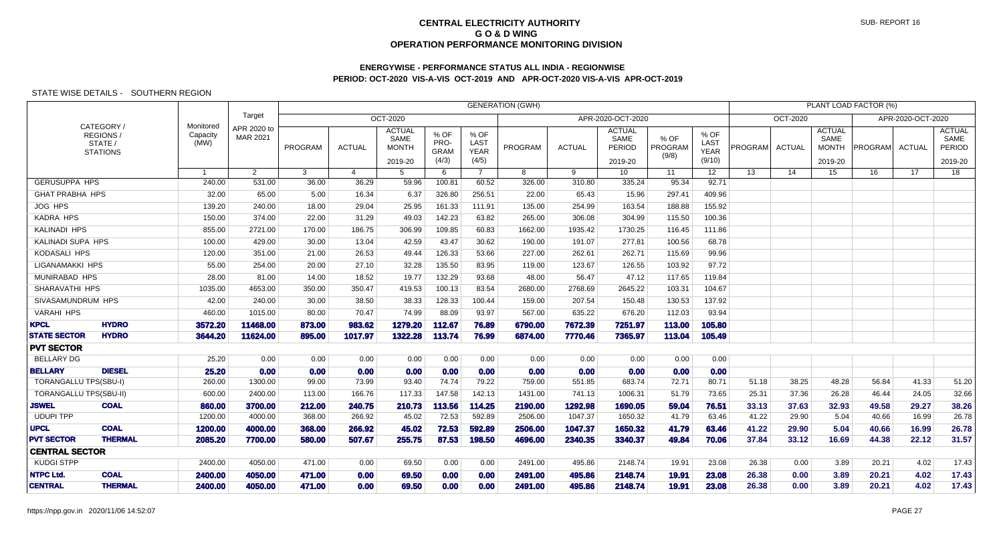# **ENERGYWISE - PERFORMANCE STATUS ALL INDIA - REGIONWISEPERIOD: OCT-2020 VIS-A-VIS OCT-2019 AND APR-OCT-2020 VIS-A-VIS APR-OCT-2019**

|                               |                                                     |                               |                         |         |                       |                                                  |                                      |                                      | <b>GENERATION (GWH)</b> |               |                                            |                          |                                       |         |                 |                                                  | PLANT LOAD FACTOR (%) |                   |                                            |
|-------------------------------|-----------------------------------------------------|-------------------------------|-------------------------|---------|-----------------------|--------------------------------------------------|--------------------------------------|--------------------------------------|-------------------------|---------------|--------------------------------------------|--------------------------|---------------------------------------|---------|-----------------|--------------------------------------------------|-----------------------|-------------------|--------------------------------------------|
|                               |                                                     |                               | Target                  |         |                       | OCT-2020                                         |                                      |                                      |                         |               | APR-2020-OCT-2020                          |                          |                                       |         | <b>OCT-2020</b> |                                                  |                       | APR-2020-OCT-2020 |                                            |
|                               | CATEGORY/<br>REGIONS/<br>STATE /<br><b>STATIONS</b> | Monitored<br>Capacity<br>(MW) | APR 2020 to<br>MAR 2021 | PROGRAM | <b>ACTUAL</b>         | <b>ACTUAL</b><br>SAME<br><b>MONTH</b><br>2019-20 | % OF<br>PRO-<br><b>GRAM</b><br>(4/3) | % OF<br>LAST<br><b>YEAR</b><br>(4/5) | PROGRAM                 | <b>ACTUAL</b> | <b>ACTUAL</b><br>SAME<br>PERIOD<br>2019-20 | % OF<br>PROGRAM<br>(9/8) | % OF<br>LAST<br><b>YEAR</b><br>(9/10) | PROGRAM | <b>ACTUAL</b>   | <b>ACTUAL</b><br>SAME<br><b>MONTH</b><br>2019-20 | PROGRAM               | <b>ACTUAL</b>     | <b>ACTUAL</b><br>SAME<br>PERIOD<br>2019-20 |
|                               |                                                     |                               | $\overline{2}$          | 3       | $\boldsymbol{\Delta}$ | 5                                                | 6                                    | $\overline{7}$                       | 8                       | 9             | 10                                         | 11                       | 12 <sup>°</sup>                       | 13      | 14              | 15                                               | 16                    | 17                | 18                                         |
| <b>GERUSUPPA HPS</b>          |                                                     | 240.00                        | 531.00                  | 36.00   | 36.29                 | 59.96                                            | 100.81                               | 60.52                                | 326.00                  | 310.80        | 335.24                                     | 95.34                    | 92.71                                 |         |                 |                                                  |                       |                   |                                            |
| <b>GHAT PRABHA HPS</b>        |                                                     | 32.00                         | 65.00                   | 5.00    | 16.34                 | 6.37                                             | 326.80                               | 256.51                               | 22.00                   | 65.43         | 15.96                                      | 297.41                   | 409.96                                |         |                 |                                                  |                       |                   |                                            |
| JOG HPS                       |                                                     | 139.20                        | 240.00                  | 18.00   | 29.04                 | 25.95                                            | 161.33                               | 111.91                               | 135.00                  | 254.99        | 163.54                                     | 188.88                   | 155.92                                |         |                 |                                                  |                       |                   |                                            |
| <b>KADRA HPS</b>              |                                                     | 150.00                        | 374.00                  | 22.00   | 31.29                 | 49.03                                            | 142.23                               | 63.82                                | 265.00                  | 306.08        | 304.99                                     | 115.50                   | 100.36                                |         |                 |                                                  |                       |                   |                                            |
| <b>KALINADI HPS</b>           |                                                     | 855.00                        | 2721.00                 | 170.00  | 186.75                | 306.99                                           | 109.85                               | 60.83                                | 1662.00                 | 1935.42       | 1730.25                                    | 116.45                   | 111.86                                |         |                 |                                                  |                       |                   |                                            |
| KALINADI SUPA HPS             |                                                     | 100.00                        | 429.00                  | 30.00   | 13.04                 | 42.59                                            | 43.47                                | 30.62                                | 190.00                  | 191.07        | 277.81                                     | 100.56                   | 68.78                                 |         |                 |                                                  |                       |                   |                                            |
| KODASALI HPS                  |                                                     | 120.00                        | 351.00                  | 21.00   | 26.53                 | 49.44                                            | 126.33                               | 53.66                                | 227.00                  | 262.61        | 262.71                                     | 115.69                   | 99.96                                 |         |                 |                                                  |                       |                   |                                            |
| LIGANAMAKKI HPS               |                                                     | 55.00                         | 254.00                  | 20.00   | 27.10                 | 32.28                                            | 135.50                               | 83.95                                | 119.00                  | 123.67        | 126.55                                     | 103.92                   | 97.72                                 |         |                 |                                                  |                       |                   |                                            |
| MUNIRABAD HPS                 |                                                     | 28.00                         | 81.00                   | 14.00   | 18.52                 | 19.77                                            | 132.29                               | 93.68                                | 48.00                   | 56.47         | 47.12                                      | 117.65                   | 119.84                                |         |                 |                                                  |                       |                   |                                            |
| SHARAVATHI HPS                |                                                     | 1035.00                       | 4653.00                 | 350.00  | 350.47                | 419.53                                           | 100.13                               | 83.54                                | 2680.00                 | 2768.69       | 2645.22                                    | 103.31                   | 104.67                                |         |                 |                                                  |                       |                   |                                            |
| SIVASAMUNDRUM HPS             |                                                     | 42.00                         | 240.00                  | 30.00   | 38.50                 | 38.33                                            | 128.33                               | 100.44                               | 159.00                  | 207.54        | 150.48                                     | 130.53                   | 137.92                                |         |                 |                                                  |                       |                   |                                            |
| <b>VARAHI HPS</b>             |                                                     | 460.00                        | 1015.00                 | 80.00   | 70.47                 | 74.99                                            | 88.09                                | 93.97                                | 567.00                  | 635.22        | 676.20                                     | 112.03                   | 93.94                                 |         |                 |                                                  |                       |                   |                                            |
| <b>KPCL</b>                   | <b>HYDRO</b>                                        | 3572.20                       | 11468.00                | 873.00  | 983.62                | 1279.20                                          | 112.67                               | 76.89                                | 6790.00                 | 7672.39       | 7251.97                                    | 113.00                   | 105.80                                |         |                 |                                                  |                       |                   |                                            |
| <b>STATE SECTOR</b>           | <b>HYDRO</b>                                        | 3644.20                       | 11624.00                | 895.00  | 1017.97               | 1322.28                                          | 113.74                               | 76.99                                | 6874.00                 | 7770.46       | 7365.97                                    | 113.04                   | 105.49                                |         |                 |                                                  |                       |                   |                                            |
| <b>PVT SECTOR</b>             |                                                     |                               |                         |         |                       |                                                  |                                      |                                      |                         |               |                                            |                          |                                       |         |                 |                                                  |                       |                   |                                            |
| <b>BELLARY DG</b>             |                                                     | 25.20                         | 0.00                    | 0.00    | 0.00                  | 0.00                                             | 0.00                                 | 0.00                                 | 0.00                    | 0.00          | 0.00                                       | 0.00                     | 0.00                                  |         |                 |                                                  |                       |                   |                                            |
| <b>BELLARY</b>                | <b>DIESEL</b>                                       | 25.20                         | 0.00                    | 0.00    | 0.00                  | 0.00                                             | 0.00                                 | 0.00                                 | 0.00                    | 0.00          | 0.00                                       | 0.00                     | 0.00                                  |         |                 |                                                  |                       |                   |                                            |
| <b>TORANGALLU TPS(SBU-I)</b>  |                                                     | 260.00                        | 1300.00                 | 99.00   | 73.99                 | 93.40                                            | 74.74                                | 79.22                                | 759.00                  | 551.85        | 683.74                                     | 72.71                    | 80.71                                 | 51.18   | 38.25           | 48.28                                            | 56.84                 | 41.33             | 51.20                                      |
| <b>TORANGALLU TPS(SBU-II)</b> |                                                     | 600.00                        | 2400.00                 | 113.00  | 166.76                | 117.33                                           | 147.58                               | 142.13                               | 1431.00                 | 741.13        | 1006.31                                    | 51.79                    | 73.65                                 | 25.31   | 37.36           | 26.28                                            | 46.44                 | 24.05             | 32.66                                      |
| <b>JSWEL</b>                  | <b>COAL</b>                                         | 860.00                        | 3700.00                 | 212.00  | 240.75                | 210.73                                           | 113.56                               | 114.25                               | 2190.00                 | 1292.98       | 1690.05                                    | 59.04                    | 76.51                                 | 33.13   | 37.63           | 32.93                                            | 49.58                 | 29.27             | 38.26                                      |
| <b>UDUPI TPP</b>              |                                                     | 1200.00                       | 4000.00                 | 368.00  | 266.92                | 45.02                                            | 72.53                                | 592.89                               | 2506.00                 | 1047.37       | 1650.32                                    | 41.79                    | 63.46                                 | 41.22   | 29.90           | 5.04                                             | 40.66                 | 16.99             | 26.78                                      |
| <b>UPCL</b>                   | <b>COAL</b>                                         | 1200.00                       | 4000.00                 | 368.00  | 266.92                | 45.02                                            | 72.53                                | 592.89                               | 2506.00                 | 1047.37       | 1650.32                                    | 41.79                    | 63.46                                 | 41.22   | 29.90           | 5.04                                             | 40.66                 | 16.99             | 26.78                                      |
| <b>PVT SECTOR</b>             | <b>THERMAL</b>                                      | 2085.20                       | 7700.00                 | 580.00  | 507.67                | 255.75                                           | 87.53                                | 198.50                               | 4696.00                 | 2340.35       | 3340.37                                    | 49.84                    | 70.06                                 | 37.84   | 33.12           | 16.69                                            | 44.38                 | 22.12             | 31.57                                      |
| <b>CENTRAL SECTOR</b>         |                                                     |                               |                         |         |                       |                                                  |                                      |                                      |                         |               |                                            |                          |                                       |         |                 |                                                  |                       |                   |                                            |
| <b>KUDGI STPP</b>             |                                                     | 2400.00                       | 4050.00                 | 471.00  | 0.00                  | 69.50                                            | 0.00                                 | 0.00                                 | 2491.00                 | 495.86        | 2148.74                                    | 19.91                    | 23.08                                 | 26.38   | 0.00            | 3.89                                             | 20.21                 | 4.02              | 17.43                                      |
| <b>NTPC Ltd.</b>              | <b>COAL</b>                                         | 2400.00                       | 4050.00                 | 471.00  | 0.00                  | 69.50                                            | 0.00                                 | 0.00                                 | 2491.00                 | 495.86        | 2148.74                                    | 19.91                    | 23.08                                 | 26.38   | 0.00            | 3.89                                             | 20.21                 | 4.02              | 17.43                                      |
| <b>CENTRAL</b>                | <b>THERMAL</b>                                      | 2400.00                       | 4050.00                 | 471.00  | 0.00                  | 69.50                                            | 0.00                                 | 0.00                                 | 2491.00                 | 495.86        | 2148.74                                    | 19.91                    | 23.08                                 | 26.38   | 0.00            | 3.89                                             | 20.21                 | 4.02              | 17.43                                      |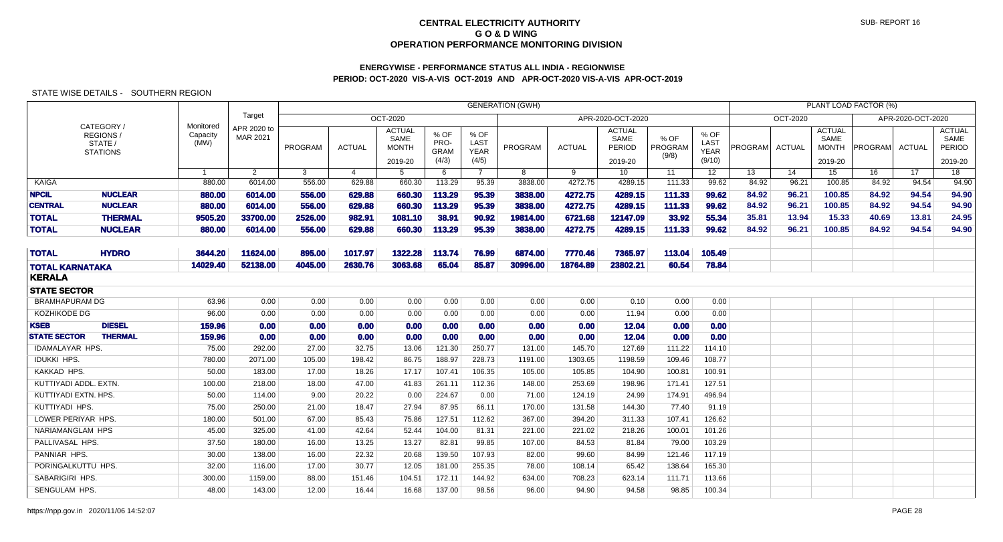# **ENERGYWISE - PERFORMANCE STATUS ALL INDIA - REGIONWISEPERIOD: OCT-2020 VIS-A-VIS OCT-2019 AND APR-OCT-2020 VIS-A-VIS APR-OCT-2019**

|                        |                                                      |                               |                         |         |                |                                                  |                                      |                                      | <b>GENERATION (GWH)</b> |               |                                            |                          |                                       |                |               |                                           | PLANT LOAD FACTOR (%) |                   |                                            |
|------------------------|------------------------------------------------------|-------------------------------|-------------------------|---------|----------------|--------------------------------------------------|--------------------------------------|--------------------------------------|-------------------------|---------------|--------------------------------------------|--------------------------|---------------------------------------|----------------|---------------|-------------------------------------------|-----------------------|-------------------|--------------------------------------------|
|                        |                                                      |                               | Target                  |         |                | OCT-2020                                         |                                      |                                      |                         |               | APR-2020-OCT-2020                          |                          |                                       |                | OCT-2020      |                                           |                       | APR-2020-OCT-2020 |                                            |
|                        | CATEGORY /<br>REGIONS/<br>STATE /<br><b>STATIONS</b> | Monitored<br>Capacity<br>(MW) | APR 2020 to<br>MAR 2021 | PROGRAM | <b>ACTUAL</b>  | <b>ACTUAL</b><br>SAME<br><b>MONTH</b><br>2019-20 | % OF<br>PRO-<br><b>GRAM</b><br>(4/3) | % OF<br>LAST<br><b>YEAR</b><br>(4/5) | PROGRAM                 | <b>ACTUAL</b> | <b>ACTUAL</b><br>SAME<br>PERIOD<br>2019-20 | % OF<br>PROGRAM<br>(9/8) | % OF<br>LAST<br><b>YEAR</b><br>(9/10) | <b>PROGRAM</b> | <b>ACTUAL</b> | <b>ACTUAL</b><br>SAME<br>MONTH<br>2019-20 | <b>PROGRAM</b>        | ACTUAL            | <b>ACTUAL</b><br>SAME<br>PERIOD<br>2019-20 |
|                        |                                                      | $\overline{1}$                | $\overline{2}$          | 3       | $\overline{4}$ | 5                                                | 6                                    | $\overline{7}$                       | 8                       | 9             | 10 <sup>1</sup>                            | 11                       | 12 <sup>2</sup>                       | 13             | 14            | 15                                        | 16                    | 17                | 18                                         |
| KAIGA                  |                                                      | 880.00                        | 6014.00                 | 556.00  | 629.88         | 660.30                                           | 113.29                               | 95.39                                | 3838.00                 | 4272.75       | 4289.15                                    | 111.33                   | 99.62                                 | 84.92          | 96.21         | 100.85                                    | 84.92                 | 94.54             | 94.90                                      |
| <b>NPCIL</b>           | <b>NUCLEAR</b>                                       | 880.00                        | 6014.00                 | 556.00  | 629.88         | 660.30                                           | 113.29                               | 95.39                                | 3838.00                 | 4272.75       | 4289.15                                    | 111.33                   | 99.62                                 | 84.92          | 96.21         | 100.85                                    | 84.92                 | 94.54             | 94.90                                      |
| <b>CENTRAL</b>         | <b>NUCLEAR</b>                                       | 880.00                        | 6014.00                 | 556.00  | 629.88         | 660.30                                           | 113.29                               | 95.39                                | 3838.00                 | 4272.75       | 4289.15                                    | 111.33                   | 99.62                                 | 84.92          | 96.21         | 100.85                                    | 84.92                 | 94.54             | 94.90                                      |
| <b>TOTAL</b>           | <b>THERMAL</b>                                       | 9505.20                       | 33700.00                | 2526,00 | 982.91         | 1081.10                                          | 38.91                                | 90.92                                | 19814.00                | 6721.68       | 12147.09                                   | 33.92                    | 55.34                                 | 35.81          | 13.94         | 15.33                                     | 40.69                 | 13.81             | 24.95                                      |
| <b>TOTAL</b>           | <b>NUCLEAR</b>                                       | 880.00                        | 6014.00                 | 556.00  | 629.88         | 660.30                                           | 113.29                               | 95.39                                | 3838.00                 | 4272.75       | 4289.15                                    | 111.33                   | 99.62                                 | 84.92          | 96.21         | 100.85                                    | 84.92                 | 94.54             | 94.90                                      |
| <b>TOTAL</b>           | <b>HYDRO</b>                                         | 3644.20                       | 11624.00                | 895.00  | 1017.97        | 1322.28                                          | 113.74                               | 76.99                                | 6874.00                 | 7770.46       | 7365.97                                    | 113.04                   | 105.49                                |                |               |                                           |                       |                   |                                            |
| <b>TOTAL KARNATAKA</b> |                                                      | 14029.40                      | 52138.00                | 4045.00 | 2630.76        | 3063.68                                          | 65.04                                | 85.87                                | 30996.00                | 18764.89      | 23802.21                                   | 60.54                    | 78.84                                 |                |               |                                           |                       |                   |                                            |
| <b>KERALA</b>          |                                                      |                               |                         |         |                |                                                  |                                      |                                      |                         |               |                                            |                          |                                       |                |               |                                           |                       |                   |                                            |
| <b>STATE SECTOR</b>    |                                                      |                               |                         |         |                |                                                  |                                      |                                      |                         |               |                                            |                          |                                       |                |               |                                           |                       |                   |                                            |
| <b>BRAMHAPURAM DG</b>  |                                                      | 63.96                         | 0.00                    | 0.00    | 0.00           | 0.00                                             | 0.00                                 | 0.00                                 | 0.00                    | 0.00          | 0.10                                       | 0.00                     | 0.00                                  |                |               |                                           |                       |                   |                                            |
| KOZHIKODE DG           |                                                      | 96.00                         | 0.00                    | 0.00    | 0.00           | 0.00                                             | 0.00                                 | 0.00                                 | 0.00                    | 0.00          | 11.94                                      | 0.00                     | 0.00                                  |                |               |                                           |                       |                   |                                            |
| <b>KSEB</b>            | <b>DIESEL</b>                                        | 159.96                        | 0.00                    | 0.00    | 0.00           | 0.00                                             | 0.00                                 | 0.00                                 | 0.00                    | 0.00          | 12.04                                      | 0.00                     | 0.00                                  |                |               |                                           |                       |                   |                                            |
| <b>STATE SECTOR</b>    | <b>THERMAL</b>                                       | 159.96                        | 0.00                    | 0.00    | 0.00           | 0.00                                             | 0.00                                 | 0.00                                 | 0.00                    | 0.00          | 12.04                                      | 0.00                     | 0.00                                  |                |               |                                           |                       |                   |                                            |
| <b>IDAMALAYAR HPS.</b> |                                                      | 75.00                         | 292.00                  | 27.00   | 32.75          | 13.06                                            | 121.30                               | 250.77                               | 131.00                  | 145.70        | 127.69                                     | 111.22                   | 114.10                                |                |               |                                           |                       |                   |                                            |
| <b>IDUKKI HPS.</b>     |                                                      | 780.00                        | 2071.00                 | 105.00  | 198.42         | 86.75                                            | 188.97                               | 228.73                               | 1191.00                 | 1303.65       | 1198.59                                    | 109.46                   | 108.77                                |                |               |                                           |                       |                   |                                            |
| KAKKAD HPS.            |                                                      | 50.00                         | 183.00                  | 17.00   | 18.26          | 17.17                                            | 107.41                               | 106.35                               | 105.00                  | 105.85        | 104.90                                     | 100.81                   | 100.91                                |                |               |                                           |                       |                   |                                            |
| KUTTIYADI ADDL, EXTN.  |                                                      | 100.00                        | 218.00                  | 18.00   | 47.00          | 41.83                                            | 261.11                               | 112.36                               | 148.00                  | 253.69        | 198.96                                     | 171.41                   | 127.51                                |                |               |                                           |                       |                   |                                            |
| KUTTIYADI EXTN. HPS.   |                                                      | 50.00                         | 114.00                  | 9.00    | 20.22          | 0.00                                             | 224.67                               | 0.00                                 | 71.00                   | 124.19        | 24.99                                      | 174.91                   | 496.94                                |                |               |                                           |                       |                   |                                            |
| KUTTIYADI HPS.         |                                                      | 75.00                         | 250.00                  | 21.00   | 18.47          | 27.94                                            | 87.95                                | 66.11                                | 170.00                  | 131.58        | 144.30                                     | 77.40                    | 91.19                                 |                |               |                                           |                       |                   |                                            |
| LOWER PERIYAR HPS.     |                                                      | 180.00                        | 501.00                  | 67.00   | 85.43          | 75.86                                            | 127.51                               | 112.62                               | 367.00                  | 394.20        | 311.33                                     | 107.41                   | 126.62                                |                |               |                                           |                       |                   |                                            |
| NARIAMANGLAM HPS       |                                                      | 45.00                         | 325.00                  | 41.00   | 42.64          | 52.44                                            | 104.00                               | 81.31                                | 221.00                  | 221.02        | 218.26                                     | 100.01                   | 101.26                                |                |               |                                           |                       |                   |                                            |
| PALLIVASAL HPS.        |                                                      | 37.50                         | 180.00                  | 16.00   | 13.25          | 13.27                                            | 82.81                                | 99.85                                | 107.00                  | 84.53         | 81.84                                      | 79.00                    | 103.29                                |                |               |                                           |                       |                   |                                            |
| PANNIAR HPS.           |                                                      | 30.00                         | 138.00                  | 16.00   | 22.32          | 20.68                                            | 139.50                               | 107.93                               | 82.00                   | 99.60         | 84.99                                      | 121.46                   | 117.19                                |                |               |                                           |                       |                   |                                            |
| PORINGALKUTTU HPS.     |                                                      | 32.00                         | 116.00                  | 17.00   | 30.77          | 12.05                                            | 181.00                               | 255.35                               | 78.00                   | 108.14        | 65.42                                      | 138.64                   | 165.30                                |                |               |                                           |                       |                   |                                            |
| SABARIGIRI HPS.        |                                                      | 300.00                        | 1159.00                 | 88.00   | 151.46         | 104.51                                           | 172.11                               | 144.92                               | 634.00                  | 708.23        | 623.14                                     | 111.71                   | 113.66                                |                |               |                                           |                       |                   |                                            |
| SENGULAM HPS.          |                                                      | 48.00                         | 143.00                  | 12.00   | 16.44          | 16.68                                            | 137.00                               | 98.56                                | 96.00                   | 94.90         | 94.58                                      | 98.85                    | 100.34                                |                |               |                                           |                       |                   |                                            |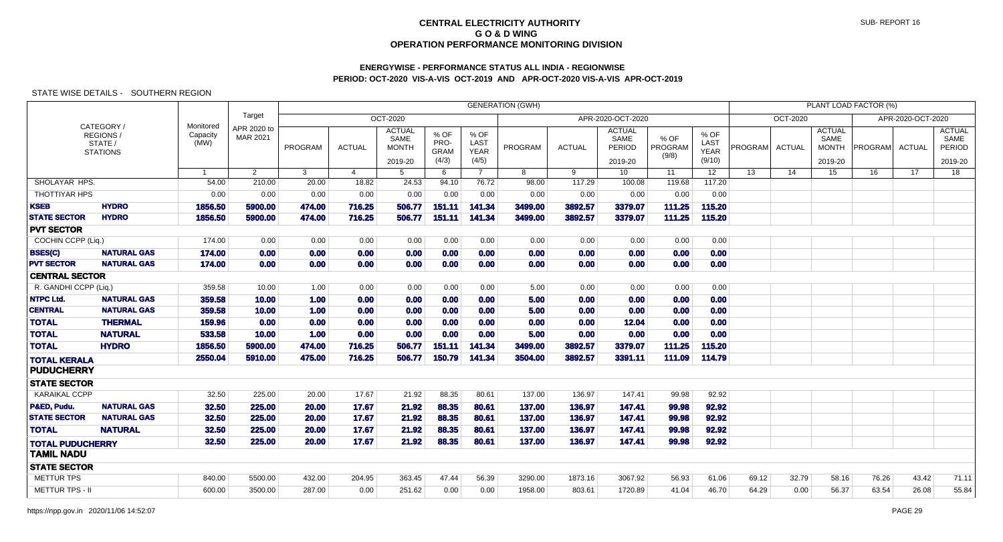# **ENERGYWISE - PERFORMANCE STATUS ALL INDIA - REGIONWISEPERIOD: OCT-2020 VIS-A-VIS OCT-2019 AND APR-OCT-2020 VIS-A-VIS APR-OCT-2019**

|                         |                                                            |                               |                         |                |                |                                                  |                                      |                                      | <b>GENERATION (GWH)</b> |               |                                            |                          |                                       |         |               |                                                  | PLANT LOAD FACTOR (%) |                   |                                            |
|-------------------------|------------------------------------------------------------|-------------------------------|-------------------------|----------------|----------------|--------------------------------------------------|--------------------------------------|--------------------------------------|-------------------------|---------------|--------------------------------------------|--------------------------|---------------------------------------|---------|---------------|--------------------------------------------------|-----------------------|-------------------|--------------------------------------------|
|                         |                                                            |                               | Target                  |                |                | <b>OCT-2020</b>                                  |                                      |                                      |                         |               | APR-2020-OCT-2020                          |                          |                                       |         | OCT-2020      |                                                  |                       | APR-2020-OCT-2020 |                                            |
|                         | CATEGORY/<br><b>REGIONS/</b><br>STATE /<br><b>STATIONS</b> | Monitored<br>Capacity<br>(MW) | APR 2020 to<br>MAR 2021 | PROGRAM        | <b>ACTUAL</b>  | <b>ACTUAL</b><br>SAME<br><b>MONTH</b><br>2019-20 | % OF<br>PRO-<br><b>GRAM</b><br>(4/3) | % OF<br>LAST<br><b>YEAR</b><br>(4/5) | <b>PROGRAM</b>          | <b>ACTUAL</b> | <b>ACTUAL</b><br>SAME<br>PERIOD<br>2019-20 | % OF<br>PROGRAM<br>(9/8) | % OF<br>LAST<br><b>YEAR</b><br>(9/10) | PROGRAM | <b>ACTUAL</b> | <b>ACTUAL</b><br>SAME<br><b>MONTH</b><br>2019-20 | <b>PROGRAM</b>        | ACTUAL            | <b>ACTUAL</b><br>SAME<br>PERIOD<br>2019-20 |
|                         |                                                            | $\mathbf{1}$                  | $\overline{2}$          | $\overline{3}$ | $\overline{4}$ | 5                                                | 6                                    | $7^{\circ}$                          | 8                       | 9             | 10 <sup>1</sup>                            | 11                       | 12                                    | 13      | 14            | $\overline{15}$                                  | 16                    | $\overline{17}$   | $\overline{18}$                            |
| SHOLAYAR HPS.           |                                                            | 54.00                         | 210.00                  | 20.00          | 18.82          | 24.53                                            | 94.10                                | 76.72                                | 98.00                   | 117.29        | 100.08                                     | 119.68                   | 117.20                                |         |               |                                                  |                       |                   |                                            |
| THOTTIYAR HPS           |                                                            | 0.00                          | 0.00                    | 0.00           | 0.00           | 0.00                                             | 0.00                                 | 0.00                                 | 0.00                    | 0.00          | 0.00                                       | 0.00                     | 0.00                                  |         |               |                                                  |                       |                   |                                            |
| <b>KSEB</b>             | <b>HYDRO</b>                                               | 1856.50                       | 5900.00                 | 474.00         | 716.25         | 506.77                                           | 151.11                               | 141.34                               | 3499.00                 | 3892.57       | 3379.07                                    | 111.25                   | 115.20                                |         |               |                                                  |                       |                   |                                            |
| <b>STATE SECTOR</b>     | <b>HYDRO</b>                                               | 1856.50                       | 5900.00                 | 474.00         | 716.25         | 506.77                                           | 151.11                               | 141.34                               | 3499.00                 | 3892.57       | 3379.07                                    | 111.25                   | 115.20                                |         |               |                                                  |                       |                   |                                            |
| <b>PVT SECTOR</b>       |                                                            |                               |                         |                |                |                                                  |                                      |                                      |                         |               |                                            |                          |                                       |         |               |                                                  |                       |                   |                                            |
| COCHIN CCPP (Liq.)      |                                                            | 174.00                        | 0.00                    | 0.00           | 0.00           | 0.00                                             | 0.00                                 | 0.00                                 | 0.00                    | 0.00          | 0.00                                       | 0.00                     | 0.00                                  |         |               |                                                  |                       |                   |                                            |
| <b>BSES(C)</b>          | <b>NATURAL GAS</b>                                         | 174.00                        | 0.00                    | 0.00           | 0.00           | 0.00                                             | 0.00                                 | 0.00                                 | 0.00                    | 0.00          | 0.00                                       | 0.00                     | 0.00                                  |         |               |                                                  |                       |                   |                                            |
| <b>PVT SECTOR</b>       | <b>NATURAL GAS</b>                                         | 174.00                        | 0.00                    | 0.00           | 0.00           | 0.00                                             | 0.00                                 | 0.00                                 | 0.00                    | 0.00          | 0.00                                       | 0.00                     | 0.00                                  |         |               |                                                  |                       |                   |                                            |
| <b>CENTRAL SECTOR</b>   |                                                            |                               |                         |                |                |                                                  |                                      |                                      |                         |               |                                            |                          |                                       |         |               |                                                  |                       |                   |                                            |
| R. GANDHI CCPP (Liq.)   |                                                            | 359.58                        | 10.00                   | 1.00           | 0.00           | 0.00                                             | 0.00                                 | 0.00                                 | 5.00                    | 0.00          | 0.00                                       | 0.00                     | 0.00                                  |         |               |                                                  |                       |                   |                                            |
| <b>NTPC Ltd.</b>        | <b>NATURAL GAS</b>                                         | 359.58                        | 10.00                   | 1.00           | 0.00           | 0.00                                             | 0.00                                 | 0.00                                 | 5.00                    | 0.00          | 0.00                                       | 0.00                     | 0.00                                  |         |               |                                                  |                       |                   |                                            |
| <b>CENTRAL</b>          | <b>NATURAL GAS</b>                                         | 359.58                        | 10.00                   | 1.00           | 0.00           | 0.00                                             | 0.00                                 | 0.00                                 | 5.00                    | 0.00          | 0.00                                       | 0.00                     | 0.00                                  |         |               |                                                  |                       |                   |                                            |
| <b>TOTAL</b>            | <b>THERMAL</b>                                             | 159.96                        | 0.00                    | 0.00           | 0.00           | 0.00                                             | 0.00                                 | 0.00                                 | 0.00                    | 0.00          | 12.04                                      | 0.00                     | 0.00                                  |         |               |                                                  |                       |                   |                                            |
| <b>TOTAL</b>            | <b>NATURAL</b>                                             | 533.58                        | 10.00                   | 1.00           | 0.00           | 0.00                                             | 0.00                                 | 0.00                                 | 5.00                    | 0.00          | 0.00                                       | 0.00                     | 0.00                                  |         |               |                                                  |                       |                   |                                            |
| <b>TOTAL</b>            | <b>HYDRO</b>                                               | 1856.50                       | 5900.00                 | 474.00         | 716.25         | 506.77                                           | 151.11                               | 141.34                               | 3499.00                 | 3892.57       | 3379.07                                    | 111.25                   | 115.20                                |         |               |                                                  |                       |                   |                                            |
| <b>TOTAL KERALA</b>     |                                                            | 2550.04                       | 5910.00                 | 475.00         | 716.25         | 506.77                                           | 150.79                               | 141.34                               | 3504.00                 | 3892.57       | 3391.11                                    | 111.09                   | 114.79                                |         |               |                                                  |                       |                   |                                            |
| <b>PUDUCHERRY</b>       |                                                            |                               |                         |                |                |                                                  |                                      |                                      |                         |               |                                            |                          |                                       |         |               |                                                  |                       |                   |                                            |
| <b>STATE SECTOR</b>     |                                                            |                               |                         |                |                |                                                  |                                      |                                      |                         |               |                                            |                          |                                       |         |               |                                                  |                       |                   |                                            |
| <b>KARAIKAL CCPP</b>    |                                                            | 32.50                         | 225.00                  | 20.00          | 17.67          | 21.92                                            | 88.35                                | 80.61                                | 137.00                  | 136.97        | 147.41                                     | 99.98                    | 92.92                                 |         |               |                                                  |                       |                   |                                            |
| P&ED, Pudu.             | <b>NATURAL GAS</b>                                         | 32.50                         | 225.00                  | 20.00          | 17.67          | 21.92                                            | 88.35                                | 80.61                                | 137.00                  | 136.97        | 147.41                                     | 99.98                    | 92.92                                 |         |               |                                                  |                       |                   |                                            |
| <b>STATE SECTOR</b>     | <b>NATURAL GAS</b>                                         | 32.50                         | 225.00                  | 20.00          | 17.67          | 21.92                                            | 88.35                                | 80.61                                | 137.00                  | 136.97        | 147.41                                     | 99.98                    | 92.92                                 |         |               |                                                  |                       |                   |                                            |
| <b>TOTAL</b>            | <b>NATURAL</b>                                             | 32.50                         | 225.00                  | 20.00          | 17.67          | 21.92                                            | 88.35                                | 80.61                                | 137.00                  | 136.97        | 147.41                                     | 99.98                    | 92.92                                 |         |               |                                                  |                       |                   |                                            |
| <b>TOTAL PUDUCHERRY</b> |                                                            | 32.50                         | 225.00                  | 20.00          | 17.67          | 21.92                                            | 88.35                                | 80.61                                | 137.00                  | 136.97        | 147.41                                     | 99.98                    | 92.92                                 |         |               |                                                  |                       |                   |                                            |
| <b>TAMIL NADU</b>       |                                                            |                               |                         |                |                |                                                  |                                      |                                      |                         |               |                                            |                          |                                       |         |               |                                                  |                       |                   |                                            |
| <b>STATE SECTOR</b>     |                                                            |                               |                         |                |                |                                                  |                                      |                                      |                         |               |                                            |                          |                                       |         |               |                                                  |                       |                   |                                            |
| <b>METTUR TPS</b>       |                                                            | 840.00                        | 5500.00                 | 432.00         | 204.95         | 363.45                                           | 47.44                                | 56.39                                | 3290.00                 | 1873.16       | 3067.92                                    | 56.93                    | 61.06                                 | 69.12   | 32.79         | 58.16                                            | 76.26                 | 43.42             | 71.11                                      |
| <b>METTUR TPS - II</b>  |                                                            | 600.00                        | 3500.00                 | 287.00         | 0.00           | 251.62                                           | 0.00                                 | 0.00                                 | 1958.00                 | 803.61        | 1720.89                                    | 41.04                    | 46.70                                 | 64.29   | 0.00          | 56.37                                            | 63.54                 | 26.08             | 55.84                                      |
|                         |                                                            |                               |                         |                |                |                                                  |                                      |                                      |                         |               |                                            |                          |                                       |         |               |                                                  |                       |                   |                                            |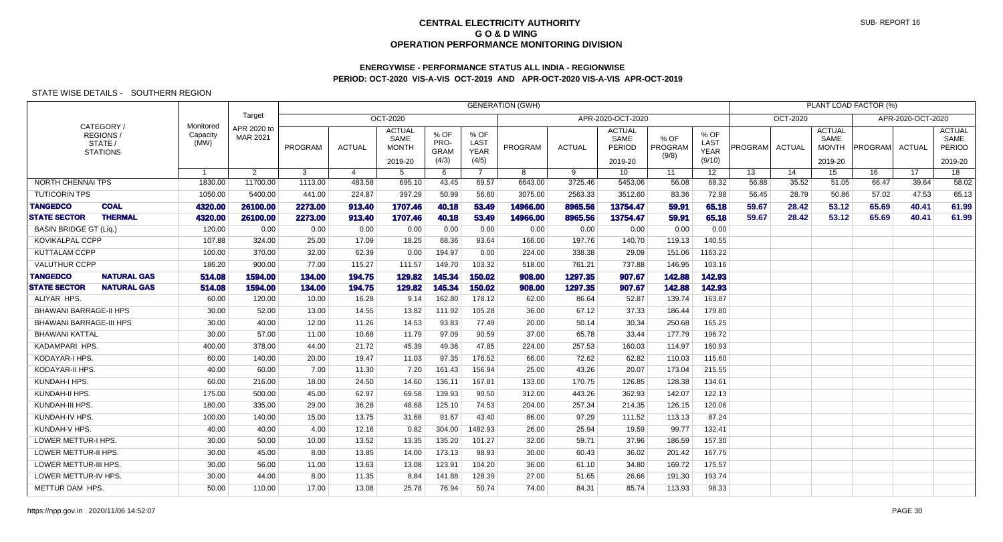## **ENERGYWISE - PERFORMANCE STATUS ALL INDIA - REGIONWISEPERIOD: OCT-2020 VIS-A-VIS OCT-2019 AND APR-OCT-2020 VIS-A-VIS APR-OCT-2019**

|                                |                                                    |                               |                                |              |                |                                                  |                                      |                                             | <b>GENERATION (GWH)</b> |               |                                            |                          |                                       |         |               |                                                  | PLANT LOAD FACTOR (%) |                   |                                            |
|--------------------------------|----------------------------------------------------|-------------------------------|--------------------------------|--------------|----------------|--------------------------------------------------|--------------------------------------|---------------------------------------------|-------------------------|---------------|--------------------------------------------|--------------------------|---------------------------------------|---------|---------------|--------------------------------------------------|-----------------------|-------------------|--------------------------------------------|
|                                |                                                    |                               | Target                         |              |                | OCT-2020                                         |                                      |                                             |                         |               | APR-2020-OCT-2020                          |                          |                                       |         | OCT-2020      |                                                  |                       | APR-2020-OCT-2020 |                                            |
|                                | CATEGORY/<br>REGIONS<br>STATE /<br><b>STATIONS</b> | Monitored<br>Capacity<br>(MW) | APR 2020 to<br><b>MAR 2021</b> | PROGRAM      | <b>ACTUAL</b>  | <b>ACTUAL</b><br>SAME<br><b>MONTH</b><br>2019-20 | % OF<br>PRO-<br><b>GRAM</b><br>(4/3) | % OF<br><b>LAST</b><br><b>YEAR</b><br>(4/5) | PROGRAM                 | <b>ACTUAL</b> | <b>ACTUAL</b><br>SAME<br>PERIOD<br>2019-20 | % OF<br>PROGRAM<br>(9/8) | % OF<br>LAST<br><b>YEAR</b><br>(9/10) | PROGRAM | <b>ACTUAL</b> | <b>ACTUAL</b><br>SAME<br><b>MONTH</b><br>2019-20 | <b>PROGRAM</b>        | ACTUAL            | <b>ACTUAL</b><br>SAME<br>PERIOD<br>2019-20 |
|                                |                                                    | $\overline{1}$                | $\overline{2}$                 | $\mathbf{3}$ | $\overline{4}$ | 5                                                | 6                                    | $\overline{7}$                              | 8                       | 9             | 10                                         | 11                       | 12 <sup>12</sup>                      | 13      | 14            | 15                                               | 16                    | 17                | 18                                         |
| NORTH CHENNAI TPS              |                                                    | 1830.00                       | 11700.00                       | 1113.00      | 483.58         | 695.10                                           | 43.45                                | 69.57                                       | 6643.00                 | 3725.46       | 5453.06                                    | 56.08                    | 68.32                                 | 56.88   | 35.52         | 51.05                                            | 66.47                 | 39.64             | 58.02                                      |
| <b>TUTICORIN TPS</b>           |                                                    | 1050.00                       | 5400.00                        | 441.00       | 224.87         | 397.29                                           | 50.99                                | 56.60                                       | 3075.00                 | 2563.33       | 3512.60                                    | 83.36                    | 72.98                                 | 56.45   | 28.79         | 50.86                                            | 57.02                 | 47.53             | 65.13                                      |
| <b>TANGEDCO</b>                | <b>COAL</b>                                        | 4320.00                       | 26100.00                       | 2273.00      | 913.40         | 1707.46                                          | 40.18                                | 53.49                                       | 14966.00                | 8965.56       | 13754.47                                   | 59.91                    | 65.18                                 | 59.67   | 28.42         | 53.12                                            | 65.69                 | 40.41             | 61.99                                      |
| <b>STATE SECTOR</b>            | <b>THERMAL</b>                                     | 4320.00                       | 26100.00                       | 2273.00      | 913.40         | 1707.46                                          | 40.18                                | 53.49                                       | 14966.00                | 8965.56       | 13754.47                                   | 59.91                    | 65.18                                 | 59.67   | 28.42         | 53.12                                            | 65.69                 | 40.41             | 61.99                                      |
| <b>BASIN BRIDGE GT (Liq.)</b>  |                                                    | 120.00                        | 0.00                           | 0.00         | 0.00           | 0.00                                             | 0.00                                 | 0.00                                        | 0.00                    | 0.00          | 0.00                                       | 0.00                     | 0.00                                  |         |               |                                                  |                       |                   |                                            |
| <b>KOVIKALPAL CCPP</b>         |                                                    | 107.88                        | 324.00                         | 25.00        | 17.09          | 18.25                                            | 68.36                                | 93.64                                       | 166.00                  | 197.76        | 140.70                                     | 119.13                   | 140.55                                |         |               |                                                  |                       |                   |                                            |
| <b>KUTTALAM CCPP</b>           |                                                    | 100.00                        | 370.00                         | 32.00        | 62.39          | 0.00                                             | 194.97                               | 0.00                                        | 224.00                  | 338.38        | 29.09                                      | 151.06                   | 1163.22                               |         |               |                                                  |                       |                   |                                            |
| <b>VALUTHUR CCPP</b>           |                                                    | 186.20                        | 900.00                         | 77.00        | 115.27         | 111.57                                           | 149.70                               | 103.32                                      | 518.00                  | 761.21        | 737.88                                     | 146.95                   | 103.16                                |         |               |                                                  |                       |                   |                                            |
| <b>TANGEDCO</b>                | <b>NATURAL GAS</b>                                 | 514.08                        | 1594.00                        | 134.00       | 194.75         | 129.82                                           | 145.34                               | 150.02                                      | 908.00                  | 1297.35       | 907.67                                     | 142.88                   | 142.93                                |         |               |                                                  |                       |                   |                                            |
| <b>STATE SECTOR</b>            | <b>NATURAL GAS</b>                                 | 514.08                        | 1594.00                        | 134.00       | 194.75         | 129.82                                           | 145.34                               | 150.02                                      | 908.00                  | 1297.35       | 907.67                                     | 142.88                   | 142.93                                |         |               |                                                  |                       |                   |                                            |
| ALIYAR HPS.                    |                                                    | 60.00                         | 120.00                         | 10.00        | 16.28          | 9.14                                             | 162.80                               | 178.12                                      | 62.00                   | 86.64         | 52.87                                      | 139.74                   | 163.87                                |         |               |                                                  |                       |                   |                                            |
| <b>BHAWANI BARRAGE-II HPS</b>  |                                                    | 30.00                         | 52.00                          | 13.00        | 14.55          | 13.82                                            | 111.92                               | 105.28                                      | 36.00                   | 67.12         | 37.33                                      | 186.44                   | 179.80                                |         |               |                                                  |                       |                   |                                            |
| <b>BHAWANI BARRAGE-III HPS</b> |                                                    | 30.00                         | 40.00                          | 12.00        | 11.26          | 14.53                                            | 93.83                                | 77.49                                       | 20.00                   | 50.14         | 30.34                                      | 250.68                   | 165.25                                |         |               |                                                  |                       |                   |                                            |
| BHAWANI KATTAL                 |                                                    | 30.00                         | 57.00                          | 11.00        | 10.68          | 11.79                                            | 97.09                                | 90.59                                       | 37.00                   | 65.78         | 33.44                                      | 177.79                   | 196.72                                |         |               |                                                  |                       |                   |                                            |
| KADAMPARI HPS.                 |                                                    | 400.00                        | 378.00                         | 44.00        | 21.72          | 45.39                                            | 49.36                                | 47.85                                       | 224.00                  | 257.53        | 160.03                                     | 114.97                   | 160.93                                |         |               |                                                  |                       |                   |                                            |
| KODAYAR-I HPS.                 |                                                    | 60.00                         | 140.00                         | 20.00        | 19.47          | 11.03                                            | 97.35                                | 176.52                                      | 66.00                   | 72.62         | 62.82                                      | 110.03                   | 115.60                                |         |               |                                                  |                       |                   |                                            |
| KODAYAR-II HPS.                |                                                    | 40.00                         | 60.00                          | 7.00         | 11.30          | 7.20                                             | 161.43                               | 156.94                                      | 25.00                   | 43.26         | 20.07                                      | 173.04                   | 215.55                                |         |               |                                                  |                       |                   |                                            |
| KUNDAH-I HPS.                  |                                                    | 60.00                         | 216.00                         | 18.00        | 24.50          | 14.60                                            | 136.11                               | 167.81                                      | 133.00                  | 170.75        | 126.85                                     | 128.38                   | 134.61                                |         |               |                                                  |                       |                   |                                            |
| KUNDAH-II HPS.                 |                                                    | 175.00                        | 500.00                         | 45.00        | 62.97          | 69.58                                            | 139.93                               | 90.50                                       | 312.00                  | 443.26        | 362.93                                     | 142.07                   | 122.13                                |         |               |                                                  |                       |                   |                                            |
| KUNDAH-III HPS.                |                                                    | 180.00                        | 335.00                         | 29.00        | 36.28          | 48.68                                            | 125.10                               | 74.53                                       | 204.00                  | 257.34        | 214.35                                     | 126.15                   | 120.06                                |         |               |                                                  |                       |                   |                                            |
| KUNDAH-IV HPS.                 |                                                    | 100.00                        | 140.00                         | 15.00        | 13.75          | 31.68                                            | 91.67                                | 43.40                                       | 86.00                   | 97.29         | 111.52                                     | 113.13                   | 87.24                                 |         |               |                                                  |                       |                   |                                            |
| KUNDAH-V HPS.                  |                                                    | 40.00                         | 40.00                          | 4.00         | 12.16          | 0.82                                             | 304.00                               | 1482.93                                     | 26.00                   | 25.94         | 19.59                                      | 99.77                    | 132.41                                |         |               |                                                  |                       |                   |                                            |
| <b>LOWER METTUR-I HPS.</b>     |                                                    | 30.00                         | 50.00                          | 10.00        | 13.52          | 13.35                                            | 135.20                               | 101.27                                      | 32.00                   | 59.71         | 37.96                                      | 186.59                   | 157.30                                |         |               |                                                  |                       |                   |                                            |
| LOWER METTUR-II HPS.           |                                                    | 30.00                         | 45.00                          | 8.00         | 13.85          | 14.00                                            | 173.13                               | 98.93                                       | 30.00                   | 60.43         | 36.02                                      | 201.42                   | 167.75                                |         |               |                                                  |                       |                   |                                            |
| LOWER METTUR-III HPS.          |                                                    | 30.00                         | 56.00                          | 11.00        | 13.63          | 13.08                                            | 123.91                               | 104.20                                      | 36.00                   | 61.10         | 34.80                                      | 169.72                   | 175.57                                |         |               |                                                  |                       |                   |                                            |
| LOWER METTUR-IV HPS.           |                                                    | 30.00                         | 44.00                          | 8.00         | 11.35          | 8.84                                             | 141.88                               | 128.39                                      | 27.00                   | 51.65         | 26.66                                      | 191.30                   | 193.74                                |         |               |                                                  |                       |                   |                                            |
| METTUR DAM HPS                 |                                                    | 50.00                         | 110.00                         | 17.00        | 13.08          | 25.78                                            | 76.94                                | 50.74                                       | 74.00                   | 84.31         | 85.74                                      | 113.93                   | 98.33                                 |         |               |                                                  |                       |                   |                                            |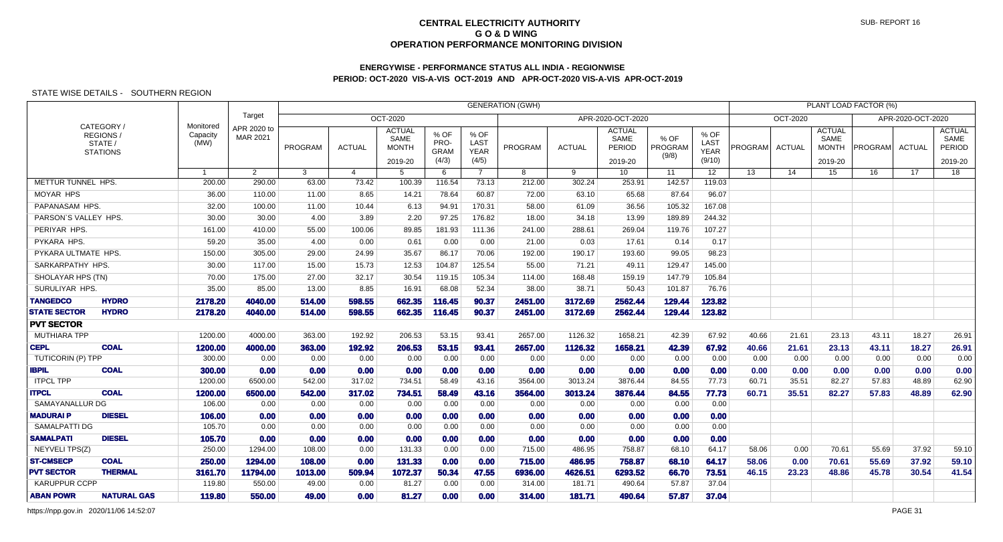# **ENERGYWISE - PERFORMANCE STATUS ALL INDIA - REGIONWISEPERIOD: OCT-2020 VIS-A-VIS OCT-2019 AND APR-OCT-2020 VIS-A-VIS APR-OCT-2019**

### STATE WISE DETAILS - SOUTHERN REGION

|                                           |                                                      |                               |                         |                | <b>GENERATION (GWH)</b><br>PLANT LOAD FACTOR (%)<br><b>OCT-2020</b> |                                                  |                                      |                                      |         |               |                                            |                            |                                       |                |               |                                                  |         |                   |                                            |
|-------------------------------------------|------------------------------------------------------|-------------------------------|-------------------------|----------------|---------------------------------------------------------------------|--------------------------------------------------|--------------------------------------|--------------------------------------|---------|---------------|--------------------------------------------|----------------------------|---------------------------------------|----------------|---------------|--------------------------------------------------|---------|-------------------|--------------------------------------------|
|                                           |                                                      |                               | Target                  |                | OCT-2020<br>APR-2020-OCT-2020                                       |                                                  |                                      |                                      |         |               |                                            |                            |                                       |                |               |                                                  |         | APR-2020-OCT-2020 |                                            |
|                                           | CATEGORY /<br>REGIONS/<br>STATE /<br><b>STATIONS</b> | Monitored<br>Capacity<br>(MW) | APR 2020 to<br>MAR 2021 | <b>PROGRAM</b> | <b>ACTUAL</b>                                                       | <b>ACTUAL</b><br>SAME<br><b>MONTH</b><br>2019-20 | % OF<br>PRO-<br><b>GRAM</b><br>(4/3) | % OF<br>LAST<br><b>YEAR</b><br>(4/5) | PROGRAM | <b>ACTUAL</b> | <b>ACTUAL</b><br>SAME<br>PERIOD<br>2019-20 | $%$ OF<br>PROGRAM<br>(9/8) | % OF<br>LAST<br><b>YEAR</b><br>(9/10) | <b>PROGRAM</b> | <b>ACTUAL</b> | <b>ACTUAL</b><br>SAME<br><b>MONTH</b><br>2019-20 | PROGRAM | ACTUAL            | <b>ACTUAL</b><br>SAME<br>PERIOD<br>2019-20 |
|                                           |                                                      | $\overline{1}$                | $\mathbf{2}$            | 3              | 4                                                                   | 5                                                | 6                                    | $7^{\circ}$                          | 8       | 9             | 10 <sup>°</sup>                            | 11                         | 12 <sup>2</sup>                       | 13             | 14            | 15                                               | 16      | 17                | 18                                         |
| METTUR TUNNEL HPS.                        |                                                      | 200.00                        | 290.00                  | 63.00          | 73.42                                                               | 100.39                                           | 116.54                               | 73.13                                | 212.00  | 302.24        | 253.91                                     | 142.57                     | 119.03                                |                |               |                                                  |         |                   |                                            |
| <b>MOYAR HPS</b>                          |                                                      | 36.00                         | 110.00                  | 11.00          | 8.65                                                                | 14.21                                            | 78.64                                | 60.87                                | 72.00   | 63.10         | 65.68                                      | 87.64                      | 96.07                                 |                |               |                                                  |         |                   |                                            |
| PAPANASAM HPS.                            |                                                      | 32.00                         | 100.00                  | 11.00          | 10.44                                                               | 6.13                                             | 94.91                                | 170.31                               | 58.00   | 61.09         | 36.56                                      | 105.32                     | 167.08                                |                |               |                                                  |         |                   |                                            |
| PARSON'S VALLEY HPS.                      |                                                      | 30.00                         | 30.00                   | 4.00           | 3.89                                                                | 2.20                                             | 97.25                                | 176.82                               | 18.00   | 34.18         | 13.99                                      | 189.89                     | 244.32                                |                |               |                                                  |         |                   |                                            |
| PERIYAR HPS.                              |                                                      | 161.00                        | 410.00                  | 55.00          | 100.06                                                              | 89.85                                            | 181.93                               | 111.36                               | 241.00  | 288.61        | 269.04                                     | 119.76                     | 107.27                                |                |               |                                                  |         |                   |                                            |
| PYKARA HPS.                               |                                                      | 59.20                         | 35.00                   | 4.00           | 0.00                                                                | 0.61                                             | 0.00                                 | 0.00                                 | 21.00   | 0.03          | 17.61                                      | 0.14                       | 0.17                                  |                |               |                                                  |         |                   |                                            |
| PYKARA ULTMATE HPS.                       |                                                      | 150.00                        | 305.00                  | 29.00          | 24.99                                                               | 35.67                                            | 86.17                                | 70.06                                | 192.00  | 190.17        | 193.60                                     | 99.05                      | 98.23                                 |                |               |                                                  |         |                   |                                            |
| SARKARPATHY HPS.                          |                                                      | 30.00                         | 117.00                  | 15.00          | 15.73                                                               | 12.53                                            | 104.87                               | 125.54                               | 55.00   | 71.21         | 49.11                                      | 129.47                     | 145.00                                |                |               |                                                  |         |                   |                                            |
| SHOLAYAR HPS (TN)                         |                                                      | 70.00                         | 175.00                  | 27.00          | 32.17                                                               | 30.54                                            | 119.15                               | 105.34                               | 114.00  | 168.48        | 159.19                                     | 147.79                     | 105.84                                |                |               |                                                  |         |                   |                                            |
| SURULIYAR HPS.                            |                                                      | 35.00                         | 85.00                   | 13.00          | 8.85                                                                | 16.91                                            | 68.08                                | 52.34                                | 38.00   | 38.71         | 50.43                                      | 101.87                     | 76.76                                 |                |               |                                                  |         |                   |                                            |
| <b>TANGEDCO</b>                           | <b>HYDRO</b>                                         | 2178.20                       | 4040.00                 | 514.00         | 598.55                                                              | 662.35                                           | 116.45                               | 90.37                                | 2451.00 | 3172.69       | 2562.44                                    | 129.44                     | 123.82                                |                |               |                                                  |         |                   |                                            |
| <b>STATE SECTOR</b>                       | <b>HYDRO</b>                                         | 2178.20                       | 4040.00                 | 514.00         | 598.55                                                              | 662.35                                           | 116.45                               | 90.37                                | 2451.00 | 3172.69       | 2562.44                                    | 129.44                     | 123.82                                |                |               |                                                  |         |                   |                                            |
| <b>PVT SECTOR</b>                         |                                                      |                               |                         |                |                                                                     |                                                  |                                      |                                      |         |               |                                            |                            |                                       |                |               |                                                  |         |                   |                                            |
| <b>MUTHIARA TPP</b>                       |                                                      | 1200.00                       | 4000.00                 | 363.00         | 192.92                                                              | 206.53                                           | 53.15                                | 93.41                                | 2657.00 | 1126.32       | 1658.21                                    | 42.39                      | 67.92                                 | 40.66          | 21.61         | 23.13                                            | 43.11   | 18.27             | 26.91                                      |
| <b>CEPL</b>                               | <b>COAL</b>                                          | 1200.00                       | 4000.00                 | 363.00         | 192.92                                                              | 206.53                                           | 53.15                                | 93.41                                | 2657.00 | 1126.32       | 1658.21                                    | 42.39                      | 67.92                                 | 40.66          | 21.61         | 23.13                                            | 43.11   | 18.27             | 26.91                                      |
| <b>TUTICORIN (P) TPP</b>                  |                                                      | 300.00                        | 0.00                    | 0.00           | 0.00                                                                | 0.00                                             | 0.00                                 | 0.00                                 | 0.00    | 0.00          | 0.00                                       | 0.00                       | 0.00                                  | 0.00           | 0.00          | 0.00                                             | 0.00    | 0.00              | 0.00                                       |
| <b>IBPIL</b>                              | <b>COAL</b>                                          | 300.00                        | 0.00                    | 0.00           | 0.00                                                                | 0.00                                             | 0.00                                 | 0.00                                 | 0.00    | 0.00          | 0.00                                       | 0.00                       | 0.00                                  | 0.00           | 0.00          | 0.00                                             | 0.00    | 0.00              | 0.00                                       |
| <b>ITPCL TPP</b>                          |                                                      | 1200.00                       | 6500.00                 | 542.00         | 317.02                                                              | 734.51                                           | 58.49                                | 43.16                                | 3564.00 | 3013.24       | 3876.44                                    | 84.55                      | 77.73                                 | 60.71          | 35.51         | 82.27                                            | 57.83   | 48.89             | 62.90                                      |
| <b>ITPCL</b>                              | <b>COAL</b>                                          | 1200.00                       | 6500.00                 | 542.00         | 317.02                                                              | 734.51                                           | 58.49                                | 43.16                                | 3564.00 | 3013.24       | 3876.44                                    | 84.55                      | 77.73                                 | 60.71          | 35.51         | 82.27                                            | 57.83   | 48.89             | 62.90                                      |
| SAMAYANALLUR DG                           |                                                      | 106.00                        | 0.00                    | 0.00           | 0.00                                                                | 0.00                                             | 0.00                                 | 0.00                                 | 0.00    | 0.00          | 0.00                                       | 0.00                       | 0.00                                  |                |               |                                                  |         |                   |                                            |
| <b>MADURAIP</b>                           | <b>DIESEL</b>                                        | 106.00                        | 0.00                    | 0.00           | 0.00                                                                | 0.00                                             | 0.00                                 | 0.00                                 | 0.00    | 0.00          | 0.00                                       | 0.00                       | 0.00                                  |                |               |                                                  |         |                   |                                            |
| <b>SAMALPATTI DG</b>                      |                                                      | 105.70                        | 0.00                    | 0.00           | 0.00                                                                | 0.00                                             | 0.00                                 | 0.00                                 | 0.00    | 0.00          | 0.00                                       | 0.00                       | 0.00                                  |                |               |                                                  |         |                   |                                            |
| <b>SAMALPATI</b>                          | <b>DIESEL</b>                                        | 105.70                        | 0.00                    | 0.00           | 0.00                                                                | 0.00                                             | 0.00                                 | 0.00                                 | 0.00    | 0.00          | 0.00                                       | 0.00                       | 0.00                                  |                |               |                                                  |         |                   |                                            |
| NEYVELI TPS(Z)                            |                                                      | 250.00                        | 1294.00                 | 108.00         | 0.00                                                                | 131.33                                           | 0.00                                 | 0.00                                 | 715.00  | 486.95        | 758.87                                     | 68.10                      | 64.17                                 | 58.06          | 0.00          | 70.61                                            | 55.69   | 37.92             | 59.10                                      |
| <b>ST-CMSECP</b>                          | <b>COAL</b>                                          | 250.00                        | 1294.00                 | 108.00         | 0.00                                                                | 131.33                                           | 0.00                                 | 0.00                                 | 715.00  | 486.95        | 758.87                                     | 68.10                      | 64.17                                 | 58.06          | 0.00          | 70.61                                            | 55.69   | 37.92             | 59.10                                      |
| <b>PVT SECTOR</b><br><b>KARUPPUR CCPP</b> | <b>THERMAL</b>                                       | 3161.70                       | 11794.00                | 1013.00        | 509.94                                                              | 1072.37                                          | 50.34                                | 47.55                                | 6936.00 | 4626.51       | 6293.52                                    | 66.70                      | 73.51                                 | 46.15          | 23.23         | 48.86                                            | 45.78   | 30.54             | 41.54                                      |
|                                           |                                                      | 119.80                        | 550.00                  | 49.00          | 0.00                                                                | 81.27                                            | 0.00                                 | 0.00                                 | 314.00  | 181.71        | 490.64                                     | 57.87                      | 37.04                                 |                |               |                                                  |         |                   |                                            |
| <b>ABAN POWR</b>                          | <b>NATURAL GAS</b>                                   | 119.80                        | 550.00                  | 49.00          | 0.00                                                                | 81.27                                            | 0.00                                 | 0.00                                 | 314.00  | 181.71        | 490.64                                     | 57.87                      | 37.04                                 |                |               |                                                  |         |                   |                                            |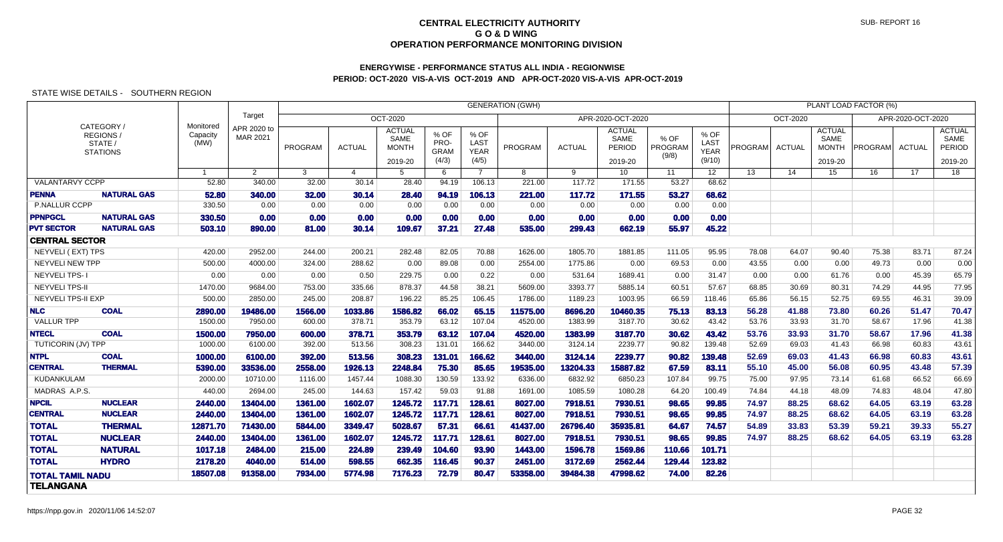# **ENERGYWISE - PERFORMANCE STATUS ALL INDIA - REGIONWISEPERIOD: OCT-2020 VIS-A-VIS OCT-2019 AND APR-OCT-2020 VIS-A-VIS APR-OCT-2019**

|                           |                                                            |                               |                         | <b>GENERATION (GWH)</b> |                |                                                  |                                      |                                             |          |               |                                                   |                          |                                       |         |                 |                                                  | PLANT LOAD FACTOR (%) |                   |                                            |
|---------------------------|------------------------------------------------------------|-------------------------------|-------------------------|-------------------------|----------------|--------------------------------------------------|--------------------------------------|---------------------------------------------|----------|---------------|---------------------------------------------------|--------------------------|---------------------------------------|---------|-----------------|--------------------------------------------------|-----------------------|-------------------|--------------------------------------------|
|                           |                                                            |                               | Target                  |                         |                | <b>OCT-2020</b>                                  |                                      |                                             |          |               | APR-2020-OCT-2020                                 |                          |                                       |         | <b>OCT-2020</b> |                                                  |                       | APR-2020-OCT-2020 |                                            |
|                           | CATEGORY /<br><b>REGIONS</b><br>STATE /<br><b>STATIONS</b> | Monitored<br>Capacity<br>(MW) | APR 2020 to<br>MAR 2021 | <b>PROGRAM</b>          | <b>ACTUAL</b>  | <b>ACTUAL</b><br>SAME<br><b>MONTH</b><br>2019-20 | % OF<br>PRO-<br><b>GRAM</b><br>(4/3) | % OF<br><b>LAST</b><br><b>YEAR</b><br>(4/5) | PROGRAM  | <b>ACTUAL</b> | <b>ACTUAL</b><br>SAME<br><b>PERIOD</b><br>2019-20 | % OF<br>PROGRAM<br>(9/8) | % OF<br>LAST<br><b>YEAR</b><br>(9/10) | PROGRAM | <b>ACTUAL</b>   | <b>ACTUAL</b><br>SAME<br><b>MONTH</b><br>2019-20 | <b>PROGRAM</b>        | <b>ACTUAL</b>     | <b>ACTUAL</b><br>SAME<br>PERIOD<br>2019-20 |
|                           |                                                            | $\overline{1}$                | $\overline{2}$          | 3                       | $\overline{4}$ | 5                                                | 6                                    | $\overline{7}$                              | 8        | 9             | 10 <sup>°</sup>                                   | 11                       | 12 <sup>2</sup>                       | 13      | 14              | 15                                               | 16                    | 17 <sup>7</sup>   | 18                                         |
| <b>VALANTARVY CCPP</b>    |                                                            | 52.80                         | 340.00                  | 32.00                   | 30.14          | 28.40                                            | 94.19                                | 106.13                                      | 221.00   | 117.72        | 171.55                                            | 53.27                    | 68.62                                 |         |                 |                                                  |                       |                   |                                            |
| <b>PENNA</b>              | <b>NATURAL GAS</b>                                         | 52.80                         | 340.00                  | 32.00                   | 30.14          | 28.40                                            | 94.19                                | 106.13                                      | 221.00   | 117.72        | 171.55                                            | 53.27                    | 68.62                                 |         |                 |                                                  |                       |                   |                                            |
| P.NALLUR CCPP             |                                                            | 330.50                        | 0.00                    | 0.00                    | 0.00           | 0.00                                             | 0.00                                 | 0.00                                        | 0.00     | 0.00          | 0.00                                              | 0.00                     | 0.00                                  |         |                 |                                                  |                       |                   |                                            |
| <b>PPNPGCL</b>            | <b>NATURAL GAS</b>                                         | 330.50                        | 0.00                    | 0.00                    | 0.00           | 0.00                                             | 0.00                                 | 0.00                                        | 0.00     | 0.00          | 0.00                                              | 0.00                     | 0.00                                  |         |                 |                                                  |                       |                   |                                            |
| <b>PVT SECTOR</b>         | <b>NATURAL GAS</b>                                         | 503.10                        | 890.00                  | 81.00                   | 30.14          | 109.67                                           | 37.21                                | 27.48                                       | 535.00   | 299.43        | 662.19                                            | 55.97                    | 45.22                                 |         |                 |                                                  |                       |                   |                                            |
| <b>CENTRAL SECTOR</b>     |                                                            |                               |                         |                         |                |                                                  |                                      |                                             |          |               |                                                   |                          |                                       |         |                 |                                                  |                       |                   |                                            |
| <b>NEYVELI (EXT) TPS</b>  |                                                            | 420.00                        | 2952.00                 | 244.00                  | 200.21         | 282.48                                           | 82.05                                | 70.88                                       | 1626.00  | 1805.70       | 1881.85                                           | 111.05                   | 95.95                                 | 78.08   | 64.07           | 90.40                                            | 75.38                 | 83.71             | 87.24                                      |
| NEYVELI NEW TPP           |                                                            | 500.00                        | 4000.00                 | 324.00                  | 288.62         | 0.00                                             | 89.08                                | 0.00                                        | 2554.00  | 1775.86       | 0.00                                              | 69.53                    | 0.00                                  | 43.55   | 0.00            | 0.00                                             | 49.73                 | 0.00              | 0.00                                       |
| <b>NEYVELI TPS-1</b>      |                                                            | 0.00                          | 0.00                    | 0.00                    | 0.50           | 229.75                                           | 0.00                                 | 0.22                                        | 0.00     | 531.64        | 1689.41                                           | 0.00                     | 31.47                                 | 0.00    | 0.00            | 61.76                                            | 0.00                  | 45.39             | 65.79                                      |
| <b>NEYVELI TPS-II</b>     |                                                            | 1470.00                       | 9684.00                 | 753.00                  | 335.66         | 878.37                                           | 44.58                                | 38.21                                       | 5609.00  | 3393.77       | 5885.14                                           | 60.51                    | 57.67                                 | 68.85   | 30.69           | 80.31                                            | 74.29                 | 44.95             | 77.95                                      |
| <b>NEYVELI TPS-II EXP</b> |                                                            | 500.00                        | 2850.00                 | 245.00                  | 208.87         | 196.22                                           | 85.25                                | 106.45                                      | 1786.00  | 1189.23       | 1003.95                                           | 66.59                    | 118.46                                | 65.86   | 56.15           | 52.75                                            | 69.55                 | 46.31             | 39.09                                      |
| <b>NLC</b>                | <b>COAL</b>                                                | 2890.00                       | 19486.00                | 1566.00                 | 1033.86        | 1586.82                                          | 66.02                                | 65.15                                       | 11575.00 | 8696.20       | 10460.35                                          | 75.13                    | 83.13                                 | 56.28   | 41.88           | 73.80                                            | 60.26                 | 51.47             | 70.47                                      |
| <b>VALLUR TPP</b>         |                                                            | 1500.00                       | 7950.00                 | 600.00                  | 378.71         | 353.79                                           | 63.12                                | 107.04                                      | 4520.00  | 1383.99       | 3187.70                                           | 30.62                    | 43.42                                 | 53.76   | 33.93           | 31.70                                            | 58.67                 | 17.96             | 41.38                                      |
| <b>NTECL</b>              | <b>COAL</b>                                                | 1500.00                       | 7950.00                 | 600.00                  | 378.71         | 353.79                                           | 63.12                                | 107.04                                      | 4520.00  | 1383.99       | 3187.70                                           | 30.62                    | 43.42                                 | 53.76   | 33.93           | 31.70                                            | 58.67                 | 17.96             | 41.38                                      |
| TUTICORIN (JV) TPP        |                                                            | 1000.00                       | 6100.00                 | 392.00                  | 513.56         | 308.23                                           | 131.01                               | 166.62                                      | 3440.00  | 3124.14       | 2239.77                                           | 90.82                    | 139.48                                | 52.69   | 69.03           | 41.43                                            | 66.98                 | 60.83             | 43.61                                      |
| <b>NTPL</b>               | <b>COAL</b>                                                | 1000.00                       | 6100.00                 | 392.00                  | 513.56         | 308.23                                           | 131.01                               | 166.62                                      | 3440,00  | 3124.14       | 2239.77                                           | 90.82                    | 139.48                                | 52.69   | 69.03           | 41.43                                            | 66.98                 | 60.83             | 43.61                                      |
| <b>CENTRAL</b>            | <b>THERMAL</b>                                             | 5390.00                       | 33536.00                | 2558.00                 | 1926.13        | 2248.84                                          | 75.30                                | 85.65                                       | 19535.00 | 13204.33      | 15887.82                                          | 67.59                    | 83.11                                 | 55.10   | 45.00           | 56.08                                            | 60.95                 | 43.48             | 57.39                                      |
| KUDANKULAM                |                                                            | 2000.00                       | 10710.00                | 1116.00                 | 1457.44        | 1088.30                                          | 130.59                               | 133.92                                      | 6336.00  | 6832.92       | 6850.23                                           | 107.84                   | 99.75                                 | 75.00   | 97.95           | 73.14                                            | 61.68                 | 66.52             | 66.69                                      |
| MADRAS A.P.S.             |                                                            | 440.00                        | 2694.00                 | 245.00                  | 144.63         | 157.42                                           | 59.03                                | 91.88                                       | 1691.00  | 1085.59       | 1080.28                                           | 64.20                    | 100.49                                | 74.84   | 44.18           | 48.09                                            | 74.83                 | 48.04             | 47.80                                      |
| <b>NPCIL</b>              | <b>NUCLEAR</b>                                             | 2440.00                       | 13404.00                | 1361.00                 | 1602.07        | 1245.72                                          | 117.71                               | 128.61                                      | 8027.00  | 7918.51       | 7930.51                                           | 98.65                    | 99.85                                 | 74.97   | 88.25           | 68.62                                            | 64.05                 | 63.19             | 63.28                                      |
| <b>CENTRAL</b>            | <b>NUCLEAR</b>                                             | 2440.00                       | 13404.00                | 1361.00                 | 1602.07        | 1245.72                                          | 117.71                               | 128.61                                      | 8027.00  | 7918.51       | 7930.51                                           | 98.65                    | 99.85                                 | 74.97   | 88.25           | 68.62                                            | 64.05                 | 63.19             | 63.28                                      |
| <b>TOTAL</b>              | <b>THERMAL</b>                                             | 12871.70                      | 71430.00                | 5844.00                 | 3349.47        | 5028.67                                          | 57.31                                | 66.61                                       | 41437.00 | 26796.40      | 35935.81                                          | 64.67                    | 74.57                                 | 54.89   | 33.83           | 53.39                                            | 59.21                 | 39.33             | 55.27                                      |
| <b>TOTAL</b>              | <b>NUCLEAR</b>                                             | 2440.00                       | 13404.00                | 1361.00                 | 1602.07        | 1245.72                                          | 117.71                               | 128.61                                      | 8027.00  | 7918.51       | 7930.51                                           | 98.65                    | 99.85                                 | 74.97   | 88.25           | 68.62                                            | 64.05                 | 63.19             | 63.28                                      |
| <b>TOTAL</b>              | <b>NATURAL</b>                                             | 1017.18                       | 2484.00                 | 215.00                  | 224.89         | 239.49                                           | 104.60                               | 93.90                                       | 1443.00  | 1596.78       | 1569.86                                           | 110.66                   | 101.71                                |         |                 |                                                  |                       |                   |                                            |
| <b>TOTAL</b>              | <b>HYDRO</b>                                               | 2178.20                       | 4040.00                 | 514.00                  | 598.55         | 662.35                                           | 116.45                               | 90.37                                       | 2451.00  | 3172.69       | 2562.44                                           | 129.44                   | 123.82                                |         |                 |                                                  |                       |                   |                                            |
| <b>TOTAL TAMIL NADU</b>   |                                                            | 18507.08                      | 91358.00                | 7934.00                 | 5774.98        | 7176.23                                          | 72.79                                | 80.47                                       | 53358.00 | 39484.38      | 47998.62                                          | 74.00                    | 82.26                                 |         |                 |                                                  |                       |                   |                                            |
| <b>TELANGANA</b>          |                                                            |                               |                         |                         |                |                                                  |                                      |                                             |          |               |                                                   |                          |                                       |         |                 |                                                  |                       |                   |                                            |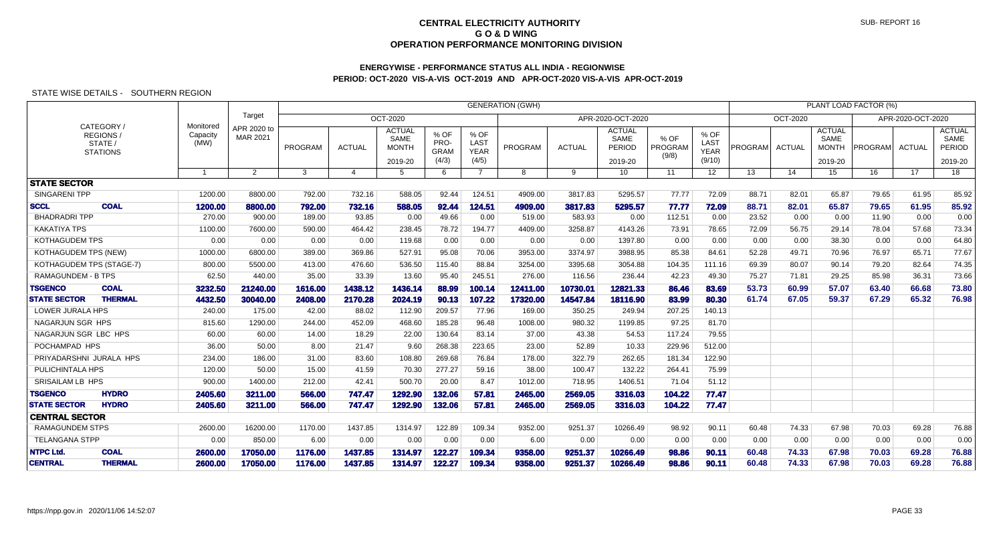## **ENERGYWISE - PERFORMANCE STATUS ALL INDIA - REGIONWISEPERIOD: OCT-2020 VIS-A-VIS OCT-2019 AND APR-OCT-2020 VIS-A-VIS APR-OCT-2019**

|                                 |                                                       |                               |                         |         | <b>GENERATION (GWH)</b> |                                                  |                                      |                                      |                |               |                                            |                          |                                       |         |                 |                                                  | PLANT LOAD FACTOR (%) |                   |                                                   |
|---------------------------------|-------------------------------------------------------|-------------------------------|-------------------------|---------|-------------------------|--------------------------------------------------|--------------------------------------|--------------------------------------|----------------|---------------|--------------------------------------------|--------------------------|---------------------------------------|---------|-----------------|--------------------------------------------------|-----------------------|-------------------|---------------------------------------------------|
|                                 |                                                       |                               | Target                  |         |                         | OCT-2020                                         |                                      |                                      |                |               | APR-2020-OCT-2020                          |                          |                                       |         | <b>OCT-2020</b> |                                                  |                       | APR-2020-OCT-2020 |                                                   |
|                                 | CATEGORY /<br>REGIONS /<br>STATE /<br><b>STATIONS</b> | Monitored<br>Capacity<br>(MW) | APR 2020 to<br>MAR 2021 | PROGRAM | <b>ACTUAL</b>           | <b>ACTUAL</b><br>SAME<br><b>MONTH</b><br>2019-20 | % OF<br>PRO-<br><b>GRAM</b><br>(4/3) | % OF<br>LAST<br><b>YEAR</b><br>(4/5) | <b>PROGRAM</b> | <b>ACTUAL</b> | <b>ACTUAL</b><br>SAME<br>PERIOD<br>2019-20 | % OF<br>PROGRAM<br>(9/8) | % OF<br>LAST<br><b>YEAR</b><br>(9/10) | PROGRAM | <b>ACTUAL</b>   | <b>ACTUAL</b><br>SAME<br><b>MONTH</b><br>2019-20 | PROGRAM               | <b>ACTUAL</b>     | <b>ACTUAL</b><br>SAME<br><b>PERIOD</b><br>2019-20 |
|                                 |                                                       |                               | $\overline{2}$          | 3       | 4                       | 5                                                | 6                                    | $\overline{7}$                       | 8              | 9             | 10 <sup>°</sup>                            | 11                       | 12 <sup>°</sup>                       | 13      | 14              | 15                                               | 16                    | 17 <sup>2</sup>   | 18                                                |
| <b>STATE SECTOR</b>             |                                                       |                               |                         |         |                         |                                                  |                                      |                                      |                |               |                                            |                          |                                       |         |                 |                                                  |                       |                   |                                                   |
| <b>SINGARENI TPP</b>            |                                                       | 1200.00                       | 8800.00                 | 792.00  | 732.16                  | 588.05                                           | 92.44                                | 124.51                               | 4909.00        | 3817.83       | 5295.57                                    | 77.77                    | 72.09                                 | 88.71   | 82.01           | 65.87                                            | 79.65                 | 61.95             | 85.92                                             |
| <b>SCCL</b>                     | <b>COAL</b>                                           | 1200.00                       | 8800,00                 | 792.00  | 732.16                  | 588.05                                           | 92.44                                | 124.51                               | 4909.00        | 3817.83       | 5295.57                                    | 77.77                    | 72.09                                 | 88.71   | 82.01           | 65.87                                            | 79.65                 | 61.95             | 85.92                                             |
| <b>BHADRADRI TPP</b>            |                                                       | 270.00                        | 900.00                  | 189.00  | 93.85                   | 0.00                                             | 49.66                                | 0.00                                 | 519.00         | 583.93        | 0.00                                       | 112.51                   | 0.00                                  | 23.52   | 0.00            | 0.00                                             | 11.90                 | 0.00              | 0.00                                              |
| <b>KAKATIYA TPS</b>             |                                                       | 1100.00                       | 7600.00                 | 590.00  | 464.42                  | 238.45                                           | 78.72                                | 194.77                               | 4409.00        | 3258.87       | 4143.26                                    | 73.91                    | 78.65                                 | 72.09   | 56.75           | 29.14                                            | 78.04                 | 57.68             | 73.34                                             |
| <b>KOTHAGUDEM TPS</b>           |                                                       | 0.00                          | 0.00                    | 0.00    | 0.00                    | 119.68                                           | 0.00                                 | 0.00                                 | 0.00           | 0.00          | 1397.80                                    | 0.00                     | 0.00                                  | 0.00    | 0.00            | 38.30                                            | 0.00                  | 0.00              | 64.80                                             |
| KOTHAGUDEM TPS (NEW)            |                                                       | 1000.00                       | 6800.00                 | 389.00  | 369.86                  | 527.91                                           | 95.08                                | 70.06                                | 3953.00        | 3374.97       | 3988.95                                    | 85.38                    | 84.61                                 | 52.28   | 49.71           | 70.96                                            | 76.97                 | 65.71             | 77.67                                             |
| <b>KOTHAGUDEM TPS (STAGE-7)</b> |                                                       | 800.00                        | 5500.00                 | 413.00  | 476.60                  | 536.50                                           | 115.40                               | 88.84                                | 3254.00        | 3395.68       | 3054.88                                    | 104.35                   | 111.16                                | 69.39   | 80.07           | 90.14                                            | 79.20                 | 82.64             | 74.35                                             |
| <b>RAMAGUNDEM - B TPS</b>       |                                                       | 62.50                         | 440.00                  | 35.00   | 33.39                   | 13.60                                            | 95.40                                | 245.51                               | 276.00         | 116.56        | 236.44                                     | 42.23                    | 49.30                                 | 75.27   | 71.81           | 29.25                                            | 85.98                 | 36.31             | 73.66                                             |
| <b>TSGENCO</b>                  | <b>COAL</b>                                           | 3232.50                       | 21240.00                | 1616.00 | 1438.12                 | 1436.14                                          | 88,99                                | 100.14                               | 12411.00       | 10730.01      | 12821.33                                   | 86.46                    | 83.69                                 | 53.73   | 60.99           | 57.07                                            | 63.40                 | 66.68             | 73.80                                             |
| <b>STATE SECTOR</b>             | <b>THERMAL</b>                                        | 4432.50                       | 30040.00                | 2408.00 | 2170.28                 | 2024.19                                          | 90.13                                | 107.22                               | 17320.00       | 14547.84      | 18116.90                                   | 83.99                    | 80.30                                 | 61.74   | 67.05           | 59.37                                            | 67.29                 | 65.32             | 76.98                                             |
| LOWER JURALA HPS                |                                                       | 240.00                        | 175.00                  | 42.00   | 88.02                   | 112.90                                           | 209.57                               | 77.96                                | 169.00         | 350.25        | 249.94                                     | 207.25                   | 140.13                                |         |                 |                                                  |                       |                   |                                                   |
| NAGARJUN SGR HPS                |                                                       | 815.60                        | 1290.00                 | 244.00  | 452.09                  | 468.60                                           | 185.28                               | 96.48                                | 1008.00        | 980.32        | 1199.85                                    | 97.25                    | 81.70                                 |         |                 |                                                  |                       |                   |                                                   |
| NAGARJUN SGR LBC HPS            |                                                       | 60.00                         | 60.00                   | 14.00   | 18.29                   | 22.00                                            | 130.64                               | 83.14                                | 37.00          | 43.38         | 54.53                                      | 117.24                   | 79.55                                 |         |                 |                                                  |                       |                   |                                                   |
| POCHAMPAD HPS                   |                                                       | 36.00                         | 50.00                   | 8.00    | 21.47                   | 9.60                                             | 268.38                               | 223.65                               | 23.00          | 52.89         | 10.33                                      | 229.96                   | 512.00                                |         |                 |                                                  |                       |                   |                                                   |
| PRIYADARSHNI JURALA HPS         |                                                       | 234.00                        | 186.00                  | 31.00   | 83.60                   | 108.80                                           | 269.68                               | 76.84                                | 178.00         | 322.79        | 262.65                                     | 181.34                   | 122.90                                |         |                 |                                                  |                       |                   |                                                   |
| PULICHINTALA HPS                |                                                       | 120.00                        | 50.00                   | 15.00   | 41.59                   | 70.30                                            | 277.27                               | 59.16                                | 38.00          | 100.47        | 132.22                                     | 264.41                   | 75.99                                 |         |                 |                                                  |                       |                   |                                                   |
| SRISAILAM LB HPS                |                                                       | 900.00                        | 1400.00                 | 212.00  | 42.41                   | 500.70                                           | 20.00                                | 8.47                                 | 1012.00        | 718.95        | 1406.51                                    | 71.04                    | 51.12                                 |         |                 |                                                  |                       |                   |                                                   |
| <b>TSGENCO</b>                  | <b>HYDRO</b>                                          | 2405.60                       | 3211.00                 | 566.00  | 747.47                  | 1292.90                                          | 132.06                               | 57.81                                | 2465.00        | 2569.05       | 3316.03                                    | 104.22                   | 77.47                                 |         |                 |                                                  |                       |                   |                                                   |
| <b>STATE SECTOR</b>             | <b>HYDRO</b>                                          | 2405.60                       | 3211.00                 | 566.00  | 747.47                  | 1292.90                                          | 132.06                               | 57.81                                | 2465.00        | 2569.05       | 3316.03                                    | 104.22                   | 77.47                                 |         |                 |                                                  |                       |                   |                                                   |
| <b>CENTRAL SECTOR</b>           |                                                       |                               |                         |         |                         |                                                  |                                      |                                      |                |               |                                            |                          |                                       |         |                 |                                                  |                       |                   |                                                   |
| <b>RAMAGUNDEM STPS</b>          |                                                       | 2600.00                       | 16200.00                | 1170.00 | 1437.85                 | 1314.97                                          | 122.89                               | 109.34                               | 9352.00        | 9251.37       | 10266.49                                   | 98.92                    | 90.11                                 | 60.48   | 74.33           | 67.98                                            | 70.03                 | 69.28             | 76.88                                             |
| <b>TELANGANA STPP</b>           |                                                       | 0.00                          | 850.00                  | 6.00    | 0.00                    | 0.00                                             | 0.00                                 | 0.00                                 | 6.00           | 0.00          | 0.00                                       | 0.00                     | 0.00                                  | 0.00    | 0.00            | 0.00                                             | 0.00                  | 0.00              | 0.00                                              |
| <b>NTPC Ltd.</b>                | <b>COAL</b>                                           | 2600.00                       | 17050.00                | 1176.00 | 1437.85                 | 1314.97                                          | 122.27                               | 109.34                               | 9358.00        | 9251.37       | 10266.49                                   | 98.86                    | 90.11                                 | 60.48   | 74.33           | 67.98                                            | 70.03                 | 69.28             | 76.88                                             |
| <b>CENTRAL</b>                  | <b>THERMAL</b>                                        | 2600.00                       | 17050.00                | 1176.00 | 1437.85                 | 1314.97                                          | 122.27                               | 109.34                               | 9358.00        | 9251.37       | 10266.49                                   | 98.86                    | 90.11                                 | 60.48   | 74.33           | 67.98                                            | 70.03                 | 69.28             | 76.88                                             |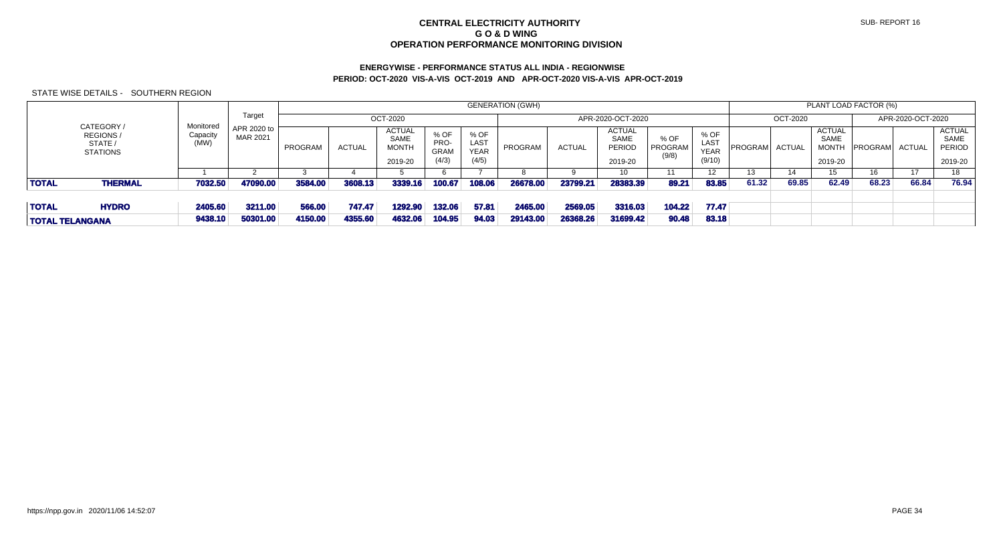# **ENERGYWISE - PERFORMANCE STATUS ALL INDIA - REGIONWISEPERIOD: OCT-2020 VIS-A-VIS OCT-2019 AND APR-OCT-2020 VIS-A-VIS APR-OCT-2019**

|                                                       |                     |                         |         |               |                                                         |                                      |                                      | <b>GENERATION (GWH)</b> |               |                                            |                          |                                       |         |               |                                                         | PLANT LOAD FACTOR (%) |                   |                                            |
|-------------------------------------------------------|---------------------|-------------------------|---------|---------------|---------------------------------------------------------|--------------------------------------|--------------------------------------|-------------------------|---------------|--------------------------------------------|--------------------------|---------------------------------------|---------|---------------|---------------------------------------------------------|-----------------------|-------------------|--------------------------------------------|
|                                                       | Monitored           | Target                  |         |               | OCT-2020                                                |                                      |                                      |                         |               | APR-2020-OCT-2020                          |                          |                                       |         | OCT-2020      |                                                         |                       | APR-2020-OCT-2020 |                                            |
| CATEGORY /<br>REGIONS /<br>STATE /<br><b>STATIONS</b> | Capacity<br>(MW)    | APR 2020 to<br>MAR 2021 | PROGRAM | <b>ACTUAL</b> | <b>ACTUAL</b><br><b>SAME</b><br><b>MONTH</b><br>2019-20 | % OF<br>PRO-<br><b>GRAM</b><br>(4/3) | % OF<br>LAST<br><b>YEAR</b><br>(4/5) | PROGRAM                 | <b>ACTUAL</b> | ACTUAL<br><b>SAME</b><br>PERIOD<br>2019-20 | % OF<br>PROGRAM<br>(9/8) | % OF<br>LAST<br><b>YEAR</b><br>(9/10) | PROGRAM | <b>ACTUAL</b> | <b>ACTUAL</b><br><b>SAME</b><br><b>MONTH</b><br>2019-20 | PROGRAM               | ACTUAL            | ACTUAL<br>SAME<br><b>PERIOD</b><br>2019-20 |
|                                                       |                     |                         |         |               |                                                         |                                      |                                      |                         |               | 10                                         |                          |                                       | 13      | 14            | 15.                                                     | 16                    | 17                | 18                                         |
| <b>TOTAL</b><br><b>THERMAL</b>                        | 7032.50             | 47090.00                | 3584.00 | 3608.13       | 3339.16                                                 | 100.67                               | 108.06                               | 26678.00                | 23799.21      | 28383.39                                   | 89.21                    | 83.85                                 | 61.32   | 69.85         | 62.49                                                   | 68.23                 | 66.84             | 76.94                                      |
|                                                       |                     |                         |         |               |                                                         |                                      |                                      |                         |               |                                            |                          |                                       |         |               |                                                         |                       |                   |                                            |
| <b>TOTAL</b><br><b>HYDRO</b>                          | 2405.60             | 3211.00                 | 566,00  | 747.47        | 1292.90                                                 | 132.06                               | 57.81                                | 2465.00                 | 2569.05       | 3316.03                                    | 104.22                   | 77.47                                 |         |               |                                                         |                       |                   |                                            |
| <b>TOTAL TELANGANA</b>                                | 50301.00<br>9438.10 | 4150.00                 | 4355.60 | 4632.06       | 104.95                                                  | 94.03                                | 29143.00                             | 26368.26                | 31699.42      | 90.48                                      | 83.18                    |                                       |         |               |                                                         |                       |                   |                                            |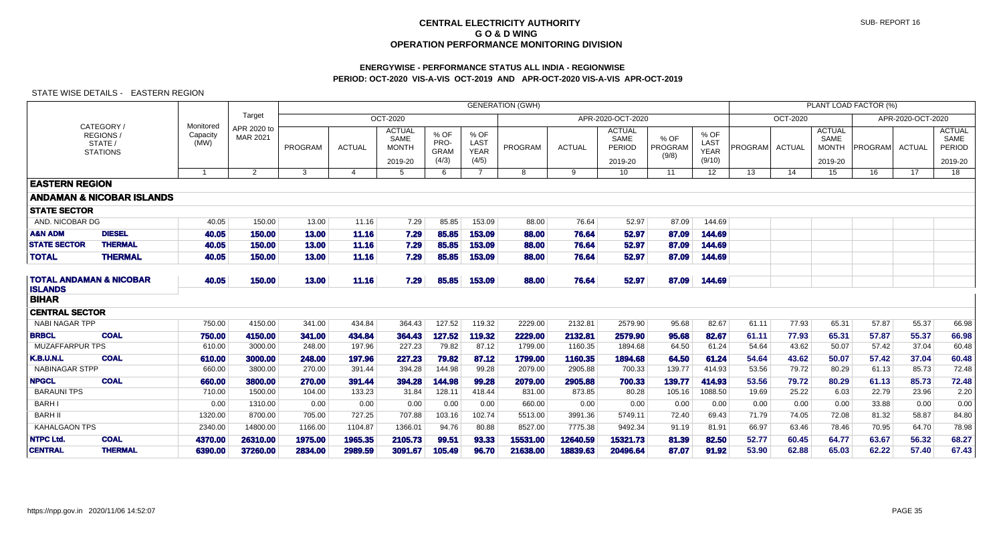## **ENERGYWISE - PERFORMANCE STATUS ALL INDIA - REGIONWISEPERIOD: OCT-2020 VIS-A-VIS OCT-2019 AND APR-OCT-2020 VIS-A-VIS APR-OCT-2019**

|                                |                                                             |                               | <b>GENERATION (GWH)</b>        |         |                |                                                  |                                      |                                      |          |               |                                            |                          |                                       |         |               |                                                  | PLANT LOAD FACTOR (%) |                   |                                            |
|--------------------------------|-------------------------------------------------------------|-------------------------------|--------------------------------|---------|----------------|--------------------------------------------------|--------------------------------------|--------------------------------------|----------|---------------|--------------------------------------------|--------------------------|---------------------------------------|---------|---------------|--------------------------------------------------|-----------------------|-------------------|--------------------------------------------|
|                                |                                                             |                               | Target                         |         |                | OCT-2020                                         |                                      |                                      |          |               | APR-2020-OCT-2020                          |                          |                                       |         | OCT-2020      |                                                  |                       | APR-2020-OCT-2020 |                                            |
|                                | CATEGORY /<br><b>REGIONS/</b><br>STATE /<br><b>STATIONS</b> | Monitored<br>Capacity<br>(MW) | APR 2020 to<br><b>MAR 2021</b> | PROGRAM | <b>ACTUAL</b>  | <b>ACTUAL</b><br>SAME<br><b>MONTH</b><br>2019-20 | % OF<br>PRO-<br><b>GRAM</b><br>(4/3) | % OF<br>LAST<br><b>YEAR</b><br>(4/5) | PROGRAM  | <b>ACTUAL</b> | <b>ACTUAL</b><br>SAME<br>PERIOD<br>2019-20 | % OF<br>PROGRAM<br>(9/8) | % OF<br>LAST<br><b>YEAR</b><br>(9/10) | PROGRAM | <b>ACTUAL</b> | <b>ACTUAL</b><br>SAME<br><b>MONTH</b><br>2019-20 | <b>PROGRAM</b>        | ACTUAL            | <b>ACTUAL</b><br>SAME<br>PERIOD<br>2019-20 |
|                                |                                                             | $\overline{1}$                | $\overline{2}$                 | 3       | $\overline{4}$ | 5                                                | 6                                    | $\overline{7}$                       | 8        | 9             | 10 <sup>°</sup>                            | 11                       | 12 <sup>2</sup>                       | 13      | 14            | 15                                               | 16                    | 17                | 18                                         |
| <b>EASTERN REGION</b>          |                                                             |                               |                                |         |                |                                                  |                                      |                                      |          |               |                                            |                          |                                       |         |               |                                                  |                       |                   |                                            |
|                                | <b>ANDAMAN &amp; NICOBAR ISLANDS</b>                        |                               |                                |         |                |                                                  |                                      |                                      |          |               |                                            |                          |                                       |         |               |                                                  |                       |                   |                                            |
| <b>STATE SECTOR</b>            |                                                             |                               |                                |         |                |                                                  |                                      |                                      |          |               |                                            |                          |                                       |         |               |                                                  |                       |                   |                                            |
| AND. NICOBAR DG                |                                                             | 40.05                         | 150.00                         | 13.00   | 11.16          | 7.29                                             | 85.85                                | 153.09                               | 88.00    | 76.64         | 52.97                                      | 87.09                    | 144.69                                |         |               |                                                  |                       |                   |                                            |
| <b>A&amp;N ADM</b>             | <b>DIESEL</b>                                               | 40.05                         | 150.00                         | 13.00   | 11.16          | 7.29                                             | 85.85                                | 153.09                               | 88,00    | 76.64         | 52.97                                      | 87.09                    | 144.69                                |         |               |                                                  |                       |                   |                                            |
| <b>STATE SECTOR</b>            | <b>THERMAL</b>                                              | 40.05                         | 150.00                         | 13.00   | 11.16          | 7.29                                             | 85.85                                | 153.09                               | 88.00    | 76.64         | 52.97                                      | 87.09                    | 144.69                                |         |               |                                                  |                       |                   |                                            |
| <b>TOTAL</b>                   | <b>THERMAL</b>                                              | 40.05                         | 150.00                         | 13.00   | 11.16          | 7.29                                             | 85.85                                | 153.09                               | 88.00    | 76.64         | 52.97                                      | 87.09                    | 144.69                                |         |               |                                                  |                       |                   |                                            |
| <b>ISLANDS</b><br><b>BIHAR</b> | <b>TOTAL ANDAMAN &amp; NICOBAR</b>                          | 40.05                         | 150.00                         | 13.00   | 11.16          | 7.29                                             | 85.85                                | 153.09                               | 88.00    | 76.64         | 52.97                                      | 87.09                    | 144.69                                |         |               |                                                  |                       |                   |                                            |
| <b>CENTRAL SECTOR</b>          |                                                             |                               |                                |         |                |                                                  |                                      |                                      |          |               |                                            |                          |                                       |         |               |                                                  |                       |                   |                                            |
| NABI NAGAR TPP                 |                                                             | 750.00                        | 4150.00                        | 341.00  | 434.84         | 364.43                                           | 127.52                               | 119.32                               | 2229.00  | 2132.81       | 2579.90                                    | 95.68                    | 82.67                                 | 61.11   | 77.93         | 65.31                                            | 57.87                 | 55.37             | 66.98                                      |
| <b>BRBCL</b>                   | <b>COAL</b>                                                 | 750.00                        | 4150.00                        | 341.00  | 434.84         | 364.43                                           | 127.52                               | 119.32                               | 2229.00  | 2132.81       | 2579.90                                    | 95.68                    | 82.67                                 | 61.11   | 77.93         | 65.31                                            | 57.87                 | 55.37             | 66.98                                      |
| MUZAFFARPUR TPS                |                                                             | 610.00                        | 3000.00                        | 248.00  | 197.96         | 227.23                                           | 79.82                                | 87.12                                | 1799.00  | 1160.35       | 1894.68                                    | 64.50                    | 61.24                                 | 54.64   | 43.62         | 50.07                                            | 57.42                 | 37.04             | 60.48                                      |
| <b>K.B.U.N.L</b>               | <b>COAL</b>                                                 | 610.00                        | 3000.00                        | 248.00  | 197.96         | 227.23                                           | 79.82                                | 87.12                                | 1799.00  | 1160.35       | 1894.68                                    | 64.50                    | 61.24                                 | 54.64   | 43.62         | 50.07                                            | 57.42                 | 37.04             | 60.48                                      |
| <b>NABINAGAR STPP</b>          |                                                             | 660.00                        | 3800.00                        | 270.00  | 391.44         | 394.28                                           | 144.98                               | 99.28                                | 2079.00  | 2905.88       | 700.33                                     | 139.77                   | 414.93                                | 53.56   | 79.72         | 80.29                                            | 61.13                 | 85.73             | 72.48                                      |
| <b>NPGCL</b>                   | <b>COAL</b>                                                 | 660.00                        | 3800,00                        | 270.00  | 391.44         | 394.28                                           | 144.98                               | 99.28                                | 2079.00  | 2905.88       | 700.33                                     | 139.77                   | 414.93                                | 53.56   | 79.72         | 80.29                                            | 61.13                 | 85.73             | 72.48                                      |
| <b>BARAUNI TPS</b>             |                                                             | 710.00                        | 1500.00                        | 104.00  | 133.23         | 31.84                                            | 128.11                               | 418.44                               | 831.00   | 873.85        | 80.28                                      | 105.16                   | 1088.50                               | 19.69   | 25.22         | 6.03                                             | 22.79                 | 23.96             | 2.20                                       |
| <b>BARH I</b>                  |                                                             | 0.00                          | 1310.00                        | 0.00    | 0.00           | 0.00                                             | 0.00                                 | 0.00                                 | 660.00   | 0.00          | 0.00                                       | 0.00                     | 0.00                                  | 0.00    | 0.00          | 0.00                                             | 33.88                 | 0.00              | 0.00                                       |
| <b>BARH II</b>                 |                                                             | 1320.00                       | 8700.00                        | 705.00  | 727.25         | 707.88                                           | 103.16                               | 102.74                               | 5513.00  | 3991.36       | 5749.11                                    | 72.40                    | 69.43                                 | 71.79   | 74.05         | 72.08                                            | 81.32                 | 58.87             | 84.80                                      |
| <b>KAHALGAON TPS</b>           |                                                             | 2340.00                       | 14800.00                       | 1166.00 | 1104.87        | 1366.01                                          | 94.76                                | 80.88                                | 8527.00  | 7775.38       | 9492.34                                    | 91.19                    | 81.91                                 | 66.97   | 63.46         | 78.46                                            | 70.95                 | 64.70             | 78.98                                      |
| <b>NTPC Ltd.</b>               | <b>COAL</b>                                                 | 4370.00                       | 26310.00                       | 1975.00 | 1965.35        | 2105.73                                          | 99.51                                | 93.33                                | 15531.00 | 12640.59      | 15321.73                                   | 81.39                    | 82.50                                 | 52.77   | 60.45         | 64.77                                            | 63.67                 | 56.32             | 68.27                                      |
| <b>CENTRAL</b>                 | <b>THERMAL</b>                                              | 6390.00                       | 37260.00                       | 2834.00 | 2989.59        | 3091.67                                          | 105.49                               | 96.70                                | 21638.00 | 18839.63      | 20496.64                                   | 87.07                    | 91.92                                 | 53.90   | 62.88         | 65.03                                            | 62.22                 | 57.40             | 67.43                                      |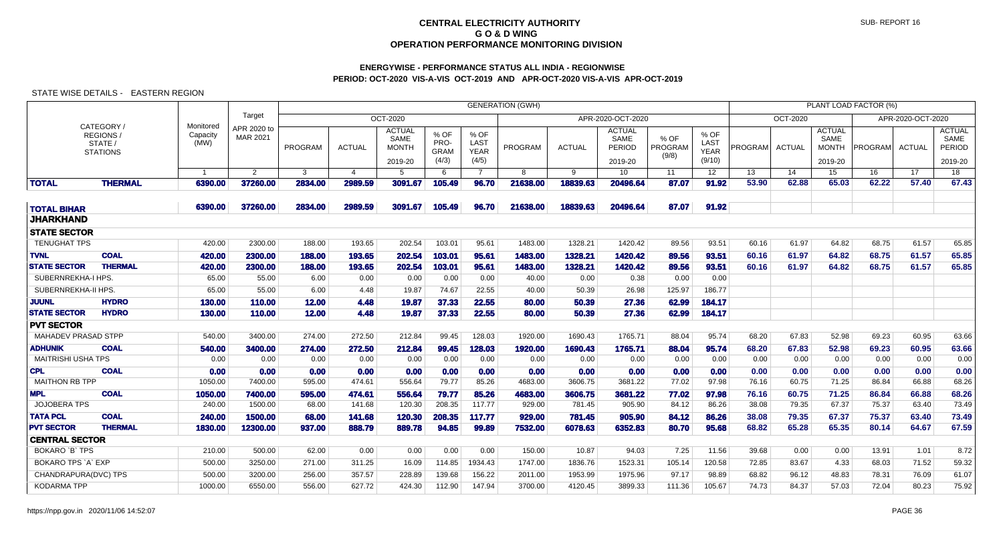# **ENERGYWISE - PERFORMANCE STATUS ALL INDIA - REGIONWISEPERIOD: OCT-2020 VIS-A-VIS OCT-2019 AND APR-OCT-2020 VIS-A-VIS APR-OCT-2019**

|                            |                                                     |                               |                         |              |                |                                       |                             |                                    | <b>GENERATION (GWH)</b> |               |                                 |                          |                             |         |               |                                       | PLANT LOAD FACTOR (%) |                   |                                        |
|----------------------------|-----------------------------------------------------|-------------------------------|-------------------------|--------------|----------------|---------------------------------------|-----------------------------|------------------------------------|-------------------------|---------------|---------------------------------|--------------------------|-----------------------------|---------|---------------|---------------------------------------|-----------------------|-------------------|----------------------------------------|
|                            |                                                     |                               | Target                  |              |                | <b>OCT-2020</b>                       |                             |                                    |                         |               | APR-2020-OCT-2020               |                          |                             |         | OCT-2020      |                                       |                       | APR-2020-OCT-2020 |                                        |
|                            | CATEGORY/<br>REGIONS/<br>STATE /<br><b>STATIONS</b> | Monitored<br>Capacity<br>(MW) | APR 2020 to<br>MAR 2021 | PROGRAM      | <b>ACTUAL</b>  | <b>ACTUAL</b><br>SAME<br><b>MONTH</b> | % OF<br>PRO-<br><b>GRAM</b> | % OF<br><b>LAST</b><br><b>YEAR</b> | <b>PROGRAM</b>          | <b>ACTUAL</b> | <b>ACTUAL</b><br>SAME<br>PERIOD | % OF<br>PROGRAM<br>(9/8) | % OF<br>LAST<br><b>YEAR</b> | PROGRAM | <b>ACTUAL</b> | <b>ACTUAL</b><br>SAME<br><b>MONTH</b> | PROGRAM               | <b>ACTUAL</b>     | <b>ACTUAL</b><br>SAME<br><b>PERIOD</b> |
|                            |                                                     |                               |                         |              |                | 2019-20                               | (4/3)                       | (4/5)                              |                         |               | 2019-20                         |                          | (9/10)                      |         |               | 2019-20                               |                       |                   | 2019-20                                |
|                            |                                                     | $\overline{1}$                | $\overline{2}$          | $\mathbf{3}$ | $\overline{4}$ | 5                                     | 6                           | $\overline{7}$                     | 8                       | 9             | 10                              | 11                       | 12                          | 13      | 14            | 15                                    | 16                    | 17                | 18                                     |
| <b>TOTAL</b>               | <b>THERMAL</b>                                      | 6390.00                       | 37260.00                | 2834.00      | 2989.59        | 3091.67                               | 105.49                      | 96.70                              | 21638.00                | 18839.63      | 20496.64                        | 87.07                    | 91.92                       | 53.90   | 62.88         | 65.03                                 | 62.22                 | 57.40             | 67.43                                  |
| <b>TOTAL BIHAR</b>         |                                                     | 6390.00                       | 37260.00                | 2834.00      | 2989.59        | 3091.67                               | 105.49                      | 96.70                              | 21638.00                | 18839.63      | 20496.64                        | 87.07                    | 91.92                       |         |               |                                       |                       |                   |                                        |
| <b>JHARKHAND</b>           |                                                     |                               |                         |              |                |                                       |                             |                                    |                         |               |                                 |                          |                             |         |               |                                       |                       |                   |                                        |
| <b>STATE SECTOR</b>        |                                                     |                               |                         |              |                |                                       |                             |                                    |                         |               |                                 |                          |                             |         |               |                                       |                       |                   |                                        |
| <b>TENUGHAT TPS</b>        |                                                     | 420.00                        | 2300.00                 | 188.00       | 193.65         | 202.54                                | 103.01                      | 95.61                              | 1483.00                 | 1328.21       | 1420.42                         | 89.56                    | 93.51                       | 60.16   | 61.97         | 64.82                                 | 68.75                 | 61.57             | 65.85                                  |
| <b>TVNL</b>                | <b>COAL</b>                                         | 420.00                        | 2300.00                 | 188,00       | 193.65         | 202.54                                | 103.01                      | 95.61                              | 1483.00                 | 1328.21       | 1420.42                         | 89.56                    | 93.51                       | 60.16   | 61.97         | 64.82                                 | 68.75                 | 61.57             | 65.85                                  |
| <b>STATE SECTOR</b>        | <b>THERMAL</b>                                      | 420.00                        | 2300.00                 | 188,00       | 193.65         | 202.54                                | 103.01                      | 95.61                              | 1483.00                 | 1328.21       | 1420.42                         | 89.56                    | 93.51                       | 60.16   | 61.97         | 64.82                                 | 68.75                 | 61.57             | 65.85                                  |
| SUBERNREKHA-I HPS.         |                                                     | 65.00                         | 55.00                   | 6.00         | 0.00           | 0.00                                  | 0.00                        | 0.00                               | 40.00                   | 0.00          | 0.38                            | 0.00                     | 0.00                        |         |               |                                       |                       |                   |                                        |
| SUBERNREKHA-II HPS.        |                                                     | 65.00                         | 55.00                   | 6.00         | 4.48           | 19.87                                 | 74.67                       | 22.55                              | 40.00                   | 50.39         | 26.98                           | 125.97                   | 186.77                      |         |               |                                       |                       |                   |                                        |
| <b>JUUNL</b>               | <b>HYDRO</b>                                        | 130.00                        | 110.00                  | 12.00        | 4.48           | 19.87                                 | 37.33                       | 22.55                              | 80,00                   | 50.39         | 27.36                           | 62.99                    | 184.17                      |         |               |                                       |                       |                   |                                        |
| <b>STATE SECTOR</b>        | <b>HYDRO</b>                                        | 130.00                        | 110.00                  | 12.00        | 4.48           | 19.87                                 | 37.33                       | 22.55                              | 80,00                   | 50.39         | 27.36                           | 62.99                    | 184.17                      |         |               |                                       |                       |                   |                                        |
| <b>PVT SECTOR</b>          |                                                     |                               |                         |              |                |                                       |                             |                                    |                         |               |                                 |                          |                             |         |               |                                       |                       |                   |                                        |
| <b>MAHADEV PRASAD STPP</b> |                                                     | 540.00                        | 3400.00                 | 274.00       | 272.50         | 212.84                                | 99.45                       | 128.03                             | 1920.00                 | 1690.43       | 1765.71                         | 88.04                    | 95.74                       | 68.20   | 67.83         | 52.98                                 | 69.23                 | 60.95             | 63.66                                  |
| <b>ADHUNIK</b>             | <b>COAL</b>                                         | 540.00                        | 3400.00                 | 274,00       | 272.50         | 212.84                                | 99.45                       | 128.03                             | 1920.00                 | 1690.43       | 1765.71                         | 88.04                    | 95.74                       | 68.20   | 67.83         | 52.98                                 | 69.23                 | 60.95             | 63.66                                  |
| <b>MAITRISHI USHA TPS</b>  |                                                     | 0.00                          | 0.00                    | 0.00         | 0.00           | 0.00                                  | 0.00                        | 0.00                               | 0.00                    | 0.00          | 0.00                            | 0.00                     | 0.00                        | 0.00    | 0.00          | 0.00                                  | 0.00                  | 0.00              | 0.00                                   |
| <b>CPL</b>                 | <b>COAL</b>                                         | 0.00                          | 0.00                    | 0.00         | 0.00           | 0.00                                  | 0.00                        | 0.00                               | 0.00                    | 0.00          | 0.00                            | 0.00                     | 0.00                        | 0.00    | 0.00          | 0.00                                  | 0.00                  | 0.00              | 0.00                                   |
| <b>MAITHON RB TPP</b>      |                                                     | 1050.00                       | 7400.00                 | 595.00       | 474.61         | 556.64                                | 79.77                       | 85.26                              | 4683.00                 | 3606.75       | 3681.22                         | 77.02                    | 97.98                       | 76.16   | 60.75         | 71.25                                 | 86.84                 | 66.88             | 68.26                                  |
| <b>MPL</b>                 | <b>COAL</b>                                         | 1050.00                       | 7400.00                 | 595.00       | 474.61         | 556.64                                | 79.77                       | 85.26                              | 4683.00                 | 3606.75       | 3681.22                         | 77.02                    | 97.98                       | 76.16   | 60.75         | 71.25                                 | 86.84                 | 66.88             | 68.26                                  |
| <b>JOJOBERA TPS</b>        |                                                     | 240.00                        | 1500.00                 | 68.00        | 141.68         | 120.30                                | 208.35                      | 117.77                             | 929.00                  | 781.45        | 905.90                          | 84.12                    | 86.26                       | 38.08   | 79.35         | 67.37                                 | 75.37                 | 63.40             | 73.49                                  |
| <b>TATA PCL</b>            | <b>COAL</b>                                         | 240.00                        | 1500.00                 | 68,00        | 141.68         | 120.30                                | 208.35                      | 117.77                             | 929.00                  | 781.45        | 905.90                          | 84.12                    | 86.26                       | 38.08   | 79.35         | 67.37                                 | 75.37                 | 63.40             | 73.49                                  |
| <b>PVT SECTOR</b>          | <b>THERMAL</b>                                      | 1830.00                       | 12300.00                | 937.00       | 888.79         | 889.78                                | 94.85                       | 99.89                              | 7532.00                 | 6078.63       | 6352.83                         | 80.70                    | 95.68                       | 68.82   | 65.28         | 65.35                                 | 80.14                 | 64.67             | 67.59                                  |
| <b>CENTRAL SECTOR</b>      |                                                     |                               |                         |              |                |                                       |                             |                                    |                         |               |                                 |                          |                             |         |               |                                       |                       |                   |                                        |
| BOKARO `B` TPS             |                                                     | 210.00                        | 500.00                  | 62.00        | 0.00           | 0.00                                  | 0.00                        | 0.00                               | 150.00                  | 10.87         | 94.03                           | 7.25                     | 11.56                       | 39.68   | 0.00          | 0.00                                  | 13.91                 | 1.01              | 8.72                                   |
| BOKARO TPS `A` EXP         |                                                     | 500.00                        | 3250.00                 | 271.00       | 311.25         | 16.09                                 | 114.85                      | 1934.43                            | 1747.00                 | 1836.76       | 1523.31                         | 105.14                   | 120.58                      | 72.85   | 83.67         | 4.33                                  | 68.03                 | 71.52             | 59.32                                  |
| CHANDRAPURA(DVC) TPS       |                                                     | 500.00                        | 3200.00                 | 256.00       | 357.57         | 228.89                                | 139.68                      | 156.22                             | 2011.00                 | 1953.99       | 1975.96                         | 97.17                    | 98.89                       | 68.82   | 96.12         | 48.83                                 | 78.31                 | 76.09             | 61.07                                  |
| <b>KODARMA TPP</b>         |                                                     | 1000.00                       | 6550.00                 | 556.00       | 627.72         | 424.30                                | 112.90                      | 147.94                             | 3700.00                 | 4120.45       | 3899.33                         | 111.36                   | 105.67                      | 74.73   | 84.37         | 57.03                                 | 72.04                 | 80.23             | 75.92                                  |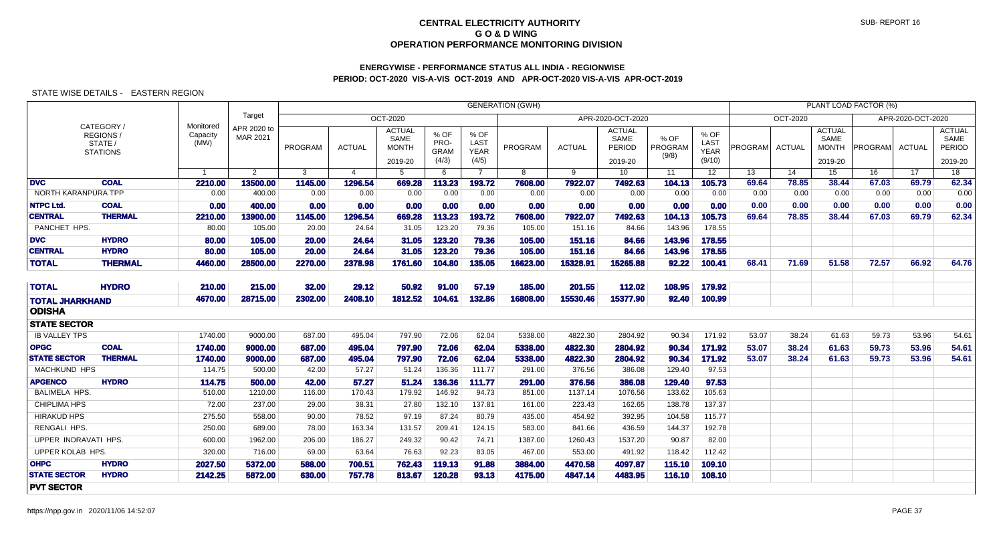# **ENERGYWISE - PERFORMANCE STATUS ALL INDIA - REGIONWISEPERIOD: OCT-2020 VIS-A-VIS OCT-2019 AND APR-OCT-2020 VIS-A-VIS APR-OCT-2019**

|                         |                                                     |                               |                         |                |                |                                                  |                                        |                                      | <b>GENERATION (GWH)</b> |          |                                            |                          |                                       |         |               |                                                  | PLANT LOAD FACTOR (%) |                   |                                                   |
|-------------------------|-----------------------------------------------------|-------------------------------|-------------------------|----------------|----------------|--------------------------------------------------|----------------------------------------|--------------------------------------|-------------------------|----------|--------------------------------------------|--------------------------|---------------------------------------|---------|---------------|--------------------------------------------------|-----------------------|-------------------|---------------------------------------------------|
|                         |                                                     |                               | Target                  |                |                | OCT-2020                                         |                                        |                                      |                         |          | APR-2020-OCT-2020                          |                          |                                       |         | OCT-2020      |                                                  |                       | APR-2020-OCT-2020 |                                                   |
|                         | CATEGORY/<br>REGIONS/<br>STATE /<br><b>STATIONS</b> | Monitored<br>Capacity<br>(MW) | APR 2020 to<br>MAR 2021 | <b>PROGRAM</b> | <b>ACTUAL</b>  | <b>ACTUAL</b><br>SAME<br><b>MONTH</b><br>2019-20 | $%$ OF<br>PRO-<br><b>GRAM</b><br>(4/3) | % OF<br>LAST<br><b>YEAR</b><br>(4/5) | PROGRAM                 | ACTUAL   | <b>ACTUAL</b><br>SAME<br>PERIOD<br>2019-20 | % OF<br>PROGRAM<br>(9/8) | % OF<br>LAST<br><b>YEAR</b><br>(9/10) | PROGRAM | <b>ACTUAL</b> | <b>ACTUAL</b><br>SAME<br><b>MONTH</b><br>2019-20 | <b>PROGRAM</b>        | ACTUAL            | <b>ACTUAL</b><br>SAME<br><b>PERIOD</b><br>2019-20 |
|                         |                                                     |                               | 2                       | 3              | $\overline{4}$ | 5                                                | 6                                      | $\overline{7}$                       | 8                       | 9        | 10 <sup>1</sup>                            | 11                       | 12 <sup>12</sup>                      | 13      | 14            | 15                                               | 16                    | 17                | 18                                                |
| <b>DVC</b>              | <b>COAL</b>                                         | 2210.00                       | 13500.00                | 1145.00        | 1296.54        | 669.28                                           | 113.23                                 | 193.72                               | 7608.00                 | 7922.07  | 7492.63                                    | 104.13                   | 105.73                                | 69.64   | 78.85         | 38.44                                            | 67.03                 | 69.79             | 62.34                                             |
| NORTH KARANPURA TPP     |                                                     | 0.00                          | 400.00                  | 0.00           | 0.00           | 0.00                                             | 0.00                                   | 0.00                                 | 0.00                    | 0.00     | 0.00                                       | 0.00                     | 0.00                                  | 0.00    | 0.00          | 0.00                                             | 0.00                  | 0.00              | 0.00                                              |
| <b>NTPC Ltd.</b>        | <b>COAL</b>                                         | 0.00                          | 400.00                  | 0.00           | 0.00           | 0.00                                             | 0.00                                   | 0.00                                 | 0.00                    | 0.00     | 0.00                                       | 0.00                     | 0.00                                  | 0.00    | 0.00          | 0.00                                             | 0.00                  | 0.00              | 0.00                                              |
| <b>CENTRAL</b>          | <b>THERMAL</b>                                      | 2210.00                       | 13900.00                | 1145.00        | 1296.54        | 669.28                                           | 113.23                                 | 193.72                               | 7608.00                 | 7922.07  | 7492.63                                    | 104.13                   | 105.73                                | 69.64   | 78.85         | 38.44                                            | 67.03                 | 69.79             | 62.34                                             |
| PANCHET HPS.            |                                                     | 80.00                         | 105.00                  | 20.00          | 24.64          | 31.05                                            | 123.20                                 | 79.36                                | 105.00                  | 151.16   | 84.66                                      | 143.96                   | 178.55                                |         |               |                                                  |                       |                   |                                                   |
| <b>DVC</b>              | <b>HYDRO</b>                                        | 80.00                         | 105.00                  | 20.00          | 24.64          | 31.05                                            | 123.20                                 | 79.36                                | 105.00                  | 151.16   | 84.66                                      | 143.96                   | 178.55                                |         |               |                                                  |                       |                   |                                                   |
| <b>CENTRAL</b>          | <b>HYDRO</b>                                        | 80.00                         | 105.00                  | 20.00          | 24.64          | 31.05                                            | 123.20                                 | 79.36                                | 105.00                  | 151.16   | 84.66                                      | 143.96                   | 178.55                                |         |               |                                                  |                       |                   |                                                   |
| <b>TOTAL</b>            | <b>THERMAL</b>                                      | 4460.00                       | 28500.00                | 2270.00        | 2378.98        | 1761.60                                          | 104.80                                 | 135.05                               | 16623.00                | 15328.91 | 15265.88                                   | 92.22                    | 100.41                                | 68.41   | 71.69         | 51.58                                            | 72.57                 | 66.92             | 64.76                                             |
| <b>TOTAL</b>            | <b>HYDRO</b>                                        | 210.00                        | 215.00                  | 32.00          | 29.12          | 50.92                                            | 91.00                                  | 57.19                                | 185.00                  | 201.55   | 112.02                                     | 108.95                   | 179.92                                |         |               |                                                  |                       |                   |                                                   |
| <b>TOTAL JHARKHAND</b>  |                                                     | 4670.00                       | 28715.00                | 2302.00        | 2408.10        | 1812.52                                          | 104.61                                 | 132.86                               | 16808.00                | 15530.46 | 15377.90                                   | 92.40                    | 100.99                                |         |               |                                                  |                       |                   |                                                   |
| <b>ODISHA</b>           |                                                     |                               |                         |                |                |                                                  |                                        |                                      |                         |          |                                            |                          |                                       |         |               |                                                  |                       |                   |                                                   |
| <b>STATE SECTOR</b>     |                                                     |                               |                         |                |                |                                                  |                                        |                                      |                         |          |                                            |                          |                                       |         |               |                                                  |                       |                   |                                                   |
| <b>IB VALLEY TPS</b>    |                                                     | 1740.00                       | 9000.00                 | 687.00         | 495.04         | 797.90                                           | 72.06                                  | 62.04                                | 5338.00                 | 4822.30  | 2804.92                                    | 90.34                    | 171.92                                | 53.07   | 38.24         | 61.63                                            | 59.73                 | 53.96             | 54.61                                             |
| <b>OPGC</b>             | <b>COAL</b>                                         | 1740.00                       | 9000.00                 | 687.00         | 495.04         | 797.90                                           | 72.06                                  | 62.04                                | 5338.00                 | 4822.30  | 2804.92                                    | 90.34                    | 171.92                                | 53.07   | 38.24         | 61.63                                            | 59.73                 | 53.96             | 54.61                                             |
| <b>STATE SECTOR</b>     | <b>THERMAL</b>                                      | 1740.00                       | 9000.00                 | 687.00         | 495.04         | 797.90                                           | 72.06                                  | 62.04                                | 5338.00                 | 4822.30  | 2804.92                                    | 90.34                    | 171.92                                | 53.07   | 38.24         | 61.63                                            | 59.73                 | 53.96             | 54.61                                             |
| <b>MACHKUND HPS</b>     |                                                     | 114.75                        | 500.00                  | 42.00          | 57.27          | 51.24                                            | 136.36                                 | 111.77                               | 291.00                  | 376.56   | 386.08                                     | 129.40                   | 97.53                                 |         |               |                                                  |                       |                   |                                                   |
| <b>APGENCO</b>          | <b>HYDRO</b>                                        | 114.75                        | 500.00                  | 42.00          | 57.27          | 51.24                                            | 136.36                                 | 111.77                               | 291.00                  | 376.56   | 386.08                                     | 129.40                   | 97.53                                 |         |               |                                                  |                       |                   |                                                   |
| <b>BALIMELA HPS</b>     |                                                     | 510.00                        | 1210.00                 | 116.00         | 170.43         | 179.92                                           | 146.92                                 | 94.73                                | 851.00                  | 1137.14  | 1076.56                                    | 133.62                   | 105.63                                |         |               |                                                  |                       |                   |                                                   |
| <b>CHIPLIMA HPS</b>     |                                                     | 72.00                         | 237.00                  | 29.00          | 38.31          | 27.80                                            | 132.10                                 | 137.81                               | 161.00                  | 223.43   | 162.65                                     | 138.78                   | 137.37                                |         |               |                                                  |                       |                   |                                                   |
| <b>HIRAKUD HPS</b>      |                                                     | 275.50                        | 558.00                  | 90.00          | 78.52          | 97.19                                            | 87.24                                  | 80.79                                | 435.00                  | 454.92   | 392.95                                     | 104.58                   | 115.77                                |         |               |                                                  |                       |                   |                                                   |
| RENGALI HPS.            |                                                     | 250.00                        | 689.00                  | 78.00          | 163.34         | 131.57                                           | 209.41                                 | 124.15                               | 583.00                  | 841.66   | 436.59                                     | 144.37                   | 192.78                                |         |               |                                                  |                       |                   |                                                   |
| UPPER INDRAVATI HPS.    |                                                     | 600.00                        | 1962.00                 | 206.00         | 186.27         | 249.32                                           | 90.42                                  | 74.71                                | 1387.00                 | 1260.43  | 1537.20                                    | 90.87                    | 82.00                                 |         |               |                                                  |                       |                   |                                                   |
| <b>UPPER KOLAB HPS.</b> |                                                     | 320.00                        | 716.00                  | 69.00          | 63.64          | 76.63                                            | 92.23                                  | 83.05                                | 467.00                  | 553.00   | 491.92                                     | 118.42                   | 112.42                                |         |               |                                                  |                       |                   |                                                   |
| <b>OHPC</b>             | <b>HYDRO</b>                                        | 2027.50                       | 5372.00                 | 588.00         | 700.51         | 762.43                                           | 119.13                                 | 91.88                                | 3884.00                 | 4470.58  | 4097.87                                    | 115.10                   | 109.10                                |         |               |                                                  |                       |                   |                                                   |
| <b>STATE SECTOR</b>     | <b>HYDRO</b>                                        | 2142.25                       | 5872.00                 | 630.00         | 757.78         | 813.67                                           | 120.28                                 | 93.13                                | 4175.00                 | 4847.14  | 4483.95                                    | 116.10                   | 108.10                                |         |               |                                                  |                       |                   |                                                   |
| <b>PVT SECTOR</b>       |                                                     |                               |                         |                |                |                                                  |                                        |                                      |                         |          |                                            |                          |                                       |         |               |                                                  |                       |                   |                                                   |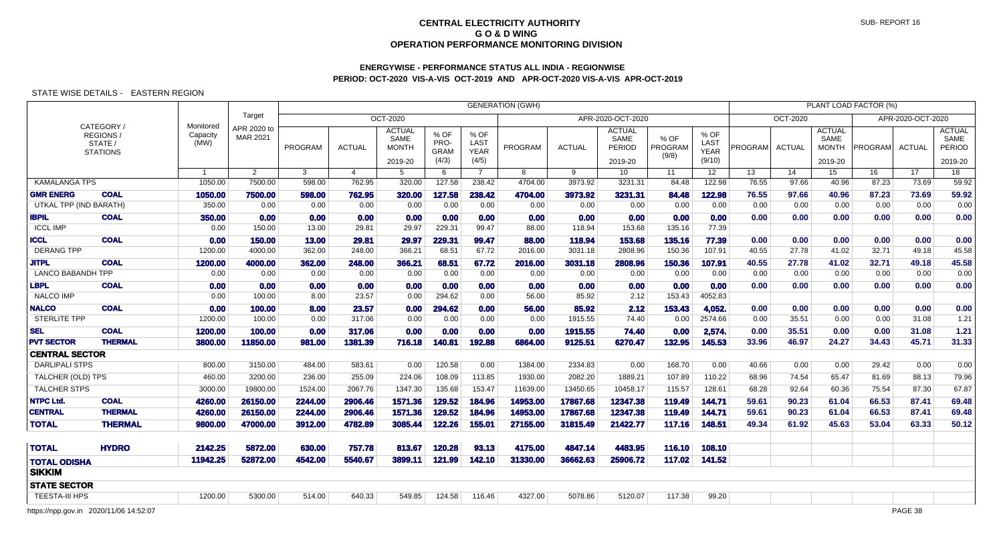## **ENERGYWISE - PERFORMANCE STATUS ALL INDIA - REGIONWISEPERIOD: OCT-2020 VIS-A-VIS OCT-2019 AND APR-OCT-2020 VIS-A-VIS APR-OCT-2019**

### STATE WISE DETAILS - EASTERN REGION

|                          |                                                      |                               |                         |              |                |                                                  |                                      |                                             | <b>GENERATION (GWH)</b> |               |                                            |                          |                                       |         |                 |                                                  | PLANT LOAD FACTOR (%) |                   |                                            |
|--------------------------|------------------------------------------------------|-------------------------------|-------------------------|--------------|----------------|--------------------------------------------------|--------------------------------------|---------------------------------------------|-------------------------|---------------|--------------------------------------------|--------------------------|---------------------------------------|---------|-----------------|--------------------------------------------------|-----------------------|-------------------|--------------------------------------------|
|                          |                                                      |                               | Target                  |              |                | <b>OCT-2020</b>                                  |                                      |                                             |                         |               | APR-2020-OCT-2020                          |                          |                                       |         | <b>OCT-2020</b> |                                                  |                       | APR-2020-OCT-2020 |                                            |
|                          | CATEGORY /<br>REGIONS/<br>STATE /<br><b>STATIONS</b> | Monitored<br>Capacity<br>(MW) | APR 2020 to<br>MAR 2021 | PROGRAM      | <b>ACTUAL</b>  | <b>ACTUAL</b><br>SAME<br><b>MONTH</b><br>2019-20 | % OF<br>PRO-<br><b>GRAM</b><br>(4/3) | % OF<br><b>LAST</b><br><b>YEAR</b><br>(4/5) | PROGRAM                 | <b>ACTUAL</b> | <b>ACTUAL</b><br>SAME<br>PERIOD<br>2019-20 | % OF<br>PROGRAM<br>(9/8) | % OF<br>LAST<br><b>YEAR</b><br>(9/10) | PROGRAM | <b>ACTUAL</b>   | <b>ACTUAL</b><br>SAME<br><b>MONTH</b><br>2019-20 | PROGRAM               | <b>ACTUAL</b>     | <b>ACTUAL</b><br>SAME<br>PERIOD<br>2019-20 |
|                          |                                                      | $\overline{1}$                | $\overline{2}$          | $\mathbf{3}$ | $\overline{4}$ | 5                                                | 6                                    | $\overline{7}$                              | 8                       | 9             | 10 <sup>°</sup>                            | 11                       | 12                                    | 13      | 14              | 15                                               | 16                    | 17                | 18                                         |
| <b>KAMALANGA TPS</b>     |                                                      | 1050.00                       | 7500.00                 | 598.00       | 762.95         | 320.00                                           | 127.58                               | 238.42                                      | 4704.00                 | 3973.92       | 3231.31                                    | 84.48                    | 122.98                                | 76.55   | 97.66           | 40.96                                            | 87.23                 | 73.69             | 59.92                                      |
| <b>GMR ENERG</b>         | <b>COAL</b>                                          | 1050.00                       | 7500.00                 | 598.00       | 762.95         | 320.00                                           | 127.58                               | 238.42                                      | 4704.00                 | 3973.92       | 3231.31                                    | 84.48                    | 122.98                                | 76.55   | 97.66           | 40.96                                            | 87.23                 | 73.69             | 59.92                                      |
| UTKAL TPP (IND BARATH)   |                                                      | 350.00                        | 0.00                    | 0.00         | 0.00           | 0.00                                             | 0.00                                 | 0.00                                        | 0.00                    | 0.00          | 0.00                                       | 0.00                     | 0.00                                  | 0.00    | 0.00            | 0.00                                             | 0.00                  | 0.00              | 0.00                                       |
| <b>IBPIL</b>             | <b>COAL</b>                                          | 350.00                        | 0.00                    | 0.00         | 0.00           | 0.00                                             | 0.00                                 | 0.00                                        | 0.00                    | 0.00          | 0.00                                       | 0.00                     | 0.00                                  | 0.00    | 0.00            | 0.00                                             | 0.00                  | 0.00              | 0.00                                       |
| <b>ICCL IMP</b>          |                                                      | 0.00                          | 150.00                  | 13.00        | 29.81          | 29.97                                            | 229.31                               | 99.47                                       | 88.00                   | 118.94        | 153.68                                     | 135.16                   | 77.39                                 |         |                 |                                                  |                       |                   |                                            |
| <b>ICCL</b>              | <b>COAL</b>                                          | 0.00                          | 150.00                  | 13.00        | 29.81          | 29.97                                            | 229.31                               | 99.47                                       | 88.00                   | 118.94        | 153.68                                     | 135.16                   | 77.39                                 | 0.00    | 0.00            | 0.00                                             | 0.00                  | 0.00              | 0.00                                       |
| <b>DERANG TPP</b>        |                                                      | 1200.00                       | 4000.00                 | 362.00       | 248.00         | 366.21                                           | 68.51                                | 67.72                                       | 2016.00                 | 3031.18       | 2808.96                                    | 150.36                   | 107.91                                | 40.55   | 27.78           | 41.02                                            | 32.71                 | 49.18             | 45.58                                      |
| <b>JITPL</b>             | <b>COAL</b>                                          | 1200.00                       | 4000.00                 | 362.00       | 248.00         | 366.21                                           | 68.51                                | 67.72                                       | 2016.00                 | 3031.18       | 2808.96                                    | 150.36                   | 107.91                                | 40.55   | 27.78           | 41.02                                            | 32.71                 | 49.18             | 45.58                                      |
| <b>LANCO BABANDH TPP</b> |                                                      | 0.00                          | 0.00                    | 0.00         | 0.00           | 0.00                                             | 0.00                                 | 0.00                                        | 0.00                    | 0.00          | 0.00                                       | 0.00                     | 0.00                                  | 0.00    | 0.00            | 0.00                                             | 0.00                  | 0.00              | 0.00                                       |
| LBPL                     | <b>COAL</b>                                          | 0.00                          | 0.00                    | 0.00         | 0.00           | 0.00                                             | 0.00                                 | 0.00                                        | 0.00                    | 0.00          | 0.00                                       | 0.00                     | 0.00                                  | 0.00    | 0.00            | 0.00                                             | 0.00                  | 0.00              | 0.00                                       |
| <b>NALCO IMP</b>         |                                                      | 0.00                          | 100.00                  | 8.00         | 23.57          | 0.00                                             | 294.62                               | 0.00                                        | 56.00                   | 85.92         | 2.12                                       | 153.43                   | 4052.83                               |         |                 |                                                  |                       |                   |                                            |
| <b>NALCO</b>             | <b>COAL</b>                                          | 0.00                          | 100.00                  | 8.00         | 23.57          | 0.00                                             | 294.62                               | 0.00                                        | 56.00                   | 85.92         | 2.12                                       | 153.43                   | 4,052.                                | 0.00    | 0.00            | 0.00                                             | 0.00                  | 0.00              | 0.00                                       |
| <b>STERLITE TPP</b>      |                                                      | 1200.00                       | 100.00                  | 0.00         | 317.06         | 0.00                                             | 0.00                                 | 0.00                                        | 0.00                    | 1915.55       | 74.40                                      | 0.00                     | 2574.66                               | 0.00    | 35.51           | 0.00                                             | 0.00                  | 31.08             | 1.21                                       |
| <b>SEL</b>               | <b>COAL</b>                                          | 1200.00                       | 100.00                  | 0.00         | 317.06         | 0.00                                             | 0.00                                 | 0.00                                        | 0.00                    | 1915.55       | 74.40                                      | 0.00                     | 2,574.                                | 0.00    | 35.51           | 0.00                                             | 0.00                  | 31.08             | 1.21                                       |
| <b>PVT SECTOR</b>        | <b>THERMAL</b>                                       | 3800.00                       | 11850.00                | 981.00       | 1381.39        | 716.18                                           | 140.81                               | 192.88                                      | 6864.00                 | 9125.51       | 6270.47                                    | 132.95                   | 145.53                                | 33.96   | 46.97           | 24.27                                            | 34.43                 | 45.71             | 31.33                                      |
| <b>CENTRAL SECTOR</b>    |                                                      |                               |                         |              |                |                                                  |                                      |                                             |                         |               |                                            |                          |                                       |         |                 |                                                  |                       |                   |                                            |
| <b>DARLIPALI STPS</b>    |                                                      | 800.00                        | 3150.00                 | 484.00       | 583.61         | 0.00                                             | 120.58                               | 0.00                                        | 1384.00                 | 2334.83       | 0.00                                       | 168.70                   | 0.00                                  | 40.66   | 0.00            | 0.00                                             | 29.42                 | 0.00              | 0.00                                       |
| TALCHER (OLD) TPS        |                                                      | 460.00                        | 3200.00                 | 236.00       | 255.09         | 224.06                                           | 108.09                               | 113.85                                      | 1930.00                 | 2082.20       | 1889.21                                    | 107.89                   | 110.22                                | 68.96   | 74.54           | 65.47                                            | 81.69                 | 88.13             | 79.96                                      |
| <b>TALCHER STPS</b>      |                                                      | 3000.00                       | 19800.00                | 1524.00      | 2067.76        | 1347.30                                          | 135.68                               | 153.47                                      | 11639.00                | 13450.65      | 10458.17                                   | 115.57                   | 128.61                                | 68.28   | 92.64           | 60.36                                            | 75.54                 | 87.30             | 67.87                                      |
| <b>NTPC Ltd.</b>         | <b>COAL</b>                                          | 4260.00                       | 26150.00                | 2244.00      | 2906.46        | 1571.36                                          | 129.52                               | 184.96                                      | 14953.00                | 17867.68      | 12347.38                                   | 119.49                   | 144.71                                | 59.61   | 90.23           | 61.04                                            | 66.53                 | 87.41             | 69.48                                      |
| <b>CENTRAL</b>           | <b>THERMAL</b>                                       | 4260.00                       | 26150.00                | 2244.00      | 2906.46        | 1571.36                                          | 129.52                               | 184.96                                      | 14953.00                | 17867.68      | 12347.38                                   | 119.49                   | 144.71                                | 59.61   | 90.23           | 61.04                                            | 66.53                 | 87.41             | 69.48                                      |
| <b>TOTAL</b>             | <b>THERMAL</b>                                       | 9800.00                       | 47000.00                | 3912.00      | 4782.89        | 3085.44                                          | 122.26                               | 155.01                                      | 27155.00                | 31815.49      | 21422.77                                   | 117.16                   | 148.51                                | 49.34   | 61.92           | 45.63                                            | 53.04                 | 63.33             | 50.12                                      |
| <b>TOTAL</b>             | <b>HYDRO</b>                                         | 2142.25                       | 5872.00                 | 630.00       | 757.78         | 813.67                                           | 120.28                               | 93.13                                       | 4175.00                 | 4847.14       | 4483.95                                    | 116.10                   | 108.10                                |         |                 |                                                  |                       |                   |                                            |
| <b>TOTAL ODISHA</b>      |                                                      | 11942.25                      | 52872.00                | 4542.00      | 5540.67        | 3899.11                                          | 121.99                               | 142.10                                      | 31330.00                | 36662.63      | 25906.72                                   | 117.02                   | 141.52                                |         |                 |                                                  |                       |                   |                                            |
| <b>SIKKIM</b>            |                                                      |                               |                         |              |                |                                                  |                                      |                                             |                         |               |                                            |                          |                                       |         |                 |                                                  |                       |                   |                                            |
| <b>STATE SECTOR</b>      |                                                      |                               |                         |              |                |                                                  |                                      |                                             |                         |               |                                            |                          |                                       |         |                 |                                                  |                       |                   |                                            |
| <b>TEESTA-III HPS</b>    |                                                      | 1200.00                       | 5300.00                 | 514.00       | 640.33         | 549.85                                           | 124.58                               | 116.46                                      | 4327.00                 | 5078.86       | 5120.07                                    | 117.38                   | 99.20                                 |         |                 |                                                  |                       |                   |                                            |
|                          | https://npp.gov.in 2020/11/06 14:52:07               |                               |                         |              |                |                                                  |                                      |                                             |                         |               |                                            |                          |                                       |         |                 |                                                  |                       | PAGE 38           |                                            |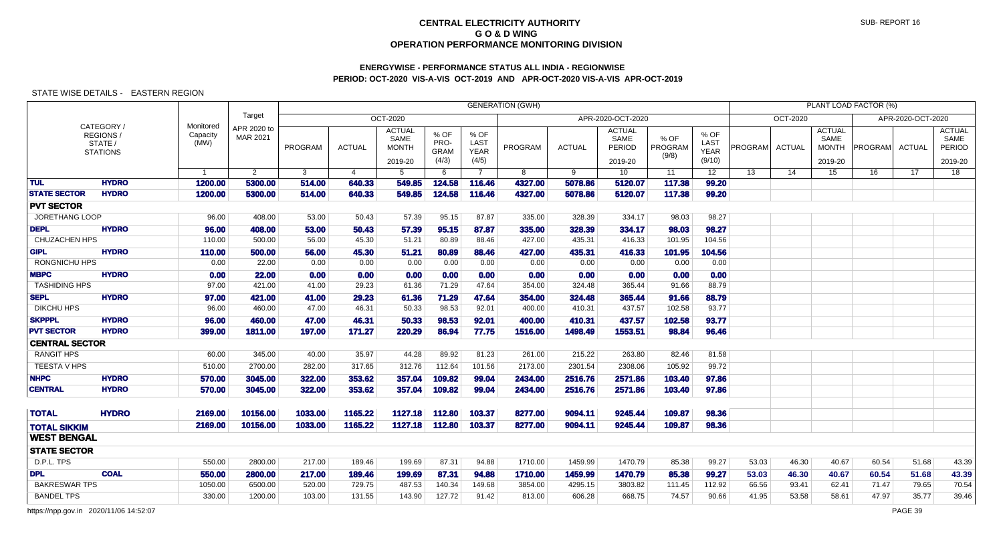# **ENERGYWISE - PERFORMANCE STATUS ALL INDIA - REGIONWISEPERIOD: OCT-2020 VIS-A-VIS OCT-2019 AND APR-OCT-2020 VIS-A-VIS APR-OCT-2019**

## STATE WISE DETAILS - EASTERN REGION

|                       |                                                      |                               |                         |         |               |                                                  |                                      |                                      | <b>GENERATION (GWH)</b> |               |                                            |                          |                                       |         |                 |                                                  | PLANT LOAD FACTOR (%) |                   |                                                   |
|-----------------------|------------------------------------------------------|-------------------------------|-------------------------|---------|---------------|--------------------------------------------------|--------------------------------------|--------------------------------------|-------------------------|---------------|--------------------------------------------|--------------------------|---------------------------------------|---------|-----------------|--------------------------------------------------|-----------------------|-------------------|---------------------------------------------------|
|                       |                                                      |                               | Target                  |         |               | OCT-2020                                         |                                      |                                      |                         |               | APR-2020-OCT-2020                          |                          |                                       |         | <b>OCT-2020</b> |                                                  |                       | APR-2020-OCT-2020 |                                                   |
|                       | CATEGORY /<br>REGIONS/<br>STATE /<br><b>STATIONS</b> | Monitored<br>Capacity<br>(MW) | APR 2020 to<br>MAR 2021 | PROGRAM | <b>ACTUAL</b> | <b>ACTUAL</b><br>SAME<br><b>MONTH</b><br>2019-20 | % OF<br>PRO-<br><b>GRAM</b><br>(4/3) | % OF<br>LAST<br><b>YEAR</b><br>(4/5) | PROGRAM                 | <b>ACTUAL</b> | <b>ACTUAL</b><br>SAME<br>PERIOD<br>2019-20 | % OF<br>PROGRAM<br>(9/8) | % OF<br>LAST<br><b>YEAR</b><br>(9/10) | PROGRAM | <b>ACTUAL</b>   | <b>ACTUAL</b><br>SAME<br><b>MONTH</b><br>2019-20 | PROGRAM ACTUAL        |                   | <b>ACTUAL</b><br>SAME<br><b>PERIOD</b><br>2019-20 |
|                       |                                                      | $\overline{1}$                | $\overline{2}$          | 3       | 4             | 5                                                | 6                                    | $\overline{7}$                       | 8                       | 9             | 10 <sup>°</sup>                            | 11                       | 12                                    | 13      | 14              | 15                                               | 16                    | 17                | $\overline{18}$                                   |
| <b>TUL</b>            | <b>HYDRO</b>                                         | 1200.00                       | 5300.00                 | 514.00  | 640.33        | 549.85                                           | 124.58                               | 116.46                               | 4327.00                 | 5078.86       | 5120.07                                    | 117.38                   | 99.20                                 |         |                 |                                                  |                       |                   |                                                   |
| <b>STATE SECTOR</b>   | <b>HYDRO</b>                                         | 1200.00                       | 5300.00                 | 514.00  | 640.33        | 549.85                                           | 124.58                               | 116.46                               | 4327.00                 | 5078.86       | 5120.07                                    | 117.38                   | 99.20                                 |         |                 |                                                  |                       |                   |                                                   |
| <b>PVT SECTOR</b>     |                                                      |                               |                         |         |               |                                                  |                                      |                                      |                         |               |                                            |                          |                                       |         |                 |                                                  |                       |                   |                                                   |
| JORETHANG LOOP        |                                                      | 96.00                         | 408.00                  | 53.00   | 50.43         | 57.39                                            | 95.15                                | 87.87                                | 335.00                  | 328.39        | 334.17                                     | 98.03                    | 98.27                                 |         |                 |                                                  |                       |                   |                                                   |
| <b>DEPL</b>           | <b>HYDRO</b>                                         | 96.00                         | 408.00                  | 53.00   | 50.43         | 57.39                                            | 95.15                                | 87.87                                | 335.00                  | 328.39        | 334.17                                     | 98.03                    | 98.27                                 |         |                 |                                                  |                       |                   |                                                   |
| CHUZACHEN HPS         |                                                      | 110.00                        | 500.00                  | 56.00   | 45.30         | 51.21                                            | 80.89                                | 88.46                                | 427.00                  | 435.31        | 416.33                                     | 101.95                   | 104.56                                |         |                 |                                                  |                       |                   |                                                   |
| <b>GIPL</b>           | <b>HYDRO</b>                                         | 110.00                        | 500.00                  | 56.00   | 45.30         | 51.21                                            | 80.89                                | 88.46                                | 427.00                  | 435.31        | 416.33                                     | 101.95                   | 104.56                                |         |                 |                                                  |                       |                   |                                                   |
| <b>RONGNICHU HPS</b>  |                                                      | 0.00                          | 22.00                   | 0.00    | 0.00          | 0.00                                             | 0.00                                 | 0.00                                 | 0.00                    | 0.00          | 0.00                                       | 0.00                     | 0.00                                  |         |                 |                                                  |                       |                   |                                                   |
| <b>MBPC</b>           | <b>HYDRO</b>                                         | 0.00                          | 22.00                   | 0.00    | 0.00          | 0.00                                             | 0.00                                 | 0.00                                 | 0.00                    | 0.00          | 0.00                                       | 0.00                     | 0.00                                  |         |                 |                                                  |                       |                   |                                                   |
| <b>TASHIDING HPS</b>  |                                                      | 97.00                         | 421.00                  | 41.00   | 29.23         | 61.36                                            | 71.29                                | 47.64                                | 354.00                  | 324.48        | 365.44                                     | 91.66                    | 88.79                                 |         |                 |                                                  |                       |                   |                                                   |
| <b>SEPL</b>           | <b>HYDRO</b>                                         | 97.00                         | 421.00                  | 41.00   | 29.23         | 61.36                                            | 71.29                                | 47.64                                | 354.00                  | 324.48        | 365.44                                     | 91.66                    | 88.79                                 |         |                 |                                                  |                       |                   |                                                   |
| <b>DIKCHU HPS</b>     |                                                      | 96.00                         | 460.00                  | 47.00   | 46.31         | 50.33                                            | 98.53                                | 92.01                                | 400.00                  | 410.31        | 437.57                                     | 102.58                   | 93.77                                 |         |                 |                                                  |                       |                   |                                                   |
| <b>SKPPPL</b>         | <b>HYDRO</b>                                         | 96.00                         | 460.00                  | 47.00   | 46.31         | 50.33                                            | 98.53                                | 92.01                                | 400.00                  | 410.31        | 437.57                                     | 102.58                   | 93.77                                 |         |                 |                                                  |                       |                   |                                                   |
| <b>PVT SECTOR</b>     | <b>HYDRO</b>                                         | 399.00                        | 1811.00                 | 197.00  | 171.27        | 220.29                                           | 86.94                                | 77.75                                | 1516.00                 | 1498.49       | 1553.51                                    | 98.84                    | 96.46                                 |         |                 |                                                  |                       |                   |                                                   |
| <b>CENTRAL SECTOR</b> |                                                      |                               |                         |         |               |                                                  |                                      |                                      |                         |               |                                            |                          |                                       |         |                 |                                                  |                       |                   |                                                   |
| <b>RANGIT HPS</b>     |                                                      | 60.00                         | 345.00                  | 40.00   | 35.97         | 44.28                                            | 89.92                                | 81.23                                | 261.00                  | 215.22        | 263.80                                     | 82.46                    | 81.58                                 |         |                 |                                                  |                       |                   |                                                   |
| TEESTA V HPS          |                                                      | 510.00                        | 2700.00                 | 282.00  | 317.65        | 312.76                                           | 112.64                               | 101.56                               | 2173.00                 | 2301.54       | 2308.06                                    | 105.92                   | 99.72                                 |         |                 |                                                  |                       |                   |                                                   |
| <b>NHPC</b>           | <b>HYDRO</b>                                         | 570.00                        | 3045,00                 | 322.00  | 353.62        | 357.04                                           | 109.82                               | 99.04                                | 2434.00                 | 2516.76       | 2571.86                                    | 103.40                   | 97.86                                 |         |                 |                                                  |                       |                   |                                                   |
| <b>CENTRAL</b>        | <b>HYDRO</b>                                         | 570.00                        | 3045.00                 | 322.00  | 353.62        | 357.04                                           | 109.82                               | 99.04                                | 2434.00                 | 2516.76       | 2571.86                                    | 103.40                   | 97.86                                 |         |                 |                                                  |                       |                   |                                                   |
| <b>TOTAL</b>          | <b>HYDRO</b>                                         | 2169.00                       | 10156.00                | 1033.00 | 1165.22       | 1127.18                                          | 112.80                               | 103.37                               | 8277.00                 | 9094.11       | 9245.44                                    | 109.87                   | 98.36                                 |         |                 |                                                  |                       |                   |                                                   |
| <b>TOTAL SIKKIM</b>   |                                                      | 2169.00                       | 10156.00                | 1033.00 | 1165.22       |                                                  | 1127.18 112.80                       | 103.37                               | 8277.00                 | 9094.11       | 9245.44                                    | 109.87                   | 98.36                                 |         |                 |                                                  |                       |                   |                                                   |
| <b>WEST BENGAL</b>    |                                                      |                               |                         |         |               |                                                  |                                      |                                      |                         |               |                                            |                          |                                       |         |                 |                                                  |                       |                   |                                                   |
| <b>STATE SECTOR</b>   |                                                      |                               |                         |         |               |                                                  |                                      |                                      |                         |               |                                            |                          |                                       |         |                 |                                                  |                       |                   |                                                   |
| D.P.L. TPS            |                                                      | 550.00                        | 2800.00                 | 217.00  | 189.46        | 199.69                                           | 87.31                                | 94.88                                | 1710.00                 | 1459.99       | 1470.79                                    | 85.38                    | 99.27                                 | 53.03   | 46.30           | 40.67                                            | 60.54                 | 51.68             | 43.39                                             |
| <b>DPL</b>            | <b>COAL</b>                                          | 550.00                        | 2800.00                 | 217.00  | 189.46        | 199.69                                           | 87.31                                | 94.88                                | 1710.00                 | 1459.99       | 1470.79                                    | 85.38                    | 99.27                                 | 53.03   | 46.30           | 40.67                                            | 60.54                 | 51.68             | 43.39                                             |
| <b>BAKRESWAR TPS</b>  |                                                      | 1050.00                       | 6500.00                 | 520.00  | 729.75        | 487.53                                           | 140.34                               | 149.68                               | 3854.00                 | 4295.15       | 3803.82                                    | 111.45                   | 112.92                                | 66.56   | 93.41           | 62.41                                            | 71.47                 | 79.65             | 70.54                                             |
| <b>BANDEL TPS</b>     |                                                      | 330.00                        | 1200.00                 | 103.00  | 131.55        | 143.90                                           | 127.72                               | 91.42                                | 813.00                  | 606.28        | 668.75                                     | 74.57                    | 90.66                                 | 41.95   | 53.58           | 58.61                                            | 47.97                 | 35.77             | 39.46                                             |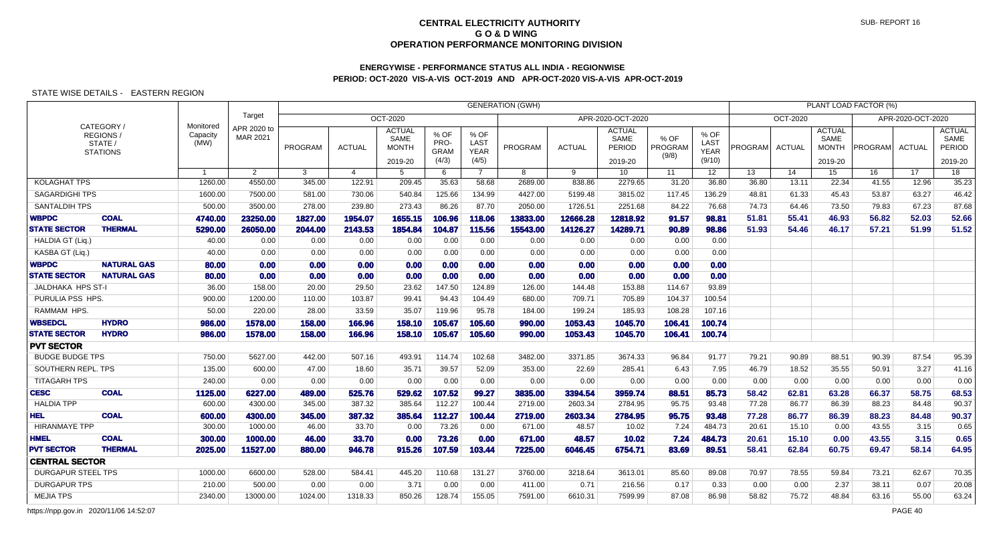# **ENERGYWISE - PERFORMANCE STATUS ALL INDIA - REGIONWISEPERIOD: OCT-2020 VIS-A-VIS OCT-2019 AND APR-OCT-2020 VIS-A-VIS APR-OCT-2019**

## STATE WISE DETAILS - EASTERN REGION

|                                    |                                                     |                               |                         |                 |                 |                                                  |                                      |                                             | <b>GENERATION (GWH)</b> |                  |                                                   |                          |                                       |                |                 |                                                  | PLANT LOAD FACTOR (%) |                   |                                            |
|------------------------------------|-----------------------------------------------------|-------------------------------|-------------------------|-----------------|-----------------|--------------------------------------------------|--------------------------------------|---------------------------------------------|-------------------------|------------------|---------------------------------------------------|--------------------------|---------------------------------------|----------------|-----------------|--------------------------------------------------|-----------------------|-------------------|--------------------------------------------|
|                                    |                                                     |                               | Target                  |                 |                 | OCT-2020                                         |                                      |                                             |                         |                  | APR-2020-OCT-2020                                 |                          |                                       |                | <b>OCT-2020</b> |                                                  |                       | APR-2020-OCT-2020 |                                            |
|                                    | CATEGORY/<br>REGIONS/<br>STATE /<br><b>STATIONS</b> | Monitored<br>Capacity<br>(MW) | APR 2020 to<br>MAR 2021 | PROGRAM         | <b>ACTUAL</b>   | <b>ACTUAL</b><br>SAME<br><b>MONTH</b><br>2019-20 | % OF<br>PRO-<br><b>GRAM</b><br>(4/3) | % OF<br><b>LAST</b><br><b>YEAR</b><br>(4/5) | PROGRAM                 | <b>ACTUAL</b>    | <b>ACTUAL</b><br>SAME<br><b>PERIOD</b><br>2019-20 | % OF<br>PROGRAM<br>(9/8) | % OF<br>LAST<br><b>YEAR</b><br>(9/10) | PROGRAM        | <b>ACTUAL</b>   | <b>ACTUAL</b><br>SAME<br><b>MONTH</b><br>2019-20 | PROGRAM               | ACTUAL            | <b>ACTUAL</b><br>SAME<br>PERIOD<br>2019-20 |
|                                    |                                                     |                               | $\overline{2}$          | 3               | 4               | 5                                                | 6                                    | $\overline{7}$                              | 8                       | 9                | 10                                                | 11                       | 12 <sup>°</sup>                       | 13             | 14              | 15                                               | 16                    | 17                | 18                                         |
| <b>KOLAGHAT TPS</b>                |                                                     | 1260.00                       | 4550.00                 | 345.00          | 122.91          | 209.45                                           | 35.63                                | 58.68                                       | 2689.00                 | 838.86           | 2279.65                                           | 31.20                    | 36.80                                 | 36.80          | 13.11           | 22.34                                            | 41.55                 | 12.96             | 35.23                                      |
| <b>SAGARDIGHI TPS</b>              |                                                     | 1600.00                       | 7500.00                 | 581.00          | 730.06          | 540.84                                           | 125.66                               | 134.99                                      | 4427.00                 | 5199.48          | 3815.02                                           | 117.45                   | 136.29                                | 48.81          | 61.33           | 45.43                                            | 53.87                 | 63.27             | 46.42                                      |
| <b>SANTALDIH TPS</b>               |                                                     | 500.00                        | 3500.00                 | 278.00          | 239.80          | 273.43                                           | 86.26                                | 87.70                                       | 2050.00                 | 1726.51          | 2251.68                                           | 84.22                    | 76.68                                 | 74.73          | 64.46           | 73.50                                            | 79.83                 | 67.23             | 87.68                                      |
| <b>WBPDC</b>                       | <b>COAL</b>                                         | 4740.00                       | 23250.00                | 1827.00         | 1954.07         | 1655.15                                          | 106.96                               | 118.06                                      | 13833.00                | 12666.28         | 12818.92                                          | 91.57                    | 98.81                                 | 51.81          | 55.41           | 46.93                                            | 56.82                 | 52.03             | 52.66                                      |
| <b>STATE SECTOR</b>                | <b>THERMAL</b>                                      | 5290.00                       | 26050.00                | 2044.00         | 2143.53         | 1854.84                                          | 104.87                               | 115.56                                      | 15543.00                | 14126.27         | 14289.71                                          | 90.89                    | 98.86                                 | 51.93          | 54.46           | 46.17                                            | 57.21                 | 51.99             | 51.52                                      |
| HALDIA GT (Lig.)                   |                                                     | 40.00                         | 0.00                    | 0.00            | 0.00            | 0.00                                             | 0.00                                 | 0.00                                        | 0.00                    | 0.00             | 0.00                                              | 0.00                     | 0.00                                  |                |                 |                                                  |                       |                   |                                            |
| KASBA GT (Liq.)                    |                                                     | 40.00                         | 0.00                    | 0.00            | 0.00            | 0.00                                             | 0.00                                 | 0.00                                        | 0.00                    | 0.00             | 0.00                                              | 0.00                     | 0.00                                  |                |                 |                                                  |                       |                   |                                            |
| <b>WBPDC</b>                       | <b>NATURAL GAS</b>                                  | 80.00                         | 0.00                    | 0.00            | 0.00            | 0.00                                             | 0.00                                 | 0.00                                        | 0.00                    | 0.00             | 0.00                                              | 0.00                     | 0.00                                  |                |                 |                                                  |                       |                   |                                            |
| <b>STATE SECTOR</b>                | <b>NATURAL GAS</b>                                  | 80.00                         | 0.00                    | 0.00            | 0.00            | 0.00                                             | 0.00                                 | 0.00                                        | 0.00                    | 0.00             | 0.00                                              | 0.00                     | 0.00                                  |                |                 |                                                  |                       |                   |                                            |
| <b>JALDHAKA HPS ST-I</b>           |                                                     | 36.00                         | 158.00                  | 20.00           | 29.50           | 23.62                                            | 147.50                               | 124.89                                      | 126.00                  | 144.48           | 153.88                                            | 114.67                   | 93.89                                 |                |                 |                                                  |                       |                   |                                            |
| PURULIA PSS HPS                    |                                                     | 900.00                        | 1200.00                 | 110.00          | 103.87          | 99.41                                            | 94.43                                | 104.49                                      | 680.00                  | 709.71           | 705.89                                            | 104.37                   | 100.54                                |                |                 |                                                  |                       |                   |                                            |
| RAMMAM HPS.                        |                                                     | 50.00                         | 220.00                  | 28.00           | 33.59           | 35.07                                            | 119.96                               | 95.78                                       | 184.00                  | 199.24           | 185.93                                            | 108.28                   | 107.16                                |                |                 |                                                  |                       |                   |                                            |
| <b>WBSEDCL</b>                     | <b>HYDRO</b>                                        | 986.00                        | 1578.00                 | 158.00          | 166.96          | 158.10                                           | 105.67                               | 105.60                                      | 990.00                  | 1053.43          | 1045.70                                           | 106.41                   | 100.74                                |                |                 |                                                  |                       |                   |                                            |
| <b>STATE SECTOR</b>                | <b>HYDRO</b>                                        | 986.00                        | 1578.00                 | 158.00          | 166.96          | 158.10                                           | 105.67                               | 105.60                                      | 990.00                  | 1053.43          | 1045.70                                           | 106.41                   | 100.74                                |                |                 |                                                  |                       |                   |                                            |
| <b>PVT SECTOR</b>                  |                                                     |                               |                         |                 |                 |                                                  |                                      |                                             |                         |                  |                                                   |                          |                                       |                |                 |                                                  |                       |                   |                                            |
| <b>BUDGE BUDGE TPS</b>             |                                                     | 750.00                        | 5627.00                 | 442.00          | 507.16          | 493.91                                           | 114.74                               | 102.68                                      | 3482.00                 | 3371.85          | 3674.33                                           | 96.84                    | 91.77                                 | 79.21          | 90.89           | 88.51                                            | 90.39                 | 87.54             | 95.39                                      |
| SOUTHERN REPL. TPS                 |                                                     | 135.00                        | 600.00                  | 47.00           | 18.60           | 35.71                                            | 39.57                                | 52.09                                       | 353.00                  | 22.69            | 285.41                                            | 6.43                     | 7.95                                  | 46.79          | 18.52           | 35.55                                            | 50.91                 | 3.27              | 41.16                                      |
| <b>TITAGARH TPS</b>                |                                                     | 240.00                        | 0.00                    | 0.00            | 0.00            | 0.00                                             | 0.00                                 | 0.00                                        | 0.00                    | 0.00             | 0.00                                              | 0.00                     | 0.00                                  | 0.00           | 0.00            | 0.00                                             | 0.00                  | 0.00              | 0.00                                       |
| <b>CESC</b>                        | <b>COAL</b>                                         | 1125.00                       | 6227.00                 | 489.00          | 525.76          | 529.62                                           | 107.52                               | 99.27                                       | 3835.00                 | 3394.54          | 3959.74                                           | 88.51                    | 85.73                                 | 58.42          | 62.81           | 63.28                                            | 66.37                 | 58.75             | 68.53                                      |
| <b>HALDIA TPP</b>                  |                                                     | 600.00                        | 4300.00                 | 345.00          | 387.32          | 385.64                                           | 112.27                               | 100.44                                      | 2719.00                 | 2603.34          | 2784.95                                           | 95.75                    | 93.48                                 | 77.28          | 86.77           | 86.39                                            | 88.23                 | 84.48             | 90.37                                      |
| <b>HEL</b><br><b>HIRANMAYE TPP</b> | <b>COAL</b>                                         | 600.00<br>300.00              | 4300.00<br>1000.00      | 345.00<br>46.00 | 387.32<br>33.70 | 385.64<br>0.00                                   | 112.27<br>73.26                      | 100.44<br>0.00                              | 2719.00<br>671.00       | 2603.34<br>48.57 | 2784.95<br>10.02                                  | 95.75<br>7.24            | 93.48<br>484.73                       | 77.28<br>20.61 | 86.77<br>15.10  | 86.39<br>0.00                                    | 88.23<br>43.55        | 84.48<br>3.15     | 90.37<br>0.65                              |
| <b>HMEL</b>                        | <b>COAL</b>                                         |                               |                         |                 |                 |                                                  | 73.26                                |                                             |                         |                  |                                                   |                          |                                       |                |                 |                                                  |                       |                   | 0.65                                       |
| <b>PVT SECTOR</b>                  | <b>THERMAL</b>                                      | 300.00<br>2025.00             | 1000.00<br>11527.00     | 46.00<br>880.00 | 33.70<br>946.78 | 0.00<br>915.26                                   | 107.59                               | 0.00<br>103.44                              | 671.00<br>7225.00       | 48.57<br>6046.45 | 10.02<br>6754.71                                  | 7.24<br>83.69            | 484.73<br>89.51                       | 20.61<br>58.41 | 15.10<br>62.84  | 0.00<br>60.75                                    | 43.55<br>69.47        | 3.15<br>58.14     | 64.95                                      |
| <b>CENTRAL SECTOR</b>              |                                                     |                               |                         |                 |                 |                                                  |                                      |                                             |                         |                  |                                                   |                          |                                       |                |                 |                                                  |                       |                   |                                            |
| <b>DURGAPUR STEEL TPS</b>          |                                                     | 1000.00                       | 6600.00                 | 528.00          | 584.41          | 445.20                                           | 110.68                               | 131.27                                      | 3760.00                 | 3218.64          | 3613.01                                           | 85.60                    | 89.08                                 | 70.97          | 78.55           | 59.84                                            | 73.21                 | 62.67             | 70.35                                      |
| <b>DURGAPUR TPS</b>                |                                                     | 210.00                        | 500.00                  | 0.00            | 0.00            | 3.71                                             | 0.00                                 | 0.00                                        | 411.00                  | 0.71             | 216.56                                            | 0.17                     | 0.33                                  | 0.00           | 0.00            | 2.37                                             | 38.11                 | 0.07              | 20.08                                      |
| <b>MEJIA TPS</b>                   |                                                     | 2340.00                       | 13000.00                | 1024.00         | 1318.33         | 850.26                                           | 128.74                               | 155.05                                      | 7591.00                 | 6610.31          | 7599.99                                           | 87.08                    | 86.98                                 | 58.82          | 75.72           | 48.84                                            | 63.16                 | 55.00             | 63.24                                      |
|                                    |                                                     |                               |                         |                 |                 |                                                  |                                      |                                             |                         |                  |                                                   |                          |                                       |                |                 |                                                  |                       |                   |                                            |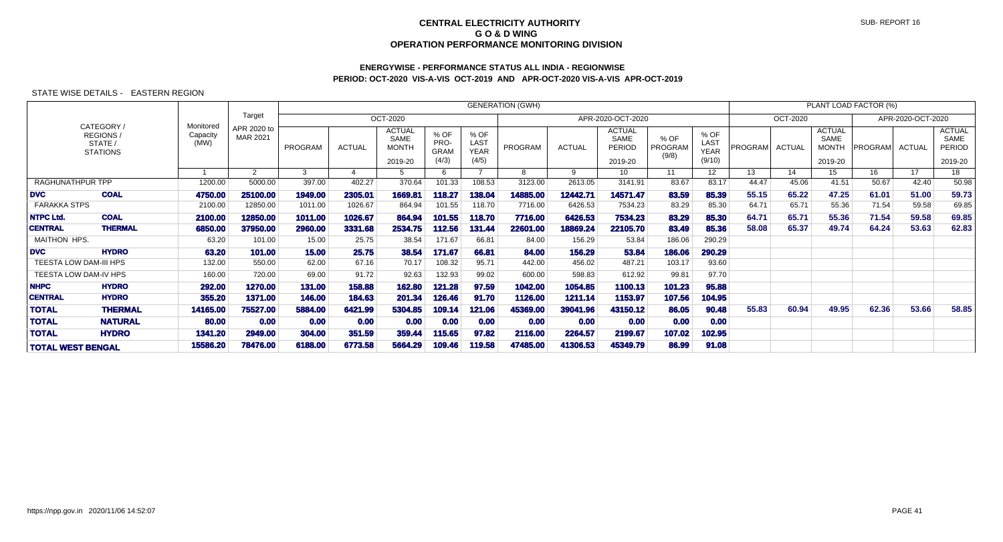# **ENERGYWISE - PERFORMANCE STATUS ALL INDIA - REGIONWISEPERIOD: OCT-2020 VIS-A-VIS OCT-2019 AND APR-OCT-2020 VIS-A-VIS APR-OCT-2019**

|                        |                                                       |                               |                         |         |               |                                                         |                                      |                                      | <b>GENERATION (GWH)</b> |               |                                                          |                          |                                       |         |                 |                                                  | PLANT LOAD FACTOR (%) |                   |                                                   |
|------------------------|-------------------------------------------------------|-------------------------------|-------------------------|---------|---------------|---------------------------------------------------------|--------------------------------------|--------------------------------------|-------------------------|---------------|----------------------------------------------------------|--------------------------|---------------------------------------|---------|-----------------|--------------------------------------------------|-----------------------|-------------------|---------------------------------------------------|
|                        |                                                       |                               | Target                  |         |               | <b>OCT-2020</b>                                         |                                      |                                      |                         |               | APR-2020-OCT-2020                                        |                          |                                       |         | <b>OCT-2020</b> |                                                  |                       | APR-2020-OCT-2020 |                                                   |
|                        | CATEGORY /<br>REGIONS /<br>STATE /<br><b>STATIONS</b> | Monitored<br>Capacity<br>(MW) | APR 2020 to<br>MAR 2021 | PROGRAM | <b>ACTUAL</b> | <b>ACTUAL</b><br><b>SAME</b><br><b>MONTH</b><br>2019-20 | % OF<br>PRO-<br><b>GRAM</b><br>(4/3) | % OF<br>LAST<br><b>YEAR</b><br>(4/5) | PROGRAM                 | <b>ACTUAL</b> | <b>ACTUAL</b><br><b>SAME</b><br><b>PERIOD</b><br>2019-20 | % OF<br>PROGRAM<br>(9/8) | % OF<br>LAST<br><b>YEAR</b><br>(9/10) | PROGRAM | <b>ACTUAL</b>   | <b>ACTUAL</b><br>SAME<br><b>MONTH</b><br>2019-20 | PROGRAM               | ACTUAL            | <b>ACTUAL</b><br>SAME<br><b>PERIOD</b><br>2019-20 |
|                        |                                                       |                               | 2                       | 3       |               |                                                         | 6                                    |                                      | 8                       | 9             | 10                                                       | 11                       | 12 <sup>2</sup>                       | 13      | 14              | 15                                               | 16                    | 17                | 18                                                |
| RAGHUNATHPUR TPP       |                                                       | 1200.00                       | 5000.00                 | 397.00  | 402.27        | 370.64                                                  | 101.33                               | 108.53                               | 3123.00                 | 2613.05       | 3141.91                                                  | 83.67                    | 83.17                                 | 44.47   | 45.06           | 41.51                                            | 50.67                 | 42.40             | 50.98                                             |
| <b>DVC</b>             | <b>COAL</b>                                           | 4750.00                       | 25100.00                | 1949.00 | 2305.01       | 1669.81                                                 | 118.27                               | 138.04                               | 14885.00                | 12442.71      | 14571.47                                                 | 83.59                    | 85.39                                 | 55.15   | 65.22           | 47.25                                            | 61.01                 | 51.00             | 59.73                                             |
| <b>FARAKKA STPS</b>    |                                                       | 2100.00                       | 12850.00                | 1011.00 | 1026.67       | 864.94                                                  | 101.55                               | 118.70                               | 7716.00                 | 6426.53       | 7534.23                                                  | 83.29                    | 85.30                                 | 64.71   | 65.71           | 55.36                                            | 71.54                 | 59.58             | 69.85                                             |
| <b>NTPC Ltd.</b>       | <b>COAL</b>                                           | 2100.00                       | 12850.00                | 1011.00 | 1026.67       | 864.94                                                  | 101.55                               | 118.70                               | 7716.00                 | 6426.53       | 7534.23                                                  | 83.29                    | 85.30                                 | 64.71   | 65.71           | 55.36                                            | 71.54                 | 59.58             | 69.85                                             |
| <b>CENTRAL</b>         | <b>THERMAL</b>                                        | 6850.00                       | 37950.00                | 2960.00 | 3331.68       | 2534.75                                                 | 112.56                               | 131.44                               | 22601.00                | 18869.24      | 22105.70                                                 | 83.49                    | 85.36                                 | 58.08   | 65.37           | 49.74                                            | 64.24                 | 53.63             | 62.83                                             |
| MAITHON HPS.           |                                                       | 63.20                         | 101.00                  | 15.00   | 25.75         | 38.54                                                   | 171.67                               | 66.81                                | 84.00                   | 156.29        | 53.84                                                    | 186.06                   | 290.29                                |         |                 |                                                  |                       |                   |                                                   |
| <b>DVC</b>             | <b>HYDRO</b>                                          | 63.20                         | 101.00                  | 15.00   | 25.75         | 38.54                                                   | 171.67                               | 66.81                                | 84.00                   | 156.29        | 53.84                                                    | 186.06                   | 290.29                                |         |                 |                                                  |                       |                   |                                                   |
| TEESTA LOW DAM-III HPS |                                                       | 132.00                        | 550.00                  | 62.00   | 67.16         | 70.17                                                   | 108.32                               | 95.71                                | 442.00                  | 456.02        | 487.21                                                   | 103.17                   | 93.60                                 |         |                 |                                                  |                       |                   |                                                   |
| TEESTA LOW DAM-IV HPS  |                                                       | 160.00                        | 720.00                  | 69.00   | 91.72         | 92.63                                                   | 132.93                               | 99.02                                | 600.00                  | 598.83        | 612.92                                                   | 99.81                    | 97.70                                 |         |                 |                                                  |                       |                   |                                                   |
| <b>NHPC</b>            | <b>HYDRO</b>                                          | 292.00                        | 1270.00                 | 131.00  | 158.88        | 162.80                                                  | 121.28                               | 97.59                                | 1042.00                 | 1054.85       | 1100.13                                                  | 101.23                   | 95.88                                 |         |                 |                                                  |                       |                   |                                                   |
| <b>CENTRAL</b>         | <b>HYDRO</b>                                          | 355.20                        | 1371.00                 | 146.00  | 184.63        | 201.34                                                  | 126.46                               | 91.70                                | 1126.00                 | 1211.14       | 1153.97                                                  | 107.56                   | 104.95                                |         |                 |                                                  |                       |                   |                                                   |
| <b>TOTAL</b>           | <b>THERMAL</b>                                        | 14165.00                      | 75527.00                | 5884.00 | 6421.99       | 5304.85                                                 | 109.14                               | 121.06                               | 45369.00                | 39041.96      | 43150.12                                                 | 86.05                    | 90.48                                 | 55.83   | 60.94           | 49.95                                            | 62.36                 | 53.66             | 58.85                                             |
| <b>TOTAL</b>           | <b>NATURAL</b>                                        | 80.00                         | 0.00                    | 0.00    | 0.00          | 0.00                                                    | 0.00                                 | 0.00                                 | 0.00                    | 0.00          | 0.00                                                     | 0.00                     | 0.00                                  |         |                 |                                                  |                       |                   |                                                   |
| <b>TOTAL</b>           | <b>HYDRO</b>                                          | 1341.20                       | 2949.00                 | 304.00  | 351.59        | 359.44                                                  | 115.65                               | 97.82                                | 2116.00                 | 2264.57       | 2199.67                                                  | 107.02                   | 102.95                                |         |                 |                                                  |                       |                   |                                                   |
|                        | <b>TOTAL WEST BENGAL</b>                              |                               | 78476.00                | 6188.00 | 6773.58       | 5664.29                                                 | 109.46                               | 119.58                               | 47485.00                | 41306.53      | 45349.79                                                 | 86.99                    | 91.08                                 |         |                 |                                                  |                       |                   |                                                   |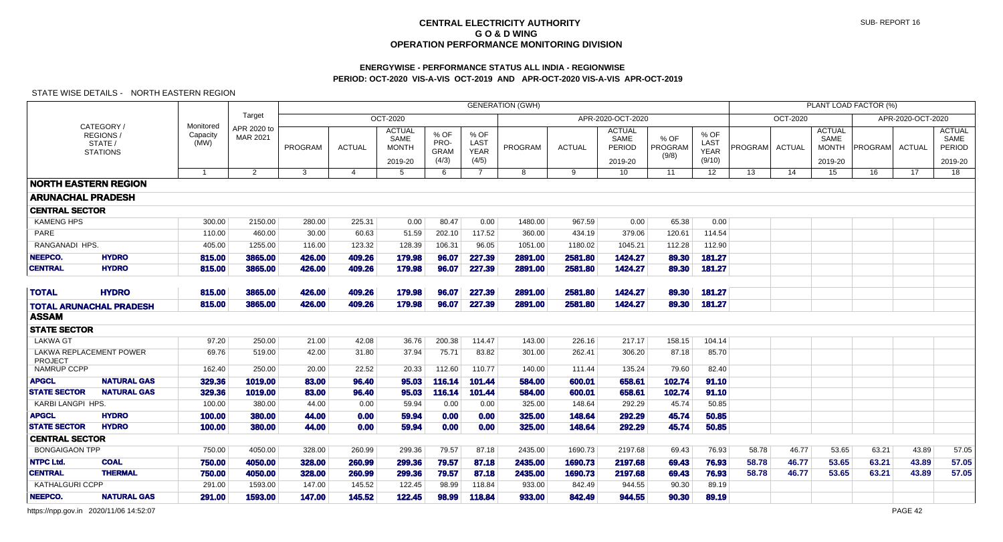## **ENERGYWISE - PERFORMANCE STATUS ALL INDIA - REGIONWISEPERIOD: OCT-2020 VIS-A-VIS OCT-2019 AND APR-OCT-2020 VIS-A-VIS APR-OCT-2019**

### STATE WISE DETAILS - NORTH EASTERN REGION

|                             |                                                             |                               |                         |                  |                       |                                                  |                                      |                                      | <b>GENERATION (GWH)</b> |                    |                                            |                          |                                       |                |                |                                                  | PLANT LOAD FACTOR (%) |                   |                                            |
|-----------------------------|-------------------------------------------------------------|-------------------------------|-------------------------|------------------|-----------------------|--------------------------------------------------|--------------------------------------|--------------------------------------|-------------------------|--------------------|--------------------------------------------|--------------------------|---------------------------------------|----------------|----------------|--------------------------------------------------|-----------------------|-------------------|--------------------------------------------|
|                             |                                                             |                               | Target                  |                  |                       | OCT-2020                                         |                                      |                                      |                         |                    | APR-2020-OCT-2020                          |                          |                                       |                | OCT-2020       |                                                  |                       | APR-2020-OCT-2020 |                                            |
|                             | CATEGORY /<br><b>REGIONS/</b><br>STATE /<br><b>STATIONS</b> | Monitored<br>Capacity<br>(MW) | APR 2020 to<br>MAR 2021 | PROGRAM          | <b>ACTUAL</b>         | <b>ACTUAL</b><br>SAME<br><b>MONTH</b><br>2019-20 | % OF<br>PRO-<br><b>GRAM</b><br>(4/3) | % OF<br>LAST<br><b>YEAR</b><br>(4/5) | PROGRAM                 | <b>ACTUAL</b>      | <b>ACTUAL</b><br>SAME<br>PERIOD<br>2019-20 | % OF<br>PROGRAM<br>(9/8) | % OF<br>LAST<br><b>YEAR</b><br>(9/10) | PROGRAM        | <b>ACTUAL</b>  | <b>ACTUAL</b><br>SAME<br><b>MONTH</b><br>2019-20 | PROGRAM               | <b>ACTUAL</b>     | <b>ACTUAL</b><br>SAME<br>PERIOD<br>2019-20 |
|                             |                                                             | $\overline{1}$                | 2                       | 3                | $\boldsymbol{\Delta}$ | 5                                                | 6                                    | $\overline{7}$                       | 8                       | 9                  | 10 <sup>°</sup>                            | 11                       | 12                                    | 13             | 14             | 15                                               | 16                    | 17                | $\overline{18}$                            |
|                             | <b>NORTH EASTERN REGION</b>                                 |                               |                         |                  |                       |                                                  |                                      |                                      |                         |                    |                                            |                          |                                       |                |                |                                                  |                       |                   |                                            |
| <b>ARUNACHAL PRADESH</b>    |                                                             |                               |                         |                  |                       |                                                  |                                      |                                      |                         |                    |                                            |                          |                                       |                |                |                                                  |                       |                   |                                            |
| <b>CENTRAL SECTOR</b>       |                                                             |                               |                         |                  |                       |                                                  |                                      |                                      |                         |                    |                                            |                          |                                       |                |                |                                                  |                       |                   |                                            |
| <b>KAMENG HPS</b>           |                                                             | 300.00                        | 2150.00                 | 280.00           | 225.31                | 0.00                                             | 80.47                                | 0.00                                 | 1480.00                 | 967.59             | 0.00                                       | 65.38                    | 0.00                                  |                |                |                                                  |                       |                   |                                            |
| PARE                        |                                                             | 110.00                        | 460.00                  | 30.00            | 60.63                 | 51.59                                            | 202.10                               | 117.52                               | 360.00                  | 434.19             | 379.06                                     | 120.61                   | 114.54                                |                |                |                                                  |                       |                   |                                            |
| RANGANADI HPS.              |                                                             | 405.00                        | 1255.00                 | 116.00           | 123.32                | 128.39                                           | 106.31                               | 96.05                                | 1051.00                 | 1180.02            | 1045.21                                    | 112.28                   | 112.90                                |                |                |                                                  |                       |                   |                                            |
| <b>NEEPCO.</b>              | <b>HYDRO</b>                                                | 815.00                        | 3865.00                 | 426.00           | 409.26                | 179.98                                           | 96.07                                | 227.39                               | 2891.00                 | 2581.80            | 1424.27                                    | 89.30                    | 181.27                                |                |                |                                                  |                       |                   |                                            |
| <b>CENTRAL</b>              | <b>HYDRO</b>                                                | 815.00                        | 3865.00                 | 426.00           | 409.26                | 179.98                                           | 96.07                                | 227.39                               | 2891.00                 | 2581.80            | 1424.27                                    | 89.30                    | 181.27                                |                |                |                                                  |                       |                   |                                            |
| <b>TOTAL</b>                | <b>HYDRO</b>                                                | 815.00                        | 3865.00                 | 426.00           | 409.26                | 179.98                                           | 96.07                                | 227.39                               | 2891.00                 | 2581.80            | 1424.27                                    | 89.30                    | 181.27                                |                |                |                                                  |                       |                   |                                            |
|                             | <b>TOTAL ARUNACHAL PRADESH</b>                              | 815.00                        | 3865.00                 | 426.00           | 409.26                | 179.98                                           | 96.07                                | 227.39                               | 2891.00                 | 2581.80            | 1424.27                                    | 89.30                    | 181.27                                |                |                |                                                  |                       |                   |                                            |
| <b>ASSAM</b>                |                                                             |                               |                         |                  |                       |                                                  |                                      |                                      |                         |                    |                                            |                          |                                       |                |                |                                                  |                       |                   |                                            |
| <b>STATE SECTOR</b>         |                                                             |                               |                         |                  |                       |                                                  |                                      |                                      |                         |                    |                                            |                          |                                       |                |                |                                                  |                       |                   |                                            |
| <b>LAKWA GT</b>             |                                                             | 97.20                         | 250.00                  | 21.00            | 42.08                 | 36.76                                            | 200.38                               | 114.47                               | 143.00                  | 226.16             | 217.17                                     | 158.15                   | 104.14                                |                |                |                                                  |                       |                   |                                            |
| PROJECT                     | LAKWA REPLACEMENT POWER                                     | 69.76                         | 519.00                  | 42.00            | 31.80                 | 37.94                                            | 75.71                                | 83.82                                | 301.00                  | 262.41             | 306.20                                     | 87.18                    | 85.70                                 |                |                |                                                  |                       |                   |                                            |
| <b>NAMRUP CCPP</b>          |                                                             | 162.40                        | 250.00                  | 20.00            | 22.52                 | 20.33                                            | 112.60                               | 110.77                               | 140.00                  | 111.44             | 135.24                                     | 79.60                    | 82.40                                 |                |                |                                                  |                       |                   |                                            |
| <b>APGCL</b>                | <b>NATURAL GAS</b>                                          | 329.36                        | 1019.00                 | 83.00            | 96.40                 | 95.03                                            | 116.14                               | 101.44                               | 584.00                  | 600.01             | 658.61                                     | 102.74                   | 91.10                                 |                |                |                                                  |                       |                   |                                            |
| <b>STATE SECTOR</b>         | <b>NATURAL GAS</b>                                          | 329.36                        | 1019.00                 | 83.00            | 96.40                 | 95.03                                            | 116.14                               | 101.44                               | 584.00                  | 600.01             | 658.61                                     | 102.74                   | 91.10                                 |                |                |                                                  |                       |                   |                                            |
| <b>KARBI LANGPI HPS.</b>    |                                                             | 100.00                        | 380.00                  | 44.00            | 0.00                  | 59.94                                            | 0.00                                 | 0.00                                 | 325.00                  | 148.64             | 292.29                                     | 45.74                    | 50.85                                 |                |                |                                                  |                       |                   |                                            |
| <b>APGCL</b>                | <b>HYDRO</b>                                                | 100.00                        | 380.00                  | 44.00            | 0.00                  | 59.94                                            | 0.00                                 | 0.00                                 | 325.00                  | 148.64             | 292.29                                     | 45.74                    | 50.85                                 |                |                |                                                  |                       |                   |                                            |
| <b>STATE SECTOR</b>         | <b>HYDRO</b>                                                | 100.00                        | 380.00                  | 44.00            | 0.00                  | 59.94                                            | 0.00                                 | 0.00                                 | 325.00                  | 148.64             | 292.29                                     | 45.74                    | 50.85                                 |                |                |                                                  |                       |                   |                                            |
| <b>CENTRAL SECTOR</b>       |                                                             |                               |                         |                  |                       |                                                  |                                      |                                      |                         |                    |                                            |                          |                                       |                |                |                                                  |                       |                   |                                            |
| <b>BONGAIGAON TPP</b>       |                                                             | 750.00                        | 4050.00                 | 328.00           | 260.99                | 299.36                                           | 79.57                                | 87.18                                | 2435.00                 | 1690.73            | 2197.68                                    | 69.43                    | 76.93                                 | 58.78          | 46.77          | 53.65                                            | 63.21                 | 43.89             | 57.05                                      |
| <b>NTPC Ltd.</b><br>CENTRAL | <b>COAL</b><br><b>THERMAL</b>                               | 750.00<br>750.00              | 4050.00<br>4050.00      | 328.00<br>328.00 | 260.99<br>260.99      | 299.36<br>299.36                                 | 79.57<br>79.57                       | 87.18<br>87.18                       | 2435.00<br>2435.00      | 1690.73<br>1690.73 | 2197.68<br>2197.68                         | 69.43<br>69.43           | 76.93<br>76.93                        | 58.78<br>58.78 | 46.77<br>46.77 | 53.65<br>53.65                                   | 63.21<br>63.21        | 43.89<br>43.89    | 57.05<br>57.05                             |
| <b>KATHALGURI CCPP</b>      |                                                             | 291.00                        | 1593.00                 | 147.00           | 145.52                | 122.45                                           | 98.99                                | 118.84                               | 933.00                  | 842.49             | 944.55                                     | 90.30                    | 89.19                                 |                |                |                                                  |                       |                   |                                            |
| NEEPCO.                     | <b>NATURAL GAS</b>                                          | 291.00                        | 1593.00                 | 147.00           | 145.52                | 122.45                                           | 98.99                                | 118.84                               | 933.00                  | 842.49             | 944.55                                     | 90.30                    | 89.19                                 |                |                |                                                  |                       |                   |                                            |
|                             |                                                             |                               |                         |                  |                       |                                                  |                                      |                                      |                         |                    |                                            |                          |                                       |                |                |                                                  |                       |                   |                                            |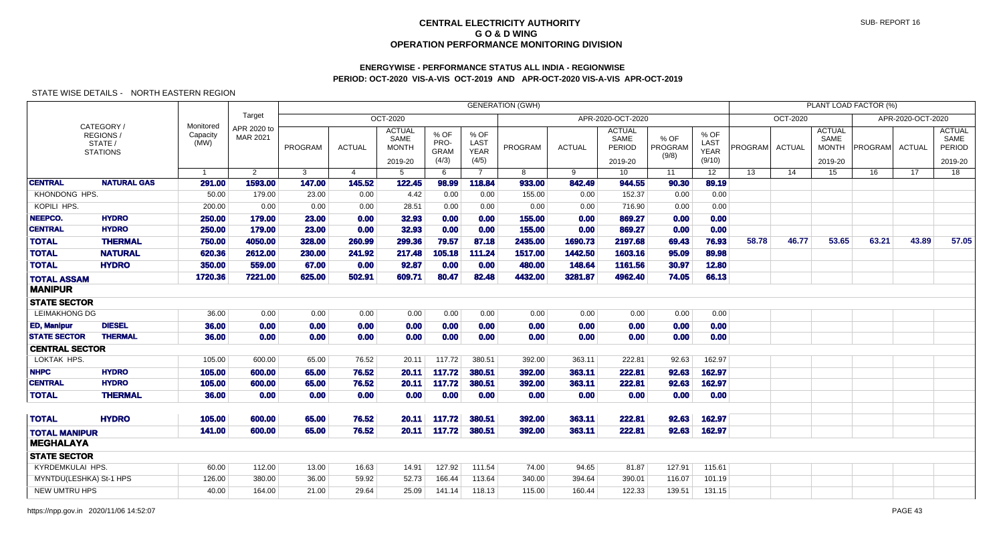# **ENERGYWISE - PERFORMANCE STATUS ALL INDIA - REGIONWISEPERIOD: OCT-2020 VIS-A-VIS OCT-2019 AND APR-OCT-2020 VIS-A-VIS APR-OCT-2019**

|                         |                                                      |                               |                         |         |                |                                                  |                                      |                                      | <b>GENERATION (GWH)</b> |               |                                            |                          |                                       |                 |               |                                                  | PLANT LOAD FACTOR (%) |                   |                                                   |
|-------------------------|------------------------------------------------------|-------------------------------|-------------------------|---------|----------------|--------------------------------------------------|--------------------------------------|--------------------------------------|-------------------------|---------------|--------------------------------------------|--------------------------|---------------------------------------|-----------------|---------------|--------------------------------------------------|-----------------------|-------------------|---------------------------------------------------|
|                         |                                                      |                               | Target                  |         |                | OCT-2020                                         |                                      |                                      |                         |               | APR-2020-OCT-2020                          |                          |                                       |                 | OCT-2020      |                                                  |                       | APR-2020-OCT-2020 |                                                   |
|                         | CATEGORY /<br>REGIONS/<br>STATE /<br><b>STATIONS</b> | Monitored<br>Capacity<br>(MW) | APR 2020 to<br>MAR 2021 | PROGRAM | <b>ACTUAL</b>  | <b>ACTUAL</b><br>SAME<br><b>MONTH</b><br>2019-20 | % OF<br>PRO-<br><b>GRAM</b><br>(4/3) | % OF<br><b>LAST</b><br>YEAR<br>(4/5) | PROGRAM                 | <b>ACTUAL</b> | <b>ACTUAL</b><br>SAME<br>PERIOD<br>2019-20 | % OF<br>PROGRAM<br>(9/8) | % OF<br>LAST<br><b>YEAR</b><br>(9/10) | PROGRAM         | <b>ACTUAL</b> | <b>ACTUAL</b><br>SAME<br><b>MONTH</b><br>2019-20 | <b>PROGRAM</b>        | <b>ACTUAL</b>     | <b>ACTUAL</b><br>SAME<br><b>PERIOD</b><br>2019-20 |
|                         |                                                      | $\overline{1}$                | $\overline{2}$          | 3       | $\overline{4}$ | 5                                                | 6                                    | $\overline{7}$                       | 8                       | 9             | 10 <sup>1</sup>                            | 11                       | 12 <sup>7</sup>                       | $\overline{13}$ | 14            | $\overline{15}$                                  | 16                    | $\overline{17}$   | $\overline{18}$                                   |
| <b>CENTRAL</b>          | <b>NATURAL GAS</b>                                   | 291.00                        | 1593.00                 | 147.00  | 145.52         | 122.45                                           | 98.99                                | 118.84                               | 933.00                  | 842.49        | 944.55                                     | 90.30                    | 89.19                                 |                 |               |                                                  |                       |                   |                                                   |
| KHONDONG HPS.           |                                                      | 50.00                         | 179.00                  | 23.00   | 0.00           | 4.42                                             | 0.00                                 | 0.00                                 | 155.00                  | 0.00          | 152.37                                     | 0.00                     | 0.00                                  |                 |               |                                                  |                       |                   |                                                   |
| KOPILI HPS.             |                                                      | 200.00                        | 0.00                    | 0.00    | 0.00           | 28.51                                            | 0.00                                 | 0.00                                 | 0.00                    | 0.00          | 716.90                                     | 0.00                     | 0.00                                  |                 |               |                                                  |                       |                   |                                                   |
| NEEPCO.                 | <b>HYDRO</b>                                         | 250.00                        | 179.00                  | 23.00   | 0.00           | 32.93                                            | 0.00                                 | 0.00                                 | 155.00                  | 0.00          | 869.27                                     | 0.00                     | 0.00                                  |                 |               |                                                  |                       |                   |                                                   |
| <b>CENTRAL</b>          | <b>HYDRO</b>                                         | 250.00                        | 179.00                  | 23.00   | 0.00           | 32.93                                            | 0.00                                 | 0.00                                 | 155.00                  | 0.00          | 869.27                                     | 0.00                     | 0.00                                  |                 |               |                                                  |                       |                   |                                                   |
| <b>TOTAL</b>            | <b>THERMAL</b>                                       | 750.00                        | 4050.00                 | 328.00  | 260.99         | 299.36                                           | 79.57                                | 87.18                                | 2435.00                 | 1690.73       | 2197.68                                    | 69.43                    | 76.93                                 | 58.78           | 46.77         | 53.65                                            | 63.21                 | 43.89             | 57.05                                             |
| <b>TOTAL</b>            | <b>NATURAL</b>                                       | 620.36                        | 2612.00                 | 230.00  | 241.92         | 217.48                                           | 105.18                               | 111.24                               | 1517.00                 | 1442.50       | 1603.16                                    | 95.09                    | 89.98                                 |                 |               |                                                  |                       |                   |                                                   |
| <b>TOTAL</b>            | <b>HYDRO</b>                                         | 350.00                        | 559.00                  | 67.00   | 0.00           | 92.87                                            | 0.00                                 | 0.00                                 | 480.00                  | 148.64        | 1161.56                                    | 30.97                    | 12.80                                 |                 |               |                                                  |                       |                   |                                                   |
| <b>TOTAL ASSAM</b>      |                                                      | 1720.36                       | 7221.00                 | 625.00  | 502.91         | 609.71                                           | 80.47                                | 82.48                                | 4432.00                 | 3281.87       | 4962.40                                    | 74.05                    | 66.13                                 |                 |               |                                                  |                       |                   |                                                   |
| <b>MANIPUR</b>          |                                                      |                               |                         |         |                |                                                  |                                      |                                      |                         |               |                                            |                          |                                       |                 |               |                                                  |                       |                   |                                                   |
| <b>STATE SECTOR</b>     |                                                      |                               |                         |         |                |                                                  |                                      |                                      |                         |               |                                            |                          |                                       |                 |               |                                                  |                       |                   |                                                   |
| <b>LEIMAKHONG DG</b>    |                                                      | 36.00                         | 0.00                    | 0.00    | 0.00           | 0.00                                             | 0.00                                 | 0.00                                 | 0.00                    | 0.00          | 0.00                                       | 0.00                     | 0.00                                  |                 |               |                                                  |                       |                   |                                                   |
| <b>ED, Manipur</b>      | <b>DIESEL</b>                                        | 36.00                         | 0.00                    | 0.00    | 0.00           | 0.00                                             | 0.00                                 | 0.00                                 | 0.00                    | 0.00          | 0.00                                       | 0.00                     | 0.00                                  |                 |               |                                                  |                       |                   |                                                   |
| <b>STATE SECTOR</b>     | <b>THERMAL</b>                                       | 36.00                         | 0.00                    | 0.00    | 0.00           | 0.00                                             | 0.00                                 | 0.00                                 | 0.00                    | 0.00          | 0.00                                       | 0.00                     | 0.00                                  |                 |               |                                                  |                       |                   |                                                   |
| <b>CENTRAL SECTOR</b>   |                                                      |                               |                         |         |                |                                                  |                                      |                                      |                         |               |                                            |                          |                                       |                 |               |                                                  |                       |                   |                                                   |
| LOKTAK HPS.             |                                                      | 105.00                        | 600.00                  | 65.00   | 76.52          | 20.11                                            | 117.72                               | 380.51                               | 392.00                  | 363.11        | 222.81                                     | 92.63                    | 162.97                                |                 |               |                                                  |                       |                   |                                                   |
| <b>NHPC</b>             | <b>HYDRO</b>                                         | 105.00                        | 600.00                  | 65.00   | 76.52          | 20.11                                            | 117.72                               | 380.51                               | 392.00                  | 363.11        | 222.81                                     | 92.63                    | 162.97                                |                 |               |                                                  |                       |                   |                                                   |
| <b>CENTRAL</b>          | <b>HYDRO</b>                                         | 105.00                        | 600.00                  | 65.00   | 76.52          | 20.11                                            | 117.72                               | 380.51                               | 392.00                  | 363.11        | 222.81                                     | 92.63                    | 162.97                                |                 |               |                                                  |                       |                   |                                                   |
| <b>TOTAL</b>            | <b>THERMAL</b>                                       | 36.00                         | 0.00                    | 0.00    | 0.00           | 0.00                                             | 0.00                                 | 0.00                                 | 0.00                    | 0.00          | 0.00                                       | 0.00                     | 0.00                                  |                 |               |                                                  |                       |                   |                                                   |
|                         |                                                      |                               |                         |         |                |                                                  |                                      |                                      |                         |               |                                            |                          |                                       |                 |               |                                                  |                       |                   |                                                   |
| <b>TOTAL</b>            | <b>HYDRO</b>                                         | 105.00                        | 600.00                  | 65.00   | 76.52          | 20.11                                            | 117.72                               | 380.51                               | 392.00                  | 363.11        | 222.81                                     | 92.63                    | 162.97                                |                 |               |                                                  |                       |                   |                                                   |
| <b>TOTAL MANIPUR</b>    |                                                      | 141.00                        | 600.00                  | 65.00   | 76.52          | 20.11                                            | 117.72                               | 380.51                               | 392.00                  | 363.11        | 222.81                                     | 92.63                    | 162.97                                |                 |               |                                                  |                       |                   |                                                   |
| <b>MEGHALAYA</b>        |                                                      |                               |                         |         |                |                                                  |                                      |                                      |                         |               |                                            |                          |                                       |                 |               |                                                  |                       |                   |                                                   |
| <b>STATE SECTOR</b>     |                                                      |                               |                         |         |                |                                                  |                                      |                                      |                         |               |                                            |                          |                                       |                 |               |                                                  |                       |                   |                                                   |
| KYRDEMKULAI HPS.        |                                                      | 60.00                         | 112.00                  | 13.00   | 16.63          | 14.91                                            | 127.92                               | 111.54                               | 74.00                   | 94.65         | 81.87                                      | 127.91                   | 115.61                                |                 |               |                                                  |                       |                   |                                                   |
| MYNTDU(LESHKA) St-1 HPS |                                                      | 126.00                        | 380.00                  | 36.00   | 59.92          | 52.73                                            | 166.44                               | 113.64                               | 340.00                  | 394.64        | 390.01                                     | 116.07                   | 101.19                                |                 |               |                                                  |                       |                   |                                                   |
| <b>NEW UMTRU HPS</b>    |                                                      | 40.00                         | 164.00                  | 21.00   | 29.64          | 25.09                                            | 141.14                               | 118.13                               | 115.00                  | 160.44        | 122.33                                     | 139.51                   | 131.15                                |                 |               |                                                  |                       |                   |                                                   |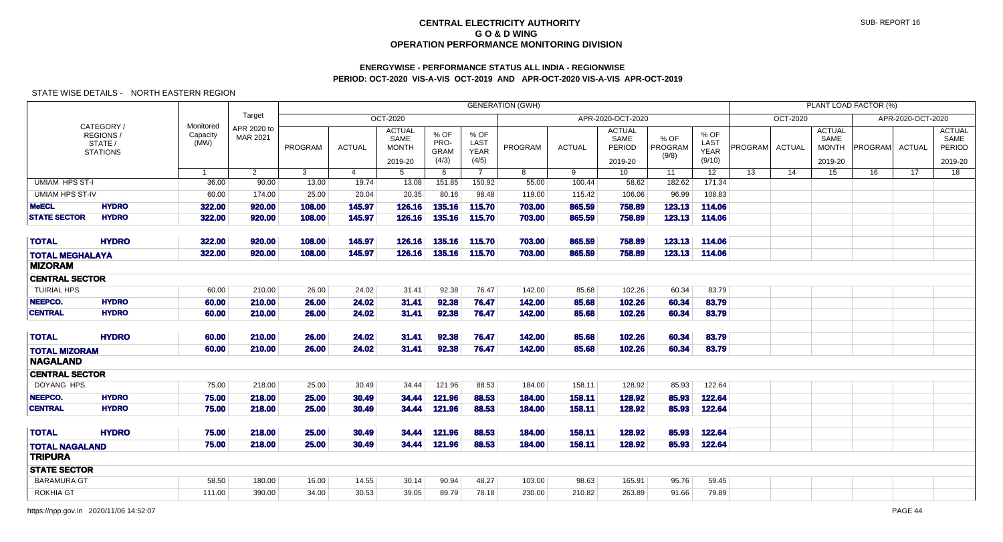# **ENERGYWISE - PERFORMANCE STATUS ALL INDIA - REGIONWISEPERIOD: OCT-2020 VIS-A-VIS OCT-2019 AND APR-OCT-2020 VIS-A-VIS APR-OCT-2019**

|                                          |                                                      |                               |                         |                  |                  |                                       |                                      |                                      | <b>GENERATION (GWH)</b> |                  |                                 |                          |                                       |         |                 |                                       | PLANT LOAD FACTOR (%) |                   |                                 |
|------------------------------------------|------------------------------------------------------|-------------------------------|-------------------------|------------------|------------------|---------------------------------------|--------------------------------------|--------------------------------------|-------------------------|------------------|---------------------------------|--------------------------|---------------------------------------|---------|-----------------|---------------------------------------|-----------------------|-------------------|---------------------------------|
|                                          |                                                      |                               | Target                  |                  |                  | <b>OCT-2020</b>                       |                                      |                                      |                         |                  | APR-2020-OCT-2020               |                          |                                       |         | <b>OCT-2020</b> |                                       |                       | APR-2020-OCT-2020 |                                 |
|                                          | CATEGORY /<br>REGIONS/<br>STATE /<br><b>STATIONS</b> | Monitored<br>Capacity<br>(MW) | APR 2020 to<br>MAR 2021 | PROGRAM          | <b>ACTUAL</b>    | <b>ACTUAL</b><br>SAME<br><b>MONTH</b> | % OF<br>PRO-<br><b>GRAM</b><br>(4/3) | % OF<br>LAST<br><b>YEAR</b><br>(4/5) | PROGRAM                 | <b>ACTUAL</b>    | <b>ACTUAL</b><br>SAME<br>PERIOD | % OF<br>PROGRAM<br>(9/8) | % OF<br>LAST<br><b>YEAR</b><br>(9/10) | PROGRAM | <b>ACTUAL</b>   | <b>ACTUAL</b><br>SAME<br><b>MONTH</b> | <b>PROGRAM</b>        | <b>ACTUAL</b>     | <b>ACTUAL</b><br>SAME<br>PERIOD |
|                                          |                                                      | $\overline{1}$                | $\overline{2}$          | $\overline{3}$   | $\overline{4}$   | 2019-20<br>$5^{\circ}$                | $6\overline{6}$                      | $\overline{7}$                       | 8                       | 9                | 2019-20<br>10 <sup>1</sup>      | 11                       | 12 <sup>7</sup>                       | 13      | 14              | 2019-20<br>15                         | 16                    | 17                | 2019-20<br>18                   |
| <b>UMIAM HPS ST-I</b>                    |                                                      | 36.00                         | 90.00                   | 13.00            | 19.74            | 13.08                                 | 151.85                               | 150.92                               | 55.00                   | 100.44           | 58.62                           | 182.62                   | 171.34                                |         |                 |                                       |                       |                   |                                 |
| <b>UMIAM HPS ST-IV</b>                   |                                                      | 60.00                         | 174.00                  | 25.00            | 20.04            | 20.35                                 | 80.16                                | 98.48                                | 119.00                  | 115.42           | 106.06                          | 96.99                    | 108.83                                |         |                 |                                       |                       |                   |                                 |
| <b>MeECL</b>                             | <b>HYDRO</b>                                         | 322.00                        | 920.00                  | 108.00           | 145.97           | 126.16                                | 135.16                               | 115.70                               | 703.00                  | 865.59           | 758.89                          | 123.13                   | 114.06                                |         |                 |                                       |                       |                   |                                 |
| <b>STATE SECTOR</b>                      | <b>HYDRO</b>                                         | 322.00                        | 920.00                  | 108,00           | 145.97           | 126.16                                | 135.16                               | 115.70                               | 703.00                  | 865.59           | 758.89                          | 123.13                   | 114.06                                |         |                 |                                       |                       |                   |                                 |
|                                          | <b>HYDRO</b>                                         |                               |                         |                  |                  |                                       |                                      |                                      |                         |                  |                                 |                          |                                       |         |                 |                                       |                       |                   |                                 |
| <b>TOTAL</b>                             |                                                      | 322.00<br>322.00              | 920.00<br>920.00        | 108.00<br>108.00 | 145.97<br>145.97 | 126.16<br>126.16                      | 135.16<br>135.16                     | 115.70<br>115.70                     | 703.00                  | 865.59<br>865.59 | 758.89<br>758.89                | 123.13<br>123.13         | 114.06<br>114.06                      |         |                 |                                       |                       |                   |                                 |
| <b>TOTAL MEGHALAYA</b><br><b>MIZORAM</b> |                                                      |                               |                         |                  |                  |                                       |                                      |                                      | 703.00                  |                  |                                 |                          |                                       |         |                 |                                       |                       |                   |                                 |
| <b>CENTRAL SECTOR</b>                    |                                                      |                               |                         |                  |                  |                                       |                                      |                                      |                         |                  |                                 |                          |                                       |         |                 |                                       |                       |                   |                                 |
| <b>TUIRIAL HPS</b>                       |                                                      | 60.00                         | 210.00                  | 26.00            | 24.02            | 31.41                                 | 92.38                                | 76.47                                | 142.00                  | 85.68            | 102.26                          | 60.34                    | 83.79                                 |         |                 |                                       |                       |                   |                                 |
| NEEPCO.                                  | <b>HYDRO</b>                                         | 60.00                         | 210.00                  | 26,00            | 24.02            | 31.41                                 | 92.38                                | 76.47                                | 142.00                  | 85.68            | 102.26                          | 60.34                    | 83.79                                 |         |                 |                                       |                       |                   |                                 |
| <b>CENTRAL</b>                           | <b>HYDRO</b>                                         | 60.00                         | 210.00                  | 26.00            | 24.02            | 31.41                                 | 92.38                                | 76.47                                | 142.00                  | 85.68            | 102.26                          | 60.34                    | 83.79                                 |         |                 |                                       |                       |                   |                                 |
| <b>TOTAL</b>                             | <b>HYDRO</b>                                         | 60.00                         | 210.00                  | 26.00            | 24.02            | 31.41                                 | 92.38                                | 76.47                                | 142.00                  | 85.68            | 102.26                          | 60.34                    | 83.79                                 |         |                 |                                       |                       |                   |                                 |
|                                          |                                                      | 60.00                         | 210.00                  | 26.00            | 24.02            | 31.41                                 | 92.38                                | 76.47                                | 142.00                  | 85.68            | 102.26                          | 60.34                    | 83.79                                 |         |                 |                                       |                       |                   |                                 |
| <b>TOTAL MIZORAM</b><br><b>NAGALAND</b>  |                                                      |                               |                         |                  |                  |                                       |                                      |                                      |                         |                  |                                 |                          |                                       |         |                 |                                       |                       |                   |                                 |
| <b>CENTRAL SECTOR</b>                    |                                                      |                               |                         |                  |                  |                                       |                                      |                                      |                         |                  |                                 |                          |                                       |         |                 |                                       |                       |                   |                                 |
| DOYANG HPS.                              |                                                      | 75.00                         | 218.00                  | 25.00            | 30.49            | 34.44                                 | 121.96                               | 88.53                                | 184.00                  | 158.11           | 128.92                          | 85.93                    | 122.64                                |         |                 |                                       |                       |                   |                                 |
| NEEPCO.                                  | <b>HYDRO</b>                                         | 75.00                         | 218.00                  | 25.00            | 30.49            | 34.44                                 | 121.96                               | 88.53                                | 184.00                  | 158.11           | 128.92                          | 85.93                    | 122.64                                |         |                 |                                       |                       |                   |                                 |
| <b>CENTRAL</b>                           | <b>HYDRO</b>                                         | 75.00                         | 218.00                  | 25.00            | 30.49            | 34.44                                 | 121.96                               | 88.53                                | 184.00                  | 158.11           | 128.92                          | 85.93                    | 122.64                                |         |                 |                                       |                       |                   |                                 |
| <b>TOTAL</b>                             | <b>HYDRO</b>                                         | 75.00                         | 218.00                  | 25.00            | 30.49            | 34.44                                 | 121.96                               | 88.53                                | 184.00                  | 158.11           | 128.92                          | 85.93                    | 122.64                                |         |                 |                                       |                       |                   |                                 |
| <b>TOTAL NAGALAND</b>                    |                                                      | 75.00                         | 218.00                  | 25.00            | 30.49            | 34.44                                 | 121.96                               | 88.53                                | 184.00                  | 158.11           | 128.92                          | 85.93                    | 122.64                                |         |                 |                                       |                       |                   |                                 |
| <b>TRIPURA</b>                           |                                                      |                               |                         |                  |                  |                                       |                                      |                                      |                         |                  |                                 |                          |                                       |         |                 |                                       |                       |                   |                                 |
| <b>STATE SECTOR</b>                      |                                                      |                               |                         |                  |                  |                                       |                                      |                                      |                         |                  |                                 |                          |                                       |         |                 |                                       |                       |                   |                                 |
| <b>BARAMURA GT</b>                       |                                                      | 58.50                         | 180.00                  | 16.00            | 14.55            | 30.14                                 | 90.94                                | 48.27                                | 103.00                  | 98.63            | 165.91                          | 95.76                    | 59.45                                 |         |                 |                                       |                       |                   |                                 |
| <b>ROKHIA GT</b>                         |                                                      | 111.00                        | 390.00                  | 34.00            | 30.53            | 39.05                                 | 89.79                                | 78.18                                | 230.00                  | 210.82           | 263.89                          | 91.66                    | 79.89                                 |         |                 |                                       |                       |                   |                                 |
|                                          |                                                      |                               |                         |                  |                  |                                       |                                      |                                      |                         |                  |                                 |                          |                                       |         |                 |                                       |                       |                   |                                 |